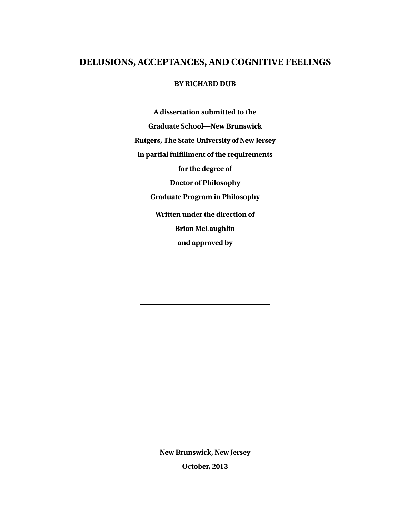### **DELUSIONS, ACCEPTANCES, AND COGNITIVE FEELINGS**

### **BY RICHARD DUB**

**A dissertation submitted to the Graduate School—New Brunswick Rutgers, The State University of New Jersey in partial fulfillment of the requirements for the degree of Doctor of Philosophy Graduate Program in Philosophy Written under the direction of Brian McLaughlin and approved by**

**New Brunswick, New Jersey**

**October, 2013**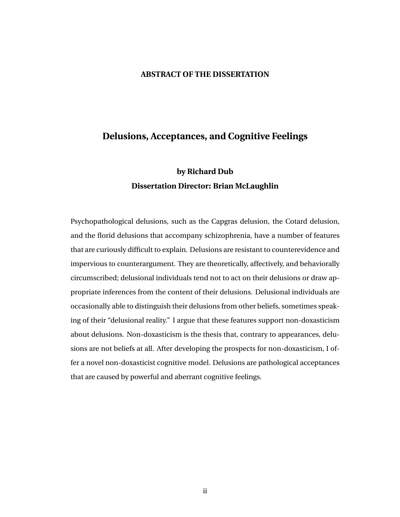### **ABSTRACT OF THE DISSERTATION**

### **Delusions, Acceptances, and Cognitive Feelings**

## **by Richard Dub Dissertation Director: Brian McLaughlin**

Psychopathological delusions, such as the Capgras delusion, the Cotard delusion, and the florid delusions that accompany schizophrenia, have a number of features that are curiously difficult to explain. Delusions are resistant to counterevidence and impervious to counterargument. They are theoretically, affectively, and behaviorally circumscribed; delusional individuals tend not to act on their delusions or draw appropriate inferences from the content of their delusions. Delusional individuals are occasionally able to distinguish their delusions from other beliefs, sometimes speaking of their "delusional reality." I argue that these features support non-doxasticism about delusions. Non-doxasticism is the thesis that, contrary to appearances, delusions are not beliefs at all. After developing the prospects for non-doxasticism, I offer a novel non-doxasticist cognitive model. Delusions are pathological acceptances that are caused by powerful and aberrant cognitive feelings.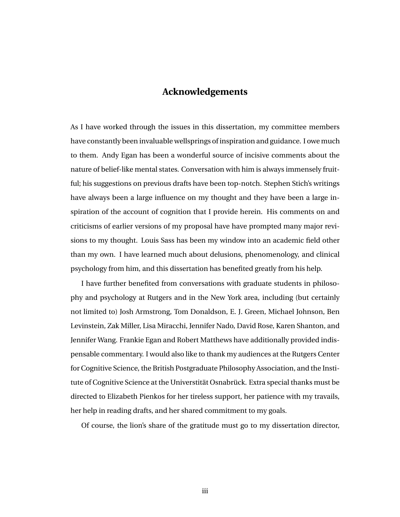## **Acknowledgements**

As I have worked through the issues in this dissertation, my committee members have constantly been invaluable wellsprings of inspiration and guidance. I owe much to them. Andy Egan has been a wonderful source of incisive comments about the nature of belief-like mental states. Conversation with him is always immensely fruitful; his suggestions on previous drafts have been top-notch. Stephen Stich's writings have always been a large influence on my thought and they have been a large inspiration of the account of cognition that I provide herein. His comments on and criticisms of earlier versions of my proposal have have prompted many major revisions to my thought. Louis Sass has been my window into an academic field other than my own. I have learned much about delusions, phenomenology, and clinical psychology from him, and this dissertation has benefited greatly from his help.

I have further benefited from conversations with graduate students in philosophy and psychology at Rutgers and in the New York area, including (but certainly not limited to) Josh Armstrong, Tom Donaldson, E. J. Green, Michael Johnson, Ben Levinstein, Zak Miller, Lisa Miracchi, Jennifer Nado, David Rose, Karen Shanton, and Jennifer Wang. Frankie Egan and Robert Matthews have additionally provided indispensable commentary. I would also like to thank my audiences at the Rutgers Center for Cognitive Science, the British Postgraduate Philosophy Association, and the Institute of Cognitive Science at the Universtität Osnabrück. Extra special thanks must be directed to Elizabeth Pienkos for her tireless support, her patience with my travails, her help in reading drafts, and her shared commitment to my goals.

Of course, the lion's share of the gratitude must go to my dissertation director,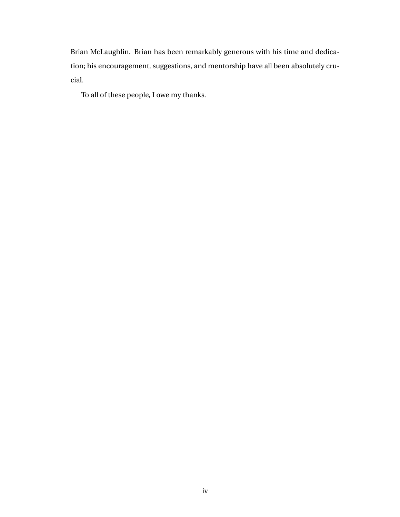Brian McLaughlin. Brian has been remarkably generous with his time and dedication; his encouragement, suggestions, and mentorship have all been absolutely crucial.

To all of these people, I owe my thanks.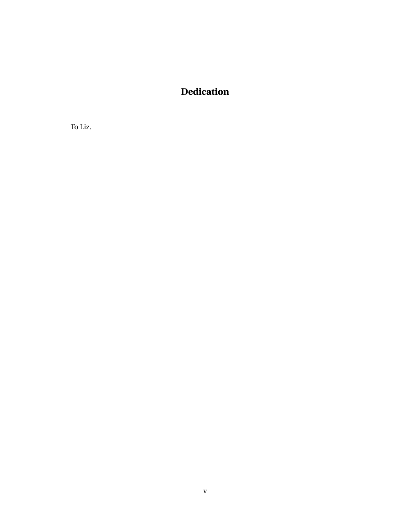# **Dedication**

To Liz.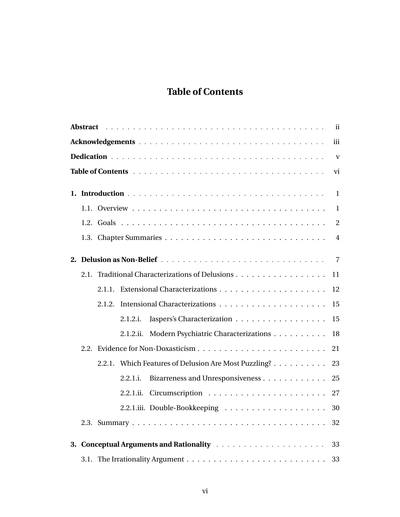# **Table of Contents**

| iii |                                                            |   |  |  |  |  |  |  |
|-----|------------------------------------------------------------|---|--|--|--|--|--|--|
|     |                                                            |   |  |  |  |  |  |  |
| vi  |                                                            |   |  |  |  |  |  |  |
|     |                                                            |   |  |  |  |  |  |  |
|     |                                                            |   |  |  |  |  |  |  |
|     |                                                            | 2 |  |  |  |  |  |  |
|     |                                                            | 4 |  |  |  |  |  |  |
|     |                                                            |   |  |  |  |  |  |  |
|     |                                                            |   |  |  |  |  |  |  |
|     | 2.1. Traditional Characterizations of Delusions<br>11      |   |  |  |  |  |  |  |
|     | 12                                                         |   |  |  |  |  |  |  |
|     | 15<br>2.1.2.                                               |   |  |  |  |  |  |  |
|     | Jaspers's Characterization<br>2.1.2.i.<br>15               |   |  |  |  |  |  |  |
|     | Modern Psychiatric Characterizations<br>2.1.2.ii.<br>18    |   |  |  |  |  |  |  |
|     | 21                                                         |   |  |  |  |  |  |  |
|     | 2.2.1. Which Features of Delusion Are Most Puzzling?<br>23 |   |  |  |  |  |  |  |
|     | Bizarreness and Unresponsiveness 25<br>2.2.1.i.            |   |  |  |  |  |  |  |
|     | 2.2.1.ii.                                                  |   |  |  |  |  |  |  |
|     | 2.2.1.iii. Double-Bookkeeping  30                          |   |  |  |  |  |  |  |
|     | 32                                                         |   |  |  |  |  |  |  |
|     |                                                            |   |  |  |  |  |  |  |
|     | 33                                                         |   |  |  |  |  |  |  |
|     | 33                                                         |   |  |  |  |  |  |  |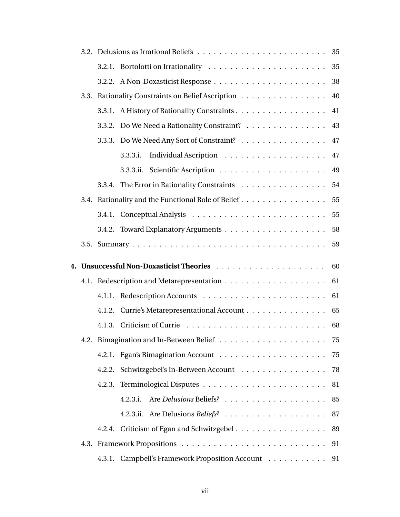|  |                                                    | 35 |
|--|----------------------------------------------------|----|
|  |                                                    | 35 |
|  |                                                    | 38 |
|  | 3.3. Rationality Constraints on Belief Ascription  | 40 |
|  |                                                    | 41 |
|  | 3.3.2. Do We Need a Rationality Constraint?        | 43 |
|  | 3.3.3. Do We Need Any Sort of Constraint?          | 47 |
|  | 3.3.3.i.                                           | 47 |
|  | 3.3.3.ii.                                          | 49 |
|  | 3.3.4. The Error in Rationality Constraints        | 54 |
|  | 3.4. Rationality and the Functional Role of Belief | 55 |
|  |                                                    | 55 |
|  |                                                    | 58 |
|  |                                                    | 59 |
|  |                                                    |    |
|  |                                                    | 60 |
|  |                                                    | 61 |
|  |                                                    | 61 |
|  | 4.1.2. Currie's Metarepresentational Account       | 65 |
|  |                                                    | 68 |
|  |                                                    | 75 |
|  |                                                    | 75 |
|  | 4.2.2. Schwitzgebel's In-Between Account           | 78 |
|  |                                                    | 81 |
|  | 4.2.3.i.                                           | 85 |
|  |                                                    | 87 |
|  | 4.2.4. Criticism of Egan and Schwitzgebel 89       |    |
|  |                                                    | 91 |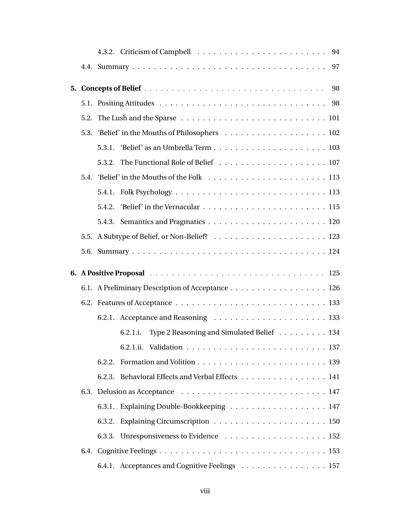|  | 5.2. The Lush and the Sparse $\ldots \ldots \ldots \ldots \ldots \ldots \ldots \ldots \ldots 101$ |  |
|--|---------------------------------------------------------------------------------------------------|--|
|  |                                                                                                   |  |
|  | 5.3.1.                                                                                            |  |
|  |                                                                                                   |  |
|  |                                                                                                   |  |
|  |                                                                                                   |  |
|  |                                                                                                   |  |
|  |                                                                                                   |  |
|  |                                                                                                   |  |
|  |                                                                                                   |  |
|  |                                                                                                   |  |
|  | 6.1. A Preliminary Description of Acceptance 126                                                  |  |
|  |                                                                                                   |  |
|  |                                                                                                   |  |
|  | Type 2 Reasoning and Simulated Belief 134<br>6.2.1.i.                                             |  |
|  |                                                                                                   |  |
|  |                                                                                                   |  |
|  | 6.2.3. Behavioral Effects and Verbal Effects 141                                                  |  |
|  |                                                                                                   |  |
|  | 6.3.1. Explaining Double-Bookkeeping 147                                                          |  |
|  |                                                                                                   |  |
|  |                                                                                                   |  |
|  |                                                                                                   |  |
|  | 6.4.1. Acceptances and Cognitive Feelings 157                                                     |  |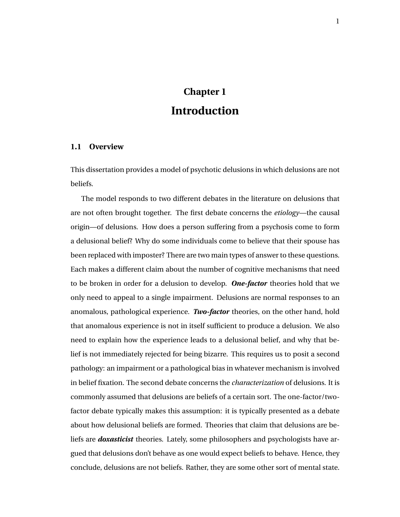# **Chapter 1 Introduction**

### **1.1 Overview**

This dissertation provides a model of psychotic delusions in which delusions are not beliefs.

The model responds to two different debates in the literature on delusions that are not often brought together. The first debate concerns the *etiology*—the causal origin—of delusions. How does a person suffering from a psychosis come to form a delusional belief? Why do some individuals come to believe that their spouse has been replaced with imposter? There are two main types of answer to these questions. Each makes a different claim about the number of cognitive mechanisms that need to be broken in order for a delusion to develop. *One-factor* theories hold that we only need to appeal to a single impairment. Delusions are normal responses to an anomalous, pathological experience. *Two-factor* theories, on the other hand, hold that anomalous experience is not in itself sufficient to produce a delusion. We also need to explain how the experience leads to a delusional belief, and why that belief is not immediately rejected for being bizarre. This requires us to posit a second pathology: an impairment or a pathological bias in whatever mechanism is involved in belief fixation. The second debate concerns the *characterization* of delusions. It is commonly assumed that delusions are beliefs of a certain sort. The one-factor/twofactor debate typically makes this assumption: it is typically presented as a debate about how delusional beliefs are formed. Theories that claim that delusions are beliefs are *doxasticist* theories. Lately, some philosophers and psychologists have argued that delusions don't behave as one would expect beliefs to behave. Hence, they conclude, delusions are not beliefs. Rather, they are some other sort of mental state.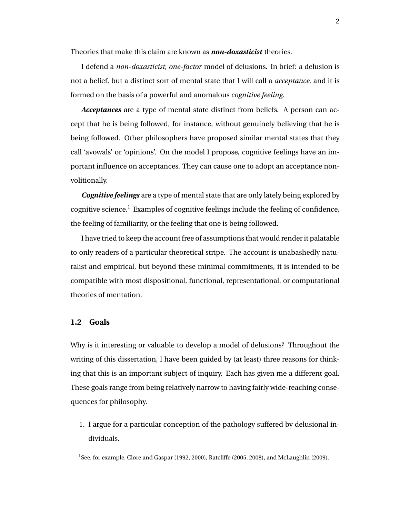Theories that make this claim are known as *non-doxasticist* theories.

I defend a *non-doxasticist, one-factor* model of delusions. In brief: a delusion is not a belief, but a distinct sort of mental state that I will call a *acceptance*, and it is formed on the basis of a powerful and anomalous *cognitive feeling*.

*Acceptances* are a type of mental state distinct from beliefs. A person can accept that he is being followed, for instance, without genuinely believing that he is being followed. Other philosophers have proposed similar mental states that they call 'avowals' or 'opinions'. On the model I propose, cognitive feelings have an important influence on acceptances. They can cause one to adopt an acceptance nonvolitionally.

*Cognitive feelings* are a type of mental state that are only lately being explored by cognitive science.<sup>1</sup> Examples of cognitive feelings include the feeling of confidence, the feeling of familiarity, or the feeling that one is being followed.

I have tried to keep the account free of assumptions that would render it palatable to only readers of a particular theoretical stripe. The account is unabashedly naturalist and empirical, but beyond these minimal commitments, it is intended to be compatible with most dispositional, functional, representational, or computational theories of mentation.

### **1.2 Goals**

Why is it interesting or valuable to develop a model of delusions? Throughout the writing of this dissertation, I have been guided by (at least) three reasons for thinking that this is an important subject of inquiry. Each has given me a different goal. These goals range from being relatively narrow to having fairly wide-reaching consequences for philosophy.

1. I argue for a particular conception of the pathology suffered by delusional individuals.

<sup>1</sup> See, for example, Clore and Gaspar (1992, 2000), Ratcliffe (2005, 2008), and McLaughlin (2009).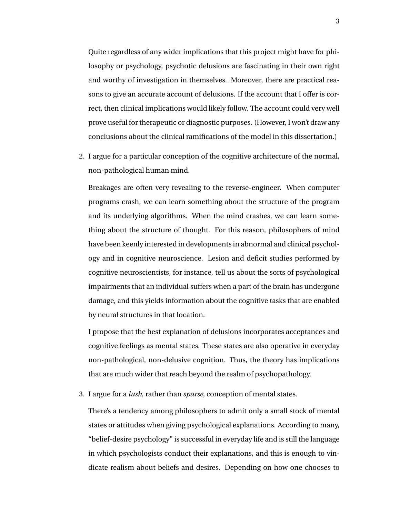Quite regardless of any wider implications that this project might have for philosophy or psychology, psychotic delusions are fascinating in their own right and worthy of investigation in themselves. Moreover, there are practical reasons to give an accurate account of delusions. If the account that I offer is correct, then clinical implications would likely follow. The account could very well prove useful for therapeutic or diagnostic purposes. (However, I won't draw any conclusions about the clinical ramifications of the model in this dissertation.)

2. I argue for a particular conception of the cognitive architecture of the normal, non-pathological human mind.

Breakages are often very revealing to the reverse-engineer. When computer programs crash, we can learn something about the structure of the program and its underlying algorithms. When the mind crashes, we can learn something about the structure of thought. For this reason, philosophers of mind have been keenly interested in developments in abnormal and clinical psychology and in cognitive neuroscience. Lesion and deficit studies performed by cognitive neuroscientists, for instance, tell us about the sorts of psychological impairments that an individual suffers when a part of the brain has undergone damage, and this yields information about the cognitive tasks that are enabled by neural structures in that location.

I propose that the best explanation of delusions incorporates acceptances and cognitive feelings as mental states. These states are also operative in everyday non-pathological, non-delusive cognition. Thus, the theory has implications that are much wider that reach beyond the realm of psychopathology.

3. I argue for a *lush*, rather than *sparse*, conception of mental states.

There's a tendency among philosophers to admit only a small stock of mental states or attitudes when giving psychological explanations. According to many, "belief-desire psychology" is successful in everyday life and is still the language in which psychologists conduct their explanations, and this is enough to vindicate realism about beliefs and desires. Depending on how one chooses to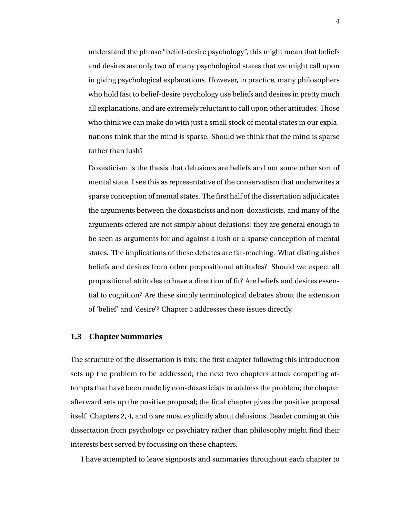understand the phrase "belief-desire psychology", this might mean that beliefs and desires are only two of many psychological states that we might call upon in giving psychological explanations. However, in practice, many philosophers who hold fast to belief-desire psychology use beliefs and desires in pretty much all explanations, and are extremely reluctant to call upon other attitudes. Those who think we can make do with just a small stock of mental states in our explanations think that the mind is sparse. Should we think that the mind is sparse rather than lush?

Doxasticism is the thesis that delusions are beliefs and not some other sort of mental state. I see this as representative of the conservatism that underwrites a sparse conception of mental states. The first half of the dissertation adjudicates the arguments between the doxasticists and non-doxasticists, and many of the arguments offered are not simply about delusions: they are general enough to be seen as arguments for and against a lush or a sparse conception of mental states. The implications of these debates are far-reaching. What distinguishes beliefs and desires from other propositional attitudes? Should we expect all propositional attitudes to have a direction of fit? Are beliefs and desires essential to cognition? Are these simply terminological debates about the extension of 'belief' and 'desire'? Chapter 5 addresses these issues directly.

### **1.3 Chapter Summaries**

The structure of the dissertation is this: the first chapter following this introduction sets up the problem to be addressed; the next two chapters attack competing attempts that have been made by non-doxasticists to address the problem; the chapter afterward sets up the positive proposal; the final chapter gives the positive proposal itself. Chapters 2, 4, and 6 are most explicitly about delusions. Reader coming at this dissertation from psychology or psychiatry rather than philosophy might find their interests best served by focussing on these chapters.

I have attempted to leave signposts and summaries throughout each chapter to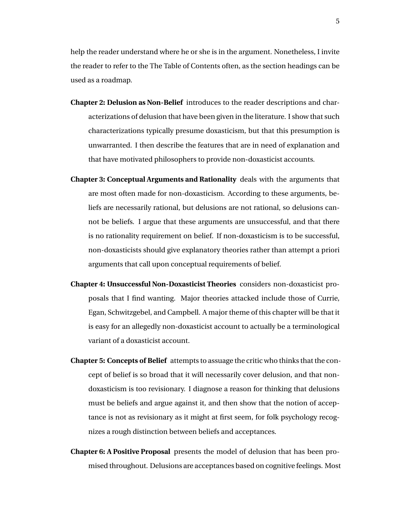help the reader understand where he or she is in the argument. Nonetheless, I invite the reader to refer to the The Table of Contents often, as the section headings can be used as a roadmap.

- **Chapter 2: Delusion as Non-Belief** introduces to the reader descriptions and characterizations of delusion that have been given in the literature. I show that such characterizations typically presume doxasticism, but that this presumption is unwarranted. I then describe the features that are in need of explanation and that have motivated philosophers to provide non-doxasticist accounts.
- **Chapter 3: Conceptual Arguments and Rationality** deals with the arguments that are most often made for non-doxasticism. According to these arguments, beliefs are necessarily rational, but delusions are not rational, so delusions cannot be beliefs. I argue that these arguments are unsuccessful, and that there is no rationality requirement on belief. If non-doxasticism is to be successful, non-doxasticists should give explanatory theories rather than attempt a priori arguments that call upon conceptual requirements of belief.
- **Chapter 4: Unsuccessful Non-Doxasticist Theories** considers non-doxasticist proposals that I find wanting. Major theories attacked include those of Currie, Egan, Schwitzgebel, and Campbell. A major theme of this chapter will be that it is easy for an allegedly non-doxasticist account to actually be a terminological variant of a doxasticist account.
- **Chapter 5: Concepts of Belief** attempts to assuage the critic who thinks that the concept of belief is so broad that it will necessarily cover delusion, and that nondoxasticism is too revisionary. I diagnose a reason for thinking that delusions must be beliefs and argue against it, and then show that the notion of acceptance is not as revisionary as it might at first seem, for folk psychology recognizes a rough distinction between beliefs and acceptances.
- **Chapter 6: A Positive Proposal** presents the model of delusion that has been promised throughout. Delusions are acceptances based on cognitive feelings. Most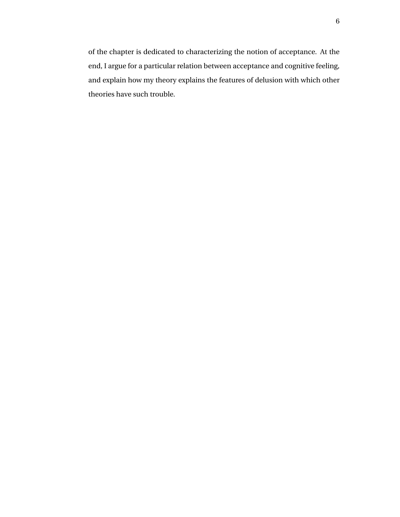of the chapter is dedicated to characterizing the notion of acceptance. At the end, I argue for a particular relation between acceptance and cognitive feeling, and explain how my theory explains the features of delusion with which other theories have such trouble.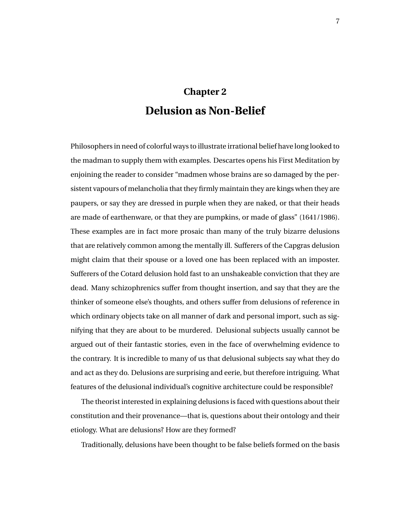# **Chapter 2 Delusion as Non-Belief**

Philosophers in need of colorful ways to illustrate irrational belief have long looked to the madman to supply them with examples. Descartes opens his First Meditation by enjoining the reader to consider "madmen whose brains are so damaged by the persistent vapours of melancholia that they firmly maintain they are kings when they are paupers, or say they are dressed in purple when they are naked, or that their heads are made of earthenware, or that they are pumpkins, or made of glass" (1641/1986). These examples are in fact more prosaic than many of the truly bizarre delusions that are relatively common among the mentally ill. Sufferers of the Capgras delusion might claim that their spouse or a loved one has been replaced with an imposter. Sufferers of the Cotard delusion hold fast to an unshakeable conviction that they are dead. Many schizophrenics suffer from thought insertion, and say that they are the thinker of someone else's thoughts, and others suffer from delusions of reference in which ordinary objects take on all manner of dark and personal import, such as signifying that they are about to be murdered. Delusional subjects usually cannot be argued out of their fantastic stories, even in the face of overwhelming evidence to the contrary. It is incredible to many of us that delusional subjects say what they do and act as they do. Delusions are surprising and eerie, but therefore intriguing. What features of the delusional individual's cognitive architecture could be responsible?

The theorist interested in explaining delusions is faced with questions about their constitution and their provenance—that is, questions about their ontology and their etiology. What are delusions? How are they formed?

Traditionally, delusions have been thought to be false beliefs formed on the basis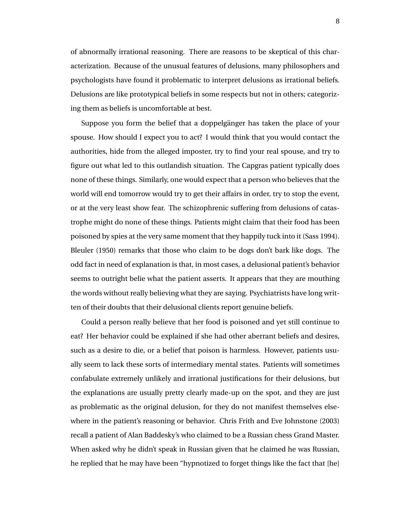of abnormally irrational reasoning. There are reasons to be skeptical of this characterization. Because of the unusual features of delusions, many philosophers and psychologists have found it problematic to interpret delusions as irrational beliefs. Delusions are like prototypical beliefs in some respects but not in others; categorizing them as beliefs is uncomfortable at best.

Suppose you form the belief that a doppelganger has taken the place of your spouse. How should I expect you to act? I would think that you would contact the authorities, hide from the alleged imposter, try to find your real spouse, and try to figure out what led to this outlandish situation. The Capgras patient typically does none of these things. Similarly, one would expect that a person who believes that the world will end tomorrow would try to get their affairs in order, try to stop the event, or at the very least show fear. The schizophrenic suffering from delusions of catastrophe might do none of these things. Patients might claim that their food has been poisoned by spies at the very same moment that they happily tuck into it (Sass 1994). Bleuler (1950) remarks that those who claim to be dogs don't bark like dogs. The odd fact in need of explanation is that, in most cases, a delusional patient's behavior seems to outright belie what the patient asserts. It appears that they are mouthing the words without really believing what they are saying. Psychiatrists have long written of their doubts that their delusional clients report genuine beliefs.

Could a person really believe that her food is poisoned and yet still continue to eat? Her behavior could be explained if she had other aberrant beliefs and desires, such as a desire to die, or a belief that poison is harmless. However, patients usually seem to lack these sorts of intermediary mental states. Patients will sometimes confabulate extremely unlikely and irrational justifications for their delusions, but the explanations are usually pretty clearly made-up on the spot, and they are just as problematic as the original delusion, for they do not manifest themselves elsewhere in the patient's reasoning or behavior. Chris Frith and Eve Johnstone (2003) recall a patient of Alan Baddesky's who claimed to be a Russian chess Grand Master. When asked why he didn't speak in Russian given that he claimed he was Russian, he replied that he may have been "hypnotized to forget things like the fact that [he]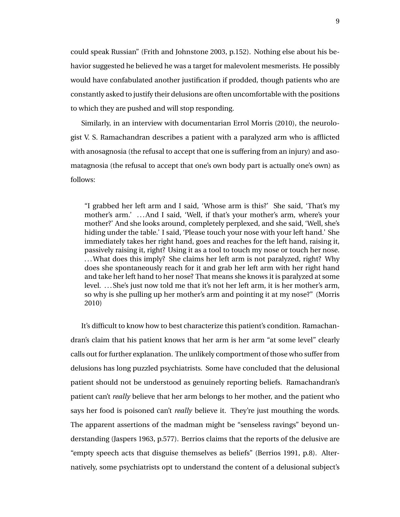could speak Russian" (Frith and Johnstone 2003, p.152). Nothing else about his behavior suggested he believed he was a target for malevolent mesmerists. He possibly would have confabulated another justification if prodded, though patients who are constantly asked to justify their delusions are often uncomfortable with the positions to which they are pushed and will stop responding.

Similarly, in an interview with documentarian Errol Morris (2010), the neurologist V. S. Ramachandran describes a patient with a paralyzed arm who is afflicted with anosagnosia (the refusal to accept that one is suffering from an injury) and asomatagnosia (the refusal to accept that one's own body part is actually one's own) as follows:

"I grabbed her left arm and I said, 'Whose arm is this?' She said, 'That's my mother's arm.' . . . And I said, 'Well, if that's your mother's arm, where's your mother?' And she looks around, completely perplexed, and she said, 'Well, she's hiding under the table.' I said, 'Please touch your nose with your left hand.' She immediately takes her right hand, goes and reaches for the left hand, raising it, passively raising it, right? Using it as a tool to touch my nose or touch her nose. ...What does this imply? She claims her left arm is not paralyzed, right? Why does she spontaneously reach for it and grab her left arm with her right hand and take her left hand to her nose? That means she knows it is paralyzed at some level. . . . She's just now told me that it's not her left arm, it is her mother's arm, so why is she pulling up her mother's arm and pointing it at my nose?" (Morris 2010)

It's difficult to know how to best characterize this patient's condition. Ramachandran's claim that his patient knows that her arm is her arm "at some level" clearly calls out for further explanation. The unlikely comportment of those who suffer from delusions has long puzzled psychiatrists. Some have concluded that the delusional patient should not be understood as genuinely reporting beliefs. Ramachandran's patient can't *really* believe that her arm belongs to her mother, and the patient who says her food is poisoned can't *really* believe it. They're just mouthing the words. The apparent assertions of the madman might be "senseless ravings" beyond understanding (Jaspers 1963, p.577). Berrios claims that the reports of the delusive are "empty speech acts that disguise themselves as beliefs" (Berrios 1991, p.8). Alternatively, some psychiatrists opt to understand the content of a delusional subject's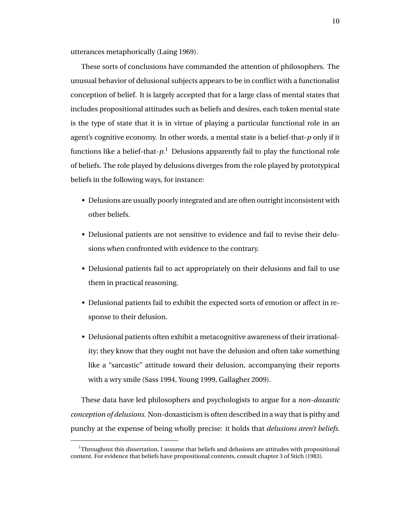utterances metaphorically (Laing 1969).

These sorts of conclusions have commanded the attention of philosophers. The unusual behavior of delusional subjects appears to be in conflict with a functionalist conception of belief. It is largely accepted that for a large class of mental states that includes propositional attitudes such as beliefs and desires, each token mental state is the type of state that it is in virtue of playing a particular functional role in an agent's cognitive economy. In other words, a mental state is a belief-that-*p* only if it functions like a belief-that-*p*. <sup>1</sup> Delusions apparently fail to play the functional role of beliefs. The role played by delusions diverges from the role played by prototypical beliefs in the following ways, for instance:

- Delusions are usually poorly integrated and are often outright inconsistent with other beliefs.
- Delusional patients are not sensitive to evidence and fail to revise their delusions when confronted with evidence to the contrary.
- Delusional patients fail to act appropriately on their delusions and fail to use them in practical reasoning.
- Delusional patients fail to exhibit the expected sorts of emotion or affect in response to their delusion.
- Delusional patients often exhibit a metacognitive awareness of their irrationality; they know that they ought not have the delusion and often take something like a "sarcastic" attitude toward their delusion, accompanying their reports with a wry smile (Sass 1994, Young 1999, Gallagher 2009).

These data have led philosophers and psychologists to argue for a *non-doxastic conception of delusions*. Non-doxasticism is often described in a way that is pithy and punchy at the expense of being wholly precise: it holds that *delusions aren't beliefs*.

 $1$ Throughout this dissertation, I assume that beliefs and delusions are attitudes with propositional content. For evidence that beliefs have propositional contents, consult chapter 3 of Stich (1983).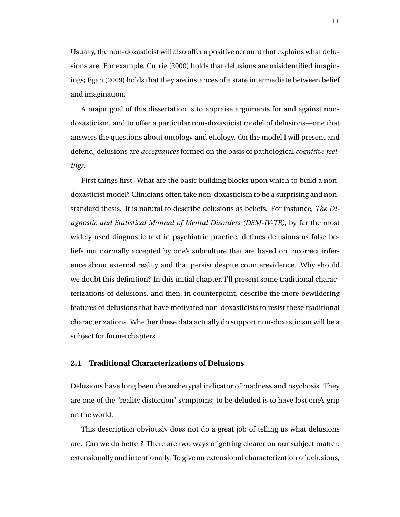Usually, the non-doxasticist will also offer a positive account that explains what delusions are. For example, Currie (2000) holds that delusions are misidentified imaginings; Egan (2009) holds that they are instances of a state intermediate between belief and imagination.

A major goal of this dissertation is to appraise arguments for and against nondoxasticism, and to offer a particular non-doxasticist model of delusions—one that answers the questions about ontology and etiology. On the model I will present and defend, delusions are *acceptances* formed on the basis of pathological *cognitive feelings*.

First things first. What are the basic building blocks upon which to build a nondoxasticist model? Clinicians often take non-doxasticism to be a surprising and nonstandard thesis. It is natural to describe delusions as beliefs. For instance, *The Diagnostic and Statistical Manual of Mental Disorders (DSM-IV-TR)*, by far the most widely used diagnostic text in psychiatric practice, defines delusions as false beliefs not normally accepted by one's subculture that are based on incorrect inference about external reality and that persist despite counterevidence. Why should we doubt this definition? In this initial chapter, I'll present some traditional characterizations of delusions, and then, in counterpoint, describe the more bewildering features of delusions that have motivated non-doxasticists to resist these traditional characterizations. Whether these data actually do support non-doxasticism will be a subject for future chapters.

### **2.1 Traditional Characterizations of Delusions**

Delusions have long been the archetypal indicator of madness and psychosis. They are one of the "reality distortion" symptoms; to be deluded is to have lost one's grip on the world.

This description obviously does not do a great job of telling us what delusions are. Can we do better? There are two ways of getting clearer on our subject matter: extensionally and intentionally. To give an extensional characterization of delusions,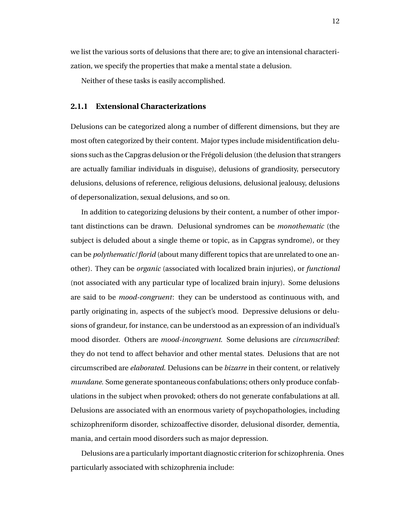we list the various sorts of delusions that there are; to give an intensional characterization, we specify the properties that make a mental state a delusion.

Neither of these tasks is easily accomplished.

### **2.1.1 Extensional Characterizations**

Delusions can be categorized along a number of different dimensions, but they are most often categorized by their content. Major types include misidentification delusions such as the Capgras delusion or the Fregoli delusion (the delusion that strangers ´ are actually familiar individuals in disguise), delusions of grandiosity, persecutory delusions, delusions of reference, religious delusions, delusional jealousy, delusions of depersonalization, sexual delusions, and so on.

In addition to categorizing delusions by their content, a number of other important distinctions can be drawn. Delusional syndromes can be *monothematic* (the subject is deluded about a single theme or topic, as in Capgras syndrome), or they can be *polythematic*/*florid* (about many different topics that are unrelated to one another). They can be *organic* (associated with localized brain injuries), or *functional* (not associated with any particular type of localized brain injury). Some delusions are said to be *mood-congruent*: they can be understood as continuous with, and partly originating in, aspects of the subject's mood. Depressive delusions or delusions of grandeur, for instance, can be understood as an expression of an individual's mood disorder. Others are *mood-incongruent*. Some delusions are *circumscribed*: they do not tend to affect behavior and other mental states. Delusions that are not circumscribed are *elaborated*. Delusions can be *bizarre* in their content, or relatively *mundane*. Some generate spontaneous confabulations; others only produce confabulations in the subject when provoked; others do not generate confabulations at all. Delusions are associated with an enormous variety of psychopathologies, including schizophreniform disorder, schizoaffective disorder, delusional disorder, dementia, mania, and certain mood disorders such as major depression.

Delusions are a particularly important diagnostic criterion for schizophrenia. Ones particularly associated with schizophrenia include: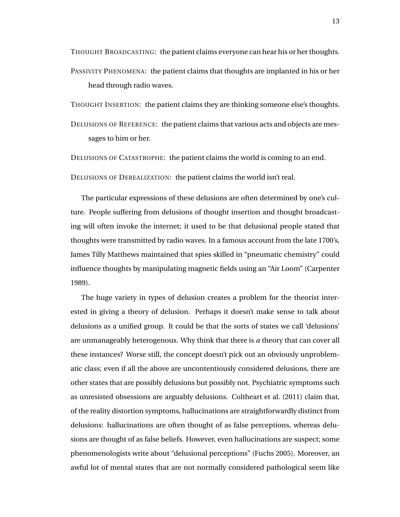THOUGHT BROADCASTING: the patient claims everyone can hear his or her thoughts. PASSIVITY PHENOMENA: the patient claims that thoughts are implanted in his or her head through radio waves.

THOUGHT INSERTION: the patient claims they are thinking someone else's thoughts.

DELUSIONS OF REFERENCE: the patient claims that various acts and objects are messages to him or her.

DELUSIONS OF CATASTROPHE: the patient claims the world is coming to an end.

DELUSIONS OF DEREALIZATION: the patient claims the world isn't real.

The particular expressions of these delusions are often determined by one's culture. People suffering from delusions of thought insertion and thought broadcasting will often invoke the internet; it used to be that delusional people stated that thoughts were transmitted by radio waves. In a famous account from the late 1700's, James Tilly Matthews maintained that spies skilled in "pneumatic chemistry" could influence thoughts by manipulating magnetic fields using an "Air Loom" (Carpenter 1989).

The huge variety in types of delusion creates a problem for the theorist interested in giving a theory of delusion. Perhaps it doesn't make sense to talk about delusions as a unified group. It could be that the sorts of states we call 'delusions' are unmanageably heterogenous. Why think that there is *a* theory that can cover all these instances? Worse still, the concept doesn't pick out an obviously unproblematic class; even if all the above are uncontentiously considered delusions, there are other states that are possibly delusions but possibly not. Psychiatric symptoms such as unresisted obsessions are arguably delusions. Coltheart et al. (2011) claim that, of the reality distortion symptoms, hallucinations are straightforwardly distinct from delusions: hallucinations are often thought of as false perceptions, whereas delusions are thought of as false beliefs. However, even hallucinations are suspect; some phenomenologists write about "delusional perceptions" (Fuchs 2005). Moreover, an awful lot of mental states that are not normally considered pathological seem like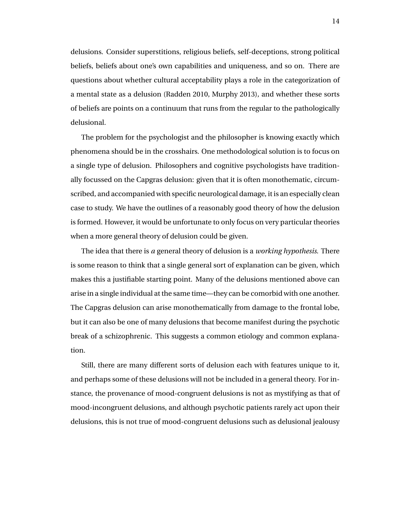delusions. Consider superstitions, religious beliefs, self-deceptions, strong political beliefs, beliefs about one's own capabilities and uniqueness, and so on. There are questions about whether cultural acceptability plays a role in the categorization of a mental state as a delusion (Radden 2010, Murphy 2013), and whether these sorts of beliefs are points on a continuum that runs from the regular to the pathologically delusional.

The problem for the psychologist and the philosopher is knowing exactly which phenomena should be in the crosshairs. One methodological solution is to focus on a single type of delusion. Philosophers and cognitive psychologists have traditionally focussed on the Capgras delusion: given that it is often monothematic, circumscribed, and accompanied with specific neurological damage, it is an especially clean case to study. We have the outlines of a reasonably good theory of how the delusion is formed. However, it would be unfortunate to only focus on very particular theories when a more general theory of delusion could be given.

The idea that there is *a* general theory of delusion is a *working hypothesis*. There is some reason to think that a single general sort of explanation can be given, which makes this a justifiable starting point. Many of the delusions mentioned above can arise in a single individual at the same time—they can be comorbid with one another. The Capgras delusion can arise monothematically from damage to the frontal lobe, but it can also be one of many delusions that become manifest during the psychotic break of a schizophrenic. This suggests a common etiology and common explanation.

Still, there are many different sorts of delusion each with features unique to it, and perhaps some of these delusions will not be included in a general theory. For instance, the provenance of mood-congruent delusions is not as mystifying as that of mood-incongruent delusions, and although psychotic patients rarely act upon their delusions, this is not true of mood-congruent delusions such as delusional jealousy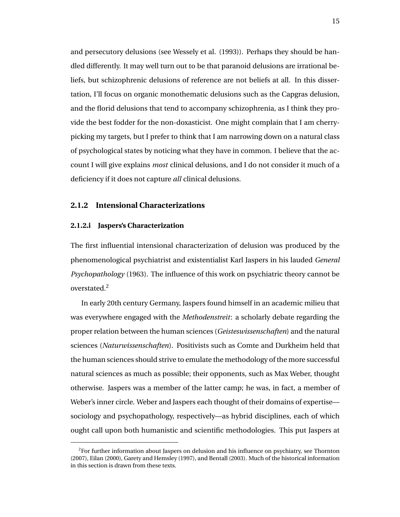and persecutory delusions (see Wessely et al. (1993)). Perhaps they should be handled differently. It may well turn out to be that paranoid delusions are irrational beliefs, but schizophrenic delusions of reference are not beliefs at all. In this dissertation, I'll focus on organic monothematic delusions such as the Capgras delusion, and the florid delusions that tend to accompany schizophrenia, as I think they provide the best fodder for the non-doxasticist. One might complain that I am cherrypicking my targets, but I prefer to think that I am narrowing down on a natural class of psychological states by noticing what they have in common. I believe that the account I will give explains *most* clinical delusions, and I do not consider it much of a deficiency if it does not capture *all* clinical delusions.

### **2.1.2 Intensional Characterizations**

### **2.1.2.i Jaspers's Characterization**

The first influential intensional characterization of delusion was produced by the phenomenological psychiatrist and existentialist Karl Jaspers in his lauded *General Psychopathology* (1963). The influence of this work on psychiatric theory cannot be overstated.<sup>2</sup>

In early 20th century Germany, Jaspers found himself in an academic milieu that was everywhere engaged with the *Methodenstreit*: a scholarly debate regarding the proper relation between the human sciences (*Geisteswissenschaften*) and the natural sciences (*Naturwissenschaften*). Positivists such as Comte and Durkheim held that the human sciences should strive to emulate the methodology of the more successful natural sciences as much as possible; their opponents, such as Max Weber, thought otherwise. Jaspers was a member of the latter camp; he was, in fact, a member of Weber's inner circle. Weber and Jaspers each thought of their domains of expertise sociology and psychopathology, respectively—as hybrid disciplines, each of which ought call upon both humanistic and scientific methodologies. This put Jaspers at

 ${}^{2}$ For further information about Jaspers on delusion and his influence on psychiatry, see Thornton (2007), Eilan (2000), Garety and Hemsley (1997), and Bentall (2003). Much of the historical information in this section is drawn from these texts.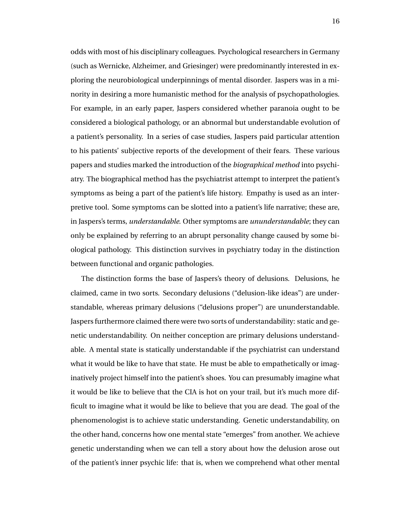odds with most of his disciplinary colleagues. Psychological researchers in Germany (such as Wernicke, Alzheimer, and Griesinger) were predominantly interested in exploring the neurobiological underpinnings of mental disorder. Jaspers was in a minority in desiring a more humanistic method for the analysis of psychopathologies. For example, in an early paper, Jaspers considered whether paranoia ought to be considered a biological pathology, or an abnormal but understandable evolution of a patient's personality. In a series of case studies, Jaspers paid particular attention to his patients' subjective reports of the development of their fears. These various papers and studies marked the introduction of the *biographical method* into psychiatry. The biographical method has the psychiatrist attempt to interpret the patient's symptoms as being a part of the patient's life history. Empathy is used as an interpretive tool. Some symptoms can be slotted into a patient's life narrative; these are, in Jaspers's terms, *understandable*. Other symptoms are *ununderstandable*; they can only be explained by referring to an abrupt personality change caused by some biological pathology. This distinction survives in psychiatry today in the distinction between functional and organic pathologies.

The distinction forms the base of Jaspers's theory of delusions. Delusions, he claimed, came in two sorts. Secondary delusions ("delusion-like ideas") are understandable, whereas primary delusions ("delusions proper") are ununderstandable. Jaspers furthermore claimed there were two sorts of understandability: static and genetic understandability. On neither conception are primary delusions understandable. A mental state is statically understandable if the psychiatrist can understand what it would be like to have that state. He must be able to empathetically or imaginatively project himself into the patient's shoes. You can presumably imagine what it would be like to believe that the CIA is hot on your trail, but it's much more difficult to imagine what it would be like to believe that you are dead. The goal of the phenomenologist is to achieve static understanding. Genetic understandability, on the other hand, concerns how one mental state "emerges" from another. We achieve genetic understanding when we can tell a story about how the delusion arose out of the patient's inner psychic life: that is, when we comprehend what other mental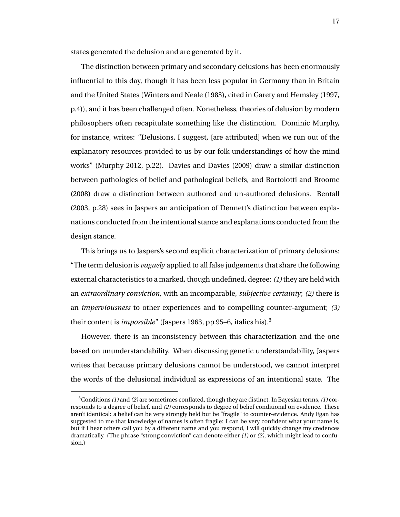states generated the delusion and are generated by it.

The distinction between primary and secondary delusions has been enormously influential to this day, though it has been less popular in Germany than in Britain and the United States (Winters and Neale (1983), cited in Garety and Hemsley (1997, p.4)), and it has been challenged often. Nonetheless, theories of delusion by modern philosophers often recapitulate something like the distinction. Dominic Murphy, for instance, writes: "Delusions, I suggest, [are attributed] when we run out of the explanatory resources provided to us by our folk understandings of how the mind works" (Murphy 2012, p.22). Davies and Davies (2009) draw a similar distinction between pathologies of belief and pathological beliefs, and Bortolotti and Broome (2008) draw a distinction between authored and un-authored delusions. Bentall (2003, p.28) sees in Jaspers an anticipation of Dennett's distinction between explanations conducted from the intentional stance and explanations conducted from the design stance.

This brings us to Jaspers's second explicit characterization of primary delusions: "The term delusion is *vaguely* applied to all false judgements that share the following external characteristics to a marked, though undefined, degree: *(1)* they are held with an *extraordinary conviction*, with an incomparable, *subjective certainty*; *(2)* there is an *imperviousness* to other experiences and to compelling counter-argument; *(3)* their content is *impossible*" (Jaspers 1963, pp.95–6, italics his).<sup>3</sup>

However, there is an inconsistency between this characterization and the one based on ununderstandability. When discussing genetic understandability, Jaspers writes that because primary delusions cannot be understood, we cannot interpret the words of the delusional individual as expressions of an intentional state. The

<sup>3</sup>Conditions *(1)* and *(2)* are sometimes conflated, though they are distinct. In Bayesian terms, *(1)* corresponds to a degree of belief, and *(2)* corresponds to degree of belief conditional on evidence. These aren't identical: a belief can be very strongly held but be "fragile" to counter-evidence. Andy Egan has suggested to me that knowledge of names is often fragile: I can be very confident what your name is, but if I hear others call you by a different name and you respond, I will quickly change my credences dramatically. (The phrase "strong conviction" can denote either *(1)* or *(2)*, which might lead to confusion.)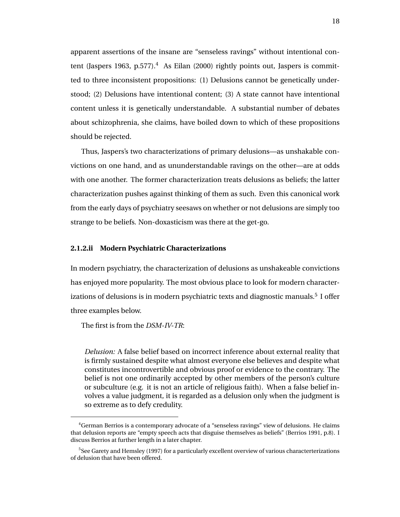apparent assertions of the insane are "senseless ravings" without intentional content (Jaspers 1963, p.577).<sup>4</sup> As Eilan (2000) rightly points out, Jaspers is committed to three inconsistent propositions: (1) Delusions cannot be genetically understood; (2) Delusions have intentional content; (3) A state cannot have intentional content unless it is genetically understandable. A substantial number of debates about schizophrenia, she claims, have boiled down to which of these propositions should be rejected.

Thus, Jaspers's two characterizations of primary delusions—as unshakable convictions on one hand, and as ununderstandable ravings on the other—are at odds with one another. The former characterization treats delusions as beliefs; the latter characterization pushes against thinking of them as such. Even this canonical work from the early days of psychiatry seesaws on whether or not delusions are simply too strange to be beliefs. Non-doxasticism was there at the get-go.

#### **2.1.2.ii Modern Psychiatric Characterizations**

In modern psychiatry, the characterization of delusions as unshakeable convictions has enjoyed more popularity. The most obvious place to look for modern characterizations of delusions is in modern psychiatric texts and diagnostic manuals. $^5\,$  I offer three examples below.

The first is from the *DSM-IV-TR*:

*Delusion:* A false belief based on incorrect inference about external reality that is firmly sustained despite what almost everyone else believes and despite what constitutes incontrovertible and obvious proof or evidence to the contrary. The belief is not one ordinarily accepted by other members of the person's culture or subculture (e.g. it is not an article of religious faith). When a false belief involves a value judgment, it is regarded as a delusion only when the judgment is so extreme as to defy credulity.

<sup>4</sup>German Berrios is a contemporary advocate of a "senseless ravings" view of delusions. He claims that delusion reports are "empty speech acts that disguise themselves as beliefs" (Berrios 1991, p.8). I discuss Berrios at further length in a later chapter.

 $^5$ See Garety and Hemsley (1997) for a particularly excellent overview of various characterterizations of delusion that have been offered.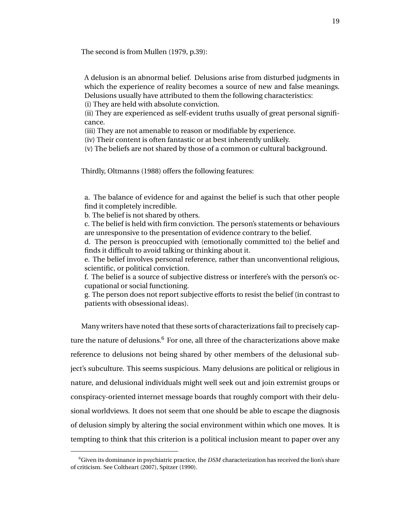The second is from Mullen (1979, p.39):

A delusion is an abnormal belief. Delusions arise from disturbed judgments in which the experience of reality becomes a source of new and false meanings. Delusions usually have attributed to them the following characteristics: (i) They are held with absolute conviction.

(ii) They are experienced as self-evident truths usually of great personal significance.

(iii) They are not amenable to reason or modifiable by experience.

(iv) Their content is often fantastic or at best inherently unlikely.

(v) The beliefs are not shared by those of a common or cultural background.

Thirdly, Oltmanns (1988) offers the following features:

a. The balance of evidence for and against the belief is such that other people find it completely incredible.

b. The belief is not shared by others.

c. The belief is held with firm conviction. The person's statements or behaviours are unresponsive to the presentation of evidence contrary to the belief.

d. The person is preoccupied with (emotionally committed to) the belief and finds it difficult to avoid talking or thinking about it.

e. The belief involves personal reference, rather than unconventional religious, scientific, or political conviction.

f. The belief is a source of subjective distress or interfere's with the person's occupational or social functioning.

g. The person does not report subjective efforts to resist the belief (in contrast to patients with obsessional ideas).

Many writers have noted that these sorts of characterizations fail to precisely capture the nature of delusions. $6$  For one, all three of the characterizations above make reference to delusions not being shared by other members of the delusional subject's subculture. This seems suspicious. Many delusions are political or religious in nature, and delusional individuals might well seek out and join extremist groups or conspiracy-oriented internet message boards that roughly comport with their delusional worldviews. It does not seem that one should be able to escape the diagnosis of delusion simply by altering the social environment within which one moves. It is tempting to think that this criterion is a political inclusion meant to paper over any

<sup>6</sup>Given its dominance in psychiatric practice, the *DSM* characterization has received the lion's share of criticism. See Coltheart (2007), Spitzer (1990).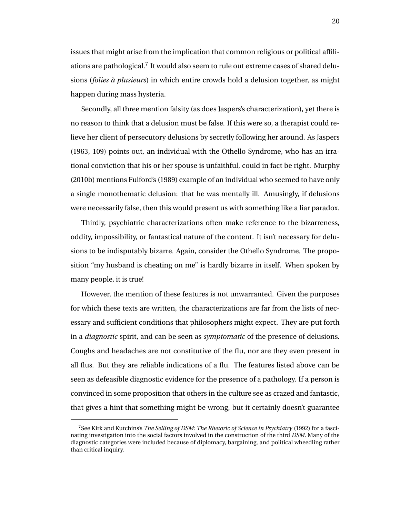issues that might arise from the implication that common religious or political affiliations are pathological. $^7$  It would also seem to rule out extreme cases of shared delusions (*folies a plusieurs `* ) in which entire crowds hold a delusion together, as might happen during mass hysteria.

Secondly, all three mention falsity (as does Jaspers's characterization), yet there is no reason to think that a delusion must be false. If this were so, a therapist could relieve her client of persecutory delusions by secretly following her around. As Jaspers (1963, 109) points out, an individual with the Othello Syndrome, who has an irrational conviction that his or her spouse is unfaithful, could in fact be right. Murphy (2010b) mentions Fulford's (1989) example of an individual who seemed to have only a single monothematic delusion: that he was mentally ill. Amusingly, if delusions were necessarily false, then this would present us with something like a liar paradox.

Thirdly, psychiatric characterizations often make reference to the bizarreness, oddity, impossibility, or fantastical nature of the content. It isn't necessary for delusions to be indisputably bizarre. Again, consider the Othello Syndrome. The proposition "my husband is cheating on me" is hardly bizarre in itself. When spoken by many people, it is true!

However, the mention of these features is not unwarranted. Given the purposes for which these texts are written, the characterizations are far from the lists of necessary and sufficient conditions that philosophers might expect. They are put forth in a *diagnostic* spirit, and can be seen as *symptomatic* of the presence of delusions. Coughs and headaches are not constitutive of the flu, nor are they even present in all flus. But they are reliable indications of a flu. The features listed above can be seen as defeasible diagnostic evidence for the presence of a pathology. If a person is convinced in some proposition that others in the culture see as crazed and fantastic, that gives a hint that something might be wrong, but it certainly doesn't guarantee

<sup>7</sup> See Kirk and Kutchins's *The Selling of DSM: The Rhetoric of Science in Psychiatry* (1992) for a fascinating investigation into the social factors involved in the construction of the third *DSM*. Many of the diagnostic categories were included because of diplomacy, bargaining, and political wheedling rather than critical inquiry.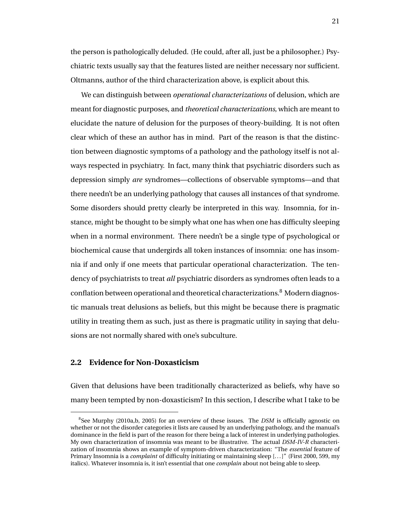the person is pathologically deluded. (He could, after all, just be a philosopher.) Psychiatric texts usually say that the features listed are neither necessary nor sufficient. Oltmanns, author of the third characterization above, is explicit about this.

We can distinguish between *operational characterizations* of delusion, which are meant for diagnostic purposes, and *theoretical characterizations*, which are meant to elucidate the nature of delusion for the purposes of theory-building. It is not often clear which of these an author has in mind. Part of the reason is that the distinction between diagnostic symptoms of a pathology and the pathology itself is not always respected in psychiatry. In fact, many think that psychiatric disorders such as depression simply *are* syndromes—collections of observable symptoms—and that there needn't be an underlying pathology that causes all instances of that syndrome. Some disorders should pretty clearly be interpreted in this way. Insomnia, for instance, might be thought to be simply what one has when one has difficulty sleeping when in a normal environment. There needn't be a single type of psychological or biochemical cause that undergirds all token instances of insomnia: one has insomnia if and only if one meets that particular operational characterization. The tendency of psychiatrists to treat *all* psychiatric disorders as syndromes often leads to a conflation between operational and theoretical characterizations.<sup>8</sup> Modern diagnostic manuals treat delusions as beliefs, but this might be because there is pragmatic utility in treating them as such, just as there is pragmatic utility in saying that delusions are not normally shared with one's subculture.

### **2.2 Evidence for Non-Doxasticism**

Given that delusions have been traditionally characterized as beliefs, why have so many been tempted by non-doxasticism? In this section, I describe what I take to be

<sup>8</sup> See Murphy (2010a,b, 2005) for an overview of these issues. The *DSM* is officially agnostic on whether or not the disorder categories it lists are caused by an underlying pathology, and the manual's dominance in the field is part of the reason for there being a lack of interest in underlying pathologies. My own characterization of insomnia was meant to be illustrative. The actual *DSM-IV-R* characterization of insomnia shows an example of symptom-driven characterization: "The *essential* feature of Primary Insomnia is a *complaint* of difficulty initiating or maintaining sleep [. . . ]" (First 2000, 599, my italics). Whatever insomnia is, it isn't essential that one *complain* about not being able to sleep.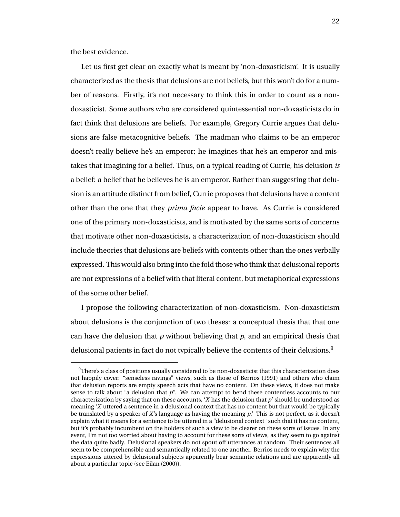the best evidence.

Let us first get clear on exactly what is meant by 'non-doxasticism'. It is usually characterized as the thesis that delusions are not beliefs, but this won't do for a number of reasons. Firstly, it's not necessary to think this in order to count as a nondoxasticist. Some authors who are considered quintessential non-doxasticists do in fact think that delusions are beliefs. For example, Gregory Currie argues that delusions are false metacognitive beliefs. The madman who claims to be an emperor doesn't really believe he's an emperor; he imagines that he's an emperor and mistakes that imagining for a belief. Thus, on a typical reading of Currie, his delusion *is* a belief: a belief that he believes he is an emperor. Rather than suggesting that delusion is an attitude distinct from belief, Currie proposes that delusions have a content other than the one that they *prima facie* appear to have. As Currie is considered one of the primary non-doxasticists, and is motivated by the same sorts of concerns that motivate other non-doxasticists, a characterization of non-doxasticism should include theories that delusions are beliefs with contents other than the ones verbally expressed. This would also bring into the fold those who think that delusional reports are not expressions of a belief with that literal content, but metaphorical expressions of the some other belief.

I propose the following characterization of non-doxasticism. Non-doxasticism about delusions is the conjunction of two theses: a conceptual thesis that that one can have the delusion that *p* without believing that *p*, and an empirical thesis that delusional patients in fact do not typically believe the contents of their delusions.<sup>9</sup>

 $9$ There's a class of positions usually considered to be non-doxasticist that this characterization does not happily cover: "senseless ravings" views, such as those of Berrios (1991) and others who claim that delusion reports are empty speech acts that have no content. On these views, it does not make sense to talk about "a delusion that *p*". We can attempt to bend these contentless accounts to our characterization by saying that on these accounts, '*X* has the delusion that *p*' should be understood as meaning '*X* uttered a sentence in a delusional context that has no content but that would be typically be translated by a speaker of *X*'s language as having the meaning *p*.' This is not perfect, as it doesn't explain what it means for a sentence to be uttered in a "delusional context" such that it has no content, but it's probably incumbent on the holders of such a view to be clearer on these sorts of issues. In any event, I'm not too worried about having to account for these sorts of views, as they seem to go against the data quite badly. Delusional speakers do not spout off utterances at random. Their sentences all seem to be comprehensible and semantically related to one another. Berrios needs to explain why the expressions uttered by delusional subjects apparently bear semantic relations and are apparently all about a particular topic (see Eilan (2000)).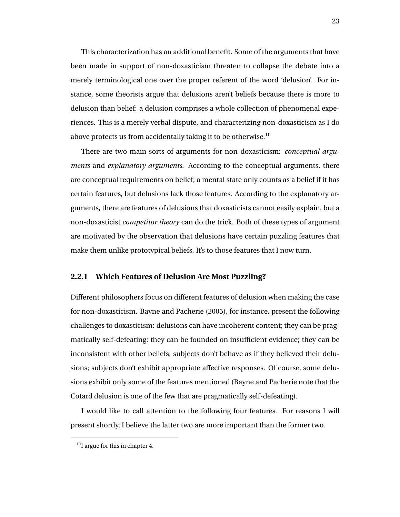This characterization has an additional benefit. Some of the arguments that have been made in support of non-doxasticism threaten to collapse the debate into a merely terminological one over the proper referent of the word 'delusion'. For instance, some theorists argue that delusions aren't beliefs because there is more to delusion than belief: a delusion comprises a whole collection of phenomenal experiences. This is a merely verbal dispute, and characterizing non-doxasticism as I do above protects us from accidentally taking it to be otherwise.<sup>10</sup>

There are two main sorts of arguments for non-doxasticism: *conceptual arguments* and *explanatory arguments*. According to the conceptual arguments, there are conceptual requirements on belief; a mental state only counts as a belief if it has certain features, but delusions lack those features. According to the explanatory arguments, there are features of delusions that doxasticists cannot easily explain, but a non-doxasticist *competitor theory* can do the trick. Both of these types of argument are motivated by the observation that delusions have certain puzzling features that make them unlike prototypical beliefs. It's to those features that I now turn.

### **2.2.1 Which Features of Delusion Are Most Puzzling?**

Different philosophers focus on different features of delusion when making the case for non-doxasticism. Bayne and Pacherie (2005), for instance, present the following challenges to doxasticism: delusions can have incoherent content; they can be pragmatically self-defeating; they can be founded on insufficient evidence; they can be inconsistent with other beliefs; subjects don't behave as if they believed their delusions; subjects don't exhibit appropriate affective responses. Of course, some delusions exhibit only some of the features mentioned (Bayne and Pacherie note that the Cotard delusion is one of the few that are pragmatically self-defeating).

I would like to call attention to the following four features. For reasons I will present shortly, I believe the latter two are more important than the former two.

 $10$ I argue for this in chapter 4.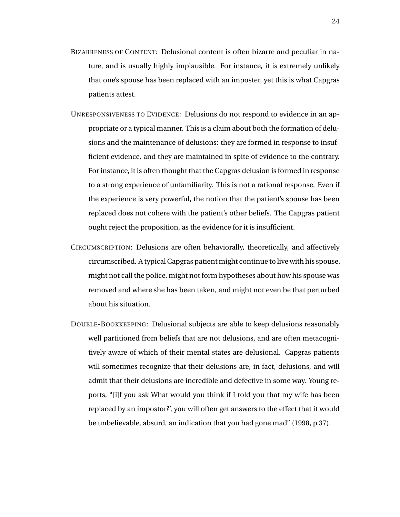- BIZARRENESS OF CONTENT: Delusional content is often bizarre and peculiar in nature, and is usually highly implausible. For instance, it is extremely unlikely that one's spouse has been replaced with an imposter, yet this is what Capgras patients attest.
- UNRESPONSIVENESS TO EVIDENCE: Delusions do not respond to evidence in an appropriate or a typical manner. This is a claim about both the formation of delusions and the maintenance of delusions: they are formed in response to insufficient evidence, and they are maintained in spite of evidence to the contrary. For instance, it is often thought that the Capgras delusion is formed in response to a strong experience of unfamiliarity. This is not a rational response. Even if the experience is very powerful, the notion that the patient's spouse has been replaced does not cohere with the patient's other beliefs. The Capgras patient ought reject the proposition, as the evidence for it is insufficient.
- CIRCUMSCRIPTION: Delusions are often behaviorally, theoretically, and affectively circumscribed. A typical Capgras patient might continue to live with his spouse, might not call the police, might not form hypotheses about how his spouse was removed and where she has been taken, and might not even be that perturbed about his situation.
- DOUBLE-BOOKKEEPING: Delusional subjects are able to keep delusions reasonably well partitioned from beliefs that are not delusions, and are often metacognitively aware of which of their mental states are delusional. Capgras patients will sometimes recognize that their delusions are, in fact, delusions, and will admit that their delusions are incredible and defective in some way. Young reports, "[i]f you ask What would you think if I told you that my wife has been replaced by an impostor?', you will often get answers to the effect that it would be unbelievable, absurd, an indication that you had gone mad" (1998, p.37).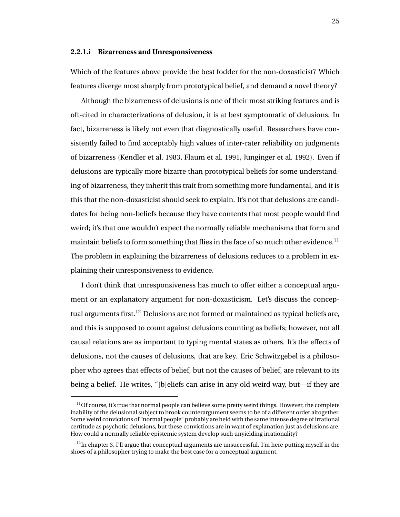#### **2.2.1.i Bizarreness and Unresponsiveness**

Which of the features above provide the best fodder for the non-doxasticist? Which features diverge most sharply from prototypical belief, and demand a novel theory?

Although the bizarreness of delusions is one of their most striking features and is oft-cited in characterizations of delusion, it is at best symptomatic of delusions. In fact, bizarreness is likely not even that diagnostically useful. Researchers have consistently failed to find acceptably high values of inter-rater reliability on judgments of bizarreness (Kendler et al. 1983, Flaum et al. 1991, Junginger et al. 1992). Even if delusions are typically more bizarre than prototypical beliefs for some understanding of bizarreness, they inherit this trait from something more fundamental, and it is this that the non-doxasticist should seek to explain. It's not that delusions are candidates for being non-beliefs because they have contents that most people would find weird; it's that one wouldn't expect the normally reliable mechanisms that form and maintain beliefs to form something that flies in the face of so much other evidence.<sup>11</sup> The problem in explaining the bizarreness of delusions reduces to a problem in explaining their unresponsiveness to evidence.

I don't think that unresponsiveness has much to offer either a conceptual argument or an explanatory argument for non-doxasticism. Let's discuss the conceptual arguments first.<sup>12</sup> Delusions are not formed or maintained as typical beliefs are, and this is supposed to count against delusions counting as beliefs; however, not all causal relations are as important to typing mental states as others. It's the effects of delusions, not the causes of delusions, that are key. Eric Schwitzgebel is a philosopher who agrees that effects of belief, but not the causes of belief, are relevant to its being a belief. He writes, "[b]eliefs can arise in any old weird way, but—if they are

 $11$ Of course, it's true that normal people can believe some pretty weird things. However, the complete inability of the delusional subject to brook counterargument seems to be of a different order altogether. Some weird convictions of "normal people" probably are held with the same intense degree of irrational certitude as psychotic delusions, but these convictions are in want of explanation just as delusions are. How could a normally reliable epistemic system develop such unyielding irrationality?

 $12$ In chapter 3, I'll argue that conceptual arguments are unsuccessful. I'm here putting myself in the shoes of a philosopher trying to make the best case for a conceptual argument.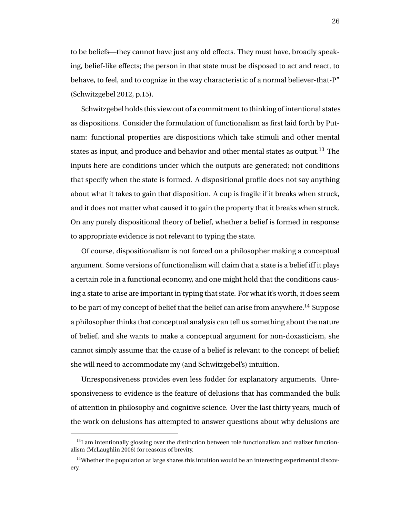to be beliefs—they cannot have just any old effects. They must have, broadly speaking, belief-like effects; the person in that state must be disposed to act and react, to behave, to feel, and to cognize in the way characteristic of a normal believer-that-P" (Schwitzgebel 2012, p.15).

Schwitzgebel holds this view out of a commitment to thinking of intentional states as dispositions. Consider the formulation of functionalism as first laid forth by Putnam: functional properties are dispositions which take stimuli and other mental states as input, and produce and behavior and other mental states as output.<sup>13</sup> The inputs here are conditions under which the outputs are generated; not conditions that specify when the state is formed. A dispositional profile does not say anything about what it takes to gain that disposition. A cup is fragile if it breaks when struck, and it does not matter what caused it to gain the property that it breaks when struck. On any purely dispositional theory of belief, whether a belief is formed in response to appropriate evidence is not relevant to typing the state.

Of course, dispositionalism is not forced on a philosopher making a conceptual argument. Some versions of functionalism will claim that a state is a belief iff it plays a certain role in a functional economy, and one might hold that the conditions causing a state to arise are important in typing that state. For what it's worth, it does seem to be part of my concept of belief that the belief can arise from anywhere.<sup>14</sup> Suppose a philosopher thinks that conceptual analysis can tell us something about the nature of belief, and she wants to make a conceptual argument for non-doxasticism, she cannot simply assume that the cause of a belief is relevant to the concept of belief; she will need to accommodate my (and Schwitzgebel's) intuition.

Unresponsiveness provides even less fodder for explanatory arguments. Unresponsiveness to evidence is the feature of delusions that has commanded the bulk of attention in philosophy and cognitive science. Over the last thirty years, much of the work on delusions has attempted to answer questions about why delusions are

 $<sup>13</sup>I$  am intentionally glossing over the distinction between role functionalism and realizer function-</sup> alism (McLaughlin 2006) for reasons of brevity.

 $14$ Whether the population at large shares this intuition would be an interesting experimental discovery.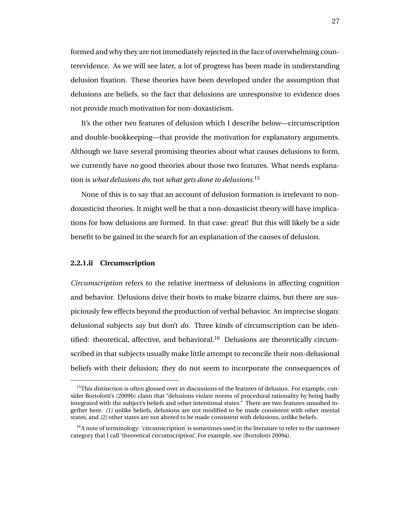formed and why they are not immediately rejected in the face of overwhelming counterevidence. As we will see later, a lot of progress has been made in understanding delusion fixation. These theories have been developed under the assumption that delusions are beliefs, so the fact that delusions are unresponsive to evidence does not provide much motivation for non-doxasticism.

It's the other two features of delusion which I describe below—circumscription and double-bookkeeping—that provide the motivation for explanatory arguments. Although we have several promising theories about what causes delusions to form, we currently have *no* good theories about those two features. What needs explanation is *what delusions do*, not *what gets done to delusions*. 15

None of this is to say that an account of delusion formation is irrelevant to nondoxasticist theories. It might well be that a non-doxasticist theory will have implications for how delusions are formed. In that case: great! But this will likely be a side benefit to be gained in the search for an explanation of the causes of delusion.

### **2.2.1.ii Circumscription**

*Circumscription* refers to the relative inertness of delusions in affecting cognition and behavior. Delusions drive their hosts to make bizarre claims, but there are suspiciously few effects beyond the production of verbal behavior. An imprecise slogan: delusional subjects *say* but don't *do*. Three kinds of circumscription can be identified: theoretical, affective, and behavioral.<sup>16</sup> Delusions are theoretically circumscribed in that subjects usually make little attempt to reconcile their non-delusional beliefs with their delusion; they do not seem to incorporate the consequences of

 $15$ This distinction is often glossed over in discussions of the features of delusion. For example, consider Bortolotti's (2009b) claim that "delusions violate norms of procedural rationality by being badly integrated with the subject's beliefs and other intentional states." There are two features smushed together here: *(1)* unlike beliefs, delusions are not modified to be made consistent with other mental states, and *(2)* other states are not altered to be made consistent with delusions, unlike beliefs.

 $16A$  note of terminology: 'circumscription' is sometimes used in the literature to refer to the narrower category that I call 'theoretical circumscription'. For example, see (Bortolotti 2009a).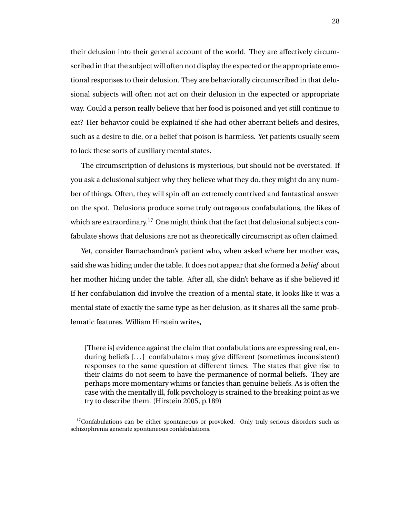their delusion into their general account of the world. They are affectively circumscribed in that the subject will often not display the expected or the appropriate emotional responses to their delusion. They are behaviorally circumscribed in that delusional subjects will often not act on their delusion in the expected or appropriate way. Could a person really believe that her food is poisoned and yet still continue to eat? Her behavior could be explained if she had other aberrant beliefs and desires, such as a desire to die, or a belief that poison is harmless. Yet patients usually seem to lack these sorts of auxiliary mental states.

The circumscription of delusions is mysterious, but should not be overstated. If you ask a delusional subject why they believe what they do, they might do any number of things. Often, they will spin off an extremely contrived and fantastical answer on the spot. Delusions produce some truly outrageous confabulations, the likes of which are extraordinary.<sup>17</sup> One might think that the fact that delusional subjects confabulate shows that delusions are not as theoretically circumscript as often claimed.

Yet, consider Ramachandran's patient who, when asked where her mother was, said she was hiding under the table. It does not appear that she formed a *belief* about her mother hiding under the table. After all, she didn't behave as if she believed it! If her confabulation did involve the creation of a mental state, it looks like it was a mental state of exactly the same type as her delusion, as it shares all the same problematic features. William Hirstein writes,

[There is] evidence against the claim that confabulations are expressing real, enduring beliefs [...] confabulators may give different (sometimes inconsistent) responses to the same question at different times. The states that give rise to their claims do not seem to have the permanence of normal beliefs. They are perhaps more momentary whims or fancies than genuine beliefs. As is often the case with the mentally ill, folk psychology is strained to the breaking point as we try to describe them. (Hirstein 2005, p.189)

 $17$ Confabulations can be either spontaneous or provoked. Only truly serious disorders such as schizophrenia generate spontaneous confabulations.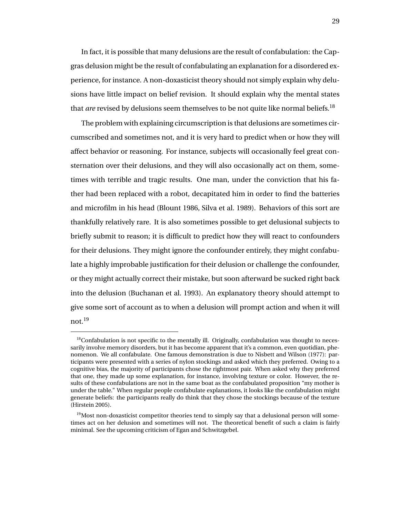In fact, it is possible that many delusions are the result of confabulation: the Capgras delusion might be the result of confabulating an explanation for a disordered experience, for instance. A non-doxasticist theory should not simply explain why delusions have little impact on belief revision. It should explain why the mental states that *are* revised by delusions seem themselves to be not quite like normal beliefs.<sup>18</sup>

The problem with explaining circumscription is that delusions are sometimes circumscribed and sometimes not, and it is very hard to predict when or how they will affect behavior or reasoning. For instance, subjects will occasionally feel great consternation over their delusions, and they will also occasionally act on them, sometimes with terrible and tragic results. One man, under the conviction that his father had been replaced with a robot, decapitated him in order to find the batteries and microfilm in his head (Blount 1986, Silva et al. 1989). Behaviors of this sort are thankfully relatively rare. It is also sometimes possible to get delusional subjects to briefly submit to reason; it is difficult to predict how they will react to confounders for their delusions. They might ignore the confounder entirely, they might confabulate a highly improbable justification for their delusion or challenge the confounder, or they might actually correct their mistake, but soon afterward be sucked right back into the delusion (Buchanan et al. 1993). An explanatory theory should attempt to give some sort of account as to when a delusion will prompt action and when it will not.<sup>19</sup>

 $<sup>18</sup>$ Confabulation is not specific to the mentally ill. Originally, confabulation was thought to neces-</sup> sarily involve memory disorders, but it has become apparent that it's a common, even quotidian, phenomenon. We all confabulate. One famous demonstration is due to Nisbett and Wilson (1977): participants were presented with a series of nylon stockings and asked which they preferred. Owing to a cognitive bias, the majority of participants chose the rightmost pair. When asked why they preferred that one, they made up some explanation, for instance, involving texture or color. However, the results of these confabulations are not in the same boat as the confabulated proposition "my mother is under the table." When regular people confabulate explanations, it looks like the confabulation might generate beliefs: the participants really do think that they chose the stockings because of the texture (Hirstein 2005).

 $19$ Most non-doxasticist competitor theories tend to simply say that a delusional person will sometimes act on her delusion and sometimes will not. The theoretical benefit of such a claim is fairly minimal. See the upcoming criticism of Egan and Schwitzgebel.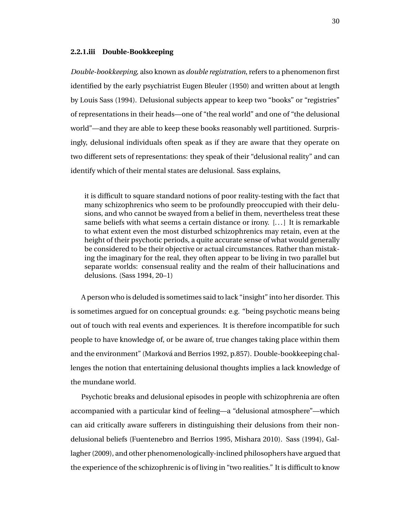#### **2.2.1.iii Double-Bookkeeping**

*Double-bookkeeping*, also known as *double registration*, refers to a phenomenon first identified by the early psychiatrist Eugen Bleuler (1950) and written about at length by Louis Sass (1994). Delusional subjects appear to keep two "books" or "registries" of representations in their heads—one of "the real world" and one of "the delusional world"—and they are able to keep these books reasonably well partitioned. Surprisingly, delusional individuals often speak as if they are aware that they operate on two different sets of representations: they speak of their "delusional reality" and can identify which of their mental states are delusional. Sass explains,

it is difficult to square standard notions of poor reality-testing with the fact that many schizophrenics who seem to be profoundly preoccupied with their delusions, and who cannot be swayed from a belief in them, nevertheless treat these same beliefs with what seems a certain distance or irony. [...] It is remarkable to what extent even the most disturbed schizophrenics may retain, even at the height of their psychotic periods, a quite accurate sense of what would generally be considered to be their objective or actual circumstances. Rather than mistaking the imaginary for the real, they often appear to be living in two parallel but separate worlds: consensual reality and the realm of their hallucinations and delusions. (Sass 1994, 20–1)

A person who is deluded is sometimes said to lack "insight" into her disorder. This is sometimes argued for on conceptual grounds: e.g. "being psychotic means being out of touch with real events and experiences. It is therefore incompatible for such people to have knowledge of, or be aware of, true changes taking place within them and the environment" (Marková and Berrios 1992, p.857). Double-bookkeeping challenges the notion that entertaining delusional thoughts implies a lack knowledge of the mundane world.

Psychotic breaks and delusional episodes in people with schizophrenia are often accompanied with a particular kind of feeling—a "delusional atmosphere"—which can aid critically aware sufferers in distinguishing their delusions from their nondelusional beliefs (Fuentenebro and Berrios 1995, Mishara 2010). Sass (1994), Gallagher (2009), and other phenomenologically-inclined philosophers have argued that the experience of the schizophrenic is of living in "two realities." It is difficult to know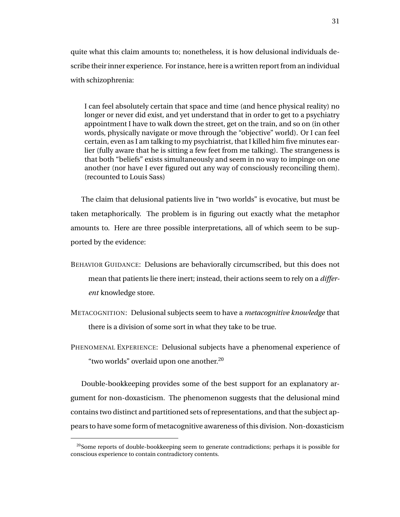quite what this claim amounts to; nonetheless, it is how delusional individuals describe their inner experience. For instance, here is a written report from an individual with schizophrenia:

I can feel absolutely certain that space and time (and hence physical reality) no longer or never did exist, and yet understand that in order to get to a psychiatry appointment I have to walk down the street, get on the train, and so on (in other words, physically navigate or move through the "objective" world). Or I can feel certain, even as I am talking to my psychiatrist, that I killed him five minutes earlier (fully aware that he is sitting a few feet from me talking). The strangeness is that both "beliefs" exists simultaneously and seem in no way to impinge on one another (nor have I ever figured out any way of consciously reconciling them). (recounted to Louis Sass)

The claim that delusional patients live in "two worlds" is evocative, but must be taken metaphorically. The problem is in figuring out exactly what the metaphor amounts to. Here are three possible interpretations, all of which seem to be supported by the evidence:

- BEHAVIOR GUIDANCE: Delusions are behaviorally circumscribed, but this does not mean that patients lie there inert; instead, their actions seem to rely on a *different* knowledge store.
- METACOGNITION: Delusional subjects seem to have a *metacognitive knowledge* that there is a division of some sort in what they take to be true.
- PHENOMENAL EXPERIENCE: Delusional subjects have a phenomenal experience of "two worlds" overlaid upon one another.<sup>20</sup>

Double-bookkeeping provides some of the best support for an explanatory argument for non-doxasticism. The phenomenon suggests that the delusional mind contains two distinct and partitioned sets of representations, and that the subject appears to have some form of metacognitive awareness of this division. Non-doxasticism

 $^{20}$ Some reports of double-bookkeeping seem to generate contradictions; perhaps it is possible for conscious experience to contain contradictory contents.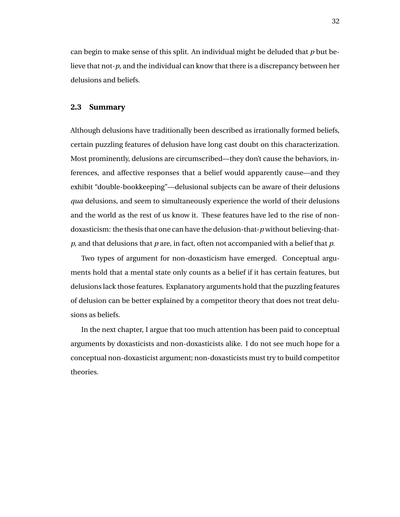can begin to make sense of this split. An individual might be deluded that *p* but believe that not-*p*, and the individual can know that there is a discrepancy between her delusions and beliefs.

#### **2.3 Summary**

Although delusions have traditionally been described as irrationally formed beliefs, certain puzzling features of delusion have long cast doubt on this characterization. Most prominently, delusions are circumscribed—they don't cause the behaviors, inferences, and affective responses that a belief would apparently cause—and they exhibit "double-bookkeeping"—delusional subjects can be aware of their delusions *qua* delusions, and seem to simultaneously experience the world of their delusions and the world as the rest of us know it. These features have led to the rise of nondoxasticism: the thesis that one can have the delusion-that-*p* without believing-that*p*, and that delusions that *p* are, in fact, often not accompanied with a belief that *p*.

Two types of argument for non-doxasticism have emerged. Conceptual arguments hold that a mental state only counts as a belief if it has certain features, but delusions lack those features. Explanatory arguments hold that the puzzling features of delusion can be better explained by a competitor theory that does not treat delusions as beliefs.

In the next chapter, I argue that too much attention has been paid to conceptual arguments by doxasticists and non-doxasticists alike. I do not see much hope for a conceptual non-doxasticist argument; non-doxasticists must try to build competitor theories.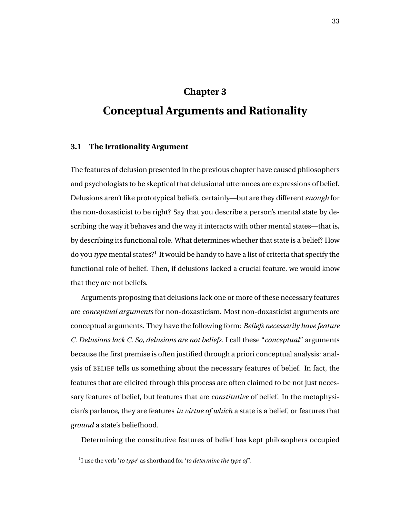# **Chapter 3**

# **Conceptual Arguments and Rationality**

## **3.1 The Irrationality Argument**

The features of delusion presented in the previous chapter have caused philosophers and psychologists to be skeptical that delusional utterances are expressions of belief. Delusions aren't like prototypical beliefs, certainly—but are they different *enough* for the non-doxasticist to be right? Say that you describe a person's mental state by describing the way it behaves and the way it interacts with other mental states—that is, by describing its functional role. What determines whether that state is a belief? How do you *type* mental states?<sup>1</sup> It would be handy to have a list of criteria that specify the functional role of belief. Then, if delusions lacked a crucial feature, we would know that they are not beliefs.

Arguments proposing that delusions lack one or more of these necessary features are *conceptual arguments* for non-doxasticism. Most non-doxasticist arguments are conceptual arguments. They have the following form: *Beliefs necessarily have feature C. Delusions lack C. So, delusions are not beliefs.* I call these "*conceptual*" arguments because the first premise is often justified through a priori conceptual analysis: analysis of BELIEF tells us something about the necessary features of belief. In fact, the features that are elicited through this process are often claimed to be not just necessary features of belief, but features that are *constitutive* of belief. In the metaphysician's parlance, they are features *in virtue of which* a state is a belief, or features that *ground* a state's beliefhood.

Determining the constitutive features of belief has kept philosophers occupied

<sup>1</sup> I use the verb '*to type*' as shorthand for '*to determine the type of* '.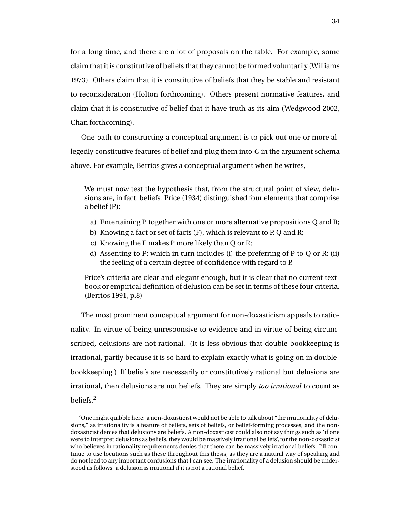for a long time, and there are a lot of proposals on the table. For example, some claim that it is constitutive of beliefs that they cannot be formed voluntarily (Williams 1973). Others claim that it is constitutive of beliefs that they be stable and resistant to reconsideration (Holton forthcoming). Others present normative features, and claim that it is constitutive of belief that it have truth as its aim (Wedgwood 2002, Chan forthcoming).

One path to constructing a conceptual argument is to pick out one or more allegedly constitutive features of belief and plug them into *C* in the argument schema above. For example, Berrios gives a conceptual argument when he writes,

We must now test the hypothesis that, from the structural point of view, delusions are, in fact, beliefs. Price (1934) distinguished four elements that comprise a belief (P):

- a) Entertaining P, together with one or more alternative propositions Q and R;
- b) Knowing a fact or set of facts (F), which is relevant to P, Q and R;
- c) Knowing the F makes P more likely than Q or R;
- d) Assenting to P; which in turn includes (i) the preferring of P to Q or R; (ii) the feeling of a certain degree of confidence with regard to P.

Price's criteria are clear and elegant enough, but it is clear that no current textbook or empirical definition of delusion can be set in terms of these four criteria. (Berrios 1991, p.8)

The most prominent conceptual argument for non-doxasticism appeals to rationality. In virtue of being unresponsive to evidence and in virtue of being circumscribed, delusions are not rational. (It is less obvious that double-bookkeeping is irrational, partly because it is so hard to explain exactly what is going on in doublebookkeeping.) If beliefs are necessarily or constitutively rational but delusions are irrational, then delusions are not beliefs. They are simply *too irrational* to count as beliefs.<sup>2</sup>

<sup>&</sup>lt;sup>2</sup>One might quibble here: a non-doxasticist would not be able to talk about "the irrationality of delusions," as irrationality is a feature of beliefs, sets of beliefs, or belief-forming processes, and the nondoxasticist denies that delusions are beliefs. A non-doxasticist could also not say things such as 'if one were to interpret delusions as beliefs, they would be massively irrational beliefs', for the non-doxasticist who believes in rationality requirements denies that there can be massively irrational beliefs. I'll continue to use locutions such as these throughout this thesis, as they are a natural way of speaking and do not lead to any important confusions that I can see. The irrationality of a delusion should be understood as follows: a delusion is irrational if it is not a rational belief.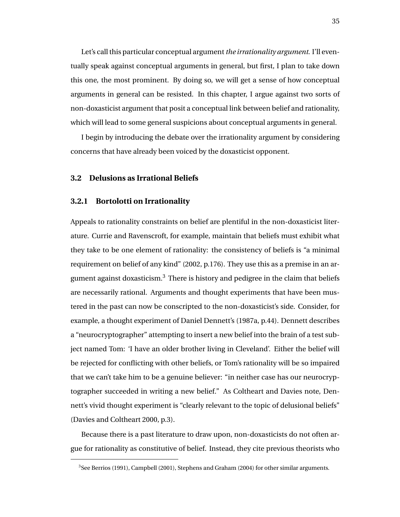Let's call this particular conceptual argument*the irrationality argument*. I'll eventually speak against conceptual arguments in general, but first, I plan to take down this one, the most prominent. By doing so, we will get a sense of how conceptual arguments in general can be resisted. In this chapter, I argue against two sorts of non-doxasticist argument that posit a conceptual link between belief and rationality, which will lead to some general suspicions about conceptual arguments in general.

I begin by introducing the debate over the irrationality argument by considering concerns that have already been voiced by the doxasticist opponent.

#### **3.2 Delusions as Irrational Beliefs**

#### **3.2.1 Bortolotti on Irrationality**

Appeals to rationality constraints on belief are plentiful in the non-doxasticist literature. Currie and Ravenscroft, for example, maintain that beliefs must exhibit what they take to be one element of rationality: the consistency of beliefs is "a minimal requirement on belief of any kind" (2002, p.176). They use this as a premise in an argument against doxasticism.<sup>3</sup> There is history and pedigree in the claim that beliefs are necessarily rational. Arguments and thought experiments that have been mustered in the past can now be conscripted to the non-doxasticist's side. Consider, for example, a thought experiment of Daniel Dennett's (1987a, p.44). Dennett describes a "neurocryptographer" attempting to insert a new belief into the brain of a test subject named Tom: 'I have an older brother living in Cleveland'. Either the belief will be rejected for conflicting with other beliefs, or Tom's rationality will be so impaired that we can't take him to be a genuine believer: "in neither case has our neurocryptographer succeeded in writing a new belief." As Coltheart and Davies note, Dennett's vivid thought experiment is "clearly relevant to the topic of delusional beliefs" (Davies and Coltheart 2000, p.3).

Because there is a past literature to draw upon, non-doxasticists do not often argue for rationality as constitutive of belief. Instead, they cite previous theorists who

<sup>3</sup> See Berrios (1991), Campbell (2001), Stephens and Graham (2004) for other similar arguments.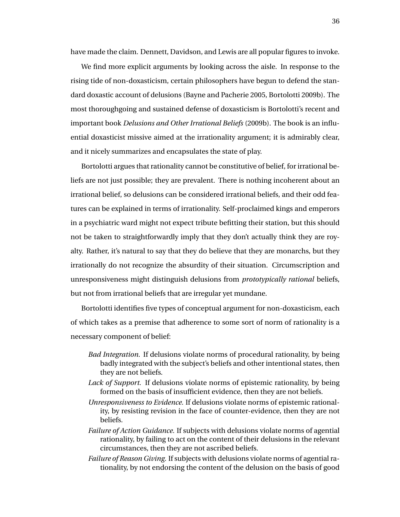have made the claim. Dennett, Davidson, and Lewis are all popular figures to invoke.

We find more explicit arguments by looking across the aisle. In response to the rising tide of non-doxasticism, certain philosophers have begun to defend the standard doxastic account of delusions (Bayne and Pacherie 2005, Bortolotti 2009b). The most thoroughgoing and sustained defense of doxasticism is Bortolotti's recent and important book *Delusions and Other Irrational Beliefs* (2009b). The book is an influential doxasticist missive aimed at the irrationality argument; it is admirably clear, and it nicely summarizes and encapsulates the state of play.

Bortolotti argues that rationality cannot be constitutive of belief, for irrational beliefs are not just possible; they are prevalent. There is nothing incoherent about an irrational belief, so delusions can be considered irrational beliefs, and their odd features can be explained in terms of irrationality. Self-proclaimed kings and emperors in a psychiatric ward might not expect tribute befitting their station, but this should not be taken to straightforwardly imply that they don't actually think they are royalty. Rather, it's natural to say that they do believe that they are monarchs, but they irrationally do not recognize the absurdity of their situation. Circumscription and unresponsiveness might distinguish delusions from *prototypically rational* beliefs, but not from irrational beliefs that are irregular yet mundane.

Bortolotti identifies five types of conceptual argument for non-doxasticism, each of which takes as a premise that adherence to some sort of norm of rationality is a necessary component of belief:

- *Bad Integration.* If delusions violate norms of procedural rationality, by being badly integrated with the subject's beliefs and other intentional states, then they are not beliefs.
- *Lack of Support.* If delusions violate norms of epistemic rationality, by being formed on the basis of insufficient evidence, then they are not beliefs.
- *Unresponsiveness to Evidence.* If delusions violate norms of epistemic rationality, by resisting revision in the face of counter-evidence, then they are not beliefs.
- *Failure of Action Guidance.* If subjects with delusions violate norms of agential rationality, by failing to act on the content of their delusions in the relevant circumstances, then they are not ascribed beliefs.
- *Failure of Reason Giving.* If subjects with delusions violate norms of agential rationality, by not endorsing the content of the delusion on the basis of good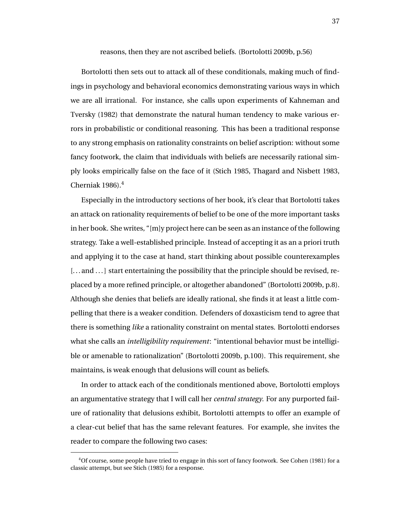reasons, then they are not ascribed beliefs. (Bortolotti 2009b, p.56)

Bortolotti then sets out to attack all of these conditionals, making much of findings in psychology and behavioral economics demonstrating various ways in which we are all irrational. For instance, she calls upon experiments of Kahneman and Tversky (1982) that demonstrate the natural human tendency to make various errors in probabilistic or conditional reasoning. This has been a traditional response to any strong emphasis on rationality constraints on belief ascription: without some fancy footwork, the claim that individuals with beliefs are necessarily rational simply looks empirically false on the face of it (Stich 1985, Thagard and Nisbett 1983, Cherniak 1986).<sup>4</sup>

Especially in the introductory sections of her book, it's clear that Bortolotti takes an attack on rationality requirements of belief to be one of the more important tasks in her book. She writes, " $[m]$ y project here can be seen as an instance of the following strategy. Take a well-established principle. Instead of accepting it as an a priori truth and applying it to the case at hand, start thinking about possible counterexamples [... and ...] start entertaining the possibility that the principle should be revised, replaced by a more refined principle, or altogether abandoned" (Bortolotti 2009b, p.8). Although she denies that beliefs are ideally rational, she finds it at least a little compelling that there is a weaker condition. Defenders of doxasticism tend to agree that there is something *like* a rationality constraint on mental states. Bortolotti endorses what she calls an *intelligibility requirement*: "intentional behavior must be intelligible or amenable to rationalization" (Bortolotti 2009b, p.100). This requirement, she maintains, is weak enough that delusions will count as beliefs.

In order to attack each of the conditionals mentioned above, Bortolotti employs an argumentative strategy that I will call her *central strategy*. For any purported failure of rationality that delusions exhibit, Bortolotti attempts to offer an example of a clear-cut belief that has the same relevant features. For example, she invites the reader to compare the following two cases:

<sup>4</sup>Of course, some people have tried to engage in this sort of fancy footwork. See Cohen (1981) for a classic attempt, but see Stich (1985) for a response.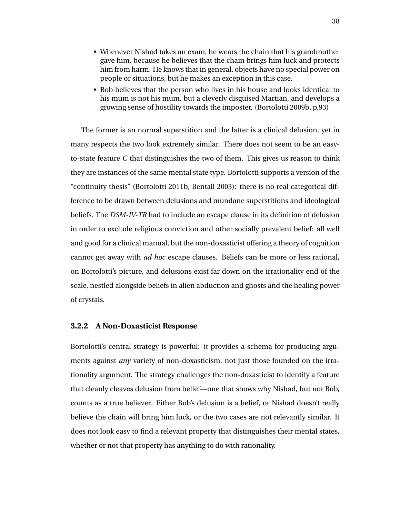- Whenever Nishad takes an exam, he wears the chain that his grandmother gave him, because he believes that the chain brings him luck and protects him from harm. He knows that in general, objects have no special power on people or situations, but he makes an exception in this case.
- Bob believes that the person who lives in his house and looks identical to his mum is not his mum, but a cleverly disguised Martian, and develops a growing sense of hostility towards the imposter. (Bortolotti 2009b, p.93)

The former is an normal superstition and the latter is a clinical delusion, yet in many respects the two look extremely similar. There does not seem to be an easyto-state feature *C* that distinguishes the two of them. This gives us reason to think they are instances of the same mental state type. Bortolotti supports a version of the "continuity thesis" (Bortolotti 2011b, Bentall 2003): there is no real categorical difference to be drawn between delusions and mundane superstitions and ideological beliefs. The *DSM-IV-TR* had to include an escape clause in its definition of delusion in order to exclude religious conviction and other socially prevalent belief: all well and good for a clinical manual, but the non-doxasticist offering a theory of cognition cannot get away with *ad hoc* escape clauses. Beliefs can be more or less rational, on Bortolotti's picture, and delusions exist far down on the irrationality end of the scale, nestled alongside beliefs in alien abduction and ghosts and the healing power of crystals.

## **3.2.2 A Non-Doxasticist Response**

Bortolotti's central strategy is powerful: it provides a schema for producing arguments against *any* variety of non-doxasticism, not just those founded on the irrationality argument. The strategy challenges the non-doxasticist to identify a feature that cleanly cleaves delusion from belief—one that shows why Nishad, but not Bob, counts as a true believer. Either Bob's delusion is a belief, or Nishad doesn't really believe the chain will bring him luck, or the two cases are not relevantly similar. It does not look easy to find a relevant property that distinguishes their mental states, whether or not that property has anything to do with rationality.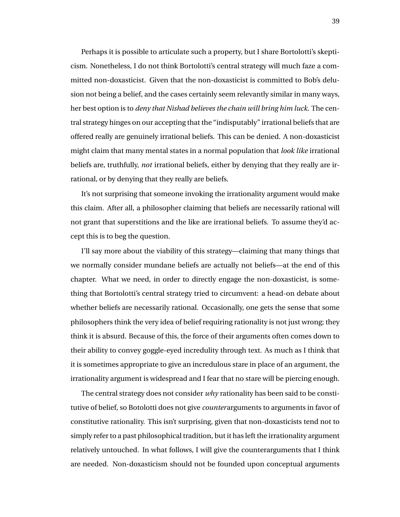Perhaps it is possible to articulate such a property, but I share Bortolotti's skepticism. Nonetheless, I do not think Bortolotti's central strategy will much faze a committed non-doxasticist. Given that the non-doxasticist is committed to Bob's delusion not being a belief, and the cases certainly seem relevantly similar in many ways, her best option is to *deny that Nishad believes the chain will bring him luck*. The central strategy hinges on our accepting that the "indisputably" irrational beliefs that are offered really are genuinely irrational beliefs. This can be denied. A non-doxasticist might claim that many mental states in a normal population that *look like* irrational beliefs are, truthfully, *not* irrational beliefs, either by denying that they really are irrational, or by denying that they really are beliefs.

It's not surprising that someone invoking the irrationality argument would make this claim. After all, a philosopher claiming that beliefs are necessarily rational will not grant that superstitions and the like are irrational beliefs. To assume they'd accept this is to beg the question.

I'll say more about the viability of this strategy—claiming that many things that we normally consider mundane beliefs are actually not beliefs—at the end of this chapter. What we need, in order to directly engage the non-doxasticist, is something that Bortolotti's central strategy tried to circumvent: a head-on debate about whether beliefs are necessarily rational. Occasionally, one gets the sense that some philosophers think the very idea of belief requiring rationality is not just wrong; they think it is absurd. Because of this, the force of their arguments often comes down to their ability to convey goggle-eyed incredulity through text. As much as I think that it is sometimes appropriate to give an incredulous stare in place of an argument, the irrationality argument is widespread and I fear that no stare will be piercing enough.

The central strategy does not consider *why* rationality has been said to be constitutive of belief, so Botolotti does not give *counter*arguments to arguments in favor of constitutive rationality. This isn't surprising, given that non-doxasticists tend not to simply refer to a past philosophical tradition, but it has left the irrationality argument relatively untouched. In what follows, I will give the counterarguments that I think are needed. Non-doxasticism should not be founded upon conceptual arguments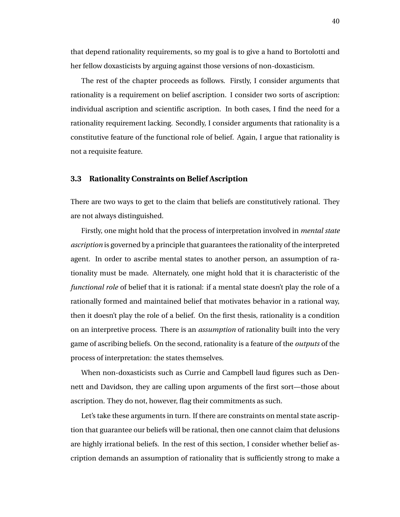that depend rationality requirements, so my goal is to give a hand to Bortolotti and her fellow doxasticists by arguing against those versions of non-doxasticism.

The rest of the chapter proceeds as follows. Firstly, I consider arguments that rationality is a requirement on belief ascription. I consider two sorts of ascription: individual ascription and scientific ascription. In both cases, I find the need for a rationality requirement lacking. Secondly, I consider arguments that rationality is a constitutive feature of the functional role of belief. Again, I argue that rationality is not a requisite feature.

#### **3.3 Rationality Constraints on Belief Ascription**

There are two ways to get to the claim that beliefs are constitutively rational. They are not always distinguished.

Firstly, one might hold that the process of interpretation involved in *mental state ascription* is governed by a principle that guarantees the rationality of the interpreted agent. In order to ascribe mental states to another person, an assumption of rationality must be made. Alternately, one might hold that it is characteristic of the *functional role* of belief that it is rational: if a mental state doesn't play the role of a rationally formed and maintained belief that motivates behavior in a rational way, then it doesn't play the role of a belief. On the first thesis, rationality is a condition on an interpretive process. There is an *assumption* of rationality built into the very game of ascribing beliefs. On the second, rationality is a feature of the *outputs* of the process of interpretation: the states themselves.

When non-doxasticists such as Currie and Campbell laud figures such as Dennett and Davidson, they are calling upon arguments of the first sort—those about ascription. They do not, however, flag their commitments as such.

Let's take these arguments in turn. If there are constraints on mental state ascription that guarantee our beliefs will be rational, then one cannot claim that delusions are highly irrational beliefs. In the rest of this section, I consider whether belief ascription demands an assumption of rationality that is sufficiently strong to make a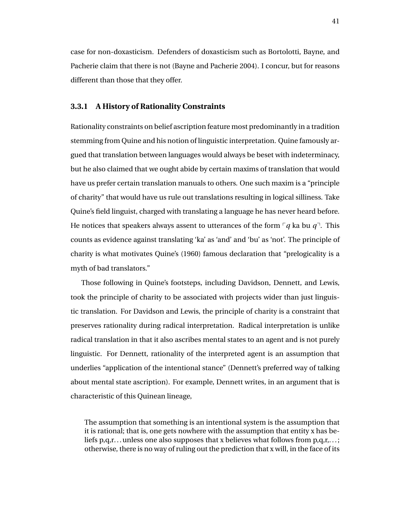case for non-doxasticism. Defenders of doxasticism such as Bortolotti, Bayne, and Pacherie claim that there is not (Bayne and Pacherie 2004). I concur, but for reasons different than those that they offer.

#### **3.3.1 A History of Rationality Constraints**

Rationality constraints on belief ascription feature most predominantly in a tradition stemming from Quine and his notion of linguistic interpretation. Quine famously argued that translation between languages would always be beset with indeterminacy, but he also claimed that we ought abide by certain maxims of translation that would have us prefer certain translation manuals to others. One such maxim is a "principle of charity" that would have us rule out translations resulting in logical silliness. Take Quine's field linguist, charged with translating a language he has never heard before. He notices that speakers always assent to utterances of the form  $\nabla q$  ka bu  $q$ <sup> $\bar{q}$ </sup>. This counts as evidence against translating 'ka' as 'and' and 'bu' as 'not'. The principle of charity is what motivates Quine's (1960) famous declaration that "prelogicality is a myth of bad translators."

Those following in Quine's footsteps, including Davidson, Dennett, and Lewis, took the principle of charity to be associated with projects wider than just linguistic translation. For Davidson and Lewis, the principle of charity is a constraint that preserves rationality during radical interpretation. Radical interpretation is unlike radical translation in that it also ascribes mental states to an agent and is not purely linguistic. For Dennett, rationality of the interpreted agent is an assumption that underlies "application of the intentional stance" (Dennett's preferred way of talking about mental state ascription). For example, Dennett writes, in an argument that is characteristic of this Quinean lineage,

The assumption that something is an intentional system is the assumption that it is rational; that is, one gets nowhere with the assumption that entity x has beliefs  $p,q,r...$  unless one also supposes that x believes what follows from  $p,q,r...$ ; otherwise, there is no way of ruling out the prediction that x will, in the face of its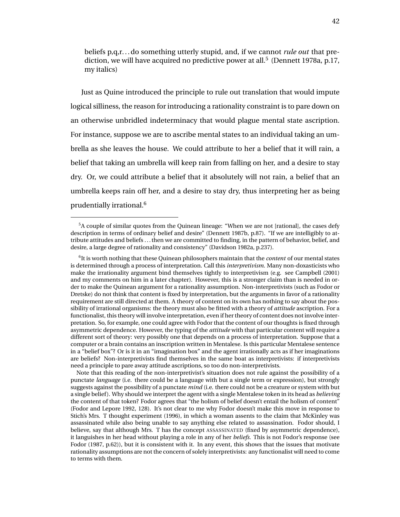beliefs p,q,r. . . do something utterly stupid, and, if we cannot *rule out* that prediction, we will have acquired no predictive power at all.<sup>5</sup> (Dennett 1978a, p.17, my italics)

Just as Quine introduced the principle to rule out translation that would impute logical silliness, the reason for introducing a rationality constraint is to pare down on an otherwise unbridled indeterminacy that would plague mental state ascription. For instance, suppose we are to ascribe mental states to an individual taking an umbrella as she leaves the house. We could attribute to her a belief that it will rain, a belief that taking an umbrella will keep rain from falling on her, and a desire to stay dry. Or, we could attribute a belief that it absolutely will not rain, a belief that an umbrella keeps rain off her, and a desire to stay dry, thus interpreting her as being prudentially irrational.<sup>6</sup>

Note that this reading of the non-interpretivist's situation does not rule against the possibility of a punctate *language* (i.e. there could be a language with but a single term or expression), but strongly suggests against the possibility of a punctate *mind* (i.e. there could not be a creature or system with but a single belief ). Why should we interpret the agent with a single Mentalese token in its head as *believing* the content of that token? Fodor agrees that "the holism of belief doesn't entail the holism of content" (Fodor and Lepore 1992, 128). It's not clear to me why Fodor doesn't make this move in response to Stich's Mrs. T thought experiment (1996), in which a woman assents to the claim that McKinley was assassinated while also being unable to say anything else related to assassination. Fodor should, I believe, say that although Mrs. T has the concept ASSASSINATED (fixed by asymmetric dependence), it languishes in her head without playing a role in any of her *beliefs*. This is not Fodor's response (see Fodor (1987, p.62)), but it is consistent with it. In any event, this shows that the issues that motivate rationality assumptions are not the concern of solely interpretivists: any functionalist will need to come to terms with them.

<sup>5</sup>A couple of similar quotes from the Quinean lineage: "When we are not [rational], the cases defy description in terms of ordinary belief and desire" (Dennett 1987b, p.87). "If we are intelligibly to attribute attitudes and beliefs . . . then we are committed to finding, in the pattern of behavior, belief, and desire, a large degree of rationality and consistency" (Davidson 1982a, p.237).

<sup>6</sup> It is worth nothing that these Quinean philosophers maintain that the *content* of our mental states is determined through a process of interpretation. Call this *interpretivism*. Many non-doxasticists who make the irrationality argument bind themselves tightly to interpretivism (e.g. see Campbell (2001) and my comments on him in a later chapter). However, this is a stronger claim than is needed in order to make the Quinean argument for a rationality assumption. Non-interpretivists (such as Fodor or Dretske) do not think that content is fixed by interpretation, but the arguments in favor of a rationality requirement are still directed at them. A theory of content on its own has nothing to say about the possibility of irrational organisms: the theory must also be fitted with a theory of *attitude* ascription. For a functionalist, this theory will involve interpretation, even if her theory of content does not involve interpretation. So, for example, one could agree with Fodor that the content of our thoughts is fixed through asymmetric dependence. However, the typing of the *attitude* with that particular content will require a different sort of theory: very possibly one that depends on a process of interpretation. Suppose that a computer or a brain contains an inscription written in Mentalese. Is this particular Mentalese sentence in a "belief box"? Or is it in an "imagination box" and the agent irrationally acts as if her imaginations are beliefs? Non-interpretivists find themselves in the same boat as interpretivists: if interpretivists need a principle to pare away attitude ascriptions, so too do non-interpretivists.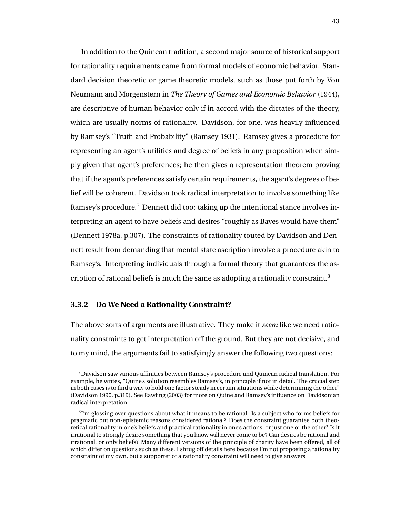In addition to the Quinean tradition, a second major source of historical support for rationality requirements came from formal models of economic behavior. Standard decision theoretic or game theoretic models, such as those put forth by Von Neumann and Morgenstern in *The Theory of Games and Economic Behavior* (1944), are descriptive of human behavior only if in accord with the dictates of the theory, which are usually norms of rationality. Davidson, for one, was heavily influenced by Ramsey's "Truth and Probability" (Ramsey 1931). Ramsey gives a procedure for representing an agent's utilities and degree of beliefs in any proposition when simply given that agent's preferences; he then gives a representation theorem proving that if the agent's preferences satisfy certain requirements, the agent's degrees of belief will be coherent. Davidson took radical interpretation to involve something like Ramsey's procedure.<sup>7</sup> Dennett did too: taking up the intentional stance involves interpreting an agent to have beliefs and desires "roughly as Bayes would have them" (Dennett 1978a, p.307). The constraints of rationality touted by Davidson and Dennett result from demanding that mental state ascription involve a procedure akin to Ramsey's. Interpreting individuals through a formal theory that guarantees the ascription of rational beliefs is much the same as adopting a rationality constraint. $8$ 

#### **3.3.2 Do We Need a Rationality Constraint?**

The above sorts of arguments are illustrative. They make it *seem* like we need rationality constraints to get interpretation off the ground. But they are not decisive, and to my mind, the arguments fail to satisfyingly answer the following two questions:

<sup>7</sup>Davidson saw various affinities between Ramsey's procedure and Quinean radical translation. For example, he writes, "Quine's solution resembles Ramsey's, in principle if not in detail. The crucial step in both cases is to find a way to hold one factor steady in certain situations while determining the other" (Davidson 1990, p.319). See Rawling (2003) for more on Quine and Ramsey's influence on Davidsonian radical interpretation.

 $81'm$  glossing over questions about what it means to be rational. Is a subject who forms beliefs for pragmatic but non-epistemic reasons considered rational? Does the constraint guarantee both theoretical rationality in one's beliefs and practical rationality in one's actions, or just one or the other? Is it irrational to strongly desire something that you know will never come to be? Can desires be rational and irrational, or only beliefs? Many different versions of the principle of charity have been offered, all of which differ on questions such as these. I shrug off details here because I'm not proposing a rationality constraint of my own, but a supporter of a rationality constraint will need to give answers.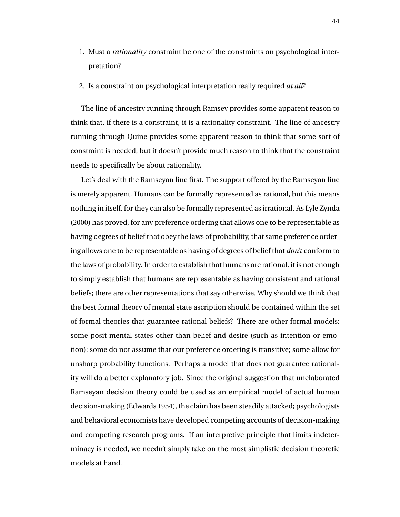- 1. Must a *rationality* constraint be one of the constraints on psychological interpretation?
- 2. Is a constraint on psychological interpretation really required *at all*?

The line of ancestry running through Ramsey provides some apparent reason to think that, if there is a constraint, it is a rationality constraint. The line of ancestry running through Quine provides some apparent reason to think that some sort of constraint is needed, but it doesn't provide much reason to think that the constraint needs to specifically be about rationality.

Let's deal with the Ramseyan line first. The support offered by the Ramseyan line is merely apparent. Humans can be formally represented as rational, but this means nothing in itself, for they can also be formally represented as irrational. As Lyle Zynda (2000) has proved, for any preference ordering that allows one to be representable as having degrees of belief that obey the laws of probability, that same preference ordering allows one to be representable as having of degrees of belief that *don't* conform to the laws of probability. In order to establish that humans are rational, it is not enough to simply establish that humans are representable as having consistent and rational beliefs; there are other representations that say otherwise. Why should we think that the best formal theory of mental state ascription should be contained within the set of formal theories that guarantee rational beliefs? There are other formal models: some posit mental states other than belief and desire (such as intention or emotion); some do not assume that our preference ordering is transitive; some allow for unsharp probability functions. Perhaps a model that does not guarantee rationality will do a better explanatory job. Since the original suggestion that unelaborated Ramseyan decision theory could be used as an empirical model of actual human decision-making (Edwards 1954), the claim has been steadily attacked; psychologists and behavioral economists have developed competing accounts of decision-making and competing research programs. If an interpretive principle that limits indeterminacy is needed, we needn't simply take on the most simplistic decision theoretic models at hand.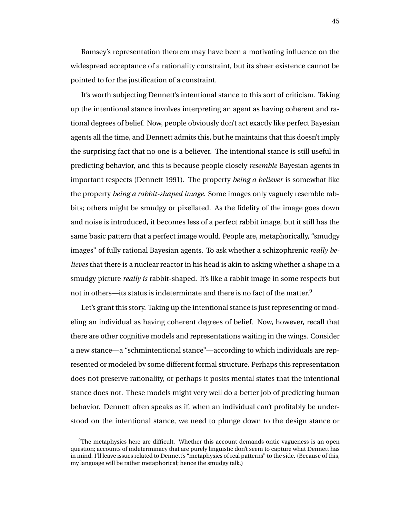Ramsey's representation theorem may have been a motivating influence on the widespread acceptance of a rationality constraint, but its sheer existence cannot be pointed to for the justification of a constraint.

It's worth subjecting Dennett's intentional stance to this sort of criticism. Taking up the intentional stance involves interpreting an agent as having coherent and rational degrees of belief. Now, people obviously don't act exactly like perfect Bayesian agents all the time, and Dennett admits this, but he maintains that this doesn't imply the surprising fact that no one is a believer. The intentional stance is still useful in predicting behavior, and this is because people closely *resemble* Bayesian agents in important respects (Dennett 1991). The property *being a believer* is somewhat like the property *being a rabbit-shaped image*. Some images only vaguely resemble rabbits; others might be smudgy or pixellated. As the fidelity of the image goes down and noise is introduced, it becomes less of a perfect rabbit image, but it still has the same basic pattern that a perfect image would. People are, metaphorically, "smudgy images" of fully rational Bayesian agents. To ask whether a schizophrenic *really believes* that there is a nuclear reactor in his head is akin to asking whether a shape in a smudgy picture *really is* rabbit-shaped. It's like a rabbit image in some respects but not in others—its status is indeterminate and there is no fact of the matter.<sup>9</sup>

Let's grant this story. Taking up the intentional stance is just representing or modeling an individual as having coherent degrees of belief. Now, however, recall that there are other cognitive models and representations waiting in the wings. Consider a new stance—a "schmintentional stance"—according to which individuals are represented or modeled by some different formal structure. Perhaps this representation does not preserve rationality, or perhaps it posits mental states that the intentional stance does not. These models might very well do a better job of predicting human behavior. Dennett often speaks as if, when an individual can't profitably be understood on the intentional stance, we need to plunge down to the design stance or

 $9$ The metaphysics here are difficult. Whether this account demands ontic vagueness is an open question; accounts of indeterminacy that are purely linguistic don't seem to capture what Dennett has in mind. I'll leave issues related to Dennett's "metaphysics of real patterns" to the side. (Because of this, my language will be rather metaphorical; hence the smudgy talk.)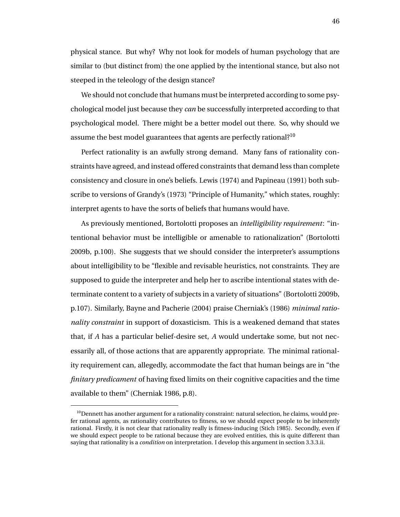physical stance. But why? Why not look for models of human psychology that are similar to (but distinct from) the one applied by the intentional stance, but also not steeped in the teleology of the design stance?

We should not conclude that humans must be interpreted according to some psychological model just because they *can* be successfully interpreted according to that psychological model. There might be a better model out there. So, why should we assume the best model guarantees that agents are perfectly rational?<sup>10</sup>

Perfect rationality is an awfully strong demand. Many fans of rationality constraints have agreed, and instead offered constraints that demand less than complete consistency and closure in one's beliefs. Lewis (1974) and Papineau (1991) both subscribe to versions of Grandy's (1973) "Principle of Humanity," which states, roughly: interpret agents to have the sorts of beliefs that humans would have.

As previously mentioned, Bortolotti proposes an *intelligibility requirement*: "intentional behavior must be intelligible or amenable to rationalization" (Bortolotti 2009b, p.100). She suggests that we should consider the interpreter's assumptions about intelligibility to be "flexible and revisable heuristics, not constraints. They are supposed to guide the interpreter and help her to ascribe intentional states with determinate content to a variety of subjects in a variety of situations" (Bortolotti 2009b, p.107). Similarly, Bayne and Pacherie (2004) praise Cherniak's (1986) *minimal rationality constraint* in support of doxasticism. This is a weakened demand that states that, if *A* has a particular belief-desire set, *A* would undertake some, but not necessarily all, of those actions that are apparently appropriate. The minimal rationality requirement can, allegedly, accommodate the fact that human beings are in "the *finitary predicament* of having fixed limits on their cognitive capacities and the time available to them" (Cherniak 1986, p.8).

<sup>&</sup>lt;sup>10</sup> Dennett has another argument for a rationality constraint: natural selection, he claims, would prefer rational agents, as rationality contributes to fitness, so we should expect people to be inherently rational. Firstly, it is not clear that rationality really is fitness-inducing (Stich 1985). Secondly, even if we should expect people to be rational because they are evolved entities, this is quite different than saying that rationality is a *condition* on interpretation. I develop this argument in section 3.3.3.ii.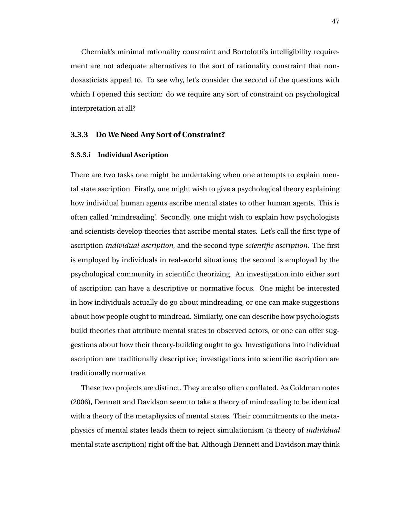Cherniak's minimal rationality constraint and Bortolotti's intelligibility requirement are not adequate alternatives to the sort of rationality constraint that nondoxasticists appeal to. To see why, let's consider the second of the questions with which I opened this section: do we require any sort of constraint on psychological interpretation at all?

#### **3.3.3 Do We Need Any Sort of Constraint?**

#### **3.3.3.i Individual Ascription**

There are two tasks one might be undertaking when one attempts to explain mental state ascription. Firstly, one might wish to give a psychological theory explaining how individual human agents ascribe mental states to other human agents. This is often called 'mindreading'. Secondly, one might wish to explain how psychologists and scientists develop theories that ascribe mental states. Let's call the first type of ascription *individual ascription*, and the second type *scientific ascription*. The first is employed by individuals in real-world situations; the second is employed by the psychological community in scientific theorizing. An investigation into either sort of ascription can have a descriptive or normative focus. One might be interested in how individuals actually do go about mindreading, or one can make suggestions about how people ought to mindread. Similarly, one can describe how psychologists build theories that attribute mental states to observed actors, or one can offer suggestions about how their theory-building ought to go. Investigations into individual ascription are traditionally descriptive; investigations into scientific ascription are traditionally normative.

These two projects are distinct. They are also often conflated. As Goldman notes (2006), Dennett and Davidson seem to take a theory of mindreading to be identical with a theory of the metaphysics of mental states. Their commitments to the metaphysics of mental states leads them to reject simulationism (a theory of *individual* mental state ascription) right off the bat. Although Dennett and Davidson may think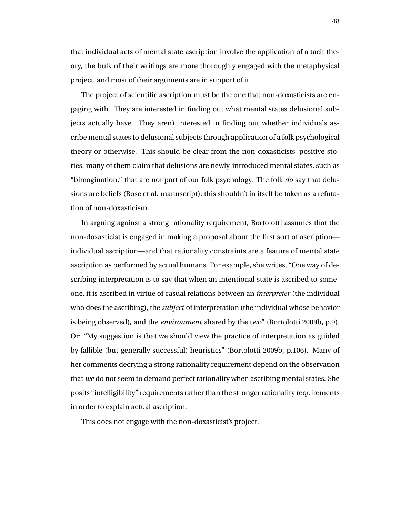that individual acts of mental state ascription involve the application of a tacit theory, the bulk of their writings are more thoroughly engaged with the metaphysical project, and most of their arguments are in support of it.

The project of scientific ascription must be the one that non-doxasticists are engaging with. They are interested in finding out what mental states delusional subjects actually have. They aren't interested in finding out whether individuals ascribe mental states to delusional subjects through application of a folk psychological theory or otherwise. This should be clear from the non-doxasticists' positive stories: many of them claim that delusions are newly-introduced mental states, such as "bimagination," that are not part of our folk psychology. The folk *do* say that delusions are beliefs (Rose et al. manuscript); this shouldn't in itself be taken as a refutation of non-doxasticism.

In arguing against a strong rationality requirement, Bortolotti assumes that the non-doxasticist is engaged in making a proposal about the first sort of ascription individual ascription—and that rationality constraints are a feature of mental state ascription as performed by actual humans. For example, she writes, "One way of describing interpretation is to say that when an intentional state is ascribed to someone, it is ascribed in virtue of casual relations between an *interpreter* (the individual who does the ascribing), the *subject* of interpretation (the individual whose behavior is being observed), and the *environment* shared by the two" (Bortolotti 2009b, p.9). Or: "My suggestion is that we should view the practice of interpretation as guided by fallible (but generally successful) heuristics" (Bortolotti 2009b, p.106). Many of her comments decrying a strong rationality requirement depend on the observation that *we* do not seem to demand perfect rationality when ascribing mental states. She posits "intelligibility" requirements rather than the stronger rationality requirements in order to explain actual ascription.

This does not engage with the non-doxasticist's project.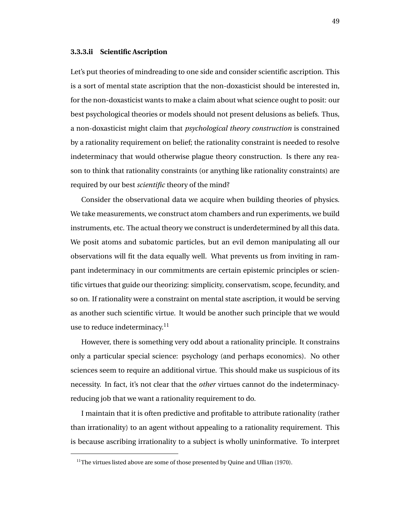#### **3.3.3.ii Scientific Ascription**

Let's put theories of mindreading to one side and consider scientific ascription. This is a sort of mental state ascription that the non-doxasticist should be interested in, for the non-doxasticist wants to make a claim about what science ought to posit: our best psychological theories or models should not present delusions as beliefs. Thus, a non-doxasticist might claim that *psychological theory construction* is constrained by a rationality requirement on belief; the rationality constraint is needed to resolve indeterminacy that would otherwise plague theory construction. Is there any reason to think that rationality constraints (or anything like rationality constraints) are required by our best *scientific* theory of the mind?

Consider the observational data we acquire when building theories of physics. We take measurements, we construct atom chambers and run experiments, we build instruments, etc. The actual theory we construct is underdetermined by all this data. We posit atoms and subatomic particles, but an evil demon manipulating all our observations will fit the data equally well. What prevents us from inviting in rampant indeterminacy in our commitments are certain epistemic principles or scientific virtues that guide our theorizing: simplicity, conservatism, scope, fecundity, and so on. If rationality were a constraint on mental state ascription, it would be serving as another such scientific virtue. It would be another such principle that we would use to reduce indeterminacy.<sup>11</sup>

However, there is something very odd about a rationality principle. It constrains only a particular special science: psychology (and perhaps economics). No other sciences seem to require an additional virtue. This should make us suspicious of its necessity. In fact, it's not clear that the *other* virtues cannot do the indeterminacyreducing job that we want a rationality requirement to do.

I maintain that it is often predictive and profitable to attribute rationality (rather than irrationality) to an agent without appealing to a rationality requirement. This is because ascribing irrationality to a subject is wholly uninformative. To interpret

 $11$ The virtues listed above are some of those presented by Quine and Ullian (1970).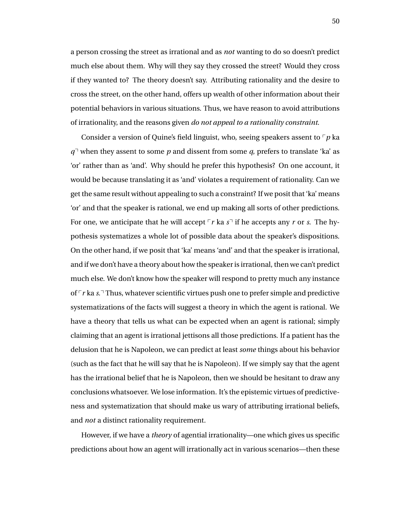a person crossing the street as irrational and as *not* wanting to do so doesn't predict much else about them. Why will they say they crossed the street? Would they cross if they wanted to? The theory doesn't say. Attributing rationality and the desire to cross the street, on the other hand, offers up wealth of other information about their potential behaviors in various situations. Thus, we have reason to avoid attributions of irrationality, and the reasons given *do not appeal to a rationality constraint*.

Consider a version of Quine's field linguist, who, seeing speakers assent to  $\nabla p$  ka  $q<sup>7</sup>$  when they assent to some *p* and dissent from some *q*, prefers to translate 'ka' as 'or' rather than as 'and'. Why should he prefer this hypothesis? On one account, it would be because translating it as 'and' violates a requirement of rationality. Can we get the same result without appealing to such a constraint? If we posit that 'ka' means 'or' and that the speaker is rational, we end up making all sorts of other predictions. For one, we anticipate that he will accept  $\lceil r \rceil$  ka  $s \rceil$  if he accepts any *r* or *s*. The hypothesis systematizes a whole lot of possible data about the speaker's dispositions. On the other hand, if we posit that 'ka' means 'and' and that the speaker is irrational, and if we don't have a theory about how the speaker is irrational, then we can't predict much else. We don't know how the speaker will respond to pretty much any instance of  $\lceil r \rceil$  ka *s*.<sup> $\lceil \cdot \rceil$  Thus, whatever scientific virtues push one to prefer simple and predictive</sup> systematizations of the facts will suggest a theory in which the agent is rational. We have a theory that tells us what can be expected when an agent is rational; simply claiming that an agent is irrational jettisons all those predictions. If a patient has the delusion that he is Napoleon, we can predict at least *some* things about his behavior (such as the fact that he will say that he is Napoleon). If we simply say that the agent has the irrational belief that he is Napoleon, then we should be hesitant to draw any conclusions whatsoever. We lose information. It's the epistemic virtues of predictiveness and systematization that should make us wary of attributing irrational beliefs, and *not* a distinct rationality requirement.

However, if we have a *theory* of agential irrationality—one which gives us specific predictions about how an agent will irrationally act in various scenarios—then these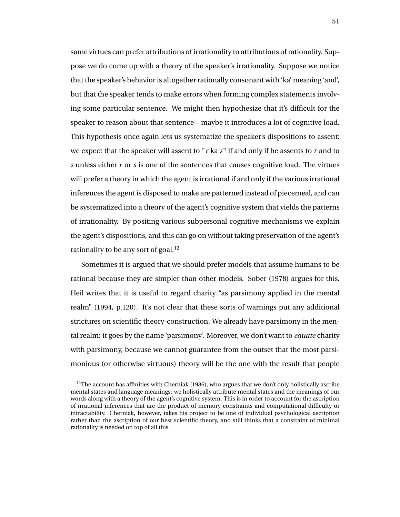same virtues can prefer attributions of irrationality to attributions of rationality. Suppose we do come up with a theory of the speaker's irrationality. Suppose we notice that the speaker's behavior is altogether rationally consonant with 'ka' meaning 'and', but that the speaker tends to make errors when forming complex statements involving some particular sentence. We might then hypothesize that it's difficult for the speaker to reason about that sentence—maybe it introduces a lot of cognitive load. This hypothesis once again lets us systematize the speaker's dispositions to assent: we expect that the speaker will assent to  $\lceil r \rceil$  ka  $s \rceil$  if and only if he assents to  $r$  and to *s* unless either *r* or *s* is one of the sentences that causes cognitive load. The virtues will prefer a theory in which the agent is irrational if and only if the various irrational inferences the agent is disposed to make are patterned instead of piecemeal, and can be systematized into a theory of the agent's cognitive system that yields the patterns of irrationality. By positing various subpersonal cognitive mechanisms we explain the agent's dispositions, and this can go on without taking preservation of the agent's rationality to be any sort of goal.<sup>12</sup>

Sometimes it is argued that we should prefer models that assume humans to be rational because they are simpler than other models. Sober (1978) argues for this. Heil writes that it is useful to regard charity "as parsimony applied in the mental realm" (1994, p.120). It's not clear that these sorts of warnings put any additional strictures on scientific theory-construction. We already have parsimony in the mental realm: it goes by the name 'parsimony'. Moreover, we don't want to *equate* charity with parsimony, because we cannot guarantee from the outset that the most parsimonious (or otherwise virtuous) theory will be the one with the result that people

 $12$ The account has affinities with Cherniak (1986), who argues that we don't only holistically ascribe mental states and language meanings: we holistically attribute mental states and the meanings of our words along with a theory of the agent's cognitive system. This is in order to account for the ascription of irrational inferences that are the product of memory constraints and computational difficulty or intractability. Cherniak, however, takes his project to be one of individual psychological ascription rather than the ascription of our best scientific theory, and still thinks that a constraint of minimal rationality is needed on top of all this.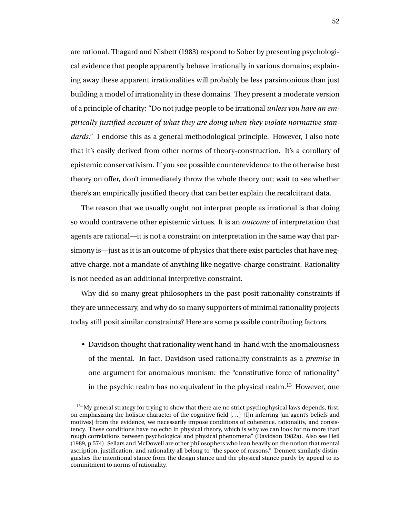are rational. Thagard and Nisbett (1983) respond to Sober by presenting psychological evidence that people apparently behave irrationally in various domains; explaining away these apparent irrationalities will probably be less parsimonious than just building a model of irrationality in these domains. They present a moderate version of a principle of charity: "Do not judge people to be irrational *unless you have an empirically justified account of what they are doing when they violate normative standards*." I endorse this as a general methodological principle. However, I also note that it's easily derived from other norms of theory-construction. It's a corollary of epistemic conservativism. If you see possible counterevidence to the otherwise best theory on offer, don't immediately throw the whole theory out; wait to see whether there's an empirically justified theory that can better explain the recalcitrant data.

The reason that we usually ought not interpret people as irrational is that doing so would contravene other epistemic virtues. It is an *outcome* of interpretation that agents are rational—it is not a constraint on interpretation in the same way that parsimony is—just as it is an outcome of physics that there exist particles that have negative charge, not a mandate of anything like negative-charge constraint. Rationality is not needed as an additional interpretive constraint.

Why did so many great philosophers in the past posit rationality constraints if they are unnecessary, and why do so many supporters of minimal rationality projects today still posit similar constraints? Here are some possible contributing factors.

• Davidson thought that rationality went hand-in-hand with the anomalousness of the mental. In fact, Davidson used rationality constraints as a *premise* in one argument for anomalous monism: the "constitutive force of rationality" in the psychic realm has no equivalent in the physical realm.<sup>13</sup> However, one

<sup>&</sup>lt;sup>13</sup>"My general strategy for trying to show that there are no strict psychophysical laws depends, first, on emphasizing the holistic character of the cognitive field  $[...]$  [I]n inferring [an agent's beliefs and motives] from the evidence, we necessarily impose conditions of coherence, rationality, and consistency. These conditions have no echo in physical theory, which is why we can look for no more than rough correlations between psychological and physical phenomena" (Davidson 1982a). Also see Heil (1989, p.574). Sellars and McDowell are other philosophers who lean heavily on the notion that mental ascription, justification, and rationality all belong to "the space of reasons." Dennett similarly distinguishes the intentional stance from the design stance and the physical stance partly by appeal to its commitment to norms of rationality.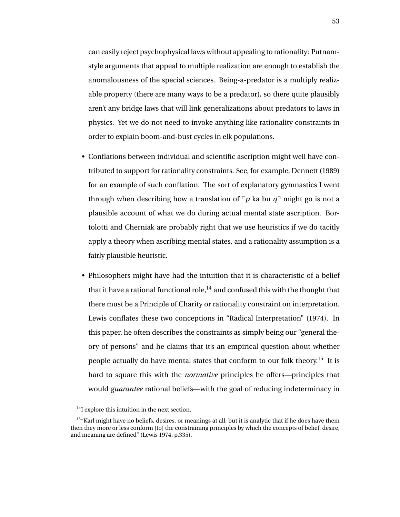can easily reject psychophysical laws without appealing to rationality: Putnamstyle arguments that appeal to multiple realization are enough to establish the anomalousness of the special sciences. Being-a-predator is a multiply realizable property (there are many ways to be a predator), so there quite plausibly aren't any bridge laws that will link generalizations about predators to laws in physics. Yet we do not need to invoke anything like rationality constraints in order to explain boom-and-bust cycles in elk populations.

- Conflations between individual and scientific ascription might well have contributed to support for rationality constraints. See, for example, Dennett (1989) for an example of such conflation. The sort of explanatory gymnastics I went through when describing how a translation of  $\nabla p$  ka bu  $q^{\dagger}$  might go is not a plausible account of what we do during actual mental state ascription. Bortolotti and Cherniak are probably right that we use heuristics if we do tacitly apply a theory when ascribing mental states, and a rationality assumption is a fairly plausible heuristic.
- Philosophers might have had the intuition that it is characteristic of a belief that it have a rational functional role,<sup>14</sup> and confused this with the thought that there must be a Principle of Charity or rationality constraint on interpretation. Lewis conflates these two conceptions in "Radical Interpretation" (1974). In this paper, he often describes the constraints as simply being our "general theory of persons" and he claims that it's an empirical question about whether people actually do have mental states that conform to our folk theory.<sup>15</sup> It is hard to square this with the *normative* principles he offers—principles that would *guarantee* rational beliefs—with the goal of reducing indeterminacy in

<sup>&</sup>lt;sup>14</sup>I explore this intuition in the next section.

<sup>&</sup>lt;sup>15</sup>"Karl might have no beliefs, desires, or meanings at all, but it is analytic that if he does have them then they more or less conform [to] the constraining principles by which the concepts of belief, desire, and meaning are defined" (Lewis 1974, p.335).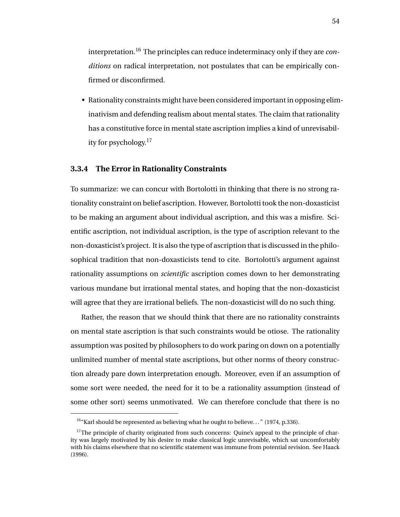interpretation.<sup>16</sup> The principles can reduce indeterminacy only if they are *conditions* on radical interpretation, not postulates that can be empirically confirmed or disconfirmed.

• Rationality constraints might have been considered important in opposing eliminativism and defending realism about mental states. The claim that rationality has a constitutive force in mental state ascription implies a kind of unrevisability for psychology.<sup>17</sup>

## **3.3.4 The Error in Rationality Constraints**

To summarize: we can concur with Bortolotti in thinking that there is no strong rationality constraint on belief ascription. However, Bortolotti took the non-doxasticist to be making an argument about individual ascription, and this was a misfire. Scientific ascription, not individual ascription, is the type of ascription relevant to the non-doxasticist's project. It is also the type of ascription that is discussed in the philosophical tradition that non-doxasticists tend to cite. Bortolotti's argument against rationality assumptions on *scientific* ascription comes down to her demonstrating various mundane but irrational mental states, and hoping that the non-doxasticist will agree that they are irrational beliefs. The non-doxasticist will do no such thing.

Rather, the reason that we should think that there are no rationality constraints on mental state ascription is that such constraints would be otiose. The rationality assumption was posited by philosophers to do work paring on down on a potentially unlimited number of mental state ascriptions, but other norms of theory construction already pare down interpretation enough. Moreover, even if an assumption of some sort were needed, the need for it to be a rationality assumption (instead of some other sort) seems unmotivated. We can therefore conclude that there is no

<sup>&</sup>lt;sup>16</sup>"Karl should be represented as believing what he ought to believe..." (1974, p.336).

 $17$ The principle of charity originated from such concerns: Quine's appeal to the principle of charity was largely motivated by his desire to make classical logic unrevisable, which sat uncomfortably with his claims elsewhere that no scientific statement was immune from potential revision. See Haack (1996).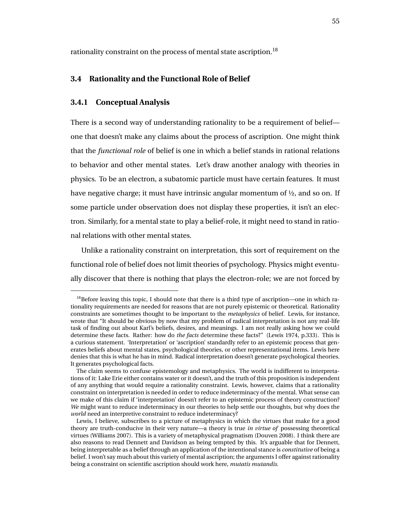rationality constraint on the process of mental state ascription.<sup>18</sup>

# **3.4 Rationality and the Functional Role of Belief**

## **3.4.1 Conceptual Analysis**

There is a second way of understanding rationality to be a requirement of belief one that doesn't make any claims about the process of ascription. One might think that the *functional role* of belief is one in which a belief stands in rational relations to behavior and other mental states. Let's draw another analogy with theories in physics. To be an electron, a subatomic particle must have certain features. It must have negative charge; it must have intrinsic angular momentum of ½, and so on. If some particle under observation does not display these properties, it isn't an electron. Similarly, for a mental state to play a belief-role, it might need to stand in rational relations with other mental states.

Unlike a rationality constraint on interpretation, this sort of requirement on the functional role of belief does not limit theories of psychology. Physics might eventually discover that there is nothing that plays the electron-role; we are not forced by

 $18B$ Before leaving this topic, I should note that there is a third type of ascription—one in which rationality requirements are needed for reasons that are not purely epistemic or theoretical. Rationality constraints are sometimes thought to be important to the *metaphysics* of belief. Lewis, for instance, wrote that "It should be obvious by now that my problem of radical interpretation is not any real-life task of finding out about Karl's beliefs, desires, and meanings. I am not really asking how we could determine these facts. Rather: how do *the facts* determine these facts?" (Lewis 1974, p.333). This is a curious statement. 'Interpretation' or 'ascription' standardly refer to an epistemic process that generates beliefs about mental states, psychological theories, or other representational items. Lewis here denies that this is what he has in mind. Radical interpretation doesn't generate psychological theories. It generates psychological facts.

The claim seems to confuse epistemology and metaphysics. The world is indifferent to interpretations of it: Lake Erie either contains water or it doesn't, and the truth of this proposition is independent of any anything that would require a rationality constraint. Lewis, however, claims that a rationality constraint on interpretation is needed in order to reduce indeterminacy of the mental. What sense can we make of this claim if 'interpretation' doesn't refer to an epistemic process of theory construction? *We* might want to reduce indeterminacy in our theories to help settle our thoughts, but why does the *world* need an interpretive constraint to reduce indeterminacy?

Lewis, I believe, subscribes to a picture of metaphysics in which the virtues that make for a good theory are truth-conducive in their very nature—a theory is true *in virtue of* possessing theoretical virtues (Williams 2007). This is a variety of metaphysical pragmatism (Douven 2008). I think there are also reasons to read Dennett and Davidson as being tempted by this. It's arguable that for Dennett, being interpretable as a belief through an application of the intentional stance is *constitutive* of being a belief. I won't say much about this variety of mental ascription; the arguments I offer against rationality being a constraint on scientific ascription should work here, *mutatis mutandis*.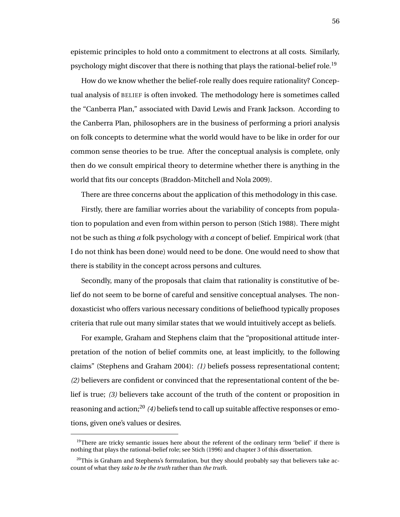epistemic principles to hold onto a commitment to electrons at all costs. Similarly, psychology might discover that there is nothing that plays the rational-belief role.<sup>19</sup>

How do we know whether the belief-role really does require rationality? Conceptual analysis of BELIEF is often invoked. The methodology here is sometimes called the "Canberra Plan," associated with David Lewis and Frank Jackson. According to the Canberra Plan, philosophers are in the business of performing a priori analysis on folk concepts to determine what the world would have to be like in order for our common sense theories to be true. After the conceptual analysis is complete, only then do we consult empirical theory to determine whether there is anything in the world that fits our concepts (Braddon-Mitchell and Nola 2009).

There are three concerns about the application of this methodology in this case.

Firstly, there are familiar worries about the variability of concepts from population to population and even from within person to person (Stich 1988). There might not be such as thing *a* folk psychology with *a* concept of belief. Empirical work (that I do not think has been done) would need to be done. One would need to show that there is stability in the concept across persons and cultures.

Secondly, many of the proposals that claim that rationality is constitutive of belief do not seem to be borne of careful and sensitive conceptual analyses. The nondoxasticist who offers various necessary conditions of beliefhood typically proposes criteria that rule out many similar states that we would intuitively accept as beliefs.

For example, Graham and Stephens claim that the "propositional attitude interpretation of the notion of belief commits one, at least implicitly, to the following claims" (Stephens and Graham 2004): *(1)* beliefs possess representational content; *(2)* believers are confident or convinced that the representational content of the belief is true; *(3)* believers take account of the truth of the content or proposition in reasoning and action;<sup>20</sup> *(4)* beliefs tend to call up suitable affective responses or emotions, given one's values or desires.

 $19$ There are tricky semantic issues here about the referent of the ordinary term 'belief' if there is nothing that plays the rational-belief role; see Stich (1996) and chapter 3 of this dissertation.

 $^{20}$ This is Graham and Stephens's formulation, but they should probably say that believers take account of what they *take to be the truth* rather than *the truth*.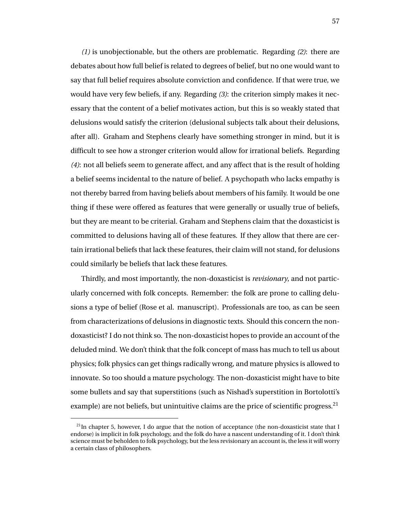*(1)* is unobjectionable, but the others are problematic. Regarding *(2)*: there are debates about how full belief is related to degrees of belief, but no one would want to say that full belief requires absolute conviction and confidence. If that were true, we would have very few beliefs, if any. Regarding *(3)*: the criterion simply makes it necessary that the content of a belief motivates action, but this is so weakly stated that delusions would satisfy the criterion (delusional subjects talk about their delusions, after all). Graham and Stephens clearly have something stronger in mind, but it is difficult to see how a stronger criterion would allow for irrational beliefs. Regarding *(4)*: not all beliefs seem to generate affect, and any affect that is the result of holding a belief seems incidental to the nature of belief. A psychopath who lacks empathy is not thereby barred from having beliefs about members of his family. It would be one thing if these were offered as features that were generally or usually true of beliefs, but they are meant to be criterial. Graham and Stephens claim that the doxasticist is committed to delusions having all of these features. If they allow that there are certain irrational beliefs that lack these features, their claim will not stand, for delusions could similarly be beliefs that lack these features.

Thirdly, and most importantly, the non-doxasticist is *revisionary*, and not particularly concerned with folk concepts. Remember: the folk are prone to calling delusions a type of belief (Rose et al. manuscript). Professionals are too, as can be seen from characterizations of delusions in diagnostic texts. Should this concern the nondoxasticist? I do not think so. The non-doxasticist hopes to provide an account of the deluded mind. We don't think that the folk concept of mass has much to tell us about physics; folk physics can get things radically wrong, and mature physics is allowed to innovate. So too should a mature psychology. The non-doxasticist might have to bite some bullets and say that superstitions (such as Nishad's superstition in Bortolotti's example) are not beliefs, but unintuitive claims are the price of scientific progress.<sup>21</sup>

 $^{21}$ In chapter 5, however, I do argue that the notion of acceptance (the non-doxasticist state that I endorse) is implicit in folk psychology, and the folk do have a nascent understanding of it. I don't think science must be beholden to folk psychology, but the less revisionary an account is, the less it will worry a certain class of philosophers.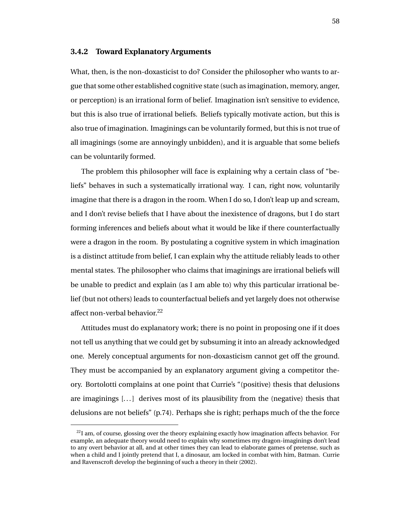#### **3.4.2 Toward Explanatory Arguments**

What, then, is the non-doxasticist to do? Consider the philosopher who wants to argue that some other established cognitive state (such as imagination, memory, anger, or perception) is an irrational form of belief. Imagination isn't sensitive to evidence, but this is also true of irrational beliefs. Beliefs typically motivate action, but this is also true of imagination. Imaginings can be voluntarily formed, but this is not true of all imaginings (some are annoyingly unbidden), and it is arguable that some beliefs can be voluntarily formed.

The problem this philosopher will face is explaining why a certain class of "beliefs" behaves in such a systematically irrational way. I can, right now, voluntarily imagine that there is a dragon in the room. When I do so, I don't leap up and scream, and I don't revise beliefs that I have about the inexistence of dragons, but I do start forming inferences and beliefs about what it would be like if there counterfactually were a dragon in the room. By postulating a cognitive system in which imagination is a distinct attitude from belief, I can explain why the attitude reliably leads to other mental states. The philosopher who claims that imaginings are irrational beliefs will be unable to predict and explain (as I am able to) why this particular irrational belief (but not others) leads to counterfactual beliefs and yet largely does not otherwise affect non-verbal behavior.<sup>22</sup>

Attitudes must do explanatory work; there is no point in proposing one if it does not tell us anything that we could get by subsuming it into an already acknowledged one. Merely conceptual arguments for non-doxasticism cannot get off the ground. They must be accompanied by an explanatory argument giving a competitor theory. Bortolotti complains at one point that Currie's "(positive) thesis that delusions are imaginings [. . . ] derives most of its plausibility from the (negative) thesis that delusions are not beliefs" (p.74). Perhaps she is right; perhaps much of the the force

 $^{22}$ I am, of course, glossing over the theory explaining exactly how imagination affects behavior. For example, an adequate theory would need to explain why sometimes my dragon-imaginings don't lead to any overt behavior at all, and at other times they can lead to elaborate games of pretense, such as when a child and I jointly pretend that I, a dinosaur, am locked in combat with him, Batman. Currie and Ravenscroft develop the beginning of such a theory in their (2002).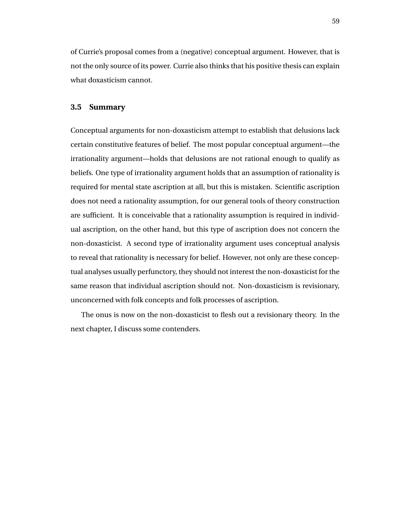of Currie's proposal comes from a (negative) conceptual argument. However, that is not the only source of its power. Currie also thinks that his positive thesis can explain what doxasticism cannot.

## **3.5 Summary**

Conceptual arguments for non-doxasticism attempt to establish that delusions lack certain constitutive features of belief. The most popular conceptual argument—the irrationality argument—holds that delusions are not rational enough to qualify as beliefs. One type of irrationality argument holds that an assumption of rationality is required for mental state ascription at all, but this is mistaken. Scientific ascription does not need a rationality assumption, for our general tools of theory construction are sufficient. It is conceivable that a rationality assumption is required in individual ascription, on the other hand, but this type of ascription does not concern the non-doxasticist. A second type of irrationality argument uses conceptual analysis to reveal that rationality is necessary for belief. However, not only are these conceptual analyses usually perfunctory, they should not interest the non-doxasticist for the same reason that individual ascription should not. Non-doxasticism is revisionary, unconcerned with folk concepts and folk processes of ascription.

The onus is now on the non-doxasticist to flesh out a revisionary theory. In the next chapter, I discuss some contenders.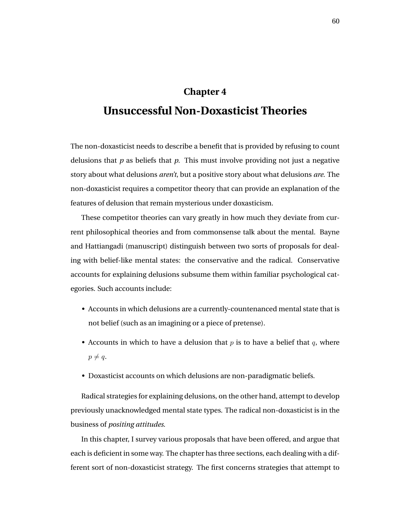# **Chapter 4 Unsuccessful Non-Doxasticist Theories**

The non-doxasticist needs to describe a benefit that is provided by refusing to count delusions that *p* as beliefs that *p*. This must involve providing not just a negative story about what delusions *aren't*, but a positive story about what delusions *are*. The non-doxasticist requires a competitor theory that can provide an explanation of the features of delusion that remain mysterious under doxasticism.

These competitor theories can vary greatly in how much they deviate from current philosophical theories and from commonsense talk about the mental. Bayne and Hattiangadi (manuscript) distinguish between two sorts of proposals for dealing with belief-like mental states: the conservative and the radical. Conservative accounts for explaining delusions subsume them within familiar psychological categories. Such accounts include:

- Accounts in which delusions are a currently-countenanced mental state that is not belief (such as an imagining or a piece of pretense).
- Accounts in which to have a delusion that  $p$  is to have a belief that  $q$ , where  $p \neq q$ .
- Doxasticist accounts on which delusions are non-paradigmatic beliefs.

Radical strategies for explaining delusions, on the other hand, attempt to develop previously unacknowledged mental state types. The radical non-doxasticist is in the business of *positing attitudes*.

In this chapter, I survey various proposals that have been offered, and argue that each is deficient in some way. The chapter has three sections, each dealing with a different sort of non-doxasticist strategy. The first concerns strategies that attempt to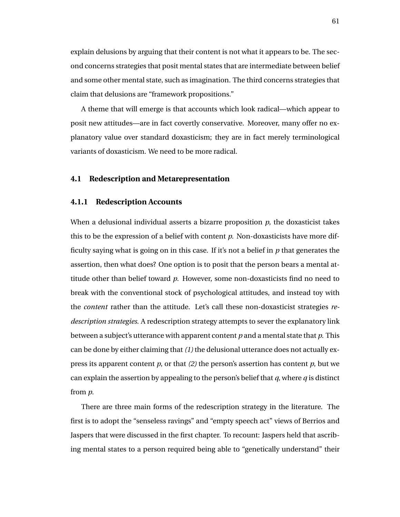explain delusions by arguing that their content is not what it appears to be. The second concerns strategies that posit mental states that are intermediate between belief and some other mental state, such as imagination. The third concerns strategies that claim that delusions are "framework propositions."

A theme that will emerge is that accounts which look radical—which appear to posit new attitudes—are in fact covertly conservative. Moreover, many offer no explanatory value over standard doxasticism; they are in fact merely terminological variants of doxasticism. We need to be more radical.

#### **4.1 Redescription and Metarepresentation**

#### **4.1.1 Redescription Accounts**

When a delusional individual asserts a bizarre proposition *p*, the doxasticist takes this to be the expression of a belief with content *p*. Non-doxasticists have more difficulty saying what is going on in this case. If it's not a belief in *p* that generates the assertion, then what does? One option is to posit that the person bears a mental attitude other than belief toward *p*. However, some non-doxasticists find no need to break with the conventional stock of psychological attitudes, and instead toy with the *content* rather than the attitude. Let's call these non-doxasticist strategies *redescription strategies*. A redescription strategy attempts to sever the explanatory link between a subject's utterance with apparent content *p* and a mental state that *p*. This can be done by either claiming that *(1)* the delusional utterance does not actually express its apparent content *p*, or that *(2)* the person's assertion has content *p*, but we can explain the assertion by appealing to the person's belief that *q*, where *q* is distinct from *p*.

There are three main forms of the redescription strategy in the literature. The first is to adopt the "senseless ravings" and "empty speech act" views of Berrios and Jaspers that were discussed in the first chapter. To recount: Jaspers held that ascribing mental states to a person required being able to "genetically understand" their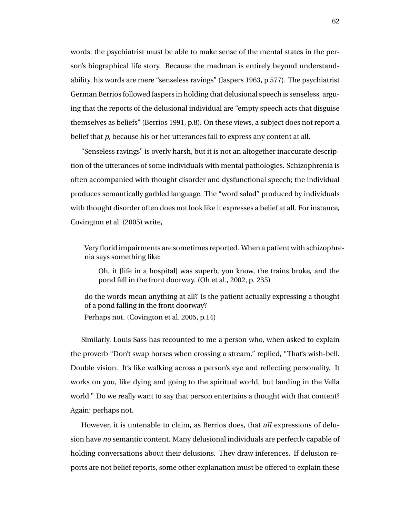words; the psychiatrist must be able to make sense of the mental states in the person's biographical life story. Because the madman is entirely beyond understandability, his words are mere "senseless ravings" (Jaspers 1963, p.577). The psychiatrist German Berrios followed Jaspers in holding that delusional speech is senseless, arguing that the reports of the delusional individual are "empty speech acts that disguise themselves as beliefs" (Berrios 1991, p.8). On these views, a subject does not report a belief that *p*, because his or her utterances fail to express any content at all.

"Senseless ravings" is overly harsh, but it is not an altogether inaccurate description of the utterances of some individuals with mental pathologies. Schizophrenia is often accompanied with thought disorder and dysfunctional speech; the individual produces semantically garbled language. The "word salad" produced by individuals with thought disorder often does not look like it expresses a belief at all. For instance, Covington et al. (2005) write,

Very florid impairments are sometimes reported. When a patient with schizophrenia says something like:

Oh, it [life in a hospital] was superb, you know, the trains broke, and the pond fell in the front doorway. (Oh et al., 2002, p. 235)

do the words mean anything at all? Is the patient actually expressing a thought of a pond falling in the front doorway? Perhaps not. (Covington et al. 2005, p.14)

Similarly, Louis Sass has recounted to me a person who, when asked to explain the proverb "Don't swap horses when crossing a stream," replied, "That's wish-bell. Double vision. It's like walking across a person's eye and reflecting personality. It works on you, like dying and going to the spiritual world, but landing in the Vella world." Do we really want to say that person entertains a thought with that content? Again: perhaps not.

However, it is untenable to claim, as Berrios does, that *all* expressions of delusion have *no* semantic content. Many delusional individuals are perfectly capable of holding conversations about their delusions. They draw inferences. If delusion reports are not belief reports, some other explanation must be offered to explain these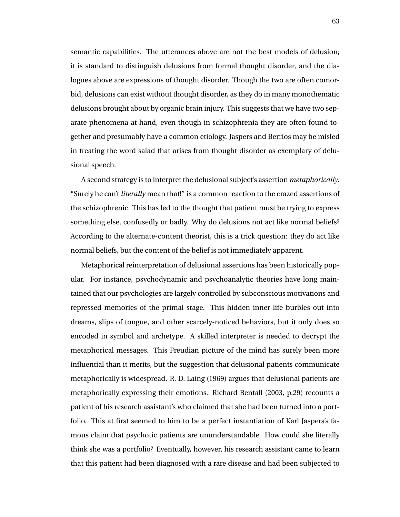semantic capabilities. The utterances above are not the best models of delusion; it is standard to distinguish delusions from formal thought disorder, and the dialogues above are expressions of thought disorder. Though the two are often comorbid, delusions can exist without thought disorder, as they do in many monothematic delusions brought about by organic brain injury. This suggests that we have two separate phenomena at hand, even though in schizophrenia they are often found together and presumably have a common etiology. Jaspers and Berrios may be misled in treating the word salad that arises from thought disorder as exemplary of delusional speech.

A second strategy is to interpret the delusional subject's assertion *metaphorically*. "Surely he can't *literally* mean that!" is a common reaction to the crazed assertions of the schizophrenic. This has led to the thought that patient must be trying to express something else, confusedly or badly. Why do delusions not act like normal beliefs? According to the alternate-content theorist, this is a trick question: they do act like normal beliefs, but the content of the belief is not immediately apparent.

Metaphorical reinterpretation of delusional assertions has been historically popular. For instance, psychodynamic and psychoanalytic theories have long maintained that our psychologies are largely controlled by subconscious motivations and repressed memories of the primal stage. This hidden inner life burbles out into dreams, slips of tongue, and other scarcely-noticed behaviors, but it only does so encoded in symbol and archetype. A skilled interpreter is needed to decrypt the metaphorical messages. This Freudian picture of the mind has surely been more influential than it merits, but the suggestion that delusional patients communicate metaphorically is widespread. R. D. Laing (1969) argues that delusional patients are metaphorically expressing their emotions. Richard Bentall (2003, p.29) recounts a patient of his research assistant's who claimed that she had been turned into a portfolio. This at first seemed to him to be a perfect instantiation of Karl Jaspers's famous claim that psychotic patients are ununderstandable. How could she literally think she was a portfolio? Eventually, however, his research assistant came to learn that this patient had been diagnosed with a rare disease and had been subjected to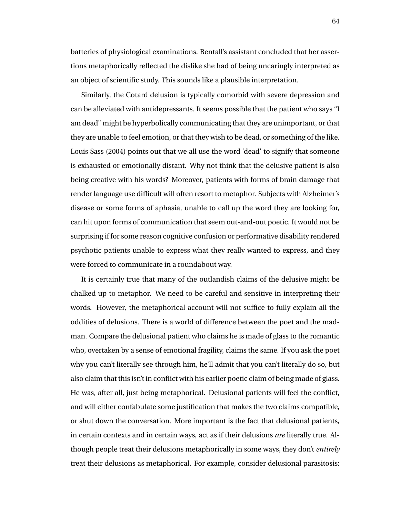batteries of physiological examinations. Bentall's assistant concluded that her assertions metaphorically reflected the dislike she had of being uncaringly interpreted as an object of scientific study. This sounds like a plausible interpretation.

Similarly, the Cotard delusion is typically comorbid with severe depression and can be alleviated with antidepressants. It seems possible that the patient who says "I am dead" might be hyperbolically communicating that they are unimportant, or that they are unable to feel emotion, or that they wish to be dead, or something of the like. Louis Sass (2004) points out that we all use the word 'dead' to signify that someone is exhausted or emotionally distant. Why not think that the delusive patient is also being creative with his words? Moreover, patients with forms of brain damage that render language use difficult will often resort to metaphor. Subjects with Alzheimer's disease or some forms of aphasia, unable to call up the word they are looking for, can hit upon forms of communication that seem out-and-out poetic. It would not be surprising if for some reason cognitive confusion or performative disability rendered psychotic patients unable to express what they really wanted to express, and they were forced to communicate in a roundabout way.

It is certainly true that many of the outlandish claims of the delusive might be chalked up to metaphor. We need to be careful and sensitive in interpreting their words. However, the metaphorical account will not suffice to fully explain all the oddities of delusions. There is a world of difference between the poet and the madman. Compare the delusional patient who claims he is made of glass to the romantic who, overtaken by a sense of emotional fragility, claims the same. If you ask the poet why you can't literally see through him, he'll admit that you can't literally do so, but also claim that this isn't in conflict with his earlier poetic claim of being made of glass. He was, after all, just being metaphorical. Delusional patients will feel the conflict, and will either confabulate some justification that makes the two claims compatible, or shut down the conversation. More important is the fact that delusional patients, in certain contexts and in certain ways, act as if their delusions *are* literally true. Although people treat their delusions metaphorically in some ways, they don't *entirely* treat their delusions as metaphorical. For example, consider delusional parasitosis: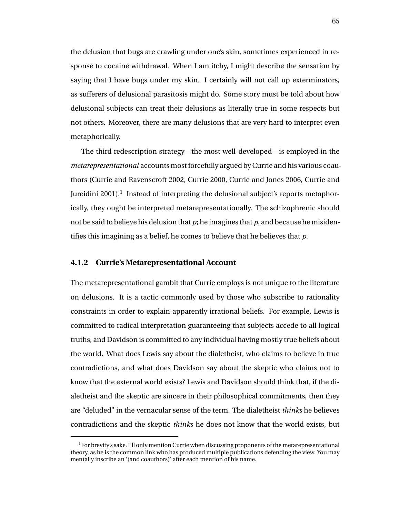the delusion that bugs are crawling under one's skin, sometimes experienced in response to cocaine withdrawal. When I am itchy, I might describe the sensation by saying that I have bugs under my skin. I certainly will not call up exterminators, as sufferers of delusional parasitosis might do. Some story must be told about how delusional subjects can treat their delusions as literally true in some respects but not others. Moreover, there are many delusions that are very hard to interpret even metaphorically.

The third redescription strategy—the most well-developed—is employed in the *metarepresentational* accounts most forcefully argued by Currie and his various coauthors (Currie and Ravenscroft 2002, Currie 2000, Currie and Jones 2006, Currie and Jureidini 2001). $^1$  Instead of interpreting the delusional subject's reports metaphorically, they ought be interpreted metarepresentationally. The schizophrenic should not be said to believe his delusion that *p*; he imagines that *p*, and because he misidentifies this imagining as a belief, he comes to believe that he believes that *p*.

#### **4.1.2 Currie's Metarepresentational Account**

The metarepresentational gambit that Currie employs is not unique to the literature on delusions. It is a tactic commonly used by those who subscribe to rationality constraints in order to explain apparently irrational beliefs. For example, Lewis is committed to radical interpretation guaranteeing that subjects accede to all logical truths, and Davidson is committed to any individual having mostly true beliefs about the world. What does Lewis say about the dialetheist, who claims to believe in true contradictions, and what does Davidson say about the skeptic who claims not to know that the external world exists? Lewis and Davidson should think that, if the dialetheist and the skeptic are sincere in their philosophical commitments, then they are "deluded" in the vernacular sense of the term. The dialetheist *thinks* he believes contradictions and the skeptic *thinks* he does not know that the world exists, but

 ${}^{1}$  For brevity's sake, I'll only mention Currie when discussing proponents of the metarepresentational theory, as he is the common link who has produced multiple publications defending the view. You may mentally inscribe an '(and coauthors)' after each mention of his name.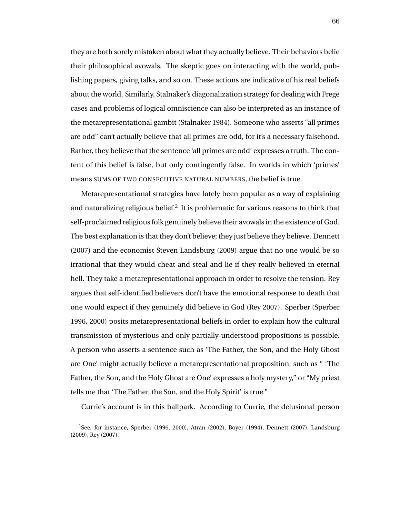they are both sorely mistaken about what they actually believe. Their behaviors belie their philosophical avowals. The skeptic goes on interacting with the world, publishing papers, giving talks, and so on. These actions are indicative of his real beliefs about the world. Similarly, Stalnaker's diagonalization strategy for dealing with Frege cases and problems of logical omniscience can also be interpreted as an instance of the metarepresentational gambit (Stalnaker 1984). Someone who asserts "all primes are odd" can't actually believe that all primes are odd, for it's a necessary falsehood. Rather, they believe that the sentence 'all primes are odd' expresses a truth. The content of this belief is false, but only contingently false. In worlds in which 'primes' means SUMS OF TWO CONSECUTIVE NATURAL NUMBERS, the belief is true.

Metarepresentational strategies have lately been popular as a way of explaining and naturalizing religious belief.<sup>2</sup> It is problematic for various reasons to think that self-proclaimed religious folk genuinely believe their avowals in the existence of God. The best explanation is that they don't believe; they just believe they believe. Dennett (2007) and the economist Steven Landsburg (2009) argue that no one would be so irrational that they would cheat and steal and lie if they really believed in eternal hell. They take a metarepresentational approach in order to resolve the tension. Rey argues that self-identified believers don't have the emotional response to death that one would expect if they genuinely did believe in God (Rey 2007). Sperber (Sperber 1996, 2000) posits metarepresentational beliefs in order to explain how the cultural transmission of mysterious and only partially-understood propositions is possible. A person who asserts a sentence such as 'The Father, the Son, and the Holy Ghost are One' might actually believe a metarepresentational proposition, such as " 'The Father, the Son, and the Holy Ghost are One' expresses a holy mystery," or "My priest tells me that 'The Father, the Son, and the Holy Spirit' is true."

Currie's account is in this ballpark. According to Currie, the delusional person

<sup>2</sup> See, for instance, Sperber (1996, 2000), Atran (2002), Boyer (1994), Dennett (2007), Landsburg (2009), Rey (2007).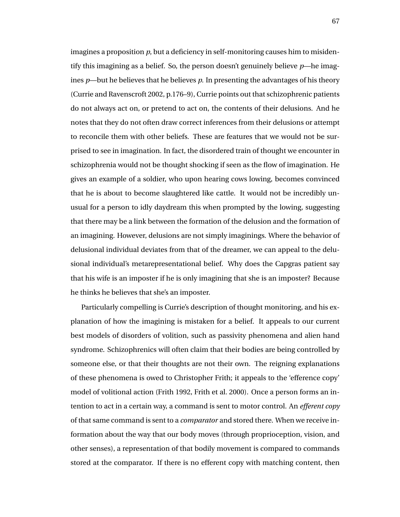imagines a proposition *p*, but a deficiency in self-monitoring causes him to misidentify this imagining as a belief. So, the person doesn't genuinely believe *p*—he imagines *p*—but he believes that he believes *p*. In presenting the advantages of his theory (Currie and Ravenscroft 2002, p.176–9), Currie points out that schizophrenic patients do not always act on, or pretend to act on, the contents of their delusions. And he notes that they do not often draw correct inferences from their delusions or attempt to reconcile them with other beliefs. These are features that we would not be surprised to see in imagination. In fact, the disordered train of thought we encounter in schizophrenia would not be thought shocking if seen as the flow of imagination. He gives an example of a soldier, who upon hearing cows lowing, becomes convinced that he is about to become slaughtered like cattle. It would not be incredibly unusual for a person to idly daydream this when prompted by the lowing, suggesting that there may be a link between the formation of the delusion and the formation of an imagining. However, delusions are not simply imaginings. Where the behavior of delusional individual deviates from that of the dreamer, we can appeal to the delusional individual's metarepresentational belief. Why does the Capgras patient say that his wife is an imposter if he is only imagining that she is an imposter? Because he thinks he believes that she's an imposter.

Particularly compelling is Currie's description of thought monitoring, and his explanation of how the imagining is mistaken for a belief. It appeals to our current best models of disorders of volition, such as passivity phenomena and alien hand syndrome. Schizophrenics will often claim that their bodies are being controlled by someone else, or that their thoughts are not their own. The reigning explanations of these phenomena is owed to Christopher Frith; it appeals to the 'efference copy' model of volitional action (Frith 1992, Frith et al. 2000). Once a person forms an intention to act in a certain way, a command is sent to motor control. An *efferent copy* of that same command is sent to a *comparator* and stored there. When we receive information about the way that our body moves (through proprioception, vision, and other senses), a representation of that bodily movement is compared to commands stored at the comparator. If there is no efferent copy with matching content, then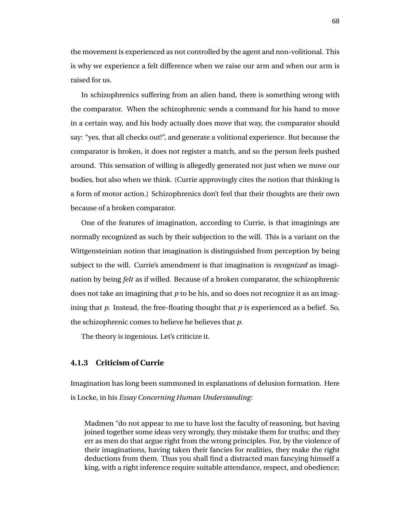the movement is experienced as not controlled by the agent and non-volitional. This is why we experience a felt difference when we raise our arm and when our arm is raised for us.

In schizophrenics suffering from an alien hand, there is something wrong with the comparator. When the schizophrenic sends a command for his hand to move in a certain way, and his body actually does move that way, the comparator should say: "yes, that all checks out!", and generate a volitional experience. But because the comparator is broken, it does not register a match, and so the person feels pushed around. This sensation of willing is allegedly generated not just when we move our bodies, but also when we think. (Currie approvingly cites the notion that thinking is a form of motor action.) Schizophrenics don't feel that their thoughts are their own because of a broken comparator.

One of the features of imagination, according to Currie, is that imaginings are normally recognized as such by their subjection to the will. This is a variant on the Wittgensteinian notion that imagination is distinguished from perception by being subject to the will. Currie's amendment is that imagination is *recognized* as imagination by being *felt* as if willed. Because of a broken comparator, the schizophrenic does not take an imagining that *p* to be his, and so does not recognize it as an imagining that *p*. Instead, the free-floating thought that *p* is experienced as a belief. So, the schizophrenic comes to believe he believes that *p*.

The theory is ingenious. Let's criticize it.

# **4.1.3 Criticism of Currie**

Imagination has long been summoned in explanations of delusion formation. Here is Locke, in his *Essay Concerning Human Understanding*:

Madmen "do not appear to me to have lost the faculty of reasoning, but having joined together some ideas very wrongly, they mistake them for truths; and they err as men do that argue right from the wrong principles. For, by the violence of their imaginations, having taken their fancies for realities, they make the right deductions from them. Thus you shall find a distracted man fancying himself a king, with a right inference require suitable attendance, respect, and obedience;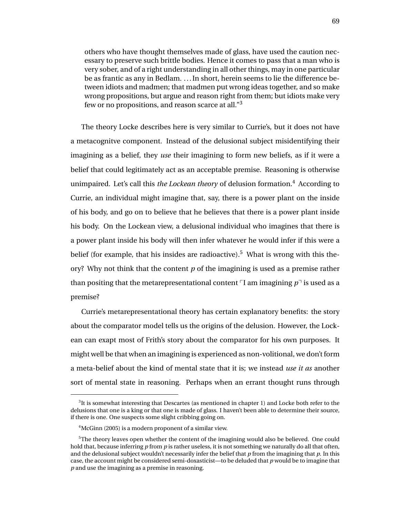others who have thought themselves made of glass, have used the caution necessary to preserve such brittle bodies. Hence it comes to pass that a man who is very sober, and of a right understanding in all other things, may in one particular be as frantic as any in Bedlam. . . . In short, herein seems to lie the difference between idiots and madmen; that madmen put wrong ideas together, and so make wrong propositions, but argue and reason right from them; but idiots make very few or no propositions, and reason scarce at all."<sup>3</sup>

The theory Locke describes here is very similar to Currie's, but it does not have a metacognitve component. Instead of the delusional subject misidentifying their imagining as a belief, they *use* their imagining to form new beliefs, as if it were a belief that could legitimately act as an acceptable premise. Reasoning is otherwise unimpaired. Let's call this *the Lockean theory* of delusion formation.<sup>4</sup> According to Currie, an individual might imagine that, say, there is a power plant on the inside of his body, and go on to believe that he believes that there is a power plant inside his body. On the Lockean view, a delusional individual who imagines that there is a power plant inside his body will then infer whatever he would infer if this were a belief (for example, that his insides are radioactive).<sup>5</sup> What is wrong with this theory? Why not think that the content *p* of the imagining is used as a premise rather than positing that the metarepresentational content  $\nabla I$  am imagining  $p^{\neg}$  is used as a premise?

Currie's metarepresentational theory has certain explanatory benefits: the story about the comparator model tells us the origins of the delusion. However, the Lockean can exapt most of Frith's story about the comparator for his own purposes. It might well be that when an imagining is experienced as non-volitional, we don't form a meta-belief about the kind of mental state that it is; we instead *use it as* another sort of mental state in reasoning. Perhaps when an errant thought runs through

 ${}^{3}$ It is somewhat interesting that Descartes (as mentioned in chapter 1) and Locke both refer to the delusions that one is a king or that one is made of glass. I haven't been able to determine their source, if there is one. One suspects some slight cribbing going on.

<sup>&</sup>lt;sup>4</sup>McGinn (2005) is a modern proponent of a similar view.

<sup>&</sup>lt;sup>5</sup>The theory leaves open whether the content of the imagining would also be believed. One could hold that, because inferring *p* from *p* is rather useless, it is not something we naturally do all that often, and the delusional subject wouldn't necessarily infer the belief that *p* from the imagining that *p*. In this case, the account might be considered semi-doxasticist—to be deluded that *p* would be to imagine that *p* and use the imagining as a premise in reasoning.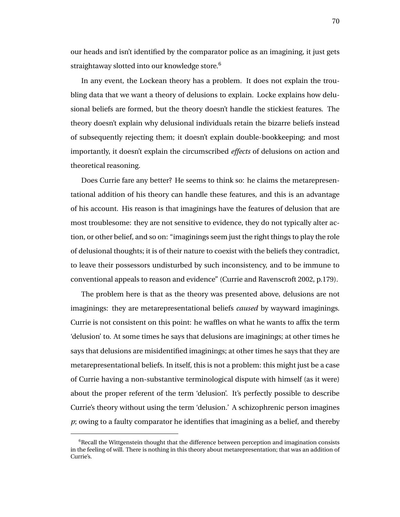our heads and isn't identified by the comparator police as an imagining, it just gets straightaway slotted into our knowledge store. $6$ 

In any event, the Lockean theory has a problem. It does not explain the troubling data that we want a theory of delusions to explain. Locke explains how delusional beliefs are formed, but the theory doesn't handle the stickiest features. The theory doesn't explain why delusional individuals retain the bizarre beliefs instead of subsequently rejecting them; it doesn't explain double-bookkeeping; and most importantly, it doesn't explain the circumscribed *effects* of delusions on action and theoretical reasoning.

Does Currie fare any better? He seems to think so: he claims the metarepresentational addition of his theory can handle these features, and this is an advantage of his account. His reason is that imaginings have the features of delusion that are most troublesome: they are not sensitive to evidence, they do not typically alter action, or other belief, and so on: "imaginings seem just the right things to play the role of delusional thoughts; it is of their nature to coexist with the beliefs they contradict, to leave their possessors undisturbed by such inconsistency, and to be immune to conventional appeals to reason and evidence" (Currie and Ravenscroft 2002, p.179).

The problem here is that as the theory was presented above, delusions are not imaginings: they are metarepresentational beliefs *caused* by wayward imaginings. Currie is not consistent on this point: he waffles on what he wants to affix the term 'delusion' to. At some times he says that delusions are imaginings; at other times he says that delusions are misidentified imaginings; at other times he says that they are metarepresentational beliefs. In itself, this is not a problem: this might just be a case of Currie having a non-substantive terminological dispute with himself (as it were) about the proper referent of the term 'delusion'. It's perfectly possible to describe Currie's theory without using the term 'delusion.' A schizophrenic person imagines *p*; owing to a faulty comparator he identifies that imagining as a belief, and thereby

 $6$ Recall the Wittgenstein thought that the difference between perception and imagination consists in the feeling of will. There is nothing in this theory about metarepresentation; that was an addition of Currie's.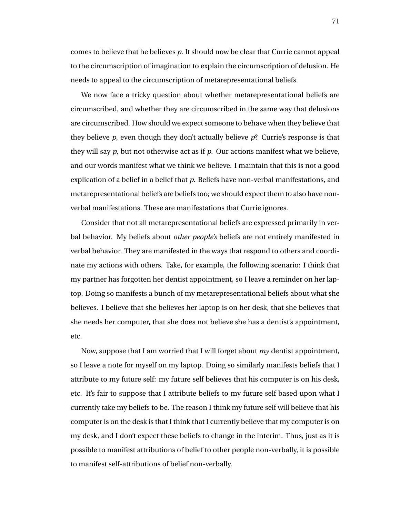comes to believe that he believes *p*. It should now be clear that Currie cannot appeal to the circumscription of imagination to explain the circumscription of delusion. He needs to appeal to the circumscription of metarepresentational beliefs.

We now face a tricky question about whether metarepresentational beliefs are circumscribed, and whether they are circumscribed in the same way that delusions are circumscribed. How should we expect someone to behave when they believe that they believe *p*, even though they don't actually believe *p*? Currie's response is that they will say *p*, but not otherwise act as if *p*. Our actions manifest what we believe, and our words manifest what we think we believe. I maintain that this is not a good explication of a belief in a belief that *p*. Beliefs have non-verbal manifestations, and metarepresentational beliefs are beliefs too; we should expect them to also have nonverbal manifestations. These are manifestations that Currie ignores.

Consider that not all metarepresentational beliefs are expressed primarily in verbal behavior. My beliefs about *other people's* beliefs are not entirely manifested in verbal behavior. They are manifested in the ways that respond to others and coordinate my actions with others. Take, for example, the following scenario: I think that my partner has forgotten her dentist appointment, so I leave a reminder on her laptop. Doing so manifests a bunch of my metarepresentational beliefs about what she believes. I believe that she believes her laptop is on her desk, that she believes that she needs her computer, that she does not believe she has a dentist's appointment, etc.

Now, suppose that I am worried that I will forget about *my* dentist appointment, so I leave a note for myself on my laptop. Doing so similarly manifests beliefs that I attribute to my future self: my future self believes that his computer is on his desk, etc. It's fair to suppose that I attribute beliefs to my future self based upon what I currently take my beliefs to be. The reason I think my future self will believe that his computer is on the desk is that I think that I currently believe that my computer is on my desk, and I don't expect these beliefs to change in the interim. Thus, just as it is possible to manifest attributions of belief to other people non-verbally, it is possible to manifest self-attributions of belief non-verbally.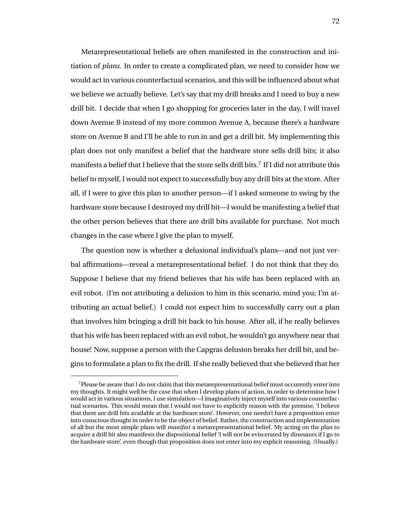Metarepresentational beliefs are often manifested in the construction and initiation of *plans*. In order to create a complicated plan, we need to consider how we would act in various counterfactual scenarios, and this will be influenced about what we believe we actually believe. Let's say that my drill breaks and I need to buy a new drill bit. I decide that when I go shopping for groceries later in the day, I will travel down Avenue B instead of my more common Avenue A, because there's a hardware store on Avenue B and I'll be able to run in and get a drill bit. My implementing this plan does not only manifest a belief that the hardware store sells drill bits; it also manifests a belief that I believe that the store sells drill bits.<sup>7</sup> If I did not attribute this belief to myself, I would not expect to successfully buy any drill bits at the store. After all, if I were to give this plan to another person—if I asked someone to swing by the hardware store because I destroyed my drill bit—I would be manifesting a belief that the other person believes that there are drill bits available for purchase. Not much changes in the case where I give the plan to myself.

The question now is whether a delusional individual's plans—and not just verbal affirmations—reveal a metarepresentational belief. I do not think that they do. Suppose I believe that my friend believes that his wife has been replaced with an evil robot. (I'm not attributing a delusion to him in this scenario, mind you; I'm attributing an actual belief.) I could not expect him to successfully carry out a plan that involves him bringing a drill bit back to his house. After all, if he really believes that his wife has been replaced with an evil robot, he wouldn't go anywhere near that house! Now, suppose a person with the Capgras delusion breaks her drill bit, and begins to formulate a plan to fix the drill. If she really believed that she believed that her

 $7$ Please be aware that I do not claim that this metarepresentational belief must occurently enter into my thoughts. It might well be the case that when I develop plans of action, in order to determine how I would act in various situations, I use simulation—I imaginatively inject myself into various counterfactual scenarios. This would mean that I would not have to explicitly reason with the premise, 'I believe that there are drill bits available at the hardware store'. However, one needn't have a proposition enter into conscious thought in order to be the object of belief. Rather, the construction and implementation of all but the most simple plans will *manifest* a metarepresentational belief. My acting on the plan to acquire a drill bit also manifests the dispositional belief 'I will not be eviscerated by dinosaurs if I go to the hardware store', even though that proposition does not enter into my explicit reasoning. (Usually.)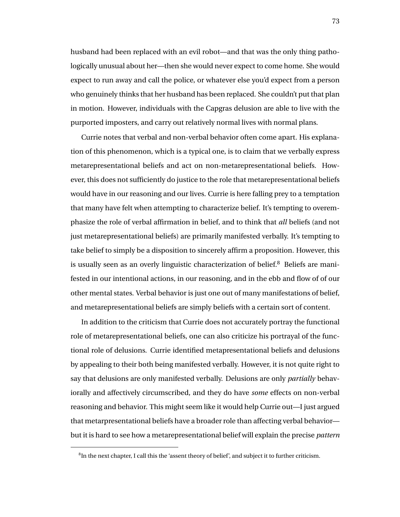husband had been replaced with an evil robot—and that was the only thing pathologically unusual about her—then she would never expect to come home. She would expect to run away and call the police, or whatever else you'd expect from a person who genuinely thinks that her husband has been replaced. She couldn't put that plan in motion. However, individuals with the Capgras delusion are able to live with the purported imposters, and carry out relatively normal lives with normal plans.

Currie notes that verbal and non-verbal behavior often come apart. His explanation of this phenomenon, which is a typical one, is to claim that we verbally express metarepresentational beliefs and act on non-metarepresentational beliefs. However, this does not sufficiently do justice to the role that metarepresentational beliefs would have in our reasoning and our lives. Currie is here falling prey to a temptation that many have felt when attempting to characterize belief. It's tempting to overemphasize the role of verbal affirmation in belief, and to think that *all* beliefs (and not just metarepresentational beliefs) are primarily manifested verbally. It's tempting to take belief to simply be a disposition to sincerely affirm a proposition. However, this is usually seen as an overly linguistic characterization of belief.<sup>8</sup> Beliefs are manifested in our intentional actions, in our reasoning, and in the ebb and flow of of our other mental states. Verbal behavior is just one out of many manifestations of belief, and metarepresentational beliefs are simply beliefs with a certain sort of content.

In addition to the criticism that Currie does not accurately portray the functional role of metarepresentational beliefs, one can also criticize his portrayal of the functional role of delusions. Currie identified metapresentational beliefs and delusions by appealing to their both being manifested verbally. However, it is not quite right to say that delusions are only manifested verbally. Delusions are only *partially* behaviorally and affectively circumscribed, and they do have *some* effects on non-verbal reasoning and behavior. This might seem like it would help Currie out—I just argued that metarpresentational beliefs have a broader role than affecting verbal behavior but it is hard to see how a metarepresentational belief will explain the precise *pattern*

 ${}^8{\rm In}$  the next chapter, I call this the 'assent theory of belief', and subject it to further criticism.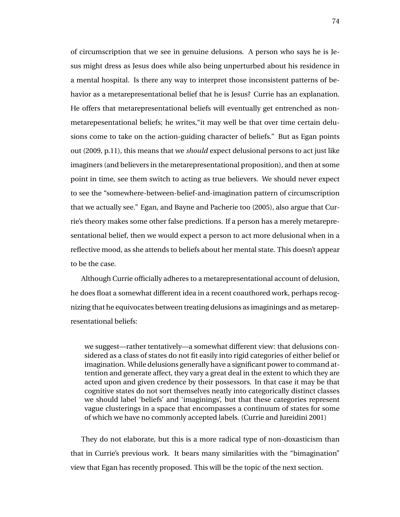of circumscription that we see in genuine delusions. A person who says he is Jesus might dress as Jesus does while also being unperturbed about his residence in a mental hospital. Is there any way to interpret those inconsistent patterns of behavior as a metarepresentational belief that he is Jesus? Currie has an explanation. He offers that metarepresentational beliefs will eventually get entrenched as nonmetarepesentational beliefs; he writes,"it may well be that over time certain delusions come to take on the action-guiding character of beliefs." But as Egan points out (2009, p.11), this means that we *should* expect delusional persons to act just like imaginers (and believers in the metarepresentational proposition), and then at some point in time, see them switch to acting as true believers. We should never expect to see the "somewhere-between-belief-and-imagination pattern of circumscription that we actually see." Egan, and Bayne and Pacherie too (2005), also argue that Currie's theory makes some other false predictions. If a person has a merely metarepresentational belief, then we would expect a person to act more delusional when in a reflective mood, as she attends to beliefs about her mental state. This doesn't appear to be the case.

Although Currie officially adheres to a metarepresentational account of delusion, he does float a somewhat different idea in a recent coauthored work, perhaps recognizing that he equivocates between treating delusions as imaginings and as metarepresentational beliefs:

we suggest—rather tentatively—a somewhat different view: that delusions considered as a class of states do not fit easily into rigid categories of either belief or imagination. While delusions generally have a significant power to command attention and generate affect, they vary a great deal in the extent to which they are acted upon and given credence by their possessors. In that case it may be that cognitive states do not sort themselves neatly into categorically distinct classes we should label 'beliefs' and 'imaginings', but that these categories represent vague clusterings in a space that encompasses a continuum of states for some of which we have no commonly accepted labels. (Currie and Jureidini 2001)

They do not elaborate, but this is a more radical type of non-doxasticism than that in Currie's previous work. It bears many similarities with the "bimagination" view that Egan has recently proposed. This will be the topic of the next section.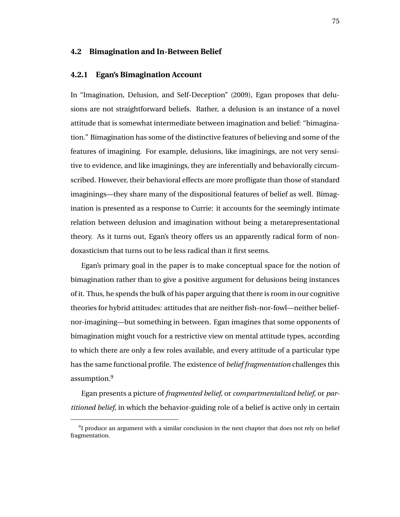### **4.2 Bimagination and In-Between Belief**

#### **4.2.1 Egan's Bimagination Account**

In "Imagination, Delusion, and Self-Deception" (2009), Egan proposes that delusions are not straightforward beliefs. Rather, a delusion is an instance of a novel attitude that is somewhat intermediate between imagination and belief: "bimagination." Bimagination has some of the distinctive features of believing and some of the features of imagining. For example, delusions, like imaginings, are not very sensitive to evidence, and like imaginings, they are inferentially and behaviorally circumscribed. However, their behavioral effects are more profligate than those of standard imaginings—they share many of the dispositional features of belief as well. Bimagination is presented as a response to Currie: it accounts for the seemingly intimate relation between delusion and imagination without being a metarepresentational theory. As it turns out, Egan's theory offers us an apparently radical form of nondoxasticism that turns out to be less radical than it first seems.

Egan's primary goal in the paper is to make conceptual space for the notion of bimagination rather than to give a positive argument for delusions being instances of it. Thus, he spends the bulk of his paper arguing that there is room in our cognitive theories for hybrid attitudes: attitudes that are neither fish-nor-fowl—neither beliefnor-imagining—but something in between. Egan imagines that some opponents of bimagination might vouch for a restrictive view on mental attitude types, according to which there are only a few roles available, and every attitude of a particular type has the same functional profile. The existence of *belief fragmentation* challenges this assumption.<sup>9</sup>

Egan presents a picture of *fragmented belief*, or *compartmentalized belief*, or *partitioned belief*, in which the behavior-guiding role of a belief is active only in certain

 $91$  produce an argument with a similar conclusion in the next chapter that does not rely on belief fragmentation.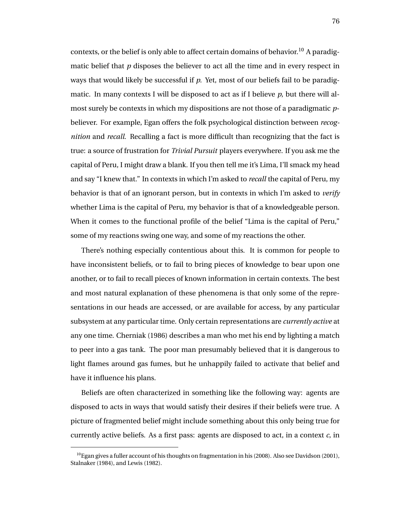contexts, or the belief is only able to affect certain domains of behavior.<sup>10</sup> A paradigmatic belief that *p* disposes the believer to act all the time and in every respect in ways that would likely be successful if *p*. Yet, most of our beliefs fail to be paradigmatic. In many contexts I will be disposed to act as if I believe *p*, but there will almost surely be contexts in which my dispositions are not those of a paradigmatic *p*believer. For example, Egan offers the folk psychological distinction between *recognition* and *recall*. Recalling a fact is more difficult than recognizing that the fact is true: a source of frustration for *Trivial Pursuit* players everywhere. If you ask me the capital of Peru, I might draw a blank. If you then tell me it's Lima, I'll smack my head and say "I knew that." In contexts in which I'm asked to *recall* the capital of Peru, my behavior is that of an ignorant person, but in contexts in which I'm asked to *verify* whether Lima is the capital of Peru, my behavior is that of a knowledgeable person. When it comes to the functional profile of the belief "Lima is the capital of Peru," some of my reactions swing one way, and some of my reactions the other.

There's nothing especially contentious about this. It is common for people to have inconsistent beliefs, or to fail to bring pieces of knowledge to bear upon one another, or to fail to recall pieces of known information in certain contexts. The best and most natural explanation of these phenomena is that only some of the representations in our heads are accessed, or are available for access, by any particular subsystem at any particular time. Only certain representations are *currently active* at any one time. Cherniak (1986) describes a man who met his end by lighting a match to peer into a gas tank. The poor man presumably believed that it is dangerous to light flames around gas fumes, but he unhappily failed to activate that belief and have it influence his plans.

Beliefs are often characterized in something like the following way: agents are disposed to acts in ways that would satisfy their desires if their beliefs were true. A picture of fragmented belief might include something about this only being true for currently active beliefs. As a first pass: agents are disposed to act, in a context *c*, in

 $^{10}$ Egan gives a fuller account of his thoughts on fragmentation in his (2008). Also see Davidson (2001), Stalnaker (1984), and Lewis (1982).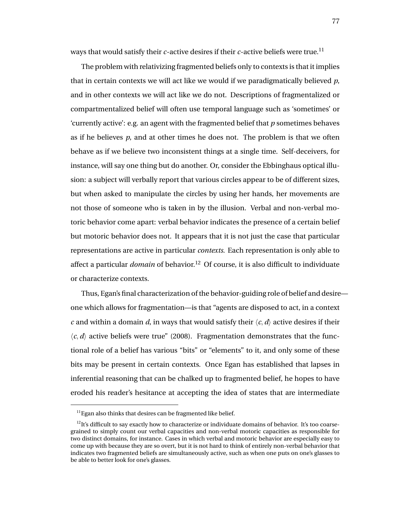ways that would satisfy their  $c$ -active desires if their  $c$ -active beliefs were true.<sup>11</sup>

The problem with relativizing fragmented beliefs only to contexts is that it implies that in certain contexts we will act like we would if we paradigmatically believed *p*, and in other contexts we will act like we do not. Descriptions of fragmentalized or compartmentalized belief will often use temporal language such as 'sometimes' or 'currently active': e.g. an agent with the fragmented belief that *p* sometimes behaves as if he believes *p*, and at other times he does not. The problem is that we often behave as if we believe two inconsistent things at a single time. Self-deceivers, for instance, will say one thing but do another. Or, consider the Ebbinghaus optical illusion: a subject will verbally report that various circles appear to be of different sizes, but when asked to manipulate the circles by using her hands, her movements are not those of someone who is taken in by the illusion. Verbal and non-verbal motoric behavior come apart: verbal behavior indicates the presence of a certain belief but motoric behavior does not. It appears that it is not just the case that particular representations are active in particular *contexts*. Each representation is only able to affect a particular *domain* of behavior.<sup>12</sup> Of course, it is also difficult to individuate or characterize contexts.

Thus, Egan's final characterization of the behavior-guiding role of belief and desire one which allows for fragmentation—is that "agents are disposed to act, in a context *c* and within a domain *d*, in ways that would satisfy their  $\langle c, d \rangle$  active desires if their  $\langle c, d \rangle$  active beliefs were true" (2008). Fragmentation demonstrates that the functional role of a belief has various "bits" or "elements" to it, and only some of these bits may be present in certain contexts. Once Egan has established that lapses in inferential reasoning that can be chalked up to fragmented belief, he hopes to have eroded his reader's hesitance at accepting the idea of states that are intermediate

 $11$  Egan also thinks that desires can be fragmented like belief.

 $^{12}$ It's difficult to say exactly how to characterize or individuate domains of behavior. It's too coarsegrained to simply count our verbal capacities and non-verbal motoric capacities as responsible for two distinct domains, for instance. Cases in which verbal and motoric behavior are especially easy to come up with because they are so overt, but it is not hard to think of entirely non-verbal behavior that indicates two fragmented beliefs are simultaneously active, such as when one puts on one's glasses to be able to better look for one's glasses.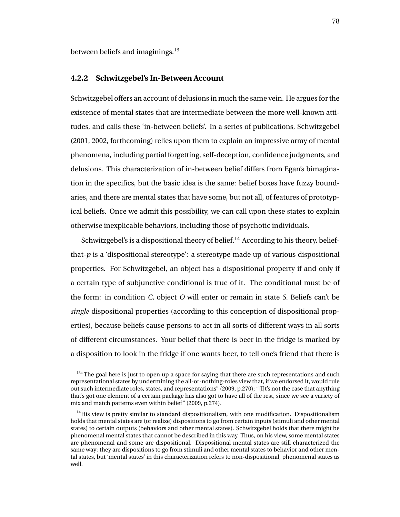between beliefs and imaginings.<sup>13</sup>

#### **4.2.2 Schwitzgebel's In-Between Account**

Schwitzgebel offers an account of delusions in much the same vein. He argues for the existence of mental states that are intermediate between the more well-known attitudes, and calls these 'in-between beliefs'. In a series of publications, Schwitzgebel (2001, 2002, forthcoming) relies upon them to explain an impressive array of mental phenomena, including partial forgetting, self-deception, confidence judgments, and delusions. This characterization of in-between belief differs from Egan's bimagination in the specifics, but the basic idea is the same: belief boxes have fuzzy boundaries, and there are mental states that have some, but not all, of features of prototypical beliefs. Once we admit this possibility, we can call upon these states to explain otherwise inexplicable behaviors, including those of psychotic individuals.

Schwitzgebel's is a dispositional theory of belief.<sup>14</sup> According to his theory, beliefthat- $p$  is a 'dispositional stereotype': a stereotype made up of various dispositional properties. For Schwitzgebel, an object has a dispositional property if and only if a certain type of subjunctive conditional is true of it. The conditional must be of the form: in condition *C*, object *O* will enter or remain in state *S*. Beliefs can't be *single* dispositional properties (according to this conception of dispositional properties), because beliefs cause persons to act in all sorts of different ways in all sorts of different circumstances. Your belief that there is beer in the fridge is marked by a disposition to look in the fridge if one wants beer, to tell one's friend that there is

<sup>&</sup>lt;sup>13</sup>"The goal here is just to open up a space for saying that there are such representations and such representational states by undermining the all-or-nothing-roles view that, if we endorsed it, would rule out such intermediate roles, states, and representations" (2009, p.270); "[I]t's not the case that anything that's got one element of a certain package has also got to have all of the rest, since we see a variety of mix and match patterns even within belief" (2009, p.274).

 $<sup>14</sup>$ His view is pretty similar to standard dispositionalism, with one modification. Dispositionalism</sup> holds that mental states are (or realize) dispositions to go from certain inputs (stimuli and other mental states) to certain outputs (behaviors and other mental states). Schwitzgebel holds that there might be phenomenal mental states that cannot be described in this way. Thus, on his view, some mental states are phenomenal and some are dispositional. Dispositional mental states are still characterized the same way: they are dispositions to go from stimuli and other mental states to behavior and other mental states, but 'mental states' in this characterization refers to non-dispositional, phenomenal states as well.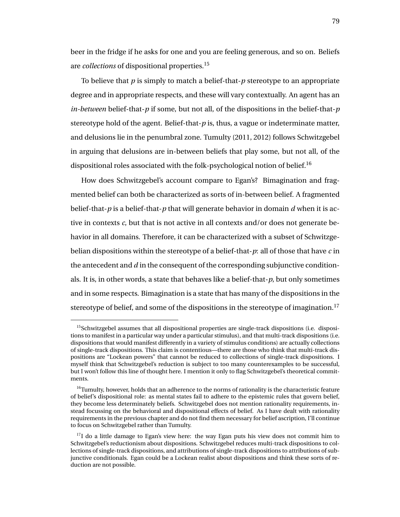beer in the fridge if he asks for one and you are feeling generous, and so on. Beliefs are *collections* of dispositional properties.<sup>15</sup>

To believe that *p* is simply to match a belief-that-*p* stereotype to an appropriate degree and in appropriate respects, and these will vary contextually. An agent has an *in-between* belief-that-*p* if some, but not all, of the dispositions in the belief-that-*p* stereotype hold of the agent. Belief-that-*p* is, thus, a vague or indeterminate matter, and delusions lie in the penumbral zone. Tumulty (2011, 2012) follows Schwitzgebel in arguing that delusions are in-between beliefs that play some, but not all, of the dispositional roles associated with the folk-psychological notion of belief.<sup>16</sup>

How does Schwitzgebel's account compare to Egan's? Bimagination and fragmented belief can both be characterized as sorts of in-between belief. A fragmented belief-that-*p* is a belief-that-*p* that will generate behavior in domain *d* when it is active in contexts *c*, but that is not active in all contexts and/or does not generate behavior in all domains. Therefore, it can be characterized with a subset of Schwitzgebelian dispositions within the stereotype of a belief-that-*p*: all of those that have *c* in the antecedent and *d* in the consequent of the corresponding subjunctive conditionals. It is, in other words, a state that behaves like a belief-that-*p*, but only sometimes and in some respects. Bimagination is a state that has many of the dispositions in the stereotype of belief, and some of the dispositions in the stereotype of imagination.<sup>17</sup>

 $15$ Schwitzgebel assumes that all dispositional properties are single-track dispositions (i.e. dispositions to manifest in a particular way under a particular stimulus), and that multi-track dispositions (i.e. dispositions that would manifest differently in a variety of stimulus conditions) are actually collections of single-track dispositions. This claim is contentious—there are those who think that multi-track dispositions are "Lockean powers" that cannot be reduced to collections of single-track dispositions. I myself think that Schwitzgebel's reduction is subject to too many counterexamples to be successful, but I won't follow this line of thought here. I mention it only to flag Schwitzgebel's theoretical commitments.

 $16$ Tumulty, however, holds that an adherence to the norms of rationality is the characteristic feature of belief's dispositional role: as mental states fail to adhere to the epistemic rules that govern belief, they become less determinately beliefs. Schwitzgebel does not mention rationality requirements, instead focussing on the behavioral and dispositional effects of belief. As I have dealt with rationality requirements in the previous chapter and do not find them necessary for belief ascription, I'll continue to focus on Schwitzgebel rather than Tumulty.

 $17I$  do a little damage to Egan's view here: the way Egan puts his view does not commit him to Schwitzgebel's reductionism about dispositions. Schwitzgebel reduces multi-track dispositions to collections of single-track dispositions, and attributions of single-track dispositions to attributions of subjunctive conditionals. Egan could be a Lockean realist about dispositions and think these sorts of reduction are not possible.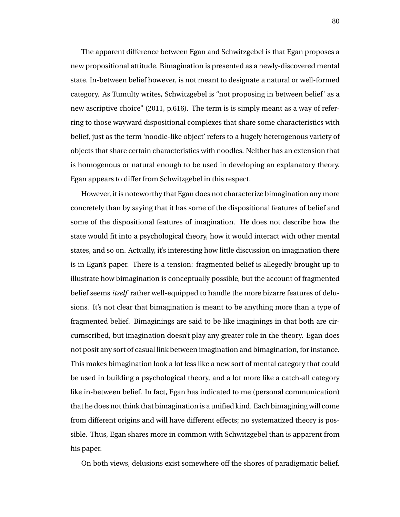The apparent difference between Egan and Schwitzgebel is that Egan proposes a new propositional attitude. Bimagination is presented as a newly-discovered mental state. In-between belief however, is not meant to designate a natural or well-formed category. As Tumulty writes, Schwitzgebel is "not proposing in between belief' as a new ascriptive choice" (2011, p.616). The term is is simply meant as a way of referring to those wayward dispositional complexes that share some characteristics with belief, just as the term 'noodle-like object' refers to a hugely heterogenous variety of objects that share certain characteristics with noodles. Neither has an extension that is homogenous or natural enough to be used in developing an explanatory theory. Egan appears to differ from Schwitzgebel in this respect.

However, it is noteworthy that Egan does not characterize bimagination any more concretely than by saying that it has some of the dispositional features of belief and some of the dispositional features of imagination. He does not describe how the state would fit into a psychological theory, how it would interact with other mental states, and so on. Actually, it's interesting how little discussion on imagination there is in Egan's paper. There is a tension: fragmented belief is allegedly brought up to illustrate how bimagination is conceptually possible, but the account of fragmented belief seems *itself* rather well-equipped to handle the more bizarre features of delusions. It's not clear that bimagination is meant to be anything more than a type of fragmented belief. Bimaginings are said to be like imaginings in that both are circumscribed, but imagination doesn't play any greater role in the theory. Egan does not posit any sort of casual link between imagination and bimagination, for instance. This makes bimagination look a lot less like a new sort of mental category that could be used in building a psychological theory, and a lot more like a catch-all category like in-between belief. In fact, Egan has indicated to me (personal communication) that he does not think that bimagination is a unified kind. Each bimagining will come from different origins and will have different effects; no systematized theory is possible. Thus, Egan shares more in common with Schwitzgebel than is apparent from his paper.

On both views, delusions exist somewhere off the shores of paradigmatic belief.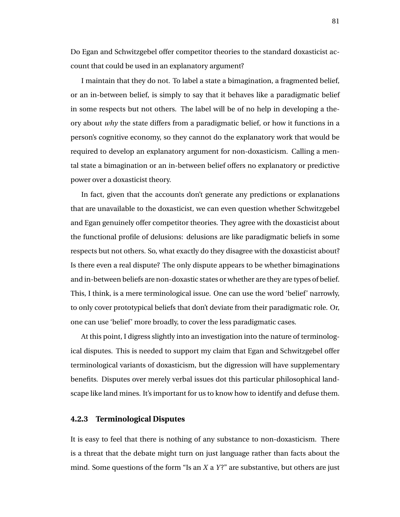Do Egan and Schwitzgebel offer competitor theories to the standard doxasticist account that could be used in an explanatory argument?

I maintain that they do not. To label a state a bimagination, a fragmented belief, or an in-between belief, is simply to say that it behaves like a paradigmatic belief in some respects but not others. The label will be of no help in developing a theory about *why* the state differs from a paradigmatic belief, or how it functions in a person's cognitive economy, so they cannot do the explanatory work that would be required to develop an explanatory argument for non-doxasticism. Calling a mental state a bimagination or an in-between belief offers no explanatory or predictive power over a doxasticist theory.

In fact, given that the accounts don't generate any predictions or explanations that are unavailable to the doxasticist, we can even question whether Schwitzgebel and Egan genuinely offer competitor theories. They agree with the doxasticist about the functional profile of delusions: delusions are like paradigmatic beliefs in some respects but not others. So, what exactly do they disagree with the doxasticist about? Is there even a real dispute? The only dispute appears to be whether bimaginations and in-between beliefs are non-doxastic states or whether are they are types of belief. This, I think, is a mere terminological issue. One can use the word 'belief' narrowly, to only cover prototypical beliefs that don't deviate from their paradigmatic role. Or, one can use 'belief' more broadly, to cover the less paradigmatic cases.

At this point, I digress slightly into an investigation into the nature of terminological disputes. This is needed to support my claim that Egan and Schwitzgebel offer terminological variants of doxasticism, but the digression will have supplementary benefits. Disputes over merely verbal issues dot this particular philosophical landscape like land mines. It's important for us to know how to identify and defuse them.

#### **4.2.3 Terminological Disputes**

It is easy to feel that there is nothing of any substance to non-doxasticism. There is a threat that the debate might turn on just language rather than facts about the mind. Some questions of the form "Is an *X* a *Y* ?" are substantive, but others are just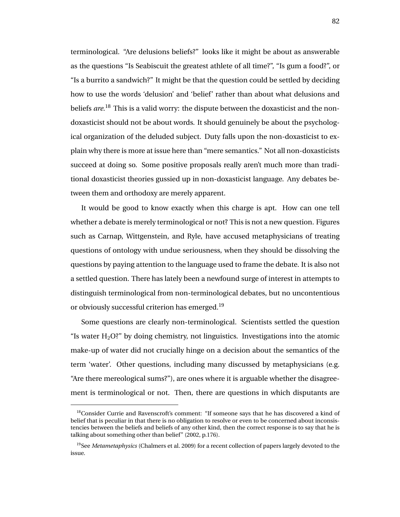terminological. "Are delusions beliefs?" looks like it might be about as answerable as the questions "Is Seabiscuit the greatest athlete of all time?", "Is gum a food?", or "Is a burrito a sandwich?" It might be that the question could be settled by deciding how to use the words 'delusion' and 'belief' rather than about what delusions and beliefs *are*. <sup>18</sup> This is a valid worry: the dispute between the doxasticist and the nondoxasticist should not be about words. It should genuinely be about the psychological organization of the deluded subject. Duty falls upon the non-doxasticist to explain why there is more at issue here than "mere semantics." Not all non-doxasticists succeed at doing so. Some positive proposals really aren't much more than traditional doxasticist theories gussied up in non-doxasticist language. Any debates between them and orthodoxy are merely apparent.

It would be good to know exactly when this charge is apt. How can one tell whether a debate is merely terminological or not? This is not a new question. Figures such as Carnap, Wittgenstein, and Ryle, have accused metaphysicians of treating questions of ontology with undue seriousness, when they should be dissolving the questions by paying attention to the language used to frame the debate. It is also not a settled question. There has lately been a newfound surge of interest in attempts to distinguish terminological from non-terminological debates, but no uncontentious or obviously successful criterion has emerged.<sup>19</sup>

Some questions are clearly non-terminological. Scientists settled the question "Is water  $H_2O$ ?" by doing chemistry, not linguistics. Investigations into the atomic make-up of water did not crucially hinge on a decision about the semantics of the term 'water'. Other questions, including many discussed by metaphysicians (e.g. "Are there mereological sums?"), are ones where it is arguable whether the disagreement is terminological or not. Then, there are questions in which disputants are

<sup>&</sup>lt;sup>18</sup>Consider Currie and Ravenscroft's comment: "If someone says that he has discovered a kind of belief that is peculiar in that there is no obligation to resolve or even to be concerned about inconsistencies between the beliefs and beliefs of any other kind, then the correct response is to say that he is talking about something other than belief" (2002, p.176).

<sup>19</sup>See *Metametaphysics* (Chalmers et al. 2009) for a recent collection of papers largely devoted to the issue.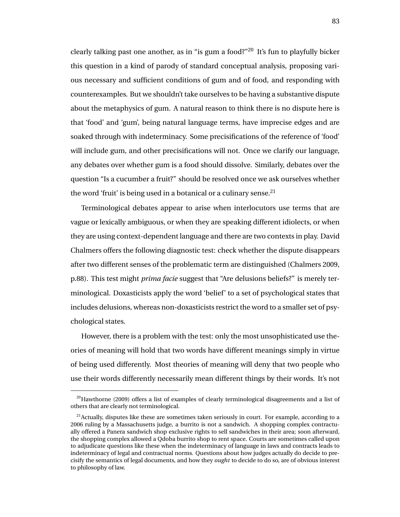clearly talking past one another, as in "is gum a food?"<sup>20</sup> It's fun to playfully bicker this question in a kind of parody of standard conceptual analysis, proposing various necessary and sufficient conditions of gum and of food, and responding with counterexamples. But we shouldn't take ourselves to be having a substantive dispute about the metaphysics of gum. A natural reason to think there is no dispute here is that 'food' and 'gum', being natural language terms, have imprecise edges and are soaked through with indeterminacy. Some precisifications of the reference of 'food' will include gum, and other precisifications will not. Once we clarify our language, any debates over whether gum is a food should dissolve. Similarly, debates over the question "Is a cucumber a fruit?" should be resolved once we ask ourselves whether the word 'fruit' is being used in a botanical or a culinary sense.<sup>21</sup>

Terminological debates appear to arise when interlocutors use terms that are vague or lexically ambiguous, or when they are speaking different idiolects, or when they are using context-dependent language and there are two contexts in play. David Chalmers offers the following diagnostic test: check whether the dispute disappears after two different senses of the problematic term are distinguished (Chalmers 2009, p.88). This test might *prima facie* suggest that "Are delusions beliefs?" is merely terminological. Doxasticists apply the word 'belief' to a set of psychological states that includes delusions, whereas non-doxasticists restrict the word to a smaller set of psychological states.

However, there is a problem with the test: only the most unsophisticated use theories of meaning will hold that two words have different meanings simply in virtue of being used differently. Most theories of meaning will deny that two people who use their words differently necessarily mean different things by their words. It's not

<sup>&</sup>lt;sup>20</sup>Hawthorne (2009) offers a list of examples of clearly terminological disagreements and a list of others that are clearly not terminological.

 $^{21}$ Actually, disputes like these are sometimes taken seriously in court. For example, according to a 2006 ruling by a Massachusetts judge, a burrito is not a sandwich. A shopping complex contractually offered a Panera sandwich shop exclusive rights to sell sandwiches in their area; soon afterward, the shopping complex allowed a Qdoba burrito shop to rent space. Courts are sometimes called upon to adjudicate questions like these when the indeterminacy of language in laws and contracts leads to indeterminacy of legal and contractual norms. Questions about how judges actually do decide to precisify the semantics of legal documents, and how they *ought* to decide to do so, are of obvious interest to philosophy of law.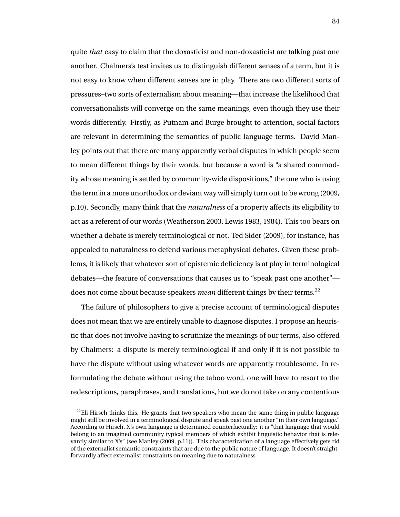quite *that* easy to claim that the doxasticist and non-doxasticist are talking past one another. Chalmers's test invites us to distinguish different senses of a term, but it is not easy to know when different senses are in play. There are two different sorts of pressures–two sorts of externalism about meaning—that increase the likelihood that conversationalists will converge on the same meanings, even though they use their words differently. Firstly, as Putnam and Burge brought to attention, social factors are relevant in determining the semantics of public language terms. David Manley points out that there are many apparently verbal disputes in which people seem to mean different things by their words, but because a word is "a shared commodity whose meaning is settled by community-wide dispositions," the one who is using the term in a more unorthodox or deviant way will simply turn out to be wrong (2009, p.10). Secondly, many think that the *naturalness* of a property affects its eligibility to act as a referent of our words (Weatherson 2003, Lewis 1983, 1984). This too bears on whether a debate is merely terminological or not. Ted Sider (2009), for instance, has appealed to naturalness to defend various metaphysical debates. Given these problems, it is likely that whatever sort of epistemic deficiency is at play in terminological debates—the feature of conversations that causes us to "speak past one another" does not come about because speakers *mean* different things by their terms.<sup>22</sup>

The failure of philosophers to give a precise account of terminological disputes does not mean that we are entirely unable to diagnose disputes. I propose an heuristic that does not involve having to scrutinize the meanings of our terms, also offered by Chalmers: a dispute is merely terminological if and only if it is not possible to have the dispute without using whatever words are apparently troublesome. In reformulating the debate without using the taboo word, one will have to resort to the redescriptions, paraphrases, and translations, but we do not take on any contentious

 $^{22}$ Eli Hirsch thinks this. He grants that two speakers who mean the same thing in public language might still be involved in a terminological dispute and speak past one another "in their own language." According to Hirsch, X's own language is determined counterfactually: it is "that language that would belong to an imagined community typical members of which exhibit linguistic behavior that is relevantly similar to X's" (see Manley (2009, p.11)). This characterization of a language effectively gets rid of the externalist semantic constraints that are due to the public nature of language. It doesn't straightforwardly affect externalist constraints on meaning due to naturalness.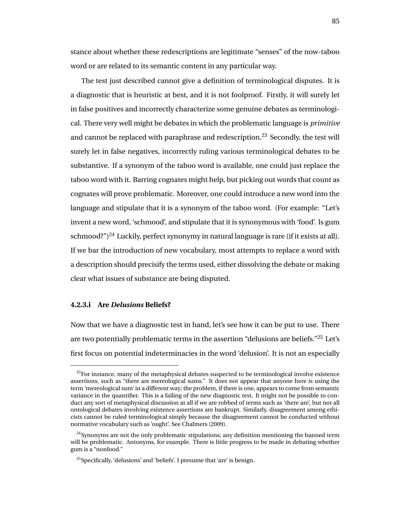stance about whether these redescriptions are legitimate "senses" of the now-taboo word or are related to its semantic content in any particular way.

The test just described cannot give a definition of terminological disputes. It is a diagnostic that is heuristic at best, and it is not foolproof. Firstly, it will surely let in false positives and incorrectly characterize some genuine debates as terminological. There very well might be debates in which the problematic language is *primitive* and cannot be replaced with paraphrase and redescription.<sup>23</sup> Secondly, the test will surely let in false negatives, incorrectly ruling various terminological debates to be substantive. If a synonym of the taboo word is available, one could just replace the taboo word with it. Barring cognates might help, but picking out words that count as cognates will prove problematic. Moreover, one could introduce a new word into the language and stipulate that it is a synonym of the taboo word. (For example: "Let's invent a new word, 'schmood', and stipulate that it is synonymous with 'food'. Is gum schmood?")<sup>24</sup> Luckily, perfect synonymy in natural language is rare (if it exists at all). If we bar the introduction of new vocabulary, most attempts to replace a word with a description should precisify the terms used, either dissolving the debate or making clear what issues of substance are being disputed.

### **4.2.3.i Are** *Delusions* **Beliefs?**

Now that we have a diagnostic test in hand, let's see how it can be put to use. There are two potentially problematic terms in the assertion "delusions are beliefs."<sup>25</sup> Let's first focus on potential indeterminacies in the word 'delusion'. It is not an especially

 $23$  For instance, many of the metaphysical debates suspected to be terminological involve existence assertions, such as "there are mereological sums." It does not appear that anyone here is using the term 'mereological sum' in a different way; the problem, if there is one, appears to come from semantic variance in the quantifier. This is a failing of the new diagnostic test. It might not be possible to conduct any sort of metaphysical discussion at all if we are robbed of terms such as 'there are', but not all ontological debates involving existence assertions are bankrupt. Similarly, disagreement among ethicists cannot be ruled terminological simply because the disagreement cannot be conducted without normative vocabulary such as 'ought'. See Chalmers (2009).

 $^{24}$ Synonyms are not the only problematic stipulations; any definition mentioning the banned term will be problematic. Antonyms, for example. There is little progress to be made in debating whether gum is a "nonfood."

<sup>&</sup>lt;sup>25</sup>Specifically, 'delusions' and 'beliefs'. I presume that 'are' is benign.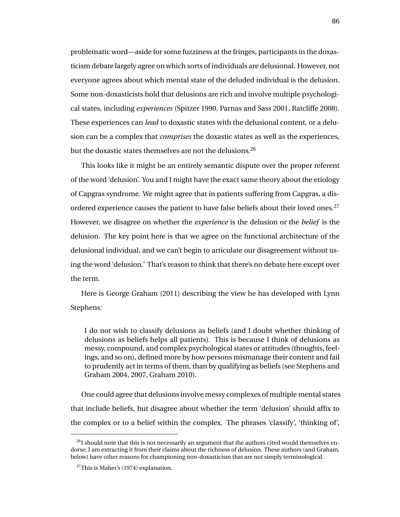problematic word—aside for some fuzziness at the fringes, participants in the doxasticism debate largely agree on which sorts of individuals are delusional. However, not everyone agrees about which mental state of the deluded individual is the delusion. Some non-doxasticists hold that delusions are rich and involve multiple psychological states, including *experiences* (Spitzer 1990, Parnas and Sass 2001, Ratcliffe 2008). These experiences can *lead* to doxastic states with the delusional content, or a delusion can be a complex that *comprises* the doxastic states as well as the experiences, but the doxastic states themselves are not the delusions.<sup>26</sup>

This looks like it might be an entirely semantic dispute over the proper referent of the word 'delusion'. You and I might have the exact same theory about the etiology of Capgras syndrome. We might agree that in patients suffering from Capgras, a disordered experience causes the patient to have false beliefs about their loved ones.<sup>27</sup> However, we disagree on whether the *experience* is the delusion or the *belief* is the delusion. The key point here is that we agree on the functional architecture of the delusional individual, and we can't begin to articulate our disagreement without using the word 'delusion.' That's reason to think that there's no debate here except over the term.

Here is George Graham (2011) describing the view he has developed with Lynn Stephens:

I do not wish to classify delusions as beliefs (and I doubt whether thinking of delusions as beliefs helps all patients). This is because I think of delusions as messy, compound, and complex psychological states or attitudes (thoughts, feelings, and so on), defined more by how persons mismanage their content and fail to prudently act in terms of them, than by qualifying as beliefs (see Stephens and Graham 2004, 2007, Graham 2010).

One could agree that delusions involve messy complexes of multiple mental states that include beliefs, but disagree about whether the term 'delusion' should affix to the complex or to a belief within the complex. The phrases 'classify', 'thinking of',

 $^{26}$ I should note that this is not necessarily an argument that the authors cited would themselves endorse; I am extracting it from their claims about the richness of delusion. These authors (and Graham, below) have other reasons for championing non-doxasticism that are not simply terminological.

 $27$ This is Maher's (1974) explanation.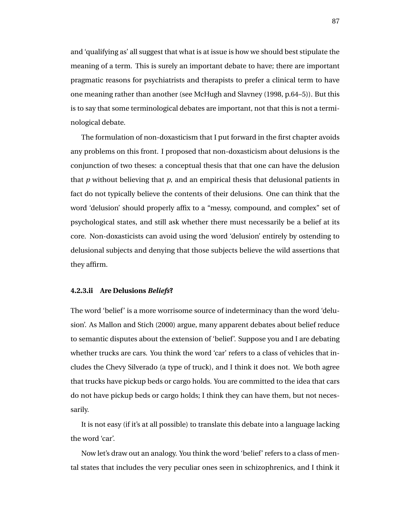and 'qualifying as' all suggest that what is at issue is how we should best stipulate the meaning of a term. This is surely an important debate to have; there are important pragmatic reasons for psychiatrists and therapists to prefer a clinical term to have one meaning rather than another (see McHugh and Slavney (1998, p.64–5)). But this is to say that some terminological debates are important, not that this is not a terminological debate.

The formulation of non-doxasticism that I put forward in the first chapter avoids any problems on this front. I proposed that non-doxasticism about delusions is the conjunction of two theses: a conceptual thesis that that one can have the delusion that *p* without believing that *p*, and an empirical thesis that delusional patients in fact do not typically believe the contents of their delusions. One can think that the word 'delusion' should properly affix to a "messy, compound, and complex" set of psychological states, and still ask whether there must necessarily be a belief at its core. Non-doxasticists can avoid using the word 'delusion' entirely by ostending to delusional subjects and denying that those subjects believe the wild assertions that they affirm.

#### **4.2.3.ii Are Delusions** *Beliefs***?**

The word 'belief' is a more worrisome source of indeterminacy than the word 'delusion'. As Mallon and Stich (2000) argue, many apparent debates about belief reduce to semantic disputes about the extension of 'belief'. Suppose you and I are debating whether trucks are cars. You think the word 'car' refers to a class of vehicles that includes the Chevy Silverado (a type of truck), and I think it does not. We both agree that trucks have pickup beds or cargo holds. You are committed to the idea that cars do not have pickup beds or cargo holds; I think they can have them, but not necessarily.

It is not easy (if it's at all possible) to translate this debate into a language lacking the word 'car'.

Now let's draw out an analogy. You think the word 'belief' refers to a class of mental states that includes the very peculiar ones seen in schizophrenics, and I think it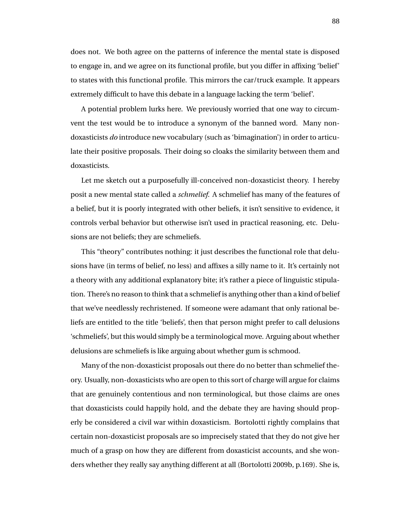does not. We both agree on the patterns of inference the mental state is disposed to engage in, and we agree on its functional profile, but you differ in affixing 'belief' to states with this functional profile. This mirrors the car/truck example. It appears extremely difficult to have this debate in a language lacking the term 'belief'.

A potential problem lurks here. We previously worried that one way to circumvent the test would be to introduce a synonym of the banned word. Many nondoxasticists *do* introduce new vocabulary (such as 'bimagination') in order to articulate their positive proposals. Their doing so cloaks the similarity between them and doxasticists.

Let me sketch out a purposefully ill-conceived non-doxasticist theory. I hereby posit a new mental state called a *schmelief*. A schmelief has many of the features of a belief, but it is poorly integrated with other beliefs, it isn't sensitive to evidence, it controls verbal behavior but otherwise isn't used in practical reasoning, etc. Delusions are not beliefs; they are schmeliefs.

This "theory" contributes nothing: it just describes the functional role that delusions have (in terms of belief, no less) and affixes a silly name to it. It's certainly not a theory with any additional explanatory bite; it's rather a piece of linguistic stipulation. There's no reason to think that a schmelief is anything other than a kind of belief that we've needlessly rechristened. If someone were adamant that only rational beliefs are entitled to the title 'beliefs', then that person might prefer to call delusions 'schmeliefs', but this would simply be a terminological move. Arguing about whether delusions are schmeliefs is like arguing about whether gum is schmood.

Many of the non-doxasticist proposals out there do no better than schmelief theory. Usually, non-doxasticists who are open to this sort of charge will argue for claims that are genuinely contentious and non terminological, but those claims are ones that doxasticists could happily hold, and the debate they are having should properly be considered a civil war within doxasticism. Bortolotti rightly complains that certain non-doxasticist proposals are so imprecisely stated that they do not give her much of a grasp on how they are different from doxasticist accounts, and she wonders whether they really say anything different at all (Bortolotti 2009b, p.169). She is,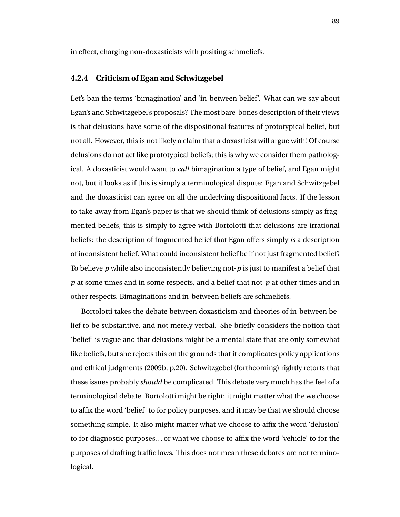in effect, charging non-doxasticists with positing schmeliefs.

### **4.2.4 Criticism of Egan and Schwitzgebel**

Let's ban the terms 'bimagination' and 'in-between belief'. What can we say about Egan's and Schwitzgebel's proposals? The most bare-bones description of their views is that delusions have some of the dispositional features of prototypical belief, but not all. However, this is not likely a claim that a doxasticist will argue with! Of course delusions do not act like prototypical beliefs; this is why we consider them pathological. A doxasticist would want to *call* bimagination a type of belief, and Egan might not, but it looks as if this is simply a terminological dispute: Egan and Schwitzgebel and the doxasticist can agree on all the underlying dispositional facts. If the lesson to take away from Egan's paper is that we should think of delusions simply as fragmented beliefs, this is simply to agree with Bortolotti that delusions are irrational beliefs: the description of fragmented belief that Egan offers simply *is* a description of inconsistent belief. What could inconsistent belief be if not just fragmented belief? To believe *p* while also inconsistently believing not-*p* is just to manifest a belief that *p* at some times and in some respects, and a belief that not-*p* at other times and in other respects. Bimaginations and in-between beliefs are schmeliefs.

Bortolotti takes the debate between doxasticism and theories of in-between belief to be substantive, and not merely verbal. She briefly considers the notion that 'belief' is vague and that delusions might be a mental state that are only somewhat like beliefs, but she rejects this on the grounds that it complicates policy applications and ethical judgments (2009b, p.20). Schwitzgebel (forthcoming) rightly retorts that these issues probably *should* be complicated. This debate very much has the feel of a terminological debate. Bortolotti might be right: it might matter what the we choose to affix the word 'belief' to for policy purposes, and it may be that we should choose something simple. It also might matter what we choose to affix the word 'delusion' to for diagnostic purposes. . . or what we choose to affix the word 'vehicle' to for the purposes of drafting traffic laws. This does not mean these debates are not terminological.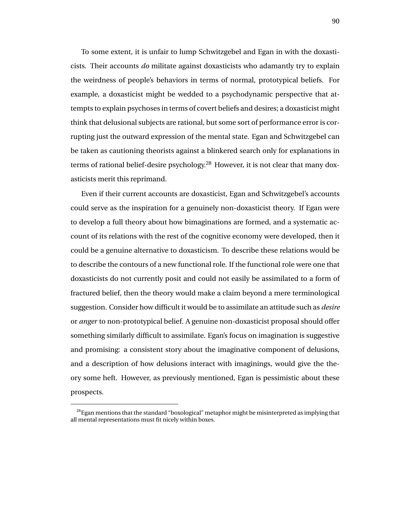To some extent, it is unfair to lump Schwitzgebel and Egan in with the doxasticists. Their accounts *do* militate against doxasticists who adamantly try to explain the weirdness of people's behaviors in terms of normal, prototypical beliefs. For example, a doxasticist might be wedded to a psychodynamic perspective that attempts to explain psychoses in terms of covert beliefs and desires; a doxasticist might think that delusional subjects are rational, but some sort of performance error is corrupting just the outward expression of the mental state. Egan and Schwitzgebel can be taken as cautioning theorists against a blinkered search only for explanations in terms of rational belief-desire psychology.<sup>28</sup> However, it is not clear that many doxasticists merit this reprimand.

Even if their current accounts are doxasticist, Egan and Schwitzgebel's accounts could serve as the inspiration for a genuinely non-doxasticist theory. If Egan were to develop a full theory about how bimaginations are formed, and a systematic account of its relations with the rest of the cognitive economy were developed, then it could be a genuine alternative to doxasticism. To describe these relations would be to describe the contours of a new functional role. If the functional role were one that doxasticists do not currently posit and could not easily be assimilated to a form of fractured belief, then the theory would make a claim beyond a mere terminological suggestion. Consider how difficult it would be to assimilate an attitude such as *desire* or *anger* to non-prototypical belief. A genuine non-doxasticist proposal should offer something similarly difficult to assimilate. Egan's focus on imagination is suggestive and promising: a consistent story about the imaginative component of delusions, and a description of how delusions interact with imaginings, would give the theory some heft. However, as previously mentioned, Egan is pessimistic about these prospects.

 $^{28}$ Egan mentions that the standard "boxological" metaphor might be misinterpreted as implying that all mental representations must fit nicely within boxes.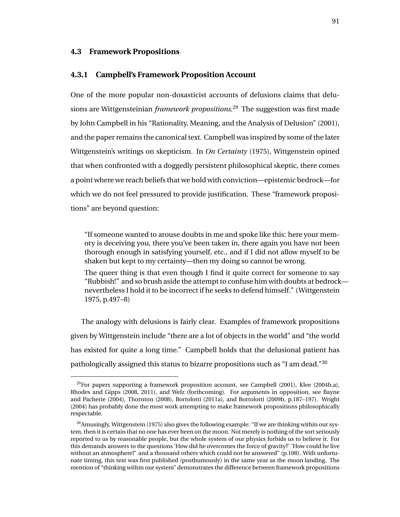### **4.3 Framework Propositions**

#### **4.3.1 Campbell's Framework Proposition Account**

One of the more popular non-doxasticist accounts of delusions claims that delusions are Wittgensteinian *framework propositions*. <sup>29</sup> The suggestion was first made by John Campbell in his "Rationality, Meaning, and the Analysis of Delusion" (2001), and the paper remains the canonical text. Campbell was inspired by some of the later Wittgenstein's writings on skepticism. In *On Certainty* (1975), Wittgenstein opined that when confronted with a doggedly persistent philosophical skeptic, there comes a point where we reach beliefs that we hold with conviction—epistemic bedrock—for which we do not feel pressured to provide justification. These "framework propositions" are beyond question:

"If someone wanted to arouse doubts in me and spoke like this: here your memory is deceiving you, there you've been taken in, there again you have not been thorough enough in satisfying yourself, etc., and if I did not allow myself to be shaken but kept to my certainty—then my doing so cannot be wrong.

The queer thing is that even though I find it quite correct for someone to say "Rubbish!" and so brush aside the attempt to confuse him with doubts at bedrock nevertheless I hold it to be incorrect if he seeks to defend himself." (Wittgenstein 1975, p.497–8)

The analogy with delusions is fairly clear. Examples of framework propositions given by Wittgenstein include "there are a lot of objects in the world" and "the world has existed for quite a long time." Campbell holds that the delusional patient has pathologically assigned this status to bizarre propositions such as "I am dead."<sup>30</sup>

 $^{29}$ For papers supporting a framework proposition account, see Campbell (2001), Klee (2004b,a), Rhodes and Gipps (2008, 2011), and Welz (forthcoming). For arguments in opposition, see Bayne and Pacherie (2004), Thornton (2008), Bortolotti (2011a), and Bortolotti (2009b, p.187–197). Wright (2004) has probably done the most work attempting to make framework propositions philosophically respectable.

 $30$ Amusingly, Wittgenstein (1975) also gives the following example: "If we are thinking within our system, then it is certain that no one has ever been on the moon. Not merely is nothing of the sort seriously reported to us by reasonable people, but the whole system of our physics forbids us to believe it. For this demands answers to the questions 'How did he overcomes the force of gravity?' 'How could he live without an atmosphere?' and a thousand others which could not be answered" (p.108). With unfortunate timing, this text was first published (posthumously) in the same year as the moon landing. The mention of "thinking within our system" demonstrates the difference between framework propositions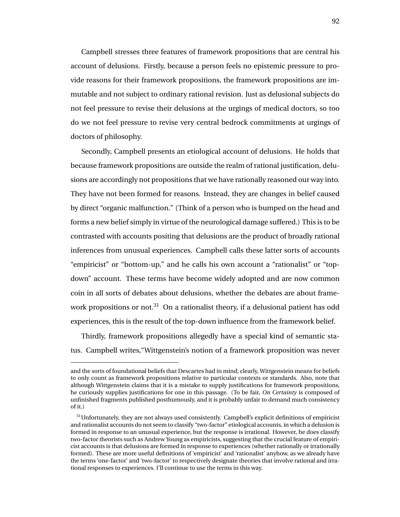Campbell stresses three features of framework propositions that are central his account of delusions. Firstly, because a person feels no epistemic pressure to provide reasons for their framework propositions, the framework propositions are immutable and not subject to ordinary rational revision. Just as delusional subjects do not feel pressure to revise their delusions at the urgings of medical doctors, so too do we not feel pressure to revise very central bedrock commitments at urgings of doctors of philosophy.

Secondly, Campbell presents an etiological account of delusions. He holds that because framework propositions are outside the realm of rational justification, delusions are accordingly not propositions that we have rationally reasoned our way into. They have not been formed for reasons. Instead, they are changes in belief caused by direct "organic malfunction." (Think of a person who is bumped on the head and forms a new belief simply in virtue of the neurological damage suffered.) This is to be contrasted with accounts positing that delusions are the product of broadly rational inferences from unusual experiences. Campbell calls these latter sorts of accounts "empiricist" or "bottom-up," and he calls his own account a "rationalist" or "topdown" account. These terms have become widely adopted and are now common coin in all sorts of debates about delusions, whether the debates are about framework propositions or not.<sup>31</sup> On a rationalist theory, if a delusional patient has odd experiences, this is the result of the top-down influence from the framework belief.

Thirdly, framework propositions allegedly have a special kind of semantic status. Campbell writes,"Wittgenstein's notion of a framework proposition was never

and the sorts of foundational beliefs that Descartes had in mind; clearly, Wittgenstein means for beliefs to only count as framework propositions relative to particular contexts or standards. Also, note that although Wittgenstein claims that it is a mistake to supply justifications for framework propositions, he curiously supplies justifications for one in this passage. (To be fair, *On Certainty* is composed of unfinished fragments published posthumously, and it is probably unfair to demand much consistency of it.)

 $31$ Unfortunately, they are not always used consistently. Campbell's explicit definitions of empiricist and rationalist accounts do not seem to classify "two-factor" etiological accounts, in which a delusion is formed in response to an unusual experience, but the response is irrational. However, he does classify two-factor theorists such as Andrew Young as empiricists, suggesting that the crucial feature of empiricist accounts is that delusions are formed in response to experiences (whether rationally or irrationally formed). These are more useful definitions of 'empiricist' and 'rationalist' anyhow, as we already have the terms 'one-factor' and 'two-factor' to respectively designate theories that involve rational and irrational responses to experiences. I'll continue to use the terms in this way.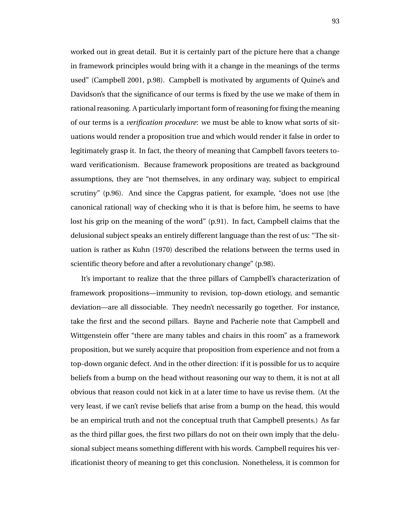worked out in great detail. But it is certainly part of the picture here that a change in framework principles would bring with it a change in the meanings of the terms used" (Campbell 2001, p.98). Campbell is motivated by arguments of Quine's and Davidson's that the significance of our terms is fixed by the use we make of them in rational reasoning. A particularly important form of reasoning for fixing the meaning of our terms is a *verification procedure*: we must be able to know what sorts of situations would render a proposition true and which would render it false in order to legitimately grasp it. In fact, the theory of meaning that Campbell favors teeters toward verificationism. Because framework propositions are treated as background assumptions, they are "not themselves, in any ordinary way, subject to empirical scrutiny" (p.96). And since the Capgras patient, for example, "does not use [the canonical rational] way of checking who it is that is before him, he seems to have lost his grip on the meaning of the word" (p.91). In fact, Campbell claims that the delusional subject speaks an entirely different language than the rest of us: "The situation is rather as Kuhn (1970) described the relations between the terms used in scientific theory before and after a revolutionary change" (p.98).

It's important to realize that the three pillars of Campbell's characterization of framework propositions—immunity to revision, top-down etiology, and semantic deviation—are all dissociable. They needn't necessarily go together. For instance, take the first and the second pillars. Bayne and Pacherie note that Campbell and Wittgenstein offer "there are many tables and chairs in this room" as a framework proposition, but we surely acquire that proposition from experience and not from a top-down organic defect. And in the other direction: if it is possible for us to acquire beliefs from a bump on the head without reasoning our way to them, it is not at all obvious that reason could not kick in at a later time to have us revise them. (At the very least, if we can't revise beliefs that arise from a bump on the head, this would be an empirical truth and not the conceptual truth that Campbell presents.) As far as the third pillar goes, the first two pillars do not on their own imply that the delusional subject means something different with his words. Campbell requires his verificationist theory of meaning to get this conclusion. Nonetheless, it is common for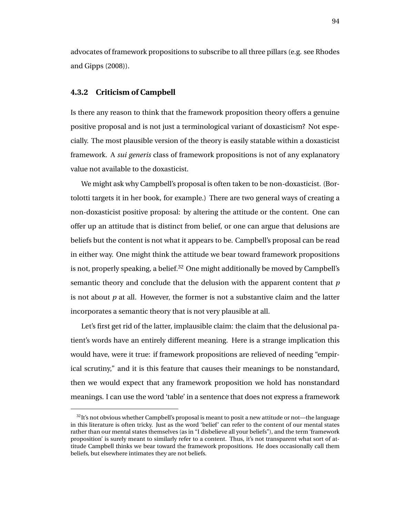advocates of framework propositions to subscribe to all three pillars (e.g. see Rhodes and Gipps (2008)).

### **4.3.2 Criticism of Campbell**

Is there any reason to think that the framework proposition theory offers a genuine positive proposal and is not just a terminological variant of doxasticism? Not especially. The most plausible version of the theory is easily statable within a doxasticist framework. A *sui generis* class of framework propositions is not of any explanatory value not available to the doxasticist.

We might ask why Campbell's proposal is often taken to be non-doxasticist. (Bortolotti targets it in her book, for example.) There are two general ways of creating a non-doxasticist positive proposal: by altering the attitude or the content. One can offer up an attitude that is distinct from belief, or one can argue that delusions are beliefs but the content is not what it appears to be. Campbell's proposal can be read in either way. One might think the attitude we bear toward framework propositions is not, properly speaking, a belief. $32$  One might additionally be moved by Campbell's semantic theory and conclude that the delusion with the apparent content that *p* is not about *p* at all. However, the former is not a substantive claim and the latter incorporates a semantic theory that is not very plausible at all.

Let's first get rid of the latter, implausible claim: the claim that the delusional patient's words have an entirely different meaning. Here is a strange implication this would have, were it true: if framework propositions are relieved of needing "empirical scrutiny," and it is this feature that causes their meanings to be nonstandard, then we would expect that any framework proposition we hold has nonstandard meanings. I can use the word 'table' in a sentence that does not express a framework

 $32$ It's not obvious whether Campbell's proposal is meant to posit a new attitude or not—the language in this literature is often tricky. Just as the word 'belief' can refer to the content of our mental states rather than our mental states themselves (as in "I disbelieve all your beliefs"), and the term 'framework proposition' is surely meant to similarly refer to a content. Thus, it's not transparent what sort of attitude Campbell thinks we bear toward the framework propositions. He does occasionally call them beliefs, but elsewhere intimates they are not beliefs.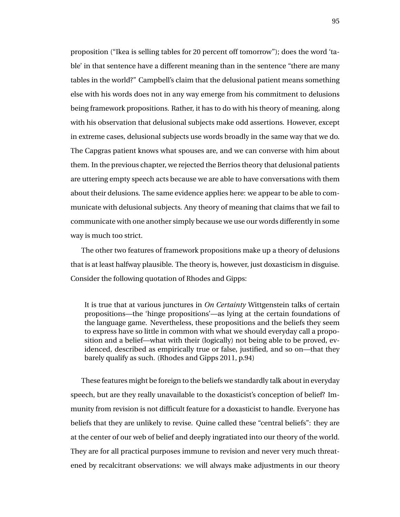proposition ("Ikea is selling tables for 20 percent off tomorrow"); does the word 'table' in that sentence have a different meaning than in the sentence "there are many tables in the world?" Campbell's claim that the delusional patient means something else with his words does not in any way emerge from his commitment to delusions being framework propositions. Rather, it has to do with his theory of meaning, along with his observation that delusional subjects make odd assertions. However, except in extreme cases, delusional subjects use words broadly in the same way that we do. The Capgras patient knows what spouses are, and we can converse with him about them. In the previous chapter, we rejected the Berrios theory that delusional patients are uttering empty speech acts because we are able to have conversations with them about their delusions. The same evidence applies here: we appear to be able to communicate with delusional subjects. Any theory of meaning that claims that we fail to communicate with one another simply because we use our words differently in some way is much too strict.

The other two features of framework propositions make up a theory of delusions that is at least halfway plausible. The theory is, however, just doxasticism in disguise. Consider the following quotation of Rhodes and Gipps:

It is true that at various junctures in *On Certainty* Wittgenstein talks of certain propositions—the 'hinge propositions'—as lying at the certain foundations of the language game. Nevertheless, these propositions and the beliefs they seem to express have so little in common with what we should everyday call a proposition and a belief—what with their (logically) not being able to be proved, evidenced, described as empirically true or false, justified, and so on—that they barely qualify as such. (Rhodes and Gipps 2011, p.94)

These features might be foreign to the beliefs we standardly talk about in everyday speech, but are they really unavailable to the doxasticist's conception of belief? Immunity from revision is not difficult feature for a doxasticist to handle. Everyone has beliefs that they are unlikely to revise. Quine called these "central beliefs": they are at the center of our web of belief and deeply ingratiated into our theory of the world. They are for all practical purposes immune to revision and never very much threatened by recalcitrant observations: we will always make adjustments in our theory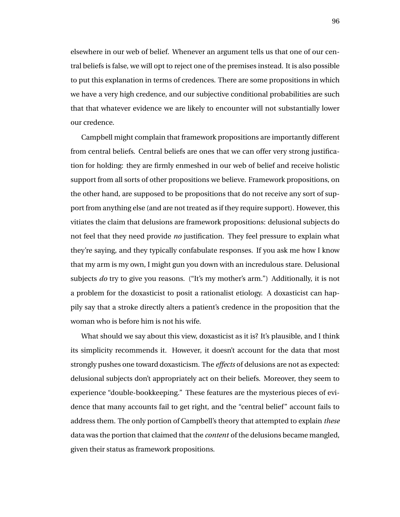elsewhere in our web of belief. Whenever an argument tells us that one of our central beliefs is false, we will opt to reject one of the premises instead. It is also possible to put this explanation in terms of credences. There are some propositions in which we have a very high credence, and our subjective conditional probabilities are such that that whatever evidence we are likely to encounter will not substantially lower our credence.

Campbell might complain that framework propositions are importantly different from central beliefs. Central beliefs are ones that we can offer very strong justification for holding: they are firmly enmeshed in our web of belief and receive holistic support from all sorts of other propositions we believe. Framework propositions, on the other hand, are supposed to be propositions that do not receive any sort of support from anything else (and are not treated as if they require support). However, this vitiates the claim that delusions are framework propositions: delusional subjects do not feel that they need provide *no* justification. They feel pressure to explain what they're saying, and they typically confabulate responses. If you ask me how I know that my arm is my own, I might gun you down with an incredulous stare. Delusional subjects *do* try to give you reasons. ("It's my mother's arm.") Additionally, it is not a problem for the doxasticist to posit a rationalist etiology. A doxasticist can happily say that a stroke directly alters a patient's credence in the proposition that the woman who is before him is not his wife.

What should we say about this view, doxasticist as it is? It's plausible, and I think its simplicity recommends it. However, it doesn't account for the data that most strongly pushes one toward doxasticism. The *effects* of delusions are not as expected: delusional subjects don't appropriately act on their beliefs. Moreover, they seem to experience "double-bookkeeping." These features are the mysterious pieces of evidence that many accounts fail to get right, and the "central belief" account fails to address them. The only portion of Campbell's theory that attempted to explain *these* data was the portion that claimed that the *content* of the delusions became mangled, given their status as framework propositions.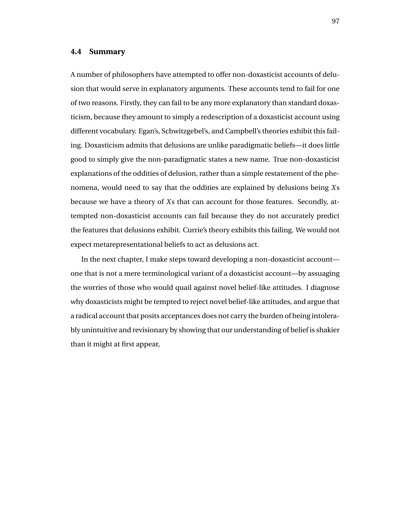#### **4.4 Summary**

A number of philosophers have attempted to offer non-doxasticist accounts of delusion that would serve in explanatory arguments. These accounts tend to fail for one of two reasons. Firstly, they can fail to be any more explanatory than standard doxasticism, because they amount to simply a redescription of a doxasticist account using different vocabulary. Egan's, Schwitzgebel's, and Campbell's theories exhibit this failing. Doxasticism admits that delusions are unlike paradigmatic beliefs—it does little good to simply give the non-paradigmatic states a new name. True non-doxasticist explanations of the oddities of delusion, rather than a simple restatement of the phenomena, would need to say that the oddities are explained by delusions being *X*s because we have a theory of *X*s that can account for those features. Secondly, attempted non-doxasticist accounts can fail because they do not accurately predict the features that delusions exhibit. Currie's theory exhibits this failing. We would not expect metarepresentational beliefs to act as delusions act.

In the next chapter, I make steps toward developing a non-doxasticist account one that is not a mere terminological variant of a doxasticist account—by assuaging the worries of those who would quail against novel belief-like attitudes. I diagnose why doxasticists might be tempted to reject novel belief-like attitudes, and argue that a radical account that posits acceptances does not carry the burden of being intolerably unintuitive and revisionary by showing that our understanding of belief is shakier than it might at first appear,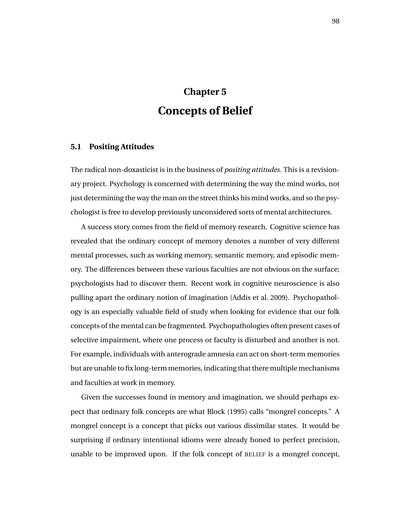# **Chapter 5 Concepts of Belief**

## **5.1 Positing Attitudes**

The radical non-doxasticist is in the business of *positing attitudes*. This is a revisionary project. Psychology is concerned with determining the way the mind works, not just determining the way the man on the street thinks his mind works, and so the psychologist is free to develop previously unconsidered sorts of mental architectures.

A success story comes from the field of memory research. Cognitive science has revealed that the ordinary concept of memory denotes a number of very different mental processes, such as working memory, semantic memory, and episodic memory. The differences between these various faculties are not obvious on the surface; psychologists had to discover them. Recent work in cognitive neuroscience is also pulling apart the ordinary notion of imagination (Addis et al. 2009). Psychopathology is an especially valuable field of study when looking for evidence that our folk concepts of the mental can be fragmented. Psychopathologies often present cases of selective impairment, where one process or faculty is disturbed and another is not. For example, individuals with anterograde amnesia can act on short-term memories but are unable to fix long-term memories, indicating that there multiple mechanisms and faculties at work in memory.

Given the successes found in memory and imagination, we should perhaps expect that ordinary folk concepts are what Block (1995) calls "mongrel concepts." A mongrel concept is a concept that picks out various dissimilar states. It would be surprising if ordinary intentional idioms were already honed to perfect precision, unable to be improved upon. If the folk concept of BELIEF is a mongrel concept,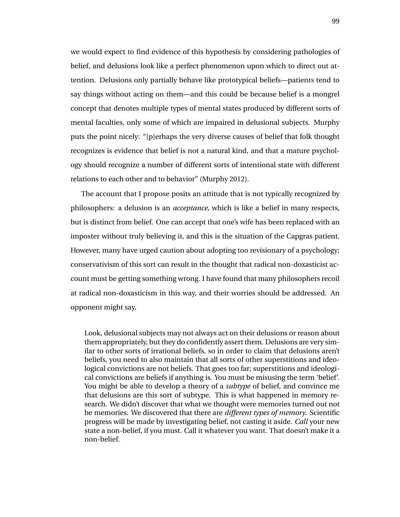we would expect to find evidence of this hypothesis by considering pathologies of belief, and delusions look like a perfect phenomenon upon which to direct out attention. Delusions only partially behave like prototypical beliefs—patients tend to say things without acting on them—and this could be because belief is a mongrel concept that denotes multiple types of mental states produced by different sorts of mental faculties, only some of which are impaired in delusional subjects. Murphy puts the point nicely: "[p]erhaps the very diverse causes of belief that folk thought recognizes is evidence that belief is not a natural kind, and that a mature psychology should recognize a number of different sorts of intentional state with different relations to each other and to behavior" (Murphy 2012).

The account that I propose posits an attitude that is not typically recognized by philosophers: a delusion is an *acceptance*, which is like a belief in many respects, but is distinct from belief. One can accept that one's wife has been replaced with an imposter without truly believing it, and this is the situation of the Capgras patient. However, many have urged caution about adopting too revisionary of a psychology; conservativism of this sort can result in the thought that radical non-doxasticist account must be getting something wrong. I have found that many philosophers recoil at radical non-doxasticism in this way, and their worries should be addressed. An opponent might say,

Look, delusional subjects may not always act on their delusions or reason about them appropriately, but they do confidently assert them. Delusions are very similar to other sorts of irrational beliefs, so in order to claim that delusions aren't beliefs, you need to also maintain that all sorts of other superstitions and ideological convictions are not beliefs. That goes too far; superstitions and ideological convictions are beliefs if anything is. You must be misusing the term 'belief'. You might be able to develop a theory of a *subtype* of belief, and convince me that delusions are this sort of subtype. This is what happened in memory research. We didn't discover that what we thought were memories turned out not be memories. We discovered that there are *different types of memory*. Scientific progress will be made by investigating belief, not casting it aside. *Call* your new state a non-belief, if you must. Call it whatever you want. That doesn't make it a non-belief.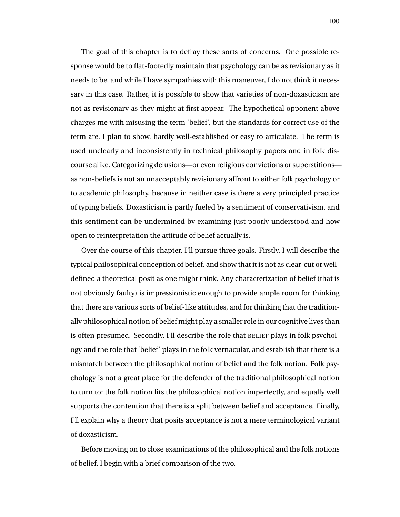The goal of this chapter is to defray these sorts of concerns. One possible response would be to flat-footedly maintain that psychology can be as revisionary as it needs to be, and while I have sympathies with this maneuver, I do not think it necessary in this case. Rather, it is possible to show that varieties of non-doxasticism are not as revisionary as they might at first appear. The hypothetical opponent above charges me with misusing the term 'belief', but the standards for correct use of the term are, I plan to show, hardly well-established or easy to articulate. The term is used unclearly and inconsistently in technical philosophy papers and in folk discourse alike. Categorizing delusions—or even religious convictions or superstitions as non-beliefs is not an unacceptably revisionary affront to either folk psychology or to academic philosophy, because in neither case is there a very principled practice of typing beliefs. Doxasticism is partly fueled by a sentiment of conservativism, and this sentiment can be undermined by examining just poorly understood and how open to reinterpretation the attitude of belief actually is.

Over the course of this chapter, I'll pursue three goals. Firstly, I will describe the typical philosophical conception of belief, and show that it is not as clear-cut or welldefined a theoretical posit as one might think. Any characterization of belief (that is not obviously faulty) is impressionistic enough to provide ample room for thinking that there are various sorts of belief-like attitudes, and for thinking that the traditionally philosophical notion of belief might play a smaller role in our cognitive lives than is often presumed. Secondly, I'll describe the role that BELIEF plays in folk psychology and the role that 'belief' plays in the folk vernacular, and establish that there is a mismatch between the philosophical notion of belief and the folk notion. Folk psychology is not a great place for the defender of the traditional philosophical notion to turn to; the folk notion fits the philosophical notion imperfectly, and equally well supports the contention that there is a split between belief and acceptance. Finally, I'll explain why a theory that posits acceptance is not a mere terminological variant of doxasticism.

Before moving on to close examinations of the philosophical and the folk notions of belief, I begin with a brief comparison of the two.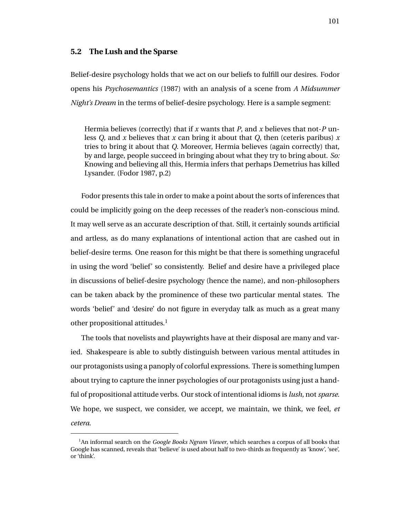## **5.2 The Lush and the Sparse**

Belief-desire psychology holds that we act on our beliefs to fulfill our desires. Fodor opens his *Psychosemantics* (1987) with an analysis of a scene from *A Midsummer Night's Dream* in the terms of belief-desire psychology. Here is a sample segment:

Hermia believes (correctly) that if *x* wants that *P*, and *x* believes that not-*P* unless *Q*, and *x* believes that *x* can bring it about that *Q*, then (ceteris paribus) *x* tries to bring it about that *Q*. Moreover, Hermia believes (again correctly) that, by and large, people succeed in bringing about what they try to bring about. *So:* Knowing and believing all this, Hermia infers that perhaps Demetrius has killed Lysander. (Fodor 1987, p.2)

Fodor presents this tale in order to make a point about the sorts of inferences that could be implicitly going on the deep recesses of the reader's non-conscious mind. It may well serve as an accurate description of that. Still, it certainly sounds artificial and artless, as do many explanations of intentional action that are cashed out in belief-desire terms. One reason for this might be that there is something ungraceful in using the word 'belief' so consistently. Belief and desire have a privileged place in discussions of belief-desire psychology (hence the name), and non-philosophers can be taken aback by the prominence of these two particular mental states. The words 'belief' and 'desire' do not figure in everyday talk as much as a great many other propositional attitudes.<sup>1</sup>

The tools that novelists and playwrights have at their disposal are many and varied. Shakespeare is able to subtly distinguish between various mental attitudes in our protagonists using a panoply of colorful expressions. There is something lumpen about trying to capture the inner psychologies of our protagonists using just a handful of propositional attitude verbs. Our stock of intentional idioms is *lush*, not *sparse*. We hope, we suspect, we consider, we accept, we maintain, we think, we feel, *et cetera*.

<sup>1</sup>An informal search on the *Google Books Ngram Viewer*, which searches a corpus of all books that Google has scanned, reveals that 'believe' is used about half to two-thirds as frequently as 'know', 'see', or 'think'.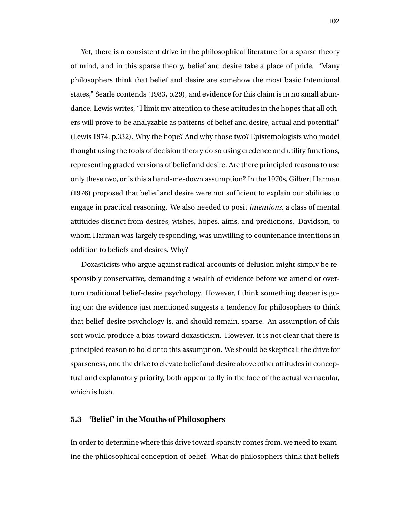Yet, there is a consistent drive in the philosophical literature for a sparse theory of mind, and in this sparse theory, belief and desire take a place of pride. "Many philosophers think that belief and desire are somehow the most basic Intentional states," Searle contends (1983, p.29), and evidence for this claim is in no small abundance. Lewis writes, "I limit my attention to these attitudes in the hopes that all others will prove to be analyzable as patterns of belief and desire, actual and potential" (Lewis 1974, p.332). Why the hope? And why those two? Epistemologists who model thought using the tools of decision theory do so using credence and utility functions, representing graded versions of belief and desire. Are there principled reasons to use only these two, or is this a hand-me-down assumption? In the 1970s, Gilbert Harman (1976) proposed that belief and desire were not sufficient to explain our abilities to engage in practical reasoning. We also needed to posit *intentions*, a class of mental attitudes distinct from desires, wishes, hopes, aims, and predictions. Davidson, to whom Harman was largely responding, was unwilling to countenance intentions in addition to beliefs and desires. Why?

Doxasticists who argue against radical accounts of delusion might simply be responsibly conservative, demanding a wealth of evidence before we amend or overturn traditional belief-desire psychology. However, I think something deeper is going on; the evidence just mentioned suggests a tendency for philosophers to think that belief-desire psychology is, and should remain, sparse. An assumption of this sort would produce a bias toward doxasticism. However, it is not clear that there is principled reason to hold onto this assumption. We should be skeptical: the drive for sparseness, and the drive to elevate belief and desire above other attitudes in conceptual and explanatory priority, both appear to fly in the face of the actual vernacular, which is lush.

## **5.3 'Belief' in the Mouths of Philosophers**

In order to determine where this drive toward sparsity comes from, we need to examine the philosophical conception of belief. What do philosophers think that beliefs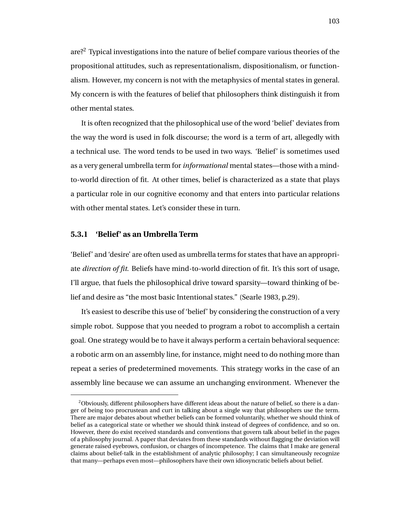are?<sup>2</sup> Typical investigations into the nature of belief compare various theories of the propositional attitudes, such as representationalism, dispositionalism, or functionalism. However, my concern is not with the metaphysics of mental states in general. My concern is with the features of belief that philosophers think distinguish it from other mental states.

It is often recognized that the philosophical use of the word 'belief' deviates from the way the word is used in folk discourse; the word is a term of art, allegedly with a technical use. The word tends to be used in two ways. 'Belief' is sometimes used as a very general umbrella term for *informational* mental states—those with a mindto-world direction of fit. At other times, belief is characterized as a state that plays a particular role in our cognitive economy and that enters into particular relations with other mental states. Let's consider these in turn.

# **5.3.1 'Belief' as an Umbrella Term**

'Belief' and 'desire' are often used as umbrella terms for states that have an appropriate *direction of fit*. Beliefs have mind-to-world direction of fit. It's this sort of usage, I'll argue, that fuels the philosophical drive toward sparsity—toward thinking of belief and desire as "the most basic Intentional states." (Searle 1983, p.29).

It's easiest to describe this use of 'belief' by considering the construction of a very simple robot. Suppose that you needed to program a robot to accomplish a certain goal. One strategy would be to have it always perform a certain behavioral sequence: a robotic arm on an assembly line, for instance, might need to do nothing more than repeat a series of predetermined movements. This strategy works in the case of an assembly line because we can assume an unchanging environment. Whenever the

 $2$ Obviously, different philosophers have different ideas about the nature of belief, so there is a danger of being too procrustean and curt in talking about a single way that philosophers use the term. There are major debates about whether beliefs can be formed voluntarily, whether we should think of belief as a categorical state or whether we should think instead of degrees of confidence, and so on. However, there do exist received standards and conventions that govern talk about belief in the pages of a philosophy journal. A paper that deviates from these standards without flagging the deviation will generate raised eyebrows, confusion, or charges of incompetence. The claims that I make are general claims about belief-talk in the establishment of analytic philosophy; I can simultaneously recognize that many—perhaps even most—philosophers have their own idiosyncratic beliefs about belief.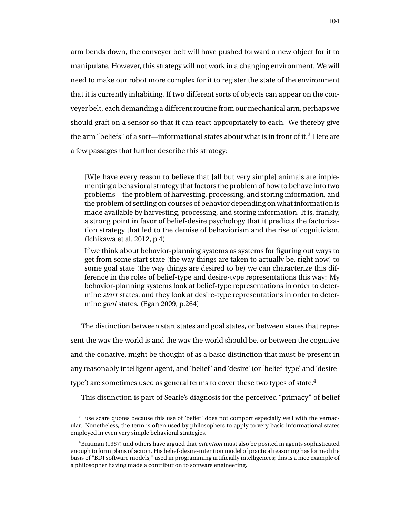arm bends down, the conveyer belt will have pushed forward a new object for it to manipulate. However, this strategy will not work in a changing environment. We will need to make our robot more complex for it to register the state of the environment that it is currently inhabiting. If two different sorts of objects can appear on the conveyer belt, each demanding a different routine from our mechanical arm, perhaps we should graft on a sensor so that it can react appropriately to each. We thereby give the arm "beliefs" of a sort—informational states about what is in front of it.<sup>3</sup> Here are a few passages that further describe this strategy:

[W]e have every reason to believe that [all but very simple] animals are implementing a behavioral strategy that factors the problem of how to behave into two problems—the problem of harvesting, processing, and storing information, and the problem of settling on courses of behavior depending on what information is made available by harvesting, processing, and storing information. It is, frankly, a strong point in favor of belief-desire psychology that it predicts the factorization strategy that led to the demise of behaviorism and the rise of cognitivism. (Ichikawa et al. 2012, p.4)

If we think about behavior-planning systems as systems for figuring out ways to get from some start state (the way things are taken to actually be, right now) to some goal state (the way things are desired to be) we can characterize this difference in the roles of belief-type and desire-type representations this way: My behavior-planning systems look at belief-type representations in order to determine *start* states, and they look at desire-type representations in order to determine *goal* states. (Egan 2009, p.264)

The distinction between start states and goal states, or between states that represent the way the world is and the way the world should be, or between the cognitive and the conative, might be thought of as a basic distinction that must be present in any reasonably intelligent agent, and 'belief' and 'desire' (or 'belief-type' and 'desiretype') are sometimes used as general terms to cover these two types of state.<sup>4</sup>

This distinction is part of Searle's diagnosis for the perceived "primacy" of belief

 $3<sup>1</sup>$  use scare quotes because this use of 'belief' does not comport especially well with the vernacular. Nonetheless, the term is often used by philosophers to apply to very basic informational states employed in even very simple behavioral strategies.

<sup>4</sup>Bratman (1987) and others have argued that *intention* must also be posited in agents sophisticated enough to form plans of action. His belief-desire-intention model of practical reasoning has formed the basis of "BDI software models," used in programming artificially intelligences; this is a nice example of a philosopher having made a contribution to software engineering.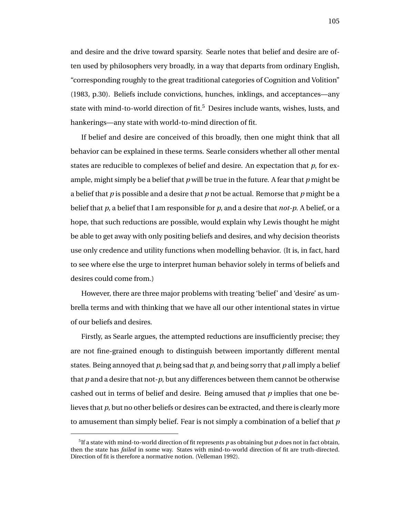and desire and the drive toward sparsity. Searle notes that belief and desire are often used by philosophers very broadly, in a way that departs from ordinary English, "corresponding roughly to the great traditional categories of Cognition and Volition" (1983, p.30). Beliefs include convictions, hunches, inklings, and acceptances—any state with mind-to-world direction of fit.<sup>5</sup> Desires include wants, wishes, lusts, and hankerings—any state with world-to-mind direction of fit.

If belief and desire are conceived of this broadly, then one might think that all behavior can be explained in these terms. Searle considers whether all other mental states are reducible to complexes of belief and desire. An expectation that *p*, for example, might simply be a belief that *p* will be true in the future. A fear that *p* might be a belief that *p* is possible and a desire that *p* not be actual. Remorse that *p* might be a belief that *p*, a belief that I am responsible for *p*, and a desire that *not-p*. A belief, or a hope, that such reductions are possible, would explain why Lewis thought he might be able to get away with only positing beliefs and desires, and why decision theorists use only credence and utility functions when modelling behavior. (It is, in fact, hard to see where else the urge to interpret human behavior solely in terms of beliefs and desires could come from.)

However, there are three major problems with treating 'belief' and 'desire' as umbrella terms and with thinking that we have all our other intentional states in virtue of our beliefs and desires.

Firstly, as Searle argues, the attempted reductions are insufficiently precise; they are not fine-grained enough to distinguish between importantly different mental states. Being annoyed that *p*, being sad that *p*, and being sorry that *p* all imply a belief that *p* and a desire that not-*p*, but any differences between them cannot be otherwise cashed out in terms of belief and desire. Being amused that *p* implies that one believes that *p*, but no other beliefs or desires can be extracted, and there is clearly more to amusement than simply belief. Fear is not simply a combination of a belief that *p*

<sup>5</sup> If a state with mind-to-world direction of fit represents *p* as obtaining but *p* does not in fact obtain, then the state has *failed* in some way. States with mind-to-world direction of fit are truth-directed. Direction of fit is therefore a normative notion. (Velleman 1992).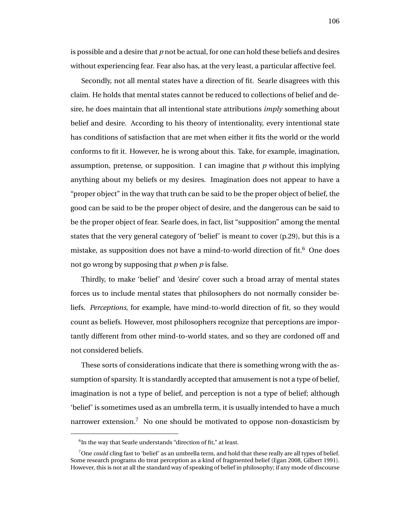is possible and a desire that *p* not be actual, for one can hold these beliefs and desires without experiencing fear. Fear also has, at the very least, a particular affective feel.

Secondly, not all mental states have a direction of fit. Searle disagrees with this claim. He holds that mental states cannot be reduced to collections of belief and desire, he does maintain that all intentional state attributions *imply* something about belief and desire. According to his theory of intentionality, every intentional state has conditions of satisfaction that are met when either it fits the world or the world conforms to fit it. However, he is wrong about this. Take, for example, imagination, assumption, pretense, or supposition. I can imagine that *p* without this implying anything about my beliefs or my desires. Imagination does not appear to have a "proper object" in the way that truth can be said to be the proper object of belief, the good can be said to be the proper object of desire, and the dangerous can be said to be the proper object of fear. Searle does, in fact, list "supposition" among the mental states that the very general category of 'belief' is meant to cover (p.29), but this is a mistake, as supposition does not have a mind-to-world direction of fit.<sup>6</sup> One does not go wrong by supposing that *p* when *p* is false.

Thirdly, to make 'belief' and 'desire' cover such a broad array of mental states forces us to include mental states that philosophers do not normally consider beliefs. *Perceptions*, for example, have mind-to-world direction of fit, so they would count as beliefs. However, most philosophers recognize that perceptions are importantly different from other mind-to-world states, and so they are cordoned off and not considered beliefs.

These sorts of considerations indicate that there is something wrong with the assumption of sparsity. It is standardly accepted that amusement is not a type of belief, imagination is not a type of belief, and perception is not a type of belief; although 'belief' is sometimes used as an umbrella term, it is usually intended to have a much narrower extension. $7$  No one should be motivated to oppose non-doxasticism by

 ${}^{6}$ In the way that Searle understands "direction of fit," at least.

<sup>7</sup>One *could* cling fast to 'belief' as an umbrella term, and hold that these really are all types of belief. Some research programs do treat perception as a kind of fragmented belief (Egan 2008, Gilbert 1991). However, this is not at all the standard way of speaking of belief in philosophy; if any mode of discourse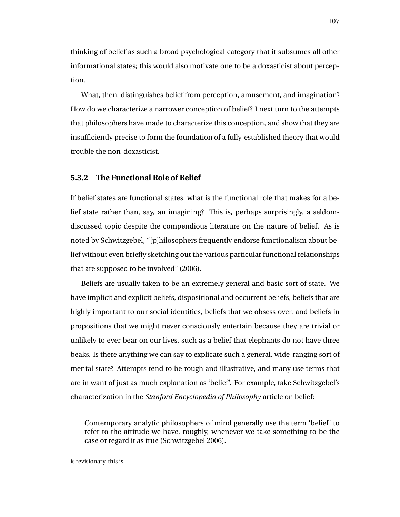thinking of belief as such a broad psychological category that it subsumes all other informational states; this would also motivate one to be a doxasticist about perception.

What, then, distinguishes belief from perception, amusement, and imagination? How do we characterize a narrower conception of belief? I next turn to the attempts that philosophers have made to characterize this conception, and show that they are insufficiently precise to form the foundation of a fully-established theory that would trouble the non-doxasticist.

#### **5.3.2 The Functional Role of Belief**

If belief states are functional states, what is the functional role that makes for a belief state rather than, say, an imagining? This is, perhaps surprisingly, a seldomdiscussed topic despite the compendious literature on the nature of belief. As is noted by Schwitzgebel, "[p]hilosophers frequently endorse functionalism about belief without even briefly sketching out the various particular functional relationships that are supposed to be involved" (2006).

Beliefs are usually taken to be an extremely general and basic sort of state. We have implicit and explicit beliefs, dispositional and occurrent beliefs, beliefs that are highly important to our social identities, beliefs that we obsess over, and beliefs in propositions that we might never consciously entertain because they are trivial or unlikely to ever bear on our lives, such as a belief that elephants do not have three beaks. Is there anything we can say to explicate such a general, wide-ranging sort of mental state? Attempts tend to be rough and illustrative, and many use terms that are in want of just as much explanation as 'belief'. For example, take Schwitzgebel's characterization in the *Stanford Encyclopedia of Philosophy* article on belief:

Contemporary analytic philosophers of mind generally use the term 'belief' to refer to the attitude we have, roughly, whenever we take something to be the case or regard it as true (Schwitzgebel 2006).

is revisionary, this is.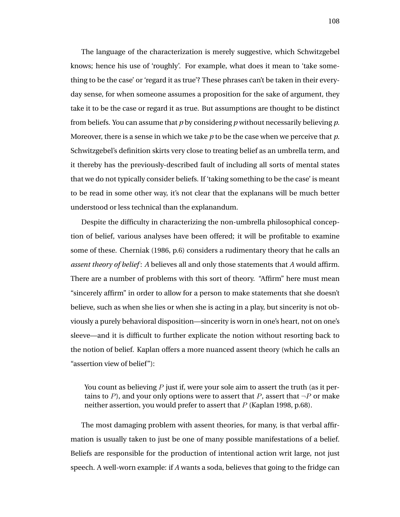The language of the characterization is merely suggestive, which Schwitzgebel knows; hence his use of 'roughly'. For example, what does it mean to 'take something to be the case' or 'regard it as true'? These phrases can't be taken in their everyday sense, for when someone assumes a proposition for the sake of argument, they take it to be the case or regard it as true. But assumptions are thought to be distinct from beliefs. You can assume that *p* by considering *p* without necessarily believing *p*. Moreover, there is a sense in which we take *p* to be the case when we perceive that *p*. Schwitzgebel's definition skirts very close to treating belief as an umbrella term, and it thereby has the previously-described fault of including all sorts of mental states that we do not typically consider beliefs. If 'taking something to be the case' is meant to be read in some other way, it's not clear that the explanans will be much better understood or less technical than the explanandum.

Despite the difficulty in characterizing the non-umbrella philosophical conception of belief, various analyses have been offered; it will be profitable to examine some of these. Cherniak (1986, p.6) considers a rudimentary theory that he calls an *assent theory of belief* : *A* believes all and only those statements that *A* would affirm. There are a number of problems with this sort of theory. "Affirm" here must mean "sincerely affirm" in order to allow for a person to make statements that she doesn't believe, such as when she lies or when she is acting in a play, but sincerity is not obviously a purely behavioral disposition—sincerity is worn in one's heart, not on one's sleeve—and it is difficult to further explicate the notion without resorting back to the notion of belief. Kaplan offers a more nuanced assent theory (which he calls an "assertion view of belief"):

You count as believing  $P$  just if, were your sole aim to assert the truth (as it pertains to P), and your only options were to assert that  $P$ , assert that  $\neg P$  or make neither assertion, you would prefer to assert that  $P$  (Kaplan 1998, p.68).

The most damaging problem with assent theories, for many, is that verbal affirmation is usually taken to just be one of many possible manifestations of a belief. Beliefs are responsible for the production of intentional action writ large, not just speech. A well-worn example: if *A* wants a soda, believes that going to the fridge can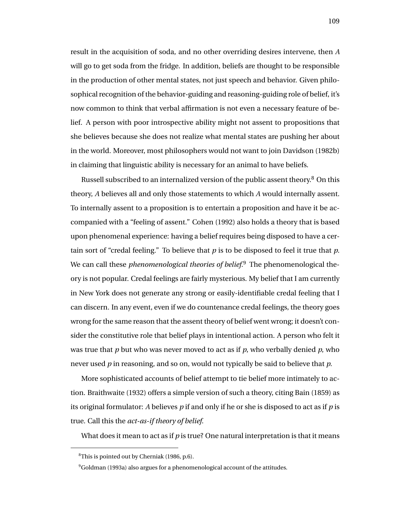result in the acquisition of soda, and no other overriding desires intervene, then *A* will go to get soda from the fridge. In addition, beliefs are thought to be responsible in the production of other mental states, not just speech and behavior. Given philosophical recognition of the behavior-guiding and reasoning-guiding role of belief, it's now common to think that verbal affirmation is not even a necessary feature of belief. A person with poor introspective ability might not assent to propositions that she believes because she does not realize what mental states are pushing her about in the world. Moreover, most philosophers would not want to join Davidson (1982b) in claiming that linguistic ability is necessary for an animal to have beliefs.

Russell subscribed to an internalized version of the public assent theory.<sup>8</sup> On this theory, *A* believes all and only those statements to which *A* would internally assent. To internally assent to a proposition is to entertain a proposition and have it be accompanied with a "feeling of assent." Cohen (1992) also holds a theory that is based upon phenomenal experience: having a belief requires being disposed to have a certain sort of "credal feeling." To believe that *p* is to be disposed to feel it true that *p*. We can call these *phenomenological theories of belief*. <sup>9</sup> The phenomenological theory is not popular. Credal feelings are fairly mysterious. My belief that I am currently in New York does not generate any strong or easily-identifiable credal feeling that I can discern. In any event, even if we do countenance credal feelings, the theory goes wrong for the same reason that the assent theory of belief went wrong; it doesn't consider the constitutive role that belief plays in intentional action. A person who felt it was true that *p* but who was never moved to act as if *p*, who verbally denied *p*, who never used *p* in reasoning, and so on, would not typically be said to believe that *p*.

More sophisticated accounts of belief attempt to tie belief more intimately to action. Braithwaite (1932) offers a simple version of such a theory, citing Bain (1859) as its original formulator: *A* believes *p* if and only if he or she is disposed to act as if *p* is true. Call this the *act-as-if theory of belief*.

What does it mean to act as if *p* is true? One natural interpretation is that it means

<sup>8</sup>This is pointed out by Cherniak (1986, p.6).

 $9^9$ Goldman (1993a) also argues for a phenomenological account of the attitudes.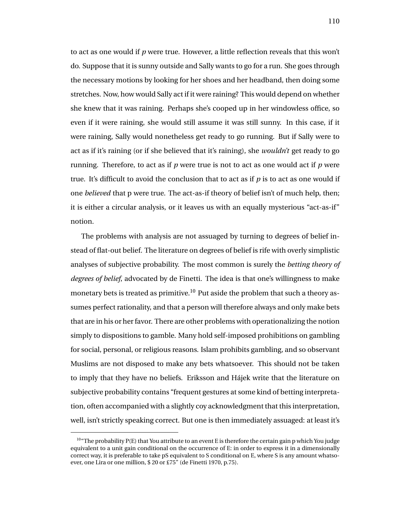to act as one would if *p* were true. However, a little reflection reveals that this won't do. Suppose that it is sunny outside and Sally wants to go for a run. She goes through the necessary motions by looking for her shoes and her headband, then doing some stretches. Now, how would Sally act if it were raining? This would depend on whether she knew that it was raining. Perhaps she's cooped up in her windowless office, so even if it were raining, she would still assume it was still sunny. In this case, if it were raining, Sally would nonetheless get ready to go running. But if Sally were to act as if it's raining (or if she believed that it's raining), she *wouldn't* get ready to go running. Therefore, to act as if *p* were true is not to act as one would act if *p* were true. It's difficult to avoid the conclusion that to act as if *p* is to act as one would if one *believed* that p were true. The act-as-if theory of belief isn't of much help, then; it is either a circular analysis, or it leaves us with an equally mysterious "act-as-if" notion.

The problems with analysis are not assuaged by turning to degrees of belief instead of flat-out belief. The literature on degrees of belief is rife with overly simplistic analyses of subjective probability. The most common is surely the *betting theory of degrees of belief*, advocated by de Finetti. The idea is that one's willingness to make monetary bets is treated as primitive.<sup>10</sup> Put aside the problem that such a theory assumes perfect rationality, and that a person will therefore always and only make bets that are in his or her favor. There are other problems with operationalizing the notion simply to dispositions to gamble. Many hold self-imposed prohibitions on gambling for social, personal, or religious reasons. Islam prohibits gambling, and so observant Muslims are not disposed to make any bets whatsoever. This should not be taken to imply that they have no beliefs. Eriksson and Hájek write that the literature on subjective probability contains "frequent gestures at some kind of betting interpretation, often accompanied with a slightly coy acknowledgment that this interpretation, well, isn't strictly speaking correct. But one is then immediately assuaged: at least it's

 $10^{40}$  The probability P(E) that You attribute to an event E is therefore the certain gain p which You judge equivalent to a unit gain conditional on the occurrence of E: in order to express it in a dimensionally correct way, it is preferable to take pS equivalent to S conditional on E, where S is any amount whatsoever, one Lira or one million, \$ 20 or £75" (de Finetti 1970, p.75).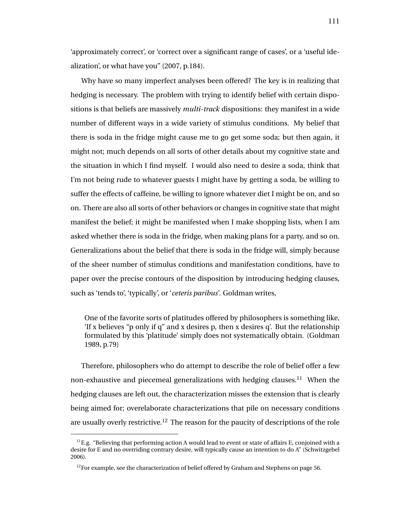'approximately correct', or 'correct over a significant range of cases', or a 'useful idealization', or what have you" (2007, p.184).

Why have so many imperfect analyses been offered? The key is in realizing that hedging is necessary. The problem with trying to identify belief with certain dispositions is that beliefs are massively *multi-track* dispositions: they manifest in a wide number of different ways in a wide variety of stimulus conditions. My belief that there is soda in the fridge might cause me to go get some soda; but then again, it might not; much depends on all sorts of other details about my cognitive state and the situation in which I find myself. I would also need to desire a soda, think that I'm not being rude to whatever guests I might have by getting a soda, be willing to suffer the effects of caffeine, be willing to ignore whatever diet I might be on, and so on. There are also all sorts of other behaviors or changes in cognitive state that might manifest the belief; it might be manifested when I make shopping lists, when I am asked whether there is soda in the fridge, when making plans for a party, and so on. Generalizations about the belief that there is soda in the fridge will, simply because of the sheer number of stimulus conditions and manifestation conditions, have to paper over the precise contours of the disposition by introducing hedging clauses, such as 'tends to', 'typically', or '*ceteris paribus*'. Goldman writes,

One of the favorite sorts of platitudes offered by philosophers is something like, 'If x believes "p only if q" and x desires p, then x desires q'. But the relationship formulated by this 'platitude' simply does not systematically obtain. (Goldman 1989, p.79)

Therefore, philosophers who do attempt to describe the role of belief offer a few non-exhaustive and piecemeal generalizations with hedging clauses.<sup>11</sup> When the hedging clauses are left out, the characterization misses the extension that is clearly being aimed for; overelaborate characterizations that pile on necessary conditions are usually overly restrictive.<sup>12</sup> The reason for the paucity of descriptions of the role

 ${}^{11}E.g.$  "Believing that performing action A would lead to event or state of affairs E, conjoined with a desire for E and no overriding contrary desire, will typically cause an intention to do A" (Schwitzgebel 2006).

 $12$ For example, see the characterization of belief offered by Graham and Stephens on page 56.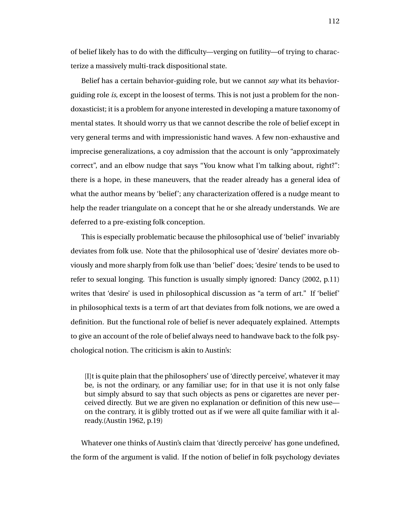of belief likely has to do with the difficulty—verging on futility—of trying to characterize a massively multi-track dispositional state.

Belief has a certain behavior-guiding role, but we cannot *say* what its behaviorguiding role *is*, except in the loosest of terms. This is not just a problem for the nondoxasticist; it is a problem for anyone interested in developing a mature taxonomy of mental states. It should worry us that we cannot describe the role of belief except in very general terms and with impressionistic hand waves. A few non-exhaustive and imprecise generalizations, a coy admission that the account is only "approximately correct", and an elbow nudge that says "You know what I'm talking about, right?": there is a hope, in these maneuvers, that the reader already has a general idea of what the author means by 'belief'; any characterization offered is a nudge meant to help the reader triangulate on a concept that he or she already understands. We are deferred to a pre-existing folk conception.

This is especially problematic because the philosophical use of 'belief' invariably deviates from folk use. Note that the philosophical use of 'desire' deviates more obviously and more sharply from folk use than 'belief' does; 'desire' tends to be used to refer to sexual longing. This function is usually simply ignored: Dancy (2002, p.11) writes that 'desire' is used in philosophical discussion as "a term of art." If 'belief' in philosophical texts is a term of art that deviates from folk notions, we are owed a definition. But the functional role of belief is never adequately explained. Attempts to give an account of the role of belief always need to handwave back to the folk psychological notion. The criticism is akin to Austin's:

[I]t is quite plain that the philosophers' use of 'directly perceive', whatever it may be, is not the ordinary, or any familiar use; for in that use it is not only false but simply absurd to say that such objects as pens or cigarettes are never perceived directly. But we are given no explanation or definition of this new use on the contrary, it is glibly trotted out as if we were all quite familiar with it already.(Austin 1962, p.19)

Whatever one thinks of Austin's claim that 'directly perceive' has gone undefined, the form of the argument is valid. If the notion of belief in folk psychology deviates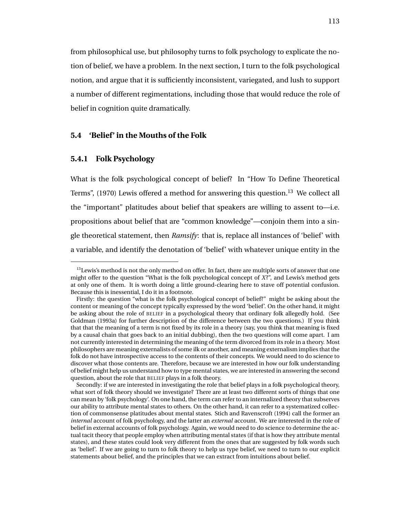from philosophical use, but philosophy turns to folk psychology to explicate the notion of belief, we have a problem. In the next section, I turn to the folk psychological notion, and argue that it is sufficiently inconsistent, variegated, and lush to support a number of different regimentations, including those that would reduce the role of belief in cognition quite dramatically.

# **5.4 'Belief' in the Mouths of the Folk**

# **5.4.1 Folk Psychology**

What is the folk psychological concept of belief? In "How To Define Theoretical Terms",  $(1970)$  Lewis offered a method for answering this question.<sup>13</sup> We collect all the "important" platitudes about belief that speakers are willing to assent to—i.e. propositions about belief that are "common knowledge"—conjoin them into a single theoretical statement, then *Ramsify*: that is, replace all instances of 'belief' with a variable, and identify the denotation of 'belief' with whatever unique entity in the

 $^{13}$ Lewis's method is not the only method on offer. In fact, there are multiple sorts of answer that one might offer to the question "What is the folk psychological concept of *X*?", and Lewis's method gets at only one of them. It is worth doing a little ground-clearing here to stave off potential confusion. Because this is inessential, I do it in a footnote.

Firstly: the question "what is the folk psychological concept of belief?" might be asking about the content or meaning of the concept typically expressed by the word 'belief'. On the other hand, it might be asking about the role of BELIEF in a psychological theory that ordinary folk allegedly hold. (See Goldman (1993a) for further description of the difference between the two questions.) If you think that that the meaning of a term is not fixed by its role in a theory (say, you think that meaning is fixed by a causal chain that goes back to an initial dubbing), then the two questions will come apart. I am not currently interested in determining the meaning of the term divorced from its role in a theory. Most philosophers are meaning externalists of some ilk or another, and meaning externalism implies that the folk do not have introspective access to the contents of their concepts. We would need to do science to discover what those contents are. Therefore, because we are interested in how our folk understanding of belief might help us understand how to type mental states, we are interested in answering the second question, about the role that BELIEF plays in a folk theory.

Secondly: if we are interested in investigating the role that belief plays in a folk psychological theory, what sort of folk theory should we investigate? There are at least two different sorts of things that one can mean by 'folk psychology'. On one hand, the term can refer to an internalized theory that subserves our ability to attribute mental states to others. On the other hand, it can refer to a systematized collection of commonsense platitudes about mental states. Stich and Ravenscroft (1994) call the former an *internal* account of folk psychology, and the latter an *external* account. We are interested in the role of belief in external accounts of folk psychology. Again, we would need to do science to determine the actual tacit theory that people employ when attributing mental states (if that is how they attribute mental states), and these states could look very different from the ones that are suggested by folk words such as 'belief'. If we are going to turn to folk theory to help us type belief, we need to turn to our explicit statements about belief, and the principles that we can extract from intuitions about belief.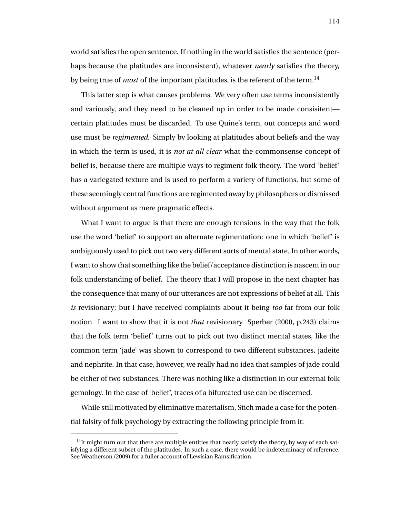world satisfies the open sentence. If nothing in the world satisfies the sentence (perhaps because the platitudes are inconsistent), whatever *nearly* satisfies the theory, by being true of *most* of the important platitudes, is the referent of the term.<sup>14</sup>

This latter step is what causes problems. We very often use terms inconsistently and variously, and they need to be cleaned up in order to be made consisitent certain platitudes must be discarded. To use Quine's term, out concepts and word use must be *regimented*. Simply by looking at platitudes about beliefs and the way in which the term is used, it is *not at all clear* what the commonsense concept of belief is, because there are multiple ways to regiment folk theory. The word 'belief' has a variegated texture and is used to perform a variety of functions, but some of these seemingly central functions are regimented away by philosophers or dismissed without argument as mere pragmatic effects.

What I want to argue is that there are enough tensions in the way that the folk use the word 'belief' to support an alternate regimentation: one in which 'belief' is ambiguously used to pick out two very different sorts of mental state. In other words, I want to show that something like the belief/acceptance distinction is nascent in our folk understanding of belief. The theory that I will propose in the next chapter has the consequence that many of our utterances are not expressions of belief at all. This *is* revisionary; but I have received complaints about it being *too* far from our folk notion. I want to show that it is not *that* revisionary. Sperber (2000, p.243) claims that the folk term 'belief' turns out to pick out two distinct mental states, like the common term 'jade' was shown to correspond to two different substances, jadeite and nephrite. In that case, however, we really had no idea that samples of jade could be either of two substances. There was nothing like a distinction in our external folk gemology. In the case of 'belief', traces of a bifurcated use can be discerned.

While still motivated by eliminative materialism, Stich made a case for the potential falsity of folk psychology by extracting the following principle from it:

 $<sup>14</sup>$ It might turn out that there are multiple entities that nearly satisfy the theory, by way of each sat-</sup> isfying a different subset of the platitudes. In such a case, there would be indeterminacy of reference. See Weatherson (2009) for a fuller account of Lewisian Ramsification.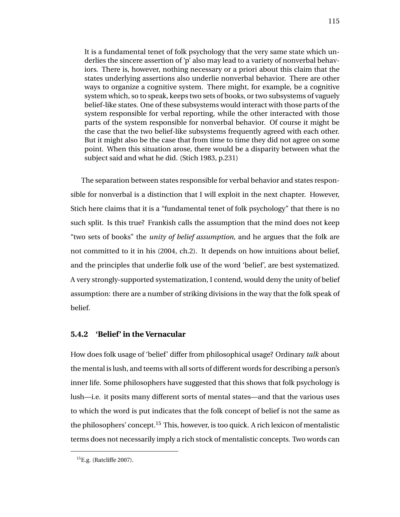It is a fundamental tenet of folk psychology that the very same state which underlies the sincere assertion of 'p' also may lead to a variety of nonverbal behaviors. There is, however, nothing necessary or a priori about this claim that the states underlying assertions also underlie nonverbal behavior. There are other ways to organize a cognitive system. There might, for example, be a cognitive system which, so to speak, keeps two sets of books, or two subsystems of vaguely belief-like states. One of these subsystems would interact with those parts of the system responsible for verbal reporting, while the other interacted with those parts of the system responsible for nonverbal behavior. Of course it might be the case that the two belief-like subsystems frequently agreed with each other. But it might also be the case that from time to time they did not agree on some point. When this situation arose, there would be a disparity between what the subject said and what he did. (Stich 1983, p.231)

The separation between states responsible for verbal behavior and states responsible for nonverbal is a distinction that I will exploit in the next chapter. However, Stich here claims that it is a "fundamental tenet of folk psychology" that there is no such split. Is this true? Frankish calls the assumption that the mind does not keep "two sets of books" the *unity of belief assumption*, and he argues that the folk are not committed to it in his (2004, ch.2). It depends on how intuitions about belief, and the principles that underlie folk use of the word 'belief', are best systematized. A very strongly-supported systematization, I contend, would deny the unity of belief assumption: there are a number of striking divisions in the way that the folk speak of belief.

# **5.4.2 'Belief' in the Vernacular**

How does folk usage of 'belief' differ from philosophical usage? Ordinary *talk* about the mental is lush, and teems with all sorts of different words for describing a person's inner life. Some philosophers have suggested that this shows that folk psychology is lush—i.e. it posits many different sorts of mental states—and that the various uses to which the word is put indicates that the folk concept of belief is not the same as the philosophers' concept.<sup>15</sup> This, however, is too quick. A rich lexicon of mentalistic terms does not necessarily imply a rich stock of mentalistic concepts. Two words can

 ${}^{15}$ E.g. (Ratcliffe 2007).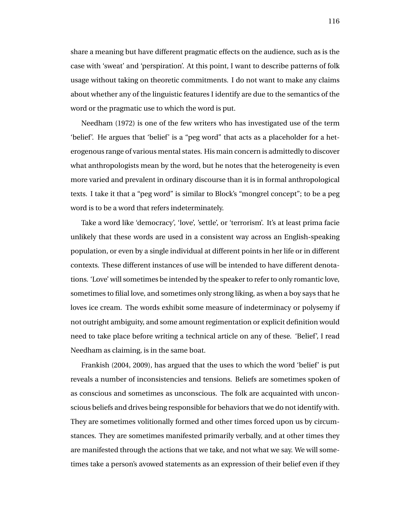share a meaning but have different pragmatic effects on the audience, such as is the case with 'sweat' and 'perspiration'. At this point, I want to describe patterns of folk usage without taking on theoretic commitments. I do not want to make any claims about whether any of the linguistic features I identify are due to the semantics of the word or the pragmatic use to which the word is put.

Needham (1972) is one of the few writers who has investigated use of the term 'belief'. He argues that 'belief' is a "peg word" that acts as a placeholder for a heterogenous range of various mental states. His main concern is admittedly to discover what anthropologists mean by the word, but he notes that the heterogeneity is even more varied and prevalent in ordinary discourse than it is in formal anthropological texts. I take it that a "peg word" is similar to Block's "mongrel concept"; to be a peg word is to be a word that refers indeterminately.

Take a word like 'democracy', 'love', 'settle', or 'terrorism'. It's at least prima facie unlikely that these words are used in a consistent way across an English-speaking population, or even by a single individual at different points in her life or in different contexts. These different instances of use will be intended to have different denotations. 'Love' will sometimes be intended by the speaker to refer to only romantic love, sometimes to filial love, and sometimes only strong liking, as when a boy says that he loves ice cream. The words exhibit some measure of indeterminacy or polysemy if not outright ambiguity, and some amount regimentation or explicit definition would need to take place before writing a technical article on any of these. 'Belief', I read Needham as claiming, is in the same boat.

Frankish (2004, 2009), has argued that the uses to which the word 'belief' is put reveals a number of inconsistencies and tensions. Beliefs are sometimes spoken of as conscious and sometimes as unconscious. The folk are acquainted with unconscious beliefs and drives being responsible for behaviors that we do not identify with. They are sometimes volitionally formed and other times forced upon us by circumstances. They are sometimes manifested primarily verbally, and at other times they are manifested through the actions that we take, and not what we say. We will sometimes take a person's avowed statements as an expression of their belief even if they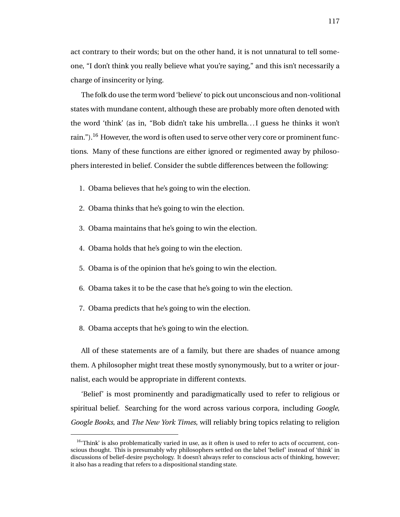act contrary to their words; but on the other hand, it is not unnatural to tell someone, "I don't think you really believe what you're saying," and this isn't necessarily a charge of insincerity or lying.

The folk do use the term word 'believe' to pick out unconscious and non-volitional states with mundane content, although these are probably more often denoted with the word 'think' (as in, "Bob didn't take his umbrella. . . I guess he thinks it won't rain.").<sup>16</sup> However, the word is often used to serve other very core or prominent functions. Many of these functions are either ignored or regimented away by philosophers interested in belief. Consider the subtle differences between the following:

- 1. Obama believes that he's going to win the election.
- 2. Obama thinks that he's going to win the election.
- 3. Obama maintains that he's going to win the election.
- 4. Obama holds that he's going to win the election.
- 5. Obama is of the opinion that he's going to win the election.
- 6. Obama takes it to be the case that he's going to win the election.
- 7. Obama predicts that he's going to win the election.
- 8. Obama accepts that he's going to win the election.

All of these statements are of a family, but there are shades of nuance among them. A philosopher might treat these mostly synonymously, but to a writer or journalist, each would be appropriate in different contexts.

'Belief' is most prominently and paradigmatically used to refer to religious or spiritual belief. Searching for the word across various corpora, including *Google*, *Google Books*, and *The New York Times*, will reliably bring topics relating to religion

<sup>&</sup>lt;sup>16</sup>'Think' is also problematically varied in use, as it often is used to refer to acts of occurrent, conscious thought. This is presumably why philosophers settled on the label 'belief' instead of 'think' in discussions of belief-desire psychology. It doesn't always refer to conscious acts of thinking, however; it also has a reading that refers to a dispositional standing state.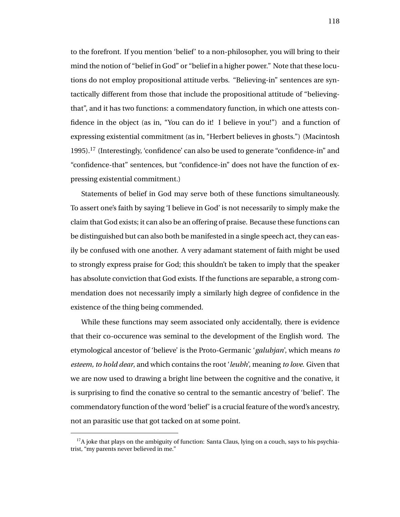to the forefront. If you mention 'belief' to a non-philosopher, you will bring to their mind the notion of "belief in God" or "belief in a higher power." Note that these locutions do not employ propositional attitude verbs. "Believing-in" sentences are syntactically different from those that include the propositional attitude of "believingthat", and it has two functions: a commendatory function, in which one attests confidence in the object (as in, "You can do it! I believe in you!") and a function of expressing existential commitment (as in, "Herbert believes in ghosts.") (Macintosh 1995).<sup>17</sup> (Interestingly, 'confidence' can also be used to generate "confidence-in" and "confidence-that" sentences, but "confidence-in" does not have the function of expressing existential commitment.)

Statements of belief in God may serve both of these functions simultaneously. To assert one's faith by saying 'I believe in God' is not necessarily to simply make the claim that God exists; it can also be an offering of praise. Because these functions can be distinguished but can also both be manifested in a single speech act, they can easily be confused with one another. A very adamant statement of faith might be used to strongly express praise for God; this shouldn't be taken to imply that the speaker has absolute conviction that God exists. If the functions are separable, a strong commendation does not necessarily imply a similarly high degree of confidence in the existence of the thing being commended.

While these functions may seem associated only accidentally, there is evidence that their co-occurence was seminal to the development of the English word. The etymological ancestor of 'believe' is the Proto-Germanic '*galubjan*', which means *to esteem, to hold dear*, and which contains the root '*leubh*', meaning *to love*. Given that we are now used to drawing a bright line between the cognitive and the conative, it is surprising to find the conative so central to the semantic ancestry of 'belief'. The commendatory function of the word 'belief' is a crucial feature of the word's ancestry, not an parasitic use that got tacked on at some point.

 $17A$  ioke that plays on the ambiguity of function: Santa Claus, lying on a couch, says to his psychiatrist, "my parents never believed in me."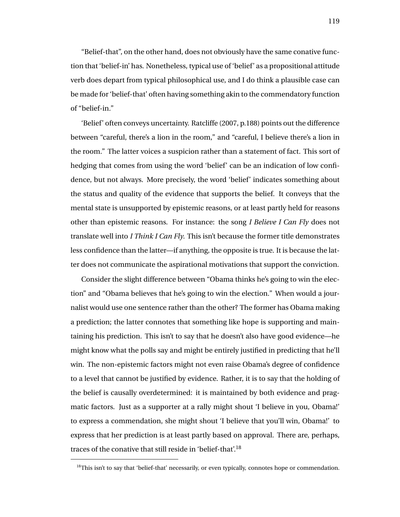"Belief-that", on the other hand, does not obviously have the same conative function that 'belief-in' has. Nonetheless, typical use of 'belief' as a propositional attitude verb does depart from typical philosophical use, and I do think a plausible case can be made for 'belief-that' often having something akin to the commendatory function of "belief-in."

'Belief' often conveys uncertainty. Ratcliffe (2007, p.188) points out the difference between "careful, there's a lion in the room," and "careful, I believe there's a lion in the room." The latter voices a suspicion rather than a statement of fact. This sort of hedging that comes from using the word 'belief' can be an indication of low confidence, but not always. More precisely, the word 'belief' indicates something about the status and quality of the evidence that supports the belief. It conveys that the mental state is unsupported by epistemic reasons, or at least partly held for reasons other than epistemic reasons. For instance: the song *I Believe I Can Fly* does not translate well into *I Think I Can Fly*. This isn't because the former title demonstrates less confidence than the latter—if anything, the opposite is true. It is because the latter does not communicate the aspirational motivations that support the conviction.

Consider the slight difference between "Obama thinks he's going to win the election" and "Obama believes that he's going to win the election." When would a journalist would use one sentence rather than the other? The former has Obama making a prediction; the latter connotes that something like hope is supporting and maintaining his prediction. This isn't to say that he doesn't also have good evidence—he might know what the polls say and might be entirely justified in predicting that he'll win. The non-epistemic factors might not even raise Obama's degree of confidence to a level that cannot be justified by evidence. Rather, it is to say that the holding of the belief is causally overdetermined: it is maintained by both evidence and pragmatic factors. Just as a supporter at a rally might shout 'I believe in you, Obama!' to express a commendation, she might shout 'I believe that you'll win, Obama!' to express that her prediction is at least partly based on approval. There are, perhaps, traces of the conative that still reside in 'belief-that'.<sup>18</sup>

 $18$ This isn't to say that 'belief-that' necessarily, or even typically, connotes hope or commendation.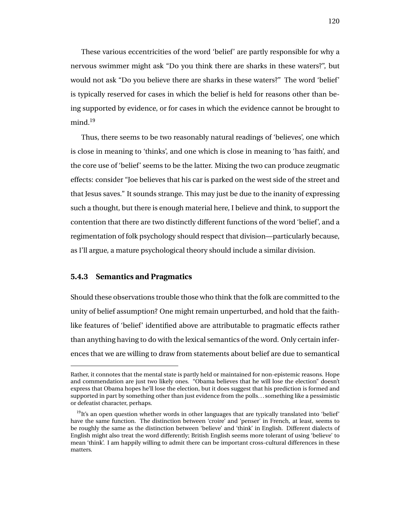These various eccentricities of the word 'belief' are partly responsible for why a nervous swimmer might ask "Do you think there are sharks in these waters?", but would not ask "Do you believe there are sharks in these waters?" The word 'belief' is typically reserved for cases in which the belief is held for reasons other than being supported by evidence, or for cases in which the evidence cannot be brought to mind.<sup>19</sup>

Thus, there seems to be two reasonably natural readings of 'believes', one which is close in meaning to 'thinks', and one which is close in meaning to 'has faith', and the core use of 'belief' seems to be the latter. Mixing the two can produce zeugmatic effects: consider "Joe believes that his car is parked on the west side of the street and that Jesus saves." It sounds strange. This may just be due to the inanity of expressing such a thought, but there is enough material here, I believe and think, to support the contention that there are two distinctly different functions of the word 'belief', and a regimentation of folk psychology should respect that division—particularly because, as I'll argue, a mature psychological theory should include a similar division.

## **5.4.3 Semantics and Pragmatics**

Should these observations trouble those who think that the folk are committed to the unity of belief assumption? One might remain unperturbed, and hold that the faithlike features of 'belief' identified above are attributable to pragmatic effects rather than anything having to do with the lexical semantics of the word. Only certain inferences that we are willing to draw from statements about belief are due to semantical

Rather, it connotes that the mental state is partly held or maintained for non-epistemic reasons. Hope and commendation are just two likely ones. "Obama believes that he will lose the election" doesn't express that Obama hopes he'll lose the election, but it does suggest that his prediction is formed and supported in part by something other than just evidence from the polls. . . something like a pessimistic or defeatist character, perhaps.

<sup>&</sup>lt;sup>19</sup>It's an open question whether words in other languages that are typically translated into 'belief' have the same function. The distinction between 'croire' and 'penser' in French, at least, seems to be roughly the same as the distinction between 'believe' and 'think' in English. Different dialects of English might also treat the word differently; British English seems more tolerant of using 'believe' to mean 'think'. I am happily willing to admit there can be important cross-cultural differences in these matters.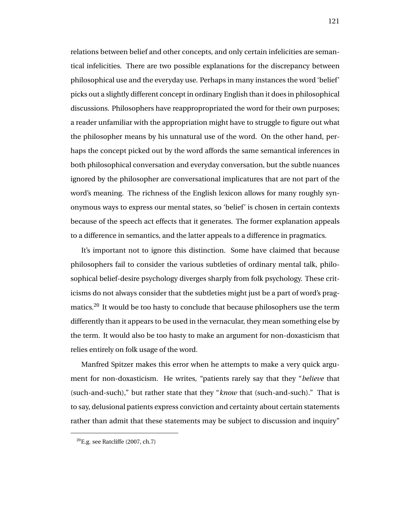relations between belief and other concepts, and only certain infelicities are semantical infelicities. There are two possible explanations for the discrepancy between philosophical use and the everyday use. Perhaps in many instances the word 'belief' picks out a slightly different concept in ordinary English than it does in philosophical discussions. Philosophers have reappropropriated the word for their own purposes; a reader unfamiliar with the appropriation might have to struggle to figure out what the philosopher means by his unnatural use of the word. On the other hand, perhaps the concept picked out by the word affords the same semantical inferences in both philosophical conversation and everyday conversation, but the subtle nuances ignored by the philosopher are conversational implicatures that are not part of the word's meaning. The richness of the English lexicon allows for many roughly synonymous ways to express our mental states, so 'belief' is chosen in certain contexts because of the speech act effects that it generates. The former explanation appeals to a difference in semantics, and the latter appeals to a difference in pragmatics.

It's important not to ignore this distinction. Some have claimed that because philosophers fail to consider the various subtleties of ordinary mental talk, philosophical belief-desire psychology diverges sharply from folk psychology. These criticisms do not always consider that the subtleties might just be a part of word's pragmatics.<sup>20</sup> It would be too hasty to conclude that because philosophers use the term differently than it appears to be used in the vernacular, they mean something else by the term. It would also be too hasty to make an argument for non-doxasticism that relies entirely on folk usage of the word.

Manfred Spitzer makes this error when he attempts to make a very quick argument for non-doxasticism. He writes, "patients rarely say that they "*believe* that (such-and-such)," but rather state that they "*know* that (such-and-such)." That is to say, delusional patients express conviction and certainty about certain statements rather than admit that these statements may be subject to discussion and inquiry"

 $^{20}$ E.g. see Ratcliffe (2007, ch.7)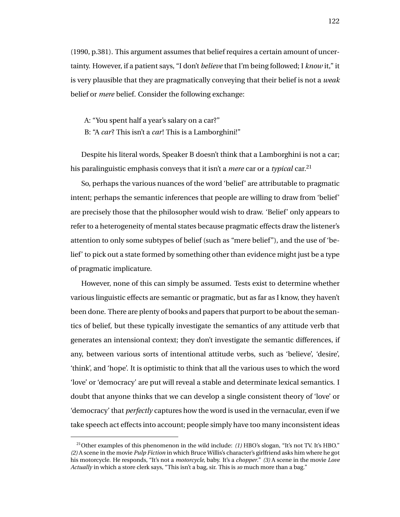(1990, p.381). This argument assumes that belief requires a certain amount of uncertainty. However, if a patient says, "I don't *believe* that I'm being followed; I *know* it," it is very plausible that they are pragmatically conveying that their belief is not a *weak* belief or *mere* belief. Consider the following exchange:

A: "You spent half a year's salary on a car?" B: "A *car*? This isn't a *car*! This is a Lamborghini!"

Despite his literal words, Speaker B doesn't think that a Lamborghini is not a car; his paralinguistic emphasis conveys that it isn't a *mere* car or a *typical* car.<sup>21</sup>

So, perhaps the various nuances of the word 'belief' are attributable to pragmatic intent; perhaps the semantic inferences that people are willing to draw from 'belief' are precisely those that the philosopher would wish to draw. 'Belief' only appears to refer to a heterogeneity of mental states because pragmatic effects draw the listener's attention to only some subtypes of belief (such as "mere belief"), and the use of 'belief' to pick out a state formed by something other than evidence might just be a type of pragmatic implicature.

However, none of this can simply be assumed. Tests exist to determine whether various linguistic effects are semantic or pragmatic, but as far as I know, they haven't been done. There are plenty of books and papers that purport to be about the semantics of belief, but these typically investigate the semantics of any attitude verb that generates an intensional context; they don't investigate the semantic differences, if any, between various sorts of intentional attitude verbs, such as 'believe', 'desire', 'think', and 'hope'. It is optimistic to think that all the various uses to which the word 'love' or 'democracy' are put will reveal a stable and determinate lexical semantics. I doubt that anyone thinks that we can develop a single consistent theory of 'love' or 'democracy' that *perfectly* captures how the word is used in the vernacular, even if we take speech act effects into account; people simply have too many inconsistent ideas

<sup>&</sup>lt;sup>21</sup>Other examples of this phenomenon in the wild include:  $(1)$  HBO's slogan, "It's not TV. It's HBO." *(2)* A scene in the movie *Pulp Fiction* in which Bruce Willis's character's girlfriend asks him where he got his motorcycle. He responds, "It's not a *motorcycle*, baby. It's a *chopper*." *(3)* A scene in the movie *Love Actually* in which a store clerk says, "This isn't a bag, sir. This is *so* much more than a bag."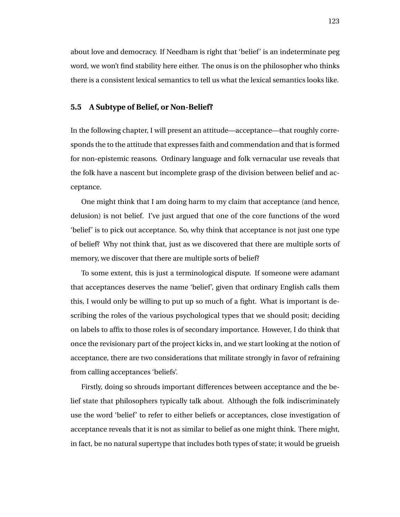about love and democracy. If Needham is right that 'belief' is an indeterminate peg word, we won't find stability here either. The onus is on the philosopher who thinks there is a consistent lexical semantics to tell us what the lexical semantics looks like.

#### **5.5 A Subtype of Belief, or Non-Belief?**

In the following chapter, I will present an attitude—acceptance—that roughly corresponds the to the attitude that expresses faith and commendation and that is formed for non-epistemic reasons. Ordinary language and folk vernacular use reveals that the folk have a nascent but incomplete grasp of the division between belief and acceptance.

One might think that I am doing harm to my claim that acceptance (and hence, delusion) is not belief. I've just argued that one of the core functions of the word 'belief' is to pick out acceptance. So, why think that acceptance is not just one type of belief? Why not think that, just as we discovered that there are multiple sorts of memory, we discover that there are multiple sorts of belief?

To some extent, this is just a terminological dispute. If someone were adamant that acceptances deserves the name 'belief', given that ordinary English calls them this, I would only be willing to put up so much of a fight. What is important is describing the roles of the various psychological types that we should posit; deciding on labels to affix to those roles is of secondary importance. However, I do think that once the revisionary part of the project kicks in, and we start looking at the notion of acceptance, there are two considerations that militate strongly in favor of refraining from calling acceptances 'beliefs'.

Firstly, doing so shrouds important differences between acceptance and the belief state that philosophers typically talk about. Although the folk indiscriminately use the word 'belief' to refer to either beliefs or acceptances, close investigation of acceptance reveals that it is not as similar to belief as one might think. There might, in fact, be no natural supertype that includes both types of state; it would be grueish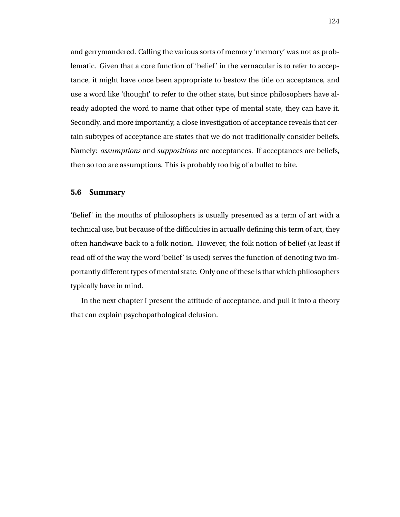and gerrymandered. Calling the various sorts of memory 'memory' was not as problematic. Given that a core function of 'belief' in the vernacular is to refer to acceptance, it might have once been appropriate to bestow the title on acceptance, and use a word like 'thought' to refer to the other state, but since philosophers have already adopted the word to name that other type of mental state, they can have it. Secondly, and more importantly, a close investigation of acceptance reveals that certain subtypes of acceptance are states that we do not traditionally consider beliefs. Namely: *assumptions* and *suppositions* are acceptances. If acceptances are beliefs, then so too are assumptions. This is probably too big of a bullet to bite.

#### **5.6 Summary**

'Belief' in the mouths of philosophers is usually presented as a term of art with a technical use, but because of the difficulties in actually defining this term of art, they often handwave back to a folk notion. However, the folk notion of belief (at least if read off of the way the word 'belief' is used) serves the function of denoting two importantly different types of mental state. Only one of these is that which philosophers typically have in mind.

In the next chapter I present the attitude of acceptance, and pull it into a theory that can explain psychopathological delusion.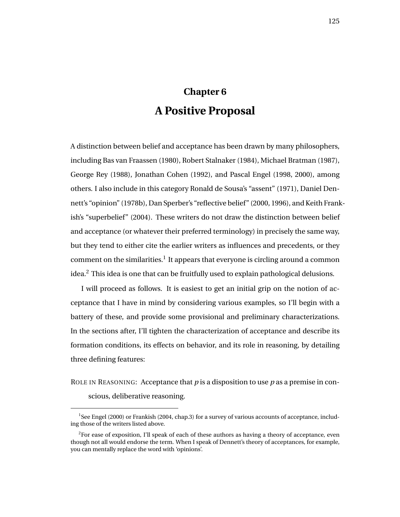# **Chapter 6 A Positive Proposal**

A distinction between belief and acceptance has been drawn by many philosophers, including Bas van Fraassen (1980), Robert Stalnaker (1984), Michael Bratman (1987), George Rey (1988), Jonathan Cohen (1992), and Pascal Engel (1998, 2000), among others. I also include in this category Ronald de Sousa's "assent" (1971), Daniel Dennett's "opinion" (1978b), Dan Sperber's "reflective belief" (2000, 1996), and Keith Frankish's "superbelief" (2004). These writers do not draw the distinction between belief and acceptance (or whatever their preferred terminology) in precisely the same way, but they tend to either cite the earlier writers as influences and precedents, or they comment on the similarities. $^1$  It appears that everyone is circling around a common idea.<sup>2</sup> This idea is one that can be fruitfully used to explain pathological delusions.

I will proceed as follows. It is easiest to get an initial grip on the notion of acceptance that I have in mind by considering various examples, so I'll begin with a battery of these, and provide some provisional and preliminary characterizations. In the sections after, I'll tighten the characterization of acceptance and describe its formation conditions, its effects on behavior, and its role in reasoning, by detailing three defining features:

ROLE IN REASONING: Acceptance that *p* is a disposition to use *p* as a premise in conscious, deliberative reasoning.

<sup>&</sup>lt;sup>1</sup>See Engel (2000) or Frankish (2004, chap.3) for a survey of various accounts of acceptance, including those of the writers listed above.

 $2$ For ease of exposition, I'll speak of each of these authors as having a theory of acceptance, even though not all would endorse the term. When I speak of Dennett's theory of acceptances, for example, you can mentally replace the word with 'opinions'.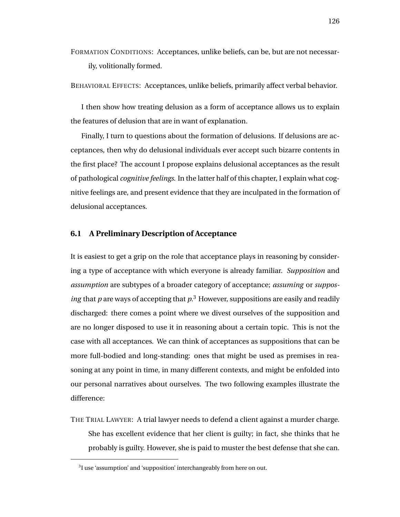FORMATION CONDITIONS: Acceptances, unlike beliefs, can be, but are not necessarily, volitionally formed.

BEHAVIORAL EFFECTS: Acceptances, unlike beliefs, primarily affect verbal behavior.

I then show how treating delusion as a form of acceptance allows us to explain the features of delusion that are in want of explanation.

Finally, I turn to questions about the formation of delusions. If delusions are acceptances, then why do delusional individuals ever accept such bizarre contents in the first place? The account I propose explains delusional acceptances as the result of pathological *cognitive feelings*. In the latter half of this chapter, I explain what cognitive feelings are, and present evidence that they are inculpated in the formation of delusional acceptances.

## **6.1 A Preliminary Description of Acceptance**

It is easiest to get a grip on the role that acceptance plays in reasoning by considering a type of acceptance with which everyone is already familiar. *Supposition* and *assumption* are subtypes of a broader category of acceptance; *assuming* or *supposing* that  $p$  are ways of accepting that  $p<sup>3</sup>$ . However, suppositions are easily and readily discharged: there comes a point where we divest ourselves of the supposition and are no longer disposed to use it in reasoning about a certain topic. This is not the case with all acceptances. We can think of acceptances as suppositions that can be more full-bodied and long-standing: ones that might be used as premises in reasoning at any point in time, in many different contexts, and might be enfolded into our personal narratives about ourselves. The two following examples illustrate the difference:

THE TRIAL LAWYER: A trial lawyer needs to defend a client against a murder charge. She has excellent evidence that her client is guilty; in fact, she thinks that he probably is guilty. However, she is paid to muster the best defense that she can.

 $3$ I use 'assumption' and 'supposition' interchangeably from here on out.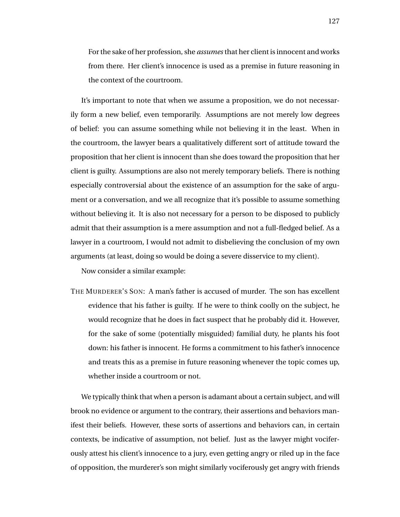For the sake of her profession, she *assumes* that her client is innocent and works from there. Her client's innocence is used as a premise in future reasoning in the context of the courtroom.

It's important to note that when we assume a proposition, we do not necessarily form a new belief, even temporarily. Assumptions are not merely low degrees of belief: you can assume something while not believing it in the least. When in the courtroom, the lawyer bears a qualitatively different sort of attitude toward the proposition that her client is innocent than she does toward the proposition that her client is guilty. Assumptions are also not merely temporary beliefs. There is nothing especially controversial about the existence of an assumption for the sake of argument or a conversation, and we all recognize that it's possible to assume something without believing it. It is also not necessary for a person to be disposed to publicly admit that their assumption is a mere assumption and not a full-fledged belief. As a lawyer in a courtroom, I would not admit to disbelieving the conclusion of my own arguments (at least, doing so would be doing a severe disservice to my client).

Now consider a similar example:

THE MURDERER'S SON: A man's father is accused of murder. The son has excellent evidence that his father is guilty. If he were to think coolly on the subject, he would recognize that he does in fact suspect that he probably did it. However, for the sake of some (potentially misguided) familial duty, he plants his foot down: his father is innocent. He forms a commitment to his father's innocence and treats this as a premise in future reasoning whenever the topic comes up, whether inside a courtroom or not.

We typically think that when a person is adamant about a certain subject, and will brook no evidence or argument to the contrary, their assertions and behaviors manifest their beliefs. However, these sorts of assertions and behaviors can, in certain contexts, be indicative of assumption, not belief. Just as the lawyer might vociferously attest his client's innocence to a jury, even getting angry or riled up in the face of opposition, the murderer's son might similarly vociferously get angry with friends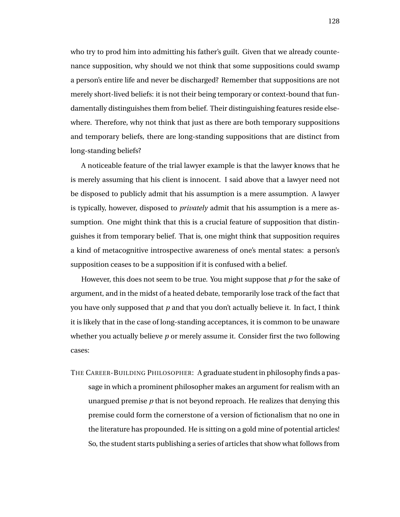who try to prod him into admitting his father's guilt. Given that we already countenance supposition, why should we not think that some suppositions could swamp a person's entire life and never be discharged? Remember that suppositions are not merely short-lived beliefs: it is not their being temporary or context-bound that fundamentally distinguishes them from belief. Their distinguishing features reside elsewhere. Therefore, why not think that just as there are both temporary suppositions and temporary beliefs, there are long-standing suppositions that are distinct from long-standing beliefs?

A noticeable feature of the trial lawyer example is that the lawyer knows that he is merely assuming that his client is innocent. I said above that a lawyer need not be disposed to publicly admit that his assumption is a mere assumption. A lawyer is typically, however, disposed to *privately* admit that his assumption is a mere assumption. One might think that this is a crucial feature of supposition that distinguishes it from temporary belief. That is, one might think that supposition requires a kind of metacognitive introspective awareness of one's mental states: a person's supposition ceases to be a supposition if it is confused with a belief.

However, this does not seem to be true. You might suppose that *p* for the sake of argument, and in the midst of a heated debate, temporarily lose track of the fact that you have only supposed that *p* and that you don't actually believe it. In fact, I think it is likely that in the case of long-standing acceptances, it is common to be unaware whether you actually believe *p* or merely assume it. Consider first the two following cases:

THE CAREER-BUILDING PHILOSOPHER: A graduate student in philosophy finds a passage in which a prominent philosopher makes an argument for realism with an unargued premise *p* that is not beyond reproach. He realizes that denying this premise could form the cornerstone of a version of fictionalism that no one in the literature has propounded. He is sitting on a gold mine of potential articles! So, the student starts publishing a series of articles that show what follows from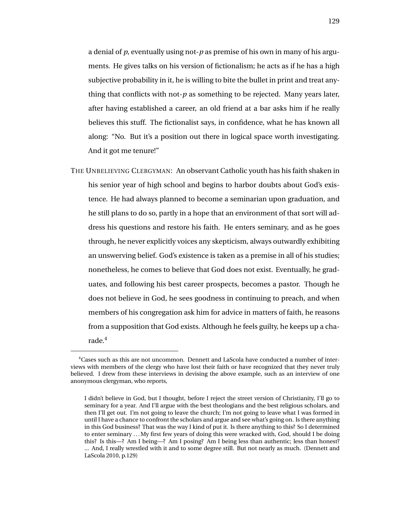a denial of *p*, eventually using not-*p* as premise of his own in many of his arguments. He gives talks on his version of fictionalism; he acts as if he has a high subjective probability in it, he is willing to bite the bullet in print and treat anything that conflicts with not-*p* as something to be rejected. Many years later, after having established a career, an old friend at a bar asks him if he really believes this stuff. The fictionalist says, in confidence, what he has known all along: "No. But it's a position out there in logical space worth investigating. And it got me tenure!"

THE UNBELIEVING CLERGYMAN: An observant Catholic youth has his faith shaken in his senior year of high school and begins to harbor doubts about God's existence. He had always planned to become a seminarian upon graduation, and he still plans to do so, partly in a hope that an environment of that sort will address his questions and restore his faith. He enters seminary, and as he goes through, he never explicitly voices any skepticism, always outwardly exhibiting an unswerving belief. God's existence is taken as a premise in all of his studies; nonetheless, he comes to believe that God does not exist. Eventually, he graduates, and following his best career prospects, becomes a pastor. Though he does not believe in God, he sees goodness in continuing to preach, and when members of his congregation ask him for advice in matters of faith, he reasons from a supposition that God exists. Although he feels guilty, he keeps up a charade.<sup>4</sup>

<sup>4</sup>Cases such as this are not uncommon. Dennett and LaScola have conducted a number of interviews with members of the clergy who have lost their faith or have recognized that they never truly believed. I drew from these interviews in devising the above example, such as an interview of one anonymous clergyman, who reports,

I didn't believe in God, but I thought, before I reject the street version of Christianity, I'll go to seminary for a year. And I'll argue with the best theologians and the best religious scholars, and then I'll get out. I'm not going to leave the church; I'm not going to leave what I was formed in until I have a chance to confront the scholars and argue and see what's going on. Is there anything in this God business? That was the way I kind of put it. Is there anything to this? So I determined to enter seminary . . .My first few years of doing this were wracked with, God, should I be doing this? Is this—? Am I being—? Am I posing? Am I being less than authentic; less than honest? ... And, I really wrestled with it and to some degree still. But not nearly as much. (Dennett and LaScola 2010, p.129)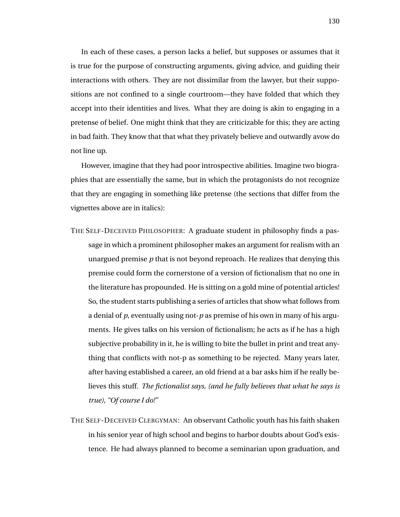In each of these cases, a person lacks a belief, but supposes or assumes that it is true for the purpose of constructing arguments, giving advice, and guiding their interactions with others. They are not dissimilar from the lawyer, but their suppositions are not confined to a single courtroom—they have folded that which they accept into their identities and lives. What they are doing is akin to engaging in a pretense of belief. One might think that they are criticizable for this; they are acting in bad faith. They know that that what they privately believe and outwardly avow do not line up.

However, imagine that they had poor introspective abilities. Imagine two biographies that are essentially the same, but in which the protagonists do not recognize that they are engaging in something like pretense (the sections that differ from the vignettes above are in italics):

- THE SELF-DECEIVED PHILOSOPHER: A graduate student in philosophy finds a passage in which a prominent philosopher makes an argument for realism with an unargued premise *p* that is not beyond reproach. He realizes that denying this premise could form the cornerstone of a version of fictionalism that no one in the literature has propounded. He is sitting on a gold mine of potential articles! So, the student starts publishing a series of articles that show what follows from a denial of *p*, eventually using not-*p* as premise of his own in many of his arguments. He gives talks on his version of fictionalism; he acts as if he has a high subjective probability in it, he is willing to bite the bullet in print and treat anything that conflicts with not-p as something to be rejected. Many years later, after having established a career, an old friend at a bar asks him if he really believes this stuff. *The fictionalist says, (and he fully believes that what he says is true), "Of course I do!"*
- THE SELF-DECEIVED CLERGYMAN: An observant Catholic youth has his faith shaken in his senior year of high school and begins to harbor doubts about God's existence. He had always planned to become a seminarian upon graduation, and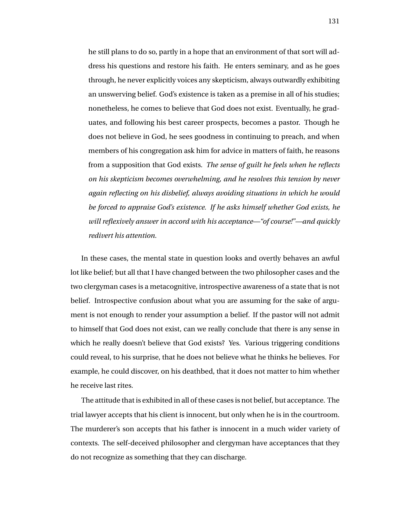he still plans to do so, partly in a hope that an environment of that sort will address his questions and restore his faith. He enters seminary, and as he goes through, he never explicitly voices any skepticism, always outwardly exhibiting an unswerving belief. God's existence is taken as a premise in all of his studies; nonetheless, he comes to believe that God does not exist. Eventually, he graduates, and following his best career prospects, becomes a pastor. Though he does not believe in God, he sees goodness in continuing to preach, and when members of his congregation ask him for advice in matters of faith, he reasons from a supposition that God exists. *The sense of guilt he feels when he reflects on his skepticism becomes overwhelming, and he resolves this tension by never again reflecting on his disbelief, always avoiding situations in which he would be forced to appraise God's existence. If he asks himself whether God exists, he will reflexively answer in accord with his acceptance—"of course!"—and quickly redivert his attention.*

In these cases, the mental state in question looks and overtly behaves an awful lot like belief; but all that I have changed between the two philosopher cases and the two clergyman cases is a metacognitive, introspective awareness of a state that is not belief. Introspective confusion about what you are assuming for the sake of argument is not enough to render your assumption a belief. If the pastor will not admit to himself that God does not exist, can we really conclude that there is any sense in which he really doesn't believe that God exists? Yes. Various triggering conditions could reveal, to his surprise, that he does not believe what he thinks he believes. For example, he could discover, on his deathbed, that it does not matter to him whether he receive last rites.

The attitude that is exhibited in all of these cases is not belief, but acceptance. The trial lawyer accepts that his client is innocent, but only when he is in the courtroom. The murderer's son accepts that his father is innocent in a much wider variety of contexts. The self-deceived philosopher and clergyman have acceptances that they do not recognize as something that they can discharge.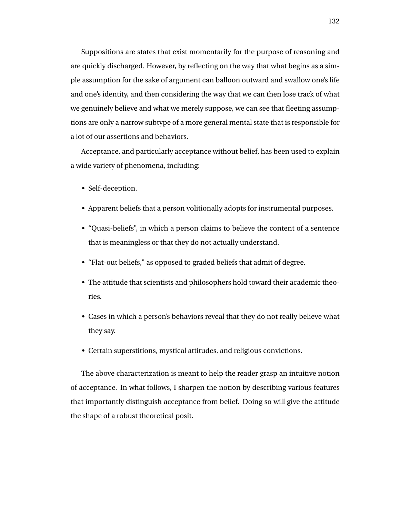Suppositions are states that exist momentarily for the purpose of reasoning and are quickly discharged. However, by reflecting on the way that what begins as a simple assumption for the sake of argument can balloon outward and swallow one's life and one's identity, and then considering the way that we can then lose track of what we genuinely believe and what we merely suppose, we can see that fleeting assumptions are only a narrow subtype of a more general mental state that is responsible for a lot of our assertions and behaviors.

Acceptance, and particularly acceptance without belief, has been used to explain a wide variety of phenomena, including:

- Self-deception.
- Apparent beliefs that a person volitionally adopts for instrumental purposes.
- "Quasi-beliefs", in which a person claims to believe the content of a sentence that is meaningless or that they do not actually understand.
- "Flat-out beliefs," as opposed to graded beliefs that admit of degree.
- The attitude that scientists and philosophers hold toward their academic theories.
- Cases in which a person's behaviors reveal that they do not really believe what they say.
- Certain superstitions, mystical attitudes, and religious convictions.

The above characterization is meant to help the reader grasp an intuitive notion of acceptance. In what follows, I sharpen the notion by describing various features that importantly distinguish acceptance from belief. Doing so will give the attitude the shape of a robust theoretical posit.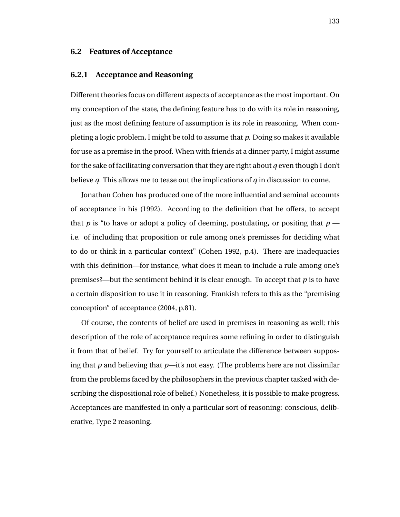## **6.2 Features of Acceptance**

#### **6.2.1 Acceptance and Reasoning**

Different theories focus on different aspects of acceptance as the most important. On my conception of the state, the defining feature has to do with its role in reasoning, just as the most defining feature of assumption is its role in reasoning. When completing a logic problem, I might be told to assume that *p*. Doing so makes it available for use as a premise in the proof. When with friends at a dinner party, I might assume for the sake of facilitating conversation that they are right about *q* even though I don't believe *q*. This allows me to tease out the implications of *q* in discussion to come.

Jonathan Cohen has produced one of the more influential and seminal accounts of acceptance in his (1992). According to the definition that he offers, to accept that *p* is "to have or adopt a policy of deeming, postulating, or positing that  $p$  i.e. of including that proposition or rule among one's premisses for deciding what to do or think in a particular context" (Cohen 1992, p.4). There are inadequacies with this definition—for instance, what does it mean to include a rule among one's premises?—but the sentiment behind it is clear enough. To accept that *p* is to have a certain disposition to use it in reasoning. Frankish refers to this as the "premising conception" of acceptance (2004, p.81).

Of course, the contents of belief are used in premises in reasoning as well; this description of the role of acceptance requires some refining in order to distinguish it from that of belief. Try for yourself to articulate the difference between supposing that *p* and believing that *p*—it's not easy. (The problems here are not dissimilar from the problems faced by the philosophers in the previous chapter tasked with describing the dispositional role of belief.) Nonetheless, it is possible to make progress. Acceptances are manifested in only a particular sort of reasoning: conscious, deliberative, Type 2 reasoning.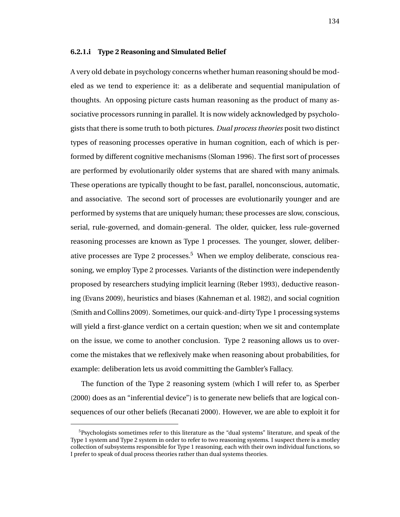#### **6.2.1.i Type 2 Reasoning and Simulated Belief**

A very old debate in psychology concerns whether human reasoning should be modeled as we tend to experience it: as a deliberate and sequential manipulation of thoughts. An opposing picture casts human reasoning as the product of many associative processors running in parallel. It is now widely acknowledged by psychologists that there is some truth to both pictures. *Dual process theories* posit two distinct types of reasoning processes operative in human cognition, each of which is performed by different cognitive mechanisms (Sloman 1996). The first sort of processes are performed by evolutionarily older systems that are shared with many animals. These operations are typically thought to be fast, parallel, nonconscious, automatic, and associative. The second sort of processes are evolutionarily younger and are performed by systems that are uniquely human; these processes are slow, conscious, serial, rule-governed, and domain-general. The older, quicker, less rule-governed reasoning processes are known as Type 1 processes. The younger, slower, deliberative processes are Type 2 processes.<sup>5</sup> When we employ deliberate, conscious reasoning, we employ Type 2 processes. Variants of the distinction were independently proposed by researchers studying implicit learning (Reber 1993), deductive reasoning (Evans 2009), heuristics and biases (Kahneman et al. 1982), and social cognition (Smith and Collins 2009). Sometimes, our quick-and-dirty Type 1 processing systems will yield a first-glance verdict on a certain question; when we sit and contemplate on the issue, we come to another conclusion. Type 2 reasoning allows us to overcome the mistakes that we reflexively make when reasoning about probabilities, for example: deliberation lets us avoid committing the Gambler's Fallacy.

The function of the Type 2 reasoning system (which I will refer to, as Sperber (2000) does as an "inferential device") is to generate new beliefs that are logical consequences of our other beliefs (Recanati 2000). However, we are able to exploit it for

 $5P$ sychologists sometimes refer to this literature as the "dual systems" literature, and speak of the Type 1 system and Type 2 system in order to refer to two reasoning systems. I suspect there is a motley collection of subsystems responsible for Type 1 reasoning, each with their own individual functions, so I prefer to speak of dual process theories rather than dual systems theories.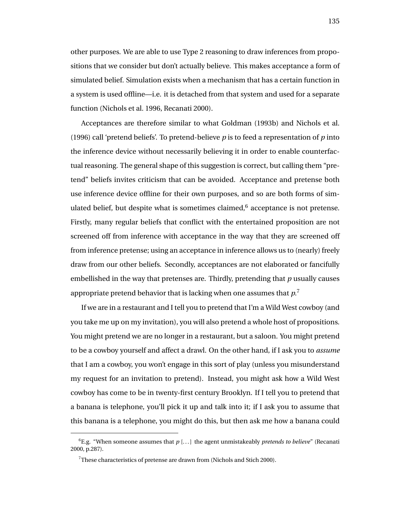other purposes. We are able to use Type 2 reasoning to draw inferences from propositions that we consider but don't actually believe. This makes acceptance a form of simulated belief. Simulation exists when a mechanism that has a certain function in a system is used offline—i.e. it is detached from that system and used for a separate function (Nichols et al. 1996, Recanati 2000).

Acceptances are therefore similar to what Goldman (1993b) and Nichols et al. (1996) call 'pretend beliefs'. To pretend-believe *p* is to feed a representation of *p* into the inference device without necessarily believing it in order to enable counterfactual reasoning. The general shape of this suggestion is correct, but calling them "pretend" beliefs invites criticism that can be avoided. Acceptance and pretense both use inference device offline for their own purposes, and so are both forms of simulated belief, but despite what is sometimes claimed, $6$  acceptance is not pretense. Firstly, many regular beliefs that conflict with the entertained proposition are not screened off from inference with acceptance in the way that they are screened off from inference pretense; using an acceptance in inference allows us to (nearly) freely draw from our other beliefs. Secondly, acceptances are not elaborated or fancifully embellished in the way that pretenses are. Thirdly, pretending that *p* usually causes appropriate pretend behavior that is lacking when one assumes that  $p$ .<sup>7</sup>

If we are in a restaurant and I tell you to pretend that I'm a Wild West cowboy (and you take me up on my invitation), you will also pretend a whole host of propositions. You might pretend we are no longer in a restaurant, but a saloon. You might pretend to be a cowboy yourself and affect a drawl. On the other hand, if I ask you to *assume* that I am a cowboy, you won't engage in this sort of play (unless you misunderstand my request for an invitation to pretend). Instead, you might ask how a Wild West cowboy has come to be in twenty-first century Brooklyn. If I tell you to pretend that a banana is telephone, you'll pick it up and talk into it; if I ask you to assume that this banana is a telephone, you might do this, but then ask me how a banana could

 ${}^{6}E.g.$  "When someone assumes that  $p$  [...] the agent unmistakeably *pretends to believe*" (Recanati 2000, p.287).

<sup>7</sup>These characteristics of pretense are drawn from (Nichols and Stich 2000).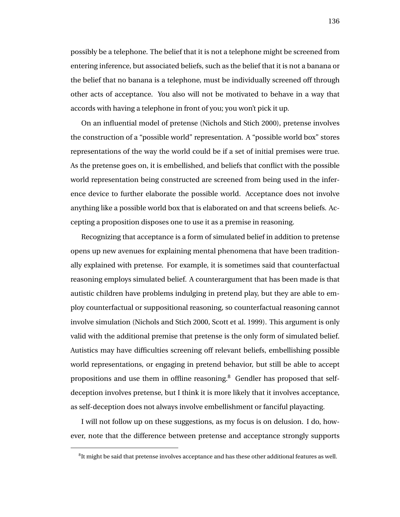possibly be a telephone. The belief that it is not a telephone might be screened from entering inference, but associated beliefs, such as the belief that it is not a banana or the belief that no banana is a telephone, must be individually screened off through other acts of acceptance. You also will not be motivated to behave in a way that accords with having a telephone in front of you; you won't pick it up.

On an influential model of pretense (Nichols and Stich 2000), pretense involves the construction of a "possible world" representation. A "possible world box" stores representations of the way the world could be if a set of initial premises were true. As the pretense goes on, it is embellished, and beliefs that conflict with the possible world representation being constructed are screened from being used in the inference device to further elaborate the possible world. Acceptance does not involve anything like a possible world box that is elaborated on and that screens beliefs. Accepting a proposition disposes one to use it as a premise in reasoning.

Recognizing that acceptance is a form of simulated belief in addition to pretense opens up new avenues for explaining mental phenomena that have been traditionally explained with pretense. For example, it is sometimes said that counterfactual reasoning employs simulated belief. A counterargument that has been made is that autistic children have problems indulging in pretend play, but they are able to employ counterfactual or suppositional reasoning, so counterfactual reasoning cannot involve simulation (Nichols and Stich 2000, Scott et al. 1999). This argument is only valid with the additional premise that pretense is the only form of simulated belief. Autistics may have difficulties screening off relevant beliefs, embellishing possible world representations, or engaging in pretend behavior, but still be able to accept propositions and use them in offline reasoning.<sup>8</sup> Gendler has proposed that selfdeception involves pretense, but I think it is more likely that it involves acceptance, as self-deception does not always involve embellishment or fanciful playacting.

I will not follow up on these suggestions, as my focus is on delusion. I do, however, note that the difference between pretense and acceptance strongly supports

 ${}^{8}$ It might be said that pretense involves acceptance and has these other additional features as well.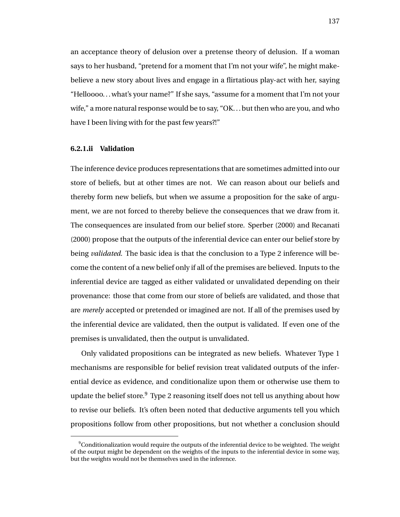an acceptance theory of delusion over a pretense theory of delusion. If a woman says to her husband, "pretend for a moment that I'm not your wife", he might makebelieve a new story about lives and engage in a flirtatious play-act with her, saying "Helloooo. . . what's your name?" If she says, "assume for a moment that I'm not your wife," a more natural response would be to say, "OK. . . but then who are you, and who have I been living with for the past few years?!"

### **6.2.1.ii Validation**

The inference device produces representations that are sometimes admitted into our store of beliefs, but at other times are not. We can reason about our beliefs and thereby form new beliefs, but when we assume a proposition for the sake of argument, we are not forced to thereby believe the consequences that we draw from it. The consequences are insulated from our belief store. Sperber (2000) and Recanati (2000) propose that the outputs of the inferential device can enter our belief store by being *validated*. The basic idea is that the conclusion to a Type 2 inference will become the content of a new belief only if all of the premises are believed. Inputs to the inferential device are tagged as either validated or unvalidated depending on their provenance: those that come from our store of beliefs are validated, and those that are *merely* accepted or pretended or imagined are not. If all of the premises used by the inferential device are validated, then the output is validated. If even one of the premises is unvalidated, then the output is unvalidated.

Only validated propositions can be integrated as new beliefs. Whatever Type 1 mechanisms are responsible for belief revision treat validated outputs of the inferential device as evidence, and conditionalize upon them or otherwise use them to update the belief store. $9$  Type 2 reasoning itself does not tell us anything about how to revise our beliefs. It's often been noted that deductive arguments tell you which propositions follow from other propositions, but not whether a conclusion should

 $9$ Conditionalization would require the outputs of the inferential device to be weighted. The weight of the output might be dependent on the weights of the inputs to the inferential device in some way, but the weights would not be themselves used in the inference.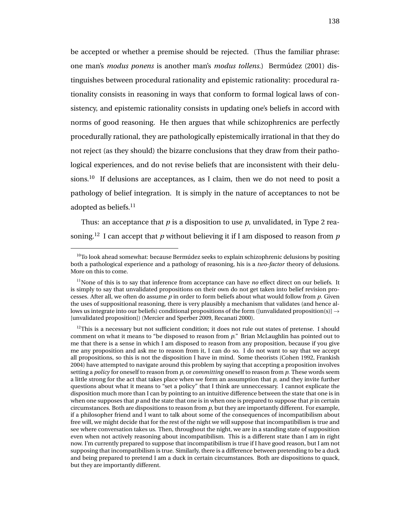be accepted or whether a premise should be rejected. (Thus the familiar phrase: one man's *modus ponens* is another man's *modus tollens*.) Bermudez (2001) dis- ´ tinguishes between procedural rationality and epistemic rationality: procedural rationality consists in reasoning in ways that conform to formal logical laws of consistency, and epistemic rationality consists in updating one's beliefs in accord with norms of good reasoning. He then argues that while schizophrenics are perfectly procedurally rational, they are pathologically epistemically irrational in that they do not reject (as they should) the bizarre conclusions that they draw from their pathological experiences, and do not revise beliefs that are inconsistent with their delusions.<sup>10</sup> If delusions are acceptances, as I claim, then we do not need to posit a pathology of belief integration. It is simply in the nature of acceptances to not be adopted as beliefs.<sup>11</sup>

Thus: an acceptance that *p* is a disposition to use *p*, unvalidated, in Type 2 reasoning.<sup>12</sup> I can accept that  $p$  without believing it if I am disposed to reason from  $p$ 

 $10$ To look ahead somewhat: because Bermúdez seeks to explain schizophrenic delusions by positing both a pathological experience and a pathology of reasoning, his is a *two-factor* theory of delusions. More on this to come.

<sup>&</sup>lt;sup>11</sup>None of this is to say that inference from acceptance can have *no* effect direct on our beliefs. It is simply to say that unvalidated propositions on their own do not get taken into belief revision processes. After all, we often do assume *p* in order to form beliefs about what would follow from *p*. Given the uses of suppositional reasoning, there is very plausibly a mechanism that validates (and hence allows us integrate into our beliefs) conditional propositions of the form ([unvalidated proposition(s)]  $\rightarrow$ [unvalidated proposition]) (Mercier and Sperber 2009, Recanati 2000).

 $12$ This is a necessary but not sufficient condition; it does not rule out states of pretense. I should comment on what it means to "be disposed to reason from *p*." Brian McLaughlin has pointed out to me that there is a sense in which I am disposed to reason from any proposition, because if you give me any proposition and ask me to reason from it, I can do so. I do not want to say that we accept all propositions, so this is not the disposition I have in mind. Some theorists (Cohen 1992, Frankish 2004) have attempted to navigate around this problem by saying that accepting a proposition involves setting a *policy* for oneself to reason from *p*, or *committing* oneself to reason from *p*. These words seem a little strong for the act that takes place when we form an assumption that *p*, and they invite further questions about what it means to "set a policy" that I think are unneccessary. I cannot explicate the disposition much more than I can by pointing to an intuitive difference between the state that one is in when one supposes that *p* and the state that one is in when one is prepared to suppose that *p* in certain circumstances. Both are dispositions to reason from *p*, but they are importantly different. For example, if a philosopher friend and I want to talk about some of the consequences of incompatibilism about free will, we might decide that for the rest of the night we will suppose that incompatibilism is true and see where conversation takes us. Then, throughout the night, we are in a standing state of supposition even when not actively reasoning about incompatibilism. This is a different state than I am in right now. I'm currently prepared to suppose that incompatibilism is true if I have good reason, but I am not supposing that incompatibilism is true. Similarly, there is a difference between pretending to be a duck and being prepared to pretend I am a duck in certain circumstances. Both are dispositions to quack, but they are importantly different.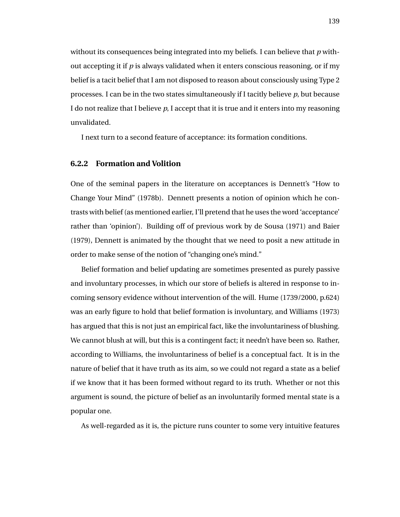without its consequences being integrated into my beliefs. I can believe that *p* without accepting it if  $p$  is always validated when it enters conscious reasoning, or if my belief is a tacit belief that I am not disposed to reason about consciously using Type 2 processes. I can be in the two states simultaneously if I tacitly believe *p*, but because I do not realize that I believe *p*, I accept that it is true and it enters into my reasoning unvalidated.

I next turn to a second feature of acceptance: its formation conditions.

### **6.2.2 Formation and Volition**

One of the seminal papers in the literature on acceptances is Dennett's "How to Change Your Mind" (1978b). Dennett presents a notion of opinion which he contrasts with belief (as mentioned earlier, I'll pretend that he uses the word 'acceptance' rather than 'opinion'). Building off of previous work by de Sousa (1971) and Baier (1979), Dennett is animated by the thought that we need to posit a new attitude in order to make sense of the notion of "changing one's mind."

Belief formation and belief updating are sometimes presented as purely passive and involuntary processes, in which our store of beliefs is altered in response to incoming sensory evidence without intervention of the will. Hume (1739/2000, p.624) was an early figure to hold that belief formation is involuntary, and Williams (1973) has argued that this is not just an empirical fact, like the involuntariness of blushing. We cannot blush at will, but this is a contingent fact; it needn't have been so. Rather, according to Williams, the involuntariness of belief is a conceptual fact. It is in the nature of belief that it have truth as its aim, so we could not regard a state as a belief if we know that it has been formed without regard to its truth. Whether or not this argument is sound, the picture of belief as an involuntarily formed mental state is a popular one.

As well-regarded as it is, the picture runs counter to some very intuitive features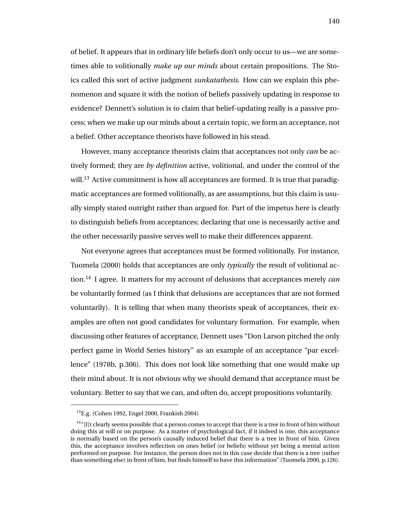of belief. It appears that in ordinary life beliefs don't only occur to us—we are sometimes able to volitionally *make up our minds* about certain propositions. The Stoics called this sort of active judgment *sunkatathesis*. How can we explain this phenomenon and square it with the notion of beliefs passively updating in response to evidence? Dennett's solution is to claim that belief-updating really is a passive process; when we make up our minds about a certain topic, we form an acceptance, not a belief. Other acceptance theorists have followed in his stead.

However, many acceptance theorists claim that acceptances not only *can* be actively formed; they are *by definition* active, volitional, and under the control of the will.<sup>13</sup> Active commitment is how all acceptances are formed. It is true that paradigmatic acceptances are formed volitionally, as are assumptions, but this claim is usually simply stated outright rather than argued for. Part of the impetus here is clearly to distinguish beliefs from acceptances; declaring that one is necessarily active and the other necessarily passive serves well to make their differences apparent.

Not everyone agrees that acceptances must be formed volitionally. For instance, Tuomela (2000) holds that acceptances are only *typically* the result of volitional action.<sup>14</sup> I agree. It matters for my account of delusions that acceptances merely *can* be voluntarily formed (as I think that delusions are acceptances that are not formed voluntarily). It is telling that when many theorists speak of acceptances, their examples are often not good candidates for voluntary formation. For example, when discussing other features of acceptance, Dennett uses "Don Larson pitched the only perfect game in World Series history" as an example of an acceptance "par excellence" (1978b, p.306). This does not look like something that one would make up their mind about. It is not obvious why we should demand that acceptance must be voluntary. Better to say that we can, and often do, accept propositions voluntarily.

<sup>13</sup>E.g. (Cohen 1992, Engel 2000, Frankish 2004)

 $14^n$ [I]t clearly seems possible that a person comes to accept that there is a tree in front of him without doing this at will or on purpose. As a matter of psychological fact, if it indeed is one, this acceptance is normally based on the person's causally induced belief that there is a tree in front of him. Given this, the acceptance involves reflection on ones belief (or beliefs) without yet being a mental action performed on purpose. For instance, the person does not in this case decide that there is a tree (rather than something else) in front of him, but finds himself to have this information" (Tuomela 2000, p.126).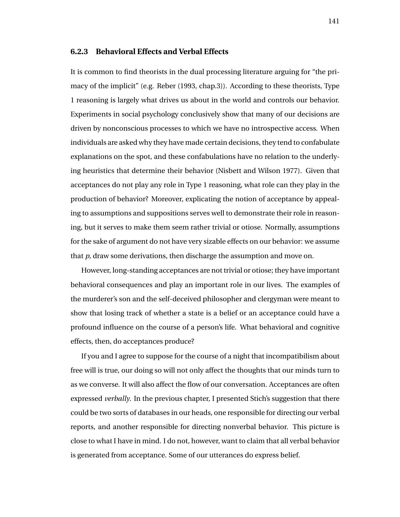### **6.2.3 Behavioral Effects and Verbal Effects**

It is common to find theorists in the dual processing literature arguing for "the primacy of the implicit" (e.g. Reber (1993, chap.3)). According to these theorists, Type 1 reasoning is largely what drives us about in the world and controls our behavior. Experiments in social psychology conclusively show that many of our decisions are driven by nonconscious processes to which we have no introspective access. When individuals are asked why they have made certain decisions, they tend to confabulate explanations on the spot, and these confabulations have no relation to the underlying heuristics that determine their behavior (Nisbett and Wilson 1977). Given that acceptances do not play any role in Type 1 reasoning, what role can they play in the production of behavior? Moreover, explicating the notion of acceptance by appealing to assumptions and suppositions serves well to demonstrate their role in reasoning, but it serves to make them seem rather trivial or otiose. Normally, assumptions for the sake of argument do not have very sizable effects on our behavior: we assume that *p*, draw some derivations, then discharge the assumption and move on.

However, long-standing acceptances are not trivial or otiose; they have important behavioral consequences and play an important role in our lives. The examples of the murderer's son and the self-deceived philosopher and clergyman were meant to show that losing track of whether a state is a belief or an acceptance could have a profound influence on the course of a person's life. What behavioral and cognitive effects, then, do acceptances produce?

If you and I agree to suppose for the course of a night that incompatibilism about free will is true, our doing so will not only affect the thoughts that our minds turn to as we converse. It will also affect the flow of our conversation. Acceptances are often expressed *verbally*. In the previous chapter, I presented Stich's suggestion that there could be two sorts of databases in our heads, one responsible for directing our verbal reports, and another responsible for directing nonverbal behavior. This picture is close to what I have in mind. I do not, however, want to claim that all verbal behavior is generated from acceptance. Some of our utterances do express belief.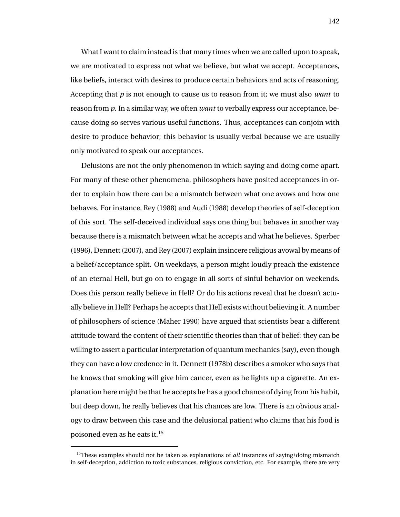What I want to claim instead is that many times when we are called upon to speak, we are motivated to express not what we believe, but what we accept. Acceptances, like beliefs, interact with desires to produce certain behaviors and acts of reasoning. Accepting that *p* is not enough to cause us to reason from it; we must also *want* to reason from *p*. In a similar way, we often *want* to verbally express our acceptance, because doing so serves various useful functions. Thus, acceptances can conjoin with desire to produce behavior; this behavior is usually verbal because we are usually only motivated to speak our acceptances.

Delusions are not the only phenomenon in which saying and doing come apart. For many of these other phenomena, philosophers have posited acceptances in order to explain how there can be a mismatch between what one avows and how one behaves. For instance, Rey (1988) and Audi (1988) develop theories of self-deception of this sort. The self-deceived individual says one thing but behaves in another way because there is a mismatch between what he accepts and what he believes. Sperber (1996), Dennett (2007), and Rey (2007) explain insincere religious avowal by means of a belief/acceptance split. On weekdays, a person might loudly preach the existence of an eternal Hell, but go on to engage in all sorts of sinful behavior on weekends. Does this person really believe in Hell? Or do his actions reveal that he doesn't actually believe in Hell? Perhaps he accepts that Hell exists without believing it. A number of philosophers of science (Maher 1990) have argued that scientists bear a different attitude toward the content of their scientific theories than that of belief: they can be willing to assert a particular interpretation of quantum mechanics (say), even though they can have a low credence in it. Dennett (1978b) describes a smoker who says that he knows that smoking will give him cancer, even as he lights up a cigarette. An explanation here might be that he accepts he has a good chance of dying from his habit, but deep down, he really believes that his chances are low. There is an obvious analogy to draw between this case and the delusional patient who claims that his food is poisoned even as he eats it.<sup>15</sup>

<sup>&</sup>lt;sup>15</sup>These examples should not be taken as explanations of *all* instances of saying/doing mismatch in self-deception, addiction to toxic substances, religious conviction, etc. For example, there are very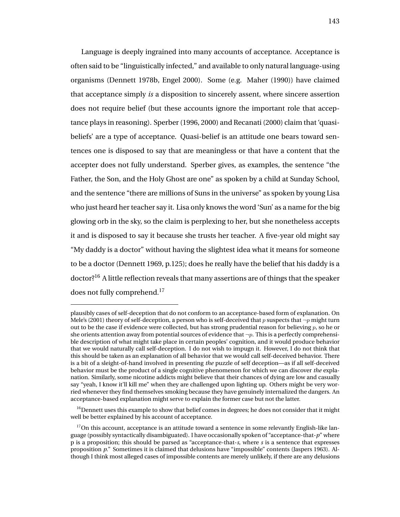Language is deeply ingrained into many accounts of acceptance. Acceptance is often said to be "linguistically infected," and available to only natural language-using organisms (Dennett 1978b, Engel 2000). Some (e.g. Maher (1990)) have claimed that acceptance simply *is* a disposition to sincerely assent, where sincere assertion does not require belief (but these accounts ignore the important role that acceptance plays in reasoning). Sperber (1996, 2000) and Recanati (2000) claim that 'quasibeliefs' are a type of acceptance. Quasi-belief is an attitude one bears toward sentences one is disposed to say that are meaningless or that have a content that the accepter does not fully understand. Sperber gives, as examples, the sentence "the Father, the Son, and the Holy Ghost are one" as spoken by a child at Sunday School, and the sentence "there are millions of Suns in the universe" as spoken by young Lisa who just heard her teacher say it. Lisa only knows the word 'Sun' as a name for the big glowing orb in the sky, so the claim is perplexing to her, but she nonetheless accepts it and is disposed to say it because she trusts her teacher. A five-year old might say "My daddy is a doctor" without having the slightest idea what it means for someone to be a doctor (Dennett 1969, p.125); does he really have the belief that his daddy is a doctor?<sup>16</sup> A little reflection reveals that many assertions are of things that the speaker does not fully comprehend.<sup>17</sup>

plausibly cases of self-deception that do not conform to an acceptance-based form of explanation. On Mele's (2001) theory of self-deception, a person who is self-deceived that p suspects that  $\neg p$  might turn out to be the case if evidence were collected, but has strong prudential reason for believing  $p$ , so he or she orients attention away from potential sources of evidence that  $\neg p$ . This is a perfectly comprehensible description of what might take place in certain peoples' cognition, and it would produce behavior that we would naturally call self-deception. I do not wish to impugn it. However, I do not think that this should be taken as an explanation of all behavior that we would call self-deceived behavior. There is a bit of a sleight-of-hand involved in presenting *the* puzzle of self deception—as if all self-deceived behavior must be the product of a single cognitive phenomenon for which we can discover *the* explanation. Similarly, some nicotine addicts might believe that their chances of dying are low and casually say "yeah, I know it'll kill me" when they are challenged upon lighting up. Others might be very worried whenever they find themselves smoking because they have genuinely internalized the dangers. An acceptance-based explanation might serve to explain the former case but not the latter.

 $16$ Dennett uses this example to show that belief comes in degrees; he does not consider that it might well be better explained by his account of acceptance.

 $17$ On this account, acceptance is an attitude toward a sentence in some relevantly English-like language (possibly syntactically disambiguated). I have occasionally spoken of "acceptance-that-*p*" where p is a proposition; this should be parsed as "acceptance-that-*s*, where *s* is a sentence that expresses proposition *p*." Sometimes it is claimed that delusions have "impossible" contents (Jaspers 1963). Although I think most alleged cases of impossible contents are merely unlikely, if there are any delusions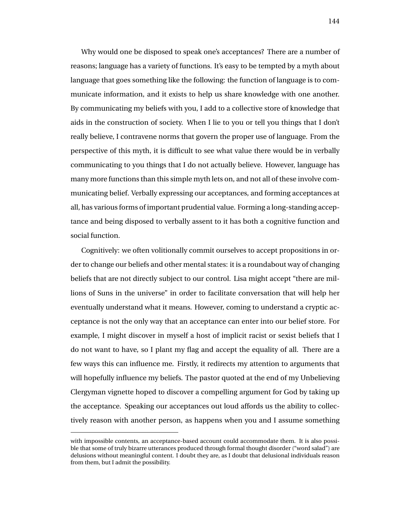Why would one be disposed to speak one's acceptances? There are a number of reasons; language has a variety of functions. It's easy to be tempted by a myth about language that goes something like the following: the function of language is to communicate information, and it exists to help us share knowledge with one another. By communicating my beliefs with you, I add to a collective store of knowledge that aids in the construction of society. When I lie to you or tell you things that I don't really believe, I contravene norms that govern the proper use of language. From the perspective of this myth, it is difficult to see what value there would be in verbally communicating to you things that I do not actually believe. However, language has many more functions than this simple myth lets on, and not all of these involve communicating belief. Verbally expressing our acceptances, and forming acceptances at all, has various forms of important prudential value. Forming a long-standing acceptance and being disposed to verbally assent to it has both a cognitive function and social function.

Cognitively: we often volitionally commit ourselves to accept propositions in order to change our beliefs and other mental states: it is a roundabout way of changing beliefs that are not directly subject to our control. Lisa might accept "there are millions of Suns in the universe" in order to facilitate conversation that will help her eventually understand what it means. However, coming to understand a cryptic acceptance is not the only way that an acceptance can enter into our belief store. For example, I might discover in myself a host of implicit racist or sexist beliefs that I do not want to have, so I plant my flag and accept the equality of all. There are a few ways this can influence me. Firstly, it redirects my attention to arguments that will hopefully influence my beliefs. The pastor quoted at the end of my Unbelieving Clergyman vignette hoped to discover a compelling argument for God by taking up the acceptance. Speaking our acceptances out loud affords us the ability to collectively reason with another person, as happens when you and I assume something

with impossible contents, an acceptance-based account could accommodate them. It is also possible that some of truly bizarre utterances produced through formal thought disorder ("word salad") are delusions without meaningful content. I doubt they are, as I doubt that delusional individuals reason from them, but I admit the possibility.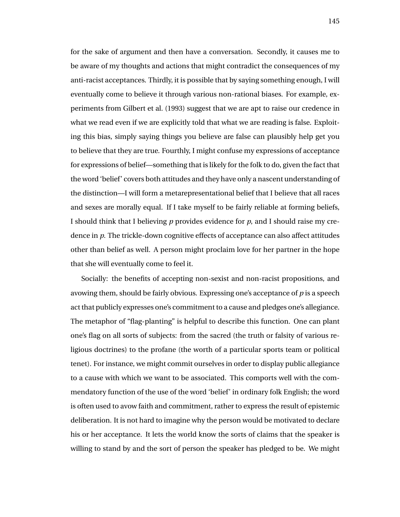for the sake of argument and then have a conversation. Secondly, it causes me to be aware of my thoughts and actions that might contradict the consequences of my anti-racist acceptances. Thirdly, it is possible that by saying something enough, I will eventually come to believe it through various non-rational biases. For example, experiments from Gilbert et al. (1993) suggest that we are apt to raise our credence in what we read even if we are explicitly told that what we are reading is false. Exploiting this bias, simply saying things you believe are false can plausibly help get you to believe that they are true. Fourthly, I might confuse my expressions of acceptance for expressions of belief—something that is likely for the folk to do, given the fact that the word 'belief' covers both attitudes and they have only a nascent understanding of the distinction—I will form a metarepresentational belief that I believe that all races and sexes are morally equal. If I take myself to be fairly reliable at forming beliefs, I should think that I believing *p* provides evidence for *p*, and I should raise my credence in *p*. The trickle-down cognitive effects of acceptance can also affect attitudes other than belief as well. A person might proclaim love for her partner in the hope that she will eventually come to feel it.

Socially: the benefits of accepting non-sexist and non-racist propositions, and avowing them, should be fairly obvious. Expressing one's acceptance of *p* is a speech act that publicly expresses one's commitment to a cause and pledges one's allegiance. The metaphor of "flag-planting" is helpful to describe this function. One can plant one's flag on all sorts of subjects: from the sacred (the truth or falsity of various religious doctrines) to the profane (the worth of a particular sports team or political tenet). For instance, we might commit ourselves in order to display public allegiance to a cause with which we want to be associated. This comports well with the commendatory function of the use of the word 'belief' in ordinary folk English; the word is often used to avow faith and commitment, rather to express the result of epistemic deliberation. It is not hard to imagine why the person would be motivated to declare his or her acceptance. It lets the world know the sorts of claims that the speaker is willing to stand by and the sort of person the speaker has pledged to be. We might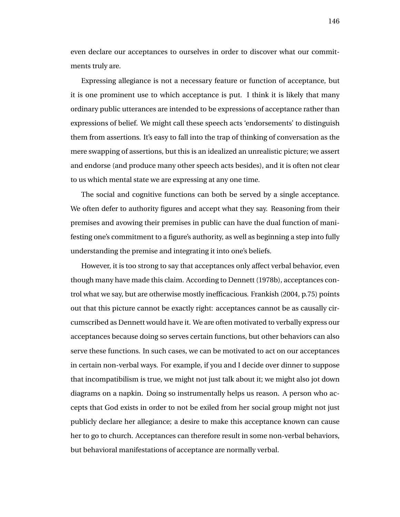even declare our acceptances to ourselves in order to discover what our commitments truly are.

Expressing allegiance is not a necessary feature or function of acceptance, but it is one prominent use to which acceptance is put. I think it is likely that many ordinary public utterances are intended to be expressions of acceptance rather than expressions of belief. We might call these speech acts 'endorsements' to distinguish them from assertions. It's easy to fall into the trap of thinking of conversation as the mere swapping of assertions, but this is an idealized an unrealistic picture; we assert and endorse (and produce many other speech acts besides), and it is often not clear to us which mental state we are expressing at any one time.

The social and cognitive functions can both be served by a single acceptance. We often defer to authority figures and accept what they say. Reasoning from their premises and avowing their premises in public can have the dual function of manifesting one's commitment to a figure's authority, as well as beginning a step into fully understanding the premise and integrating it into one's beliefs.

However, it is too strong to say that acceptances only affect verbal behavior, even though many have made this claim. According to Dennett (1978b), acceptances control what we say, but are otherwise mostly inefficacious. Frankish (2004, p.75) points out that this picture cannot be exactly right: acceptances cannot be as causally circumscribed as Dennett would have it. We are often motivated to verbally express our acceptances because doing so serves certain functions, but other behaviors can also serve these functions. In such cases, we can be motivated to act on our acceptances in certain non-verbal ways. For example, if you and I decide over dinner to suppose that incompatibilism is true, we might not just talk about it; we might also jot down diagrams on a napkin. Doing so instrumentally helps us reason. A person who accepts that God exists in order to not be exiled from her social group might not just publicly declare her allegiance; a desire to make this acceptance known can cause her to go to church. Acceptances can therefore result in some non-verbal behaviors, but behavioral manifestations of acceptance are normally verbal.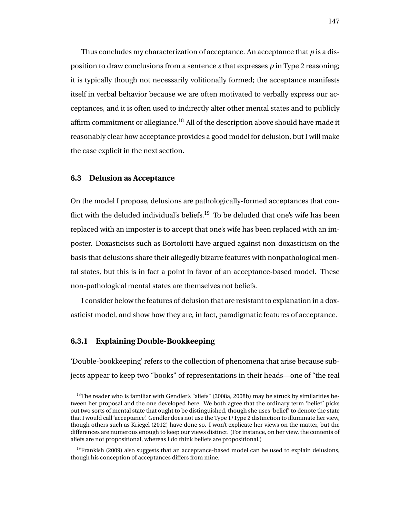Thus concludes my characterization of acceptance. An acceptance that *p* is a disposition to draw conclusions from a sentence *s* that expresses *p* in Type 2 reasoning; it is typically though not necessarily volitionally formed; the acceptance manifests itself in verbal behavior because we are often motivated to verbally express our acceptances, and it is often used to indirectly alter other mental states and to publicly affirm commitment or allegiance.<sup>18</sup> All of the description above should have made it reasonably clear how acceptance provides a good model for delusion, but I will make the case explicit in the next section.

### **6.3 Delusion as Acceptance**

On the model I propose, delusions are pathologically-formed acceptances that conflict with the deluded individual's beliefs.<sup>19</sup> To be deluded that one's wife has been replaced with an imposter is to accept that one's wife has been replaced with an imposter. Doxasticists such as Bortolotti have argued against non-doxasticism on the basis that delusions share their allegedly bizarre features with nonpathological mental states, but this is in fact a point in favor of an acceptance-based model. These non-pathological mental states are themselves not beliefs.

I consider below the features of delusion that are resistant to explanation in a doxasticist model, and show how they are, in fact, paradigmatic features of acceptance.

## **6.3.1 Explaining Double-Bookkeeping**

'Double-bookkeeping' refers to the collection of phenomena that arise because subjects appear to keep two "books" of representations in their heads—one of "the real

 $^{18}$ The reader who is familiar with Gendler's "aliefs" (2008a, 2008b) may be struck by similarities between her proposal and the one developed here. We both agree that the ordinary term 'belief' picks out two sorts of mental state that ought to be distinguished, though she uses 'belief' to denote the state that I would call 'acceptance'. Gendler does not use the Type 1/Type 2 distinction to illuminate her view, though others such as Kriegel (2012) have done so. I won't explicate her views on the matter, but the differences are numerous enough to keep our views distinct. (For instance, on her view, the contents of aliefs are not propositional, whereas I do think beliefs are propositional.)

 $<sup>19</sup>$ Frankish (2009) also suggests that an acceptance-based model can be used to explain delusions,</sup> though his conception of acceptances differs from mine.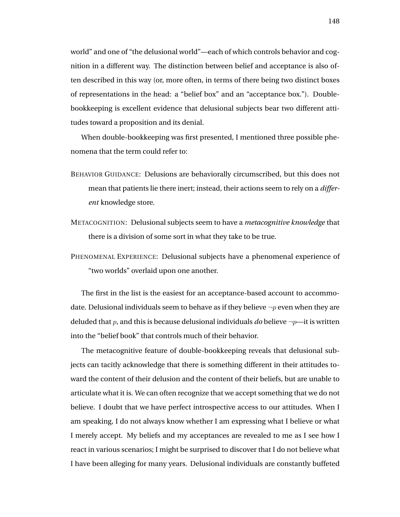world" and one of "the delusional world"—each of which controls behavior and cognition in a different way. The distinction between belief and acceptance is also often described in this way (or, more often, in terms of there being two distinct boxes of representations in the head: a "belief box" and an "acceptance box."). Doublebookkeeping is excellent evidence that delusional subjects bear two different attitudes toward a proposition and its denial.

When double-bookkeeping was first presented, I mentioned three possible phenomena that the term could refer to:

- BEHAVIOR GUIDANCE: Delusions are behaviorally circumscribed, but this does not mean that patients lie there inert; instead, their actions seem to rely on a *different* knowledge store.
- METACOGNITION: Delusional subjects seem to have a *metacognitive knowledge* that there is a division of some sort in what they take to be true.
- PHENOMENAL EXPERIENCE: Delusional subjects have a phenomenal experience of "two worlds" overlaid upon one another.

The first in the list is the easiest for an acceptance-based account to accommodate. Delusional individuals seem to behave as if they believe  $\neg p$  even when they are deluded that p, and this is because delusional individuals *do* believe ¬p—it is written into the "belief book" that controls much of their behavior.

The metacognitive feature of double-bookkeeping reveals that delusional subjects can tacitly acknowledge that there is something different in their attitudes toward the content of their delusion and the content of their beliefs, but are unable to articulate what it is. We can often recognize that we accept something that we do not believe. I doubt that we have perfect introspective access to our attitudes. When I am speaking, I do not always know whether I am expressing what I believe or what I merely accept. My beliefs and my acceptances are revealed to me as I see how I react in various scenarios; I might be surprised to discover that I do not believe what I have been alleging for many years. Delusional individuals are constantly buffeted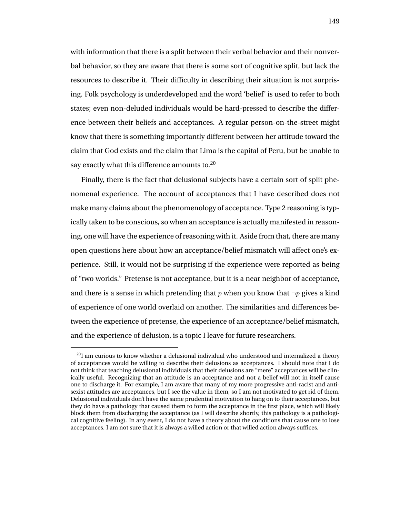with information that there is a split between their verbal behavior and their nonverbal behavior, so they are aware that there is some sort of cognitive split, but lack the resources to describe it. Their difficulty in describing their situation is not surprising. Folk psychology is underdeveloped and the word 'belief' is used to refer to both states; even non-deluded individuals would be hard-pressed to describe the difference between their beliefs and acceptances. A regular person-on-the-street might know that there is something importantly different between her attitude toward the claim that God exists and the claim that Lima is the capital of Peru, but be unable to say exactly what this difference amounts to.<sup>20</sup>

Finally, there is the fact that delusional subjects have a certain sort of split phenomenal experience. The account of acceptances that I have described does not make many claims about the phenomenology of acceptance. Type 2 reasoning is typically taken to be conscious, so when an acceptance is actually manifested in reasoning, one will have the experience of reasoning with it. Aside from that, there are many open questions here about how an acceptance/belief mismatch will affect one's experience. Still, it would not be surprising if the experience were reported as being of "two worlds." Pretense is not acceptance, but it is a near neighbor of acceptance, and there is a sense in which pretending that p when you know that  $\neg p$  gives a kind of experience of one world overlaid on another. The similarities and differences between the experience of pretense, the experience of an acceptance/belief mismatch, and the experience of delusion, is a topic I leave for future researchers.

 $^{20}$ I am curious to know whether a delusional individual who understood and internalized a theory of acceptances would be willing to describe their delusions as acceptances. I should note that I do not think that teaching delusional individuals that their delusions are "mere" acceptances will be clinically useful. Recognizing that an attitude is an acceptance and not a belief will not in itself cause one to discharge it. For example, I am aware that many of my more progressive anti-racist and antisexist attitudes are acceptances, but I see the value in them, so I am not motivated to get rid of them. Delusional individuals don't have the same prudential motivation to hang on to their acceptances, but they do have a pathology that caused them to form the acceptance in the first place, which will likely block them from discharging the acceptance (as I will describe shortly, this pathology is a pathological cognitive feeling). In any event, I do not have a theory about the conditions that cause one to lose acceptances. I am not sure that it is always a willed action or that willed action always suffices.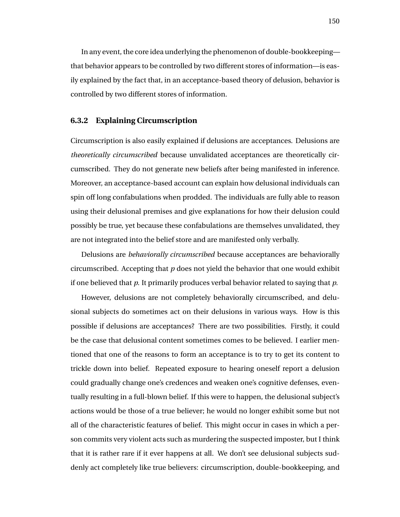In any event, the core idea underlying the phenomenon of double-bookkeeping that behavior appears to be controlled by two different stores of information—is easily explained by the fact that, in an acceptance-based theory of delusion, behavior is controlled by two different stores of information.

### **6.3.2 Explaining Circumscription**

Circumscription is also easily explained if delusions are acceptances. Delusions are *theoretically circumscribed* because unvalidated acceptances are theoretically circumscribed. They do not generate new beliefs after being manifested in inference. Moreover, an acceptance-based account can explain how delusional individuals can spin off long confabulations when prodded. The individuals are fully able to reason using their delusional premises and give explanations for how their delusion could possibly be true, yet because these confabulations are themselves unvalidated, they are not integrated into the belief store and are manifested only verbally.

Delusions are *behaviorally circumscribed* because acceptances are behaviorally circumscribed. Accepting that *p* does not yield the behavior that one would exhibit if one believed that *p*. It primarily produces verbal behavior related to saying that *p*.

However, delusions are not completely behaviorally circumscribed, and delusional subjects do sometimes act on their delusions in various ways. How is this possible if delusions are acceptances? There are two possibilities. Firstly, it could be the case that delusional content sometimes comes to be believed. I earlier mentioned that one of the reasons to form an acceptance is to try to get its content to trickle down into belief. Repeated exposure to hearing oneself report a delusion could gradually change one's credences and weaken one's cognitive defenses, eventually resulting in a full-blown belief. If this were to happen, the delusional subject's actions would be those of a true believer; he would no longer exhibit some but not all of the characteristic features of belief. This might occur in cases in which a person commits very violent acts such as murdering the suspected imposter, but I think that it is rather rare if it ever happens at all. We don't see delusional subjects suddenly act completely like true believers: circumscription, double-bookkeeping, and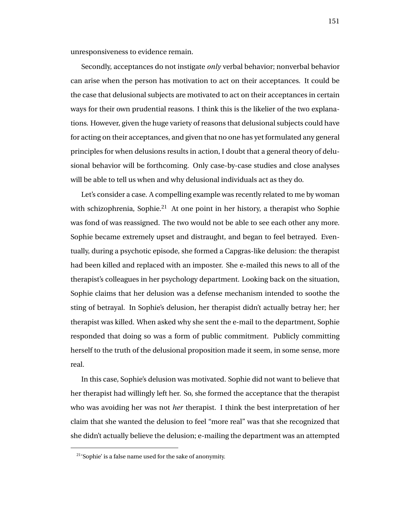unresponsiveness to evidence remain.

Secondly, acceptances do not instigate *only* verbal behavior; nonverbal behavior can arise when the person has motivation to act on their acceptances. It could be the case that delusional subjects are motivated to act on their acceptances in certain ways for their own prudential reasons. I think this is the likelier of the two explanations. However, given the huge variety of reasons that delusional subjects could have for acting on their acceptances, and given that no one has yet formulated any general principles for when delusions results in action, I doubt that a general theory of delusional behavior will be forthcoming. Only case-by-case studies and close analyses will be able to tell us when and why delusional individuals act as they do.

Let's consider a case. A compelling example was recently related to me by woman with schizophrenia, Sophie.<sup>21</sup> At one point in her history, a therapist who Sophie was fond of was reassigned. The two would not be able to see each other any more. Sophie became extremely upset and distraught, and began to feel betrayed. Eventually, during a psychotic episode, she formed a Capgras-like delusion: the therapist had been killed and replaced with an imposter. She e-mailed this news to all of the therapist's colleagues in her psychology department. Looking back on the situation, Sophie claims that her delusion was a defense mechanism intended to soothe the sting of betrayal. In Sophie's delusion, her therapist didn't actually betray her; her therapist was killed. When asked why she sent the e-mail to the department, Sophie responded that doing so was a form of public commitment. Publicly committing herself to the truth of the delusional proposition made it seem, in some sense, more real.

In this case, Sophie's delusion was motivated. Sophie did not want to believe that her therapist had willingly left her. So, she formed the acceptance that the therapist who was avoiding her was not *her* therapist. I think the best interpretation of her claim that she wanted the delusion to feel "more real" was that she recognized that she didn't actually believe the delusion; e-mailing the department was an attempted

<sup>21</sup>'Sophie' is a false name used for the sake of anonymity.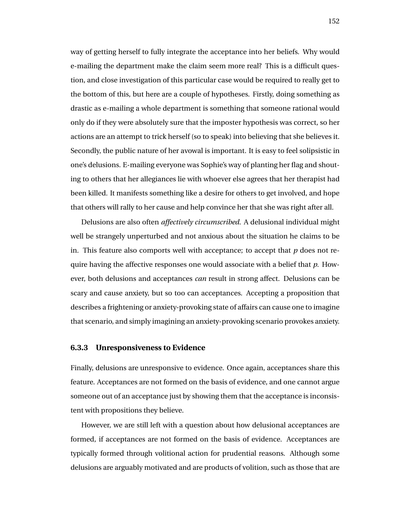way of getting herself to fully integrate the acceptance into her beliefs. Why would e-mailing the department make the claim seem more real? This is a difficult question, and close investigation of this particular case would be required to really get to the bottom of this, but here are a couple of hypotheses. Firstly, doing something as drastic as e-mailing a whole department is something that someone rational would only do if they were absolutely sure that the imposter hypothesis was correct, so her actions are an attempt to trick herself (so to speak) into believing that she believes it. Secondly, the public nature of her avowal is important. It is easy to feel solipsistic in one's delusions. E-mailing everyone was Sophie's way of planting her flag and shouting to others that her allegiances lie with whoever else agrees that her therapist had been killed. It manifests something like a desire for others to get involved, and hope that others will rally to her cause and help convince her that she was right after all.

Delusions are also often *affectively circumscribed*. A delusional individual might well be strangely unperturbed and not anxious about the situation he claims to be in. This feature also comports well with acceptance; to accept that  $p$  does not require having the affective responses one would associate with a belief that *p*. However, both delusions and acceptances *can* result in strong affect. Delusions can be scary and cause anxiety, but so too can acceptances. Accepting a proposition that describes a frightening or anxiety-provoking state of affairs can cause one to imagine that scenario, and simply imagining an anxiety-provoking scenario provokes anxiety.

#### **6.3.3 Unresponsiveness to Evidence**

Finally, delusions are unresponsive to evidence. Once again, acceptances share this feature. Acceptances are not formed on the basis of evidence, and one cannot argue someone out of an acceptance just by showing them that the acceptance is inconsistent with propositions they believe.

However, we are still left with a question about how delusional acceptances are formed, if acceptances are not formed on the basis of evidence. Acceptances are typically formed through volitional action for prudential reasons. Although some delusions are arguably motivated and are products of volition, such as those that are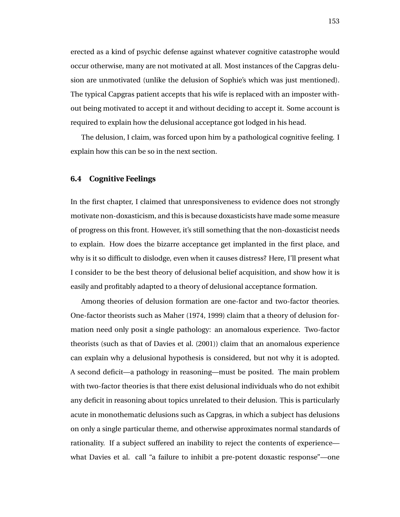erected as a kind of psychic defense against whatever cognitive catastrophe would occur otherwise, many are not motivated at all. Most instances of the Capgras delusion are unmotivated (unlike the delusion of Sophie's which was just mentioned). The typical Capgras patient accepts that his wife is replaced with an imposter without being motivated to accept it and without deciding to accept it. Some account is required to explain how the delusional acceptance got lodged in his head.

The delusion, I claim, was forced upon him by a pathological cognitive feeling. I explain how this can be so in the next section.

### **6.4 Cognitive Feelings**

In the first chapter, I claimed that unresponsiveness to evidence does not strongly motivate non-doxasticism, and this is because doxasticists have made some measure of progress on this front. However, it's still something that the non-doxasticist needs to explain. How does the bizarre acceptance get implanted in the first place, and why is it so difficult to dislodge, even when it causes distress? Here, I'll present what I consider to be the best theory of delusional belief acquisition, and show how it is easily and profitably adapted to a theory of delusional acceptance formation.

Among theories of delusion formation are one-factor and two-factor theories. One-factor theorists such as Maher (1974, 1999) claim that a theory of delusion formation need only posit a single pathology: an anomalous experience. Two-factor theorists (such as that of Davies et al. (2001)) claim that an anomalous experience can explain why a delusional hypothesis is considered, but not why it is adopted. A second deficit—a pathology in reasoning—must be posited. The main problem with two-factor theories is that there exist delusional individuals who do not exhibit any deficit in reasoning about topics unrelated to their delusion. This is particularly acute in monothematic delusions such as Capgras, in which a subject has delusions on only a single particular theme, and otherwise approximates normal standards of rationality. If a subject suffered an inability to reject the contents of experience what Davies et al. call "a failure to inhibit a pre-potent doxastic response"—one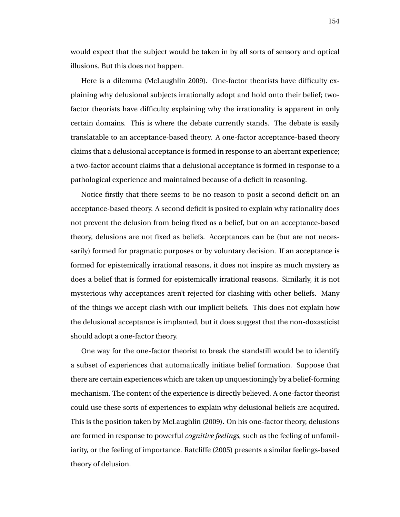would expect that the subject would be taken in by all sorts of sensory and optical illusions. But this does not happen.

Here is a dilemma (McLaughlin 2009). One-factor theorists have difficulty explaining why delusional subjects irrationally adopt and hold onto their belief; twofactor theorists have difficulty explaining why the irrationality is apparent in only certain domains. This is where the debate currently stands. The debate is easily translatable to an acceptance-based theory. A one-factor acceptance-based theory claims that a delusional acceptance is formed in response to an aberrant experience; a two-factor account claims that a delusional acceptance is formed in response to a pathological experience and maintained because of a deficit in reasoning.

Notice firstly that there seems to be no reason to posit a second deficit on an acceptance-based theory. A second deficit is posited to explain why rationality does not prevent the delusion from being fixed as a belief, but on an acceptance-based theory, delusions are not fixed as beliefs. Acceptances can be (but are not necessarily) formed for pragmatic purposes or by voluntary decision. If an acceptance is formed for epistemically irrational reasons, it does not inspire as much mystery as does a belief that is formed for epistemically irrational reasons. Similarly, it is not mysterious why acceptances aren't rejected for clashing with other beliefs. Many of the things we accept clash with our implicit beliefs. This does not explain how the delusional acceptance is implanted, but it does suggest that the non-doxasticist should adopt a one-factor theory.

One way for the one-factor theorist to break the standstill would be to identify a subset of experiences that automatically initiate belief formation. Suppose that there are certain experiences which are taken up unquestioningly by a belief-forming mechanism. The content of the experience is directly believed. A one-factor theorist could use these sorts of experiences to explain why delusional beliefs are acquired. This is the position taken by McLaughlin (2009). On his one-factor theory, delusions are formed in response to powerful *cognitive feelings*, such as the feeling of unfamiliarity, or the feeling of importance. Ratcliffe (2005) presents a similar feelings-based theory of delusion.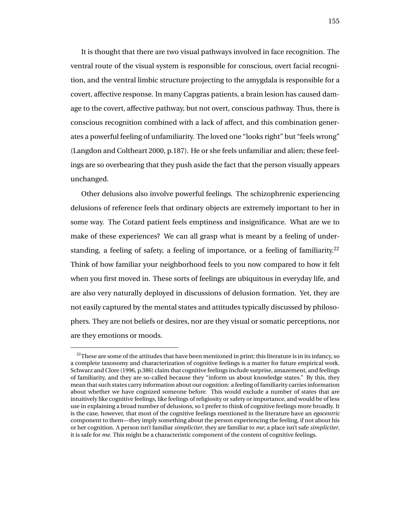It is thought that there are two visual pathways involved in face recognition. The ventral route of the visual system is responsible for conscious, overt facial recognition, and the ventral limbic structure projecting to the amygdala is responsible for a covert, affective response. In many Capgras patients, a brain lesion has caused damage to the covert, affective pathway, but not overt, conscious pathway. Thus, there is conscious recognition combined with a lack of affect, and this combination generates a powerful feeling of unfamiliarity. The loved one "looks right" but "feels wrong" (Langdon and Coltheart 2000, p.187). He or she feels unfamiliar and alien; these feelings are so overbearing that they push aside the fact that the person visually appears unchanged.

Other delusions also involve powerful feelings. The schizophrenic experiencing delusions of reference feels that ordinary objects are extremely important to her in some way. The Cotard patient feels emptiness and insignificance. What are we to make of these experiences? We can all grasp what is meant by a feeling of understanding, a feeling of safety, a feeling of importance, or a feeling of familiarity.<sup>22</sup> Think of how familiar your neighborhood feels to you now compared to how it felt when you first moved in. These sorts of feelings are ubiquitous in everyday life, and are also very naturally deployed in discussions of delusion formation. Yet, they are not easily captured by the mental states and attitudes typically discussed by philosophers. They are not beliefs or desires, nor are they visual or somatic perceptions, nor are they emotions or moods.

 $22$ These are some of the attitudes that have been mentioned in print; this literature is in its infancy, so a complete taxonomy and characterization of cognitive feelings is a matter for future empirical work. Schwarz and Clore (1996, p.386) claim that cognitive feelings include surprise, amazement, and feelings of familiarity, and they are so-called because they "inform us about knowledge states." By this, they mean that such states carry information about our cognition: a feeling of familiarity carries information about whether we have cognized someone before. This would exclude a number of states that are intuitively like cognitive feelings, like feelings of religiosity or safety or importance, and would be of less use in explaining a broad number of delusions, so I prefer to think of cognitive feelings more broadly. It is the case, however, that most of the cognitive feelings mentioned in the literature have an *egocentric* component to them—they imply something about the person experiencing the feeling, if not about his or her cognition. A person isn't familiar *simpliciter*, they are familiar to *me*; a place isn't safe *simpliciter*, it is safe for *me*. This might be a characteristic component of the content of cognitive feelings.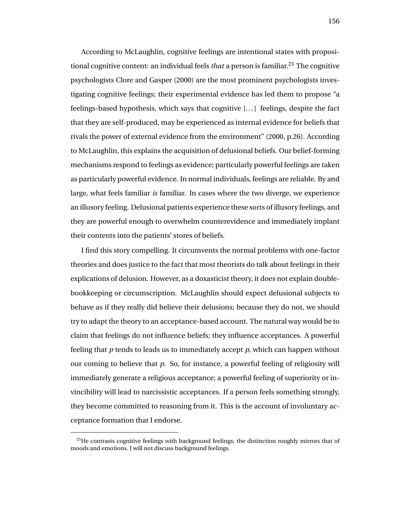According to McLaughlin, cognitive feelings are intentional states with propositional cognitive content: an individual feels *that* a person is familiar.<sup>23</sup> The cognitive psychologists Clore and Gasper (2000) are the most prominent psychologists investigating cognitive feelings; their experimental evidence has led them to propose "a feelings-based hypothesis, which says that cognitive [. . . ] feelings, despite the fact that they are self-produced, may be experienced as internal evidence for beliefs that rivals the power of external evidence from the environment" (2000, p.26). According to McLaughlin, this explains the acquisition of delusional beliefs. Our belief-forming mechanisms respond to feelings as evidence; particularly powerful feelings are taken as particularly powerful evidence. In normal individuals, feelings are reliable. By and large, what feels familiar *is* familiar. In cases where the two diverge, we experience an illusory feeling. Delusional patients experience these sorts of illusory feelings, and they are powerful enough to overwhelm counterevidence and immediately implant their contents into the patients' stores of beliefs.

I find this story compelling. It circumvents the normal problems with one-factor theories and does justice to the fact that most theorists do talk about feelings in their explications of delusion. However, as a doxasticist theory, it does not explain doublebookkeeping or circumscription. McLaughlin should expect delusional subjects to behave as if they really did believe their delusions; because they do not, we should try to adapt the theory to an acceptance-based account. The natural way would be to claim that feelings do not influence beliefs; they influence acceptances. A powerful feeling that *p* tends to leads us to immediately accept *p*, which can happen without our coming to believe that *p*. So, for instance, a powerful feeling of religiosity will immediately generate a religious acceptance; a powerful feeling of superiority or invincibility will lead to narcissistic acceptances. If a person feels something strongly, they become committed to reasoning from it. This is the account of involuntary acceptance formation that I endorse.

 $^{23}$ He contrasts cognitive feelings with background feelings; the distinction roughly mirrors that of moods and emotions. I will not discuss background feelings.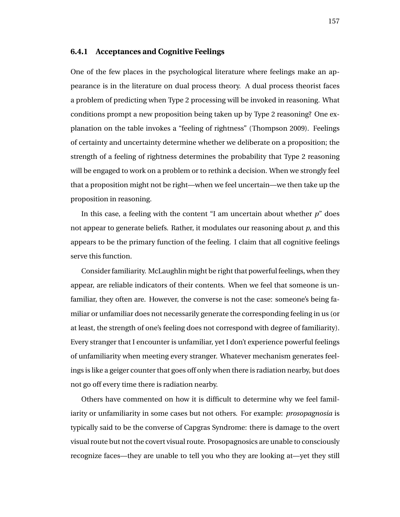### **6.4.1 Acceptances and Cognitive Feelings**

One of the few places in the psychological literature where feelings make an appearance is in the literature on dual process theory. A dual process theorist faces a problem of predicting when Type 2 processing will be invoked in reasoning. What conditions prompt a new proposition being taken up by Type 2 reasoning? One explanation on the table invokes a "feeling of rightness" (Thompson 2009). Feelings of certainty and uncertainty determine whether we deliberate on a proposition; the strength of a feeling of rightness determines the probability that Type 2 reasoning will be engaged to work on a problem or to rethink a decision. When we strongly feel that a proposition might not be right—when we feel uncertain—we then take up the proposition in reasoning.

In this case, a feeling with the content "I am uncertain about whether *p*" does not appear to generate beliefs. Rather, it modulates our reasoning about *p*, and this appears to be the primary function of the feeling. I claim that all cognitive feelings serve this function.

Consider familiarity. McLaughlin might be right that powerful feelings, when they appear, are reliable indicators of their contents. When we feel that someone is unfamiliar, they often are. However, the converse is not the case: someone's being familiar or unfamiliar does not necessarily generate the corresponding feeling in us (or at least, the strength of one's feeling does not correspond with degree of familiarity). Every stranger that I encounter is unfamiliar, yet I don't experience powerful feelings of unfamiliarity when meeting every stranger. Whatever mechanism generates feelings is like a geiger counter that goes off only when there is radiation nearby, but does not go off every time there is radiation nearby.

Others have commented on how it is difficult to determine why we feel familiarity or unfamiliarity in some cases but not others. For example: *prosopagnosia* is typically said to be the converse of Capgras Syndrome: there is damage to the overt visual route but not the covert visual route. Prosopagnosics are unable to consciously recognize faces—they are unable to tell you who they are looking at—yet they still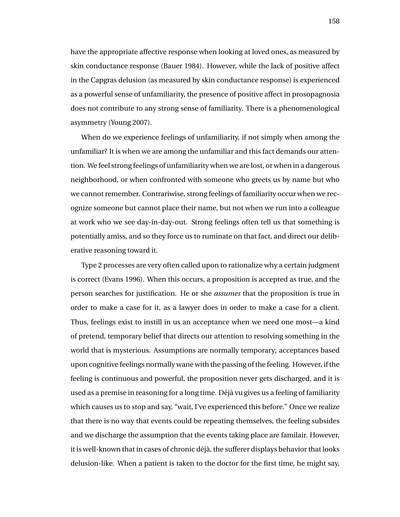have the appropriate affective response when looking at loved ones, as measured by skin conductance response (Bauer 1984). However, while the lack of positive affect in the Capgras delusion (as measured by skin conductance response) is experienced as a powerful sense of unfamiliarity, the presence of positive affect in prosopagnosia does not contribute to any strong sense of familiarity. There is a phenomenological asymmetry (Young 2007).

When do we experience feelings of unfamiliarity, if not simply when among the unfamiliar? It is when we are among the unfamiliar and this fact demands our attention. We feel strong feelings of unfamiliarity when we are lost, or when in a dangerous neighborhood, or when confronted with someone who greets us by name but who we cannot remember. Contrariwise, strong feelings of familiarity occur when we recognize someone but cannot place their name, but not when we run into a colleague at work who we see day-in-day-out. Strong feelings often tell us that something is potentially amiss, and so they force us to ruminate on that fact, and direct our deliberative reasoning toward it.

Type 2 processes are very often called upon to rationalize why a certain judgment is correct (Evans 1996). When this occurs, a proposition is accepted as true, and the person searches for justification. He or she *assumes* that the proposition is true in order to make a case for it, as a lawyer does in order to make a case for a client. Thus, feelings exist to instill in us an acceptance when we need one most—a kind of pretend, temporary belief that directs our attention to resolving something in the world that is mysterious. Assumptions are normally temporary; acceptances based upon cognitive feelings normally wane with the passing of the feeling. However, if the feeling is continuous and powerful, the proposition never gets discharged, and it is used as a premise in reasoning for a long time. Déjà vu gives us a feeling of familiarity which causes us to stop and say, "wait, I've experienced this before." Once we realize that there is no way that events could be repeating themselves, the feeling subsides and we discharge the assumption that the events taking place are familair. However, it is well-known that in cases of chronic déjà, the sufferer displays behavior that looks delusion-like. When a patient is taken to the doctor for the first time, he might say,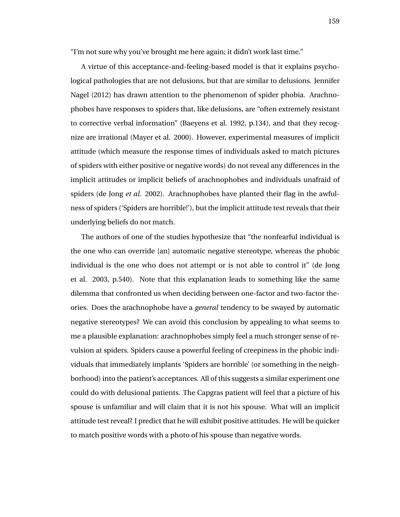"I'm not sure why you've brought me here again; it didn't work last time."

A virtue of this acceptance-and-feeling-based model is that it explains psychological pathologies that are not delusions, but that are similar to delusions. Jennifer Nagel (2012) has drawn attention to the phenomenon of spider phobia. Arachnophobes have responses to spiders that, like delusions, are "often extremely resistant to corrective verbal information" (Baeyens et al. 1992, p.134), and that they recognize are irrational (Mayer et al. 2000). However, experimental measures of implicit attitude (which measure the response times of individuals asked to match pictures of spiders with either positive or negative words) do not reveal any differences in the implicit attitudes or implicit beliefs of arachnophobes and individuals unafraid of spiders (de Jong *et al*. 2002). Arachnophobes have planted their flag in the awfulness of spiders ('Spiders are horrible!'), but the implicit attitude test reveals that their underlying beliefs do not match.

The authors of one of the studies hypothesize that "the nonfearful individual is the one who can override [an] automatic negative stereotype, whereas the phobic individual is the one who does not attempt or is not able to control it" (de Jong et al. 2003, p.540). Note that this explanation leads to something like the same dilemma that confronted us when deciding between one-factor and two-factor theories. Does the arachnophobe have a *general* tendency to be swayed by automatic negative stereotypes? We can avoid this conclusion by appealing to what seems to me a plausible explanation: arachnophobes simply feel a much stronger sense of revulsion at spiders. Spiders cause a powerful feeling of creepiness in the phobic individuals that immediately implants 'Spiders are horrible' (or something in the neighborhood) into the patient's acceptances. All of this suggests a similar experiment one could do with delusional patients. The Capgras patient will feel that a picture of his spouse is unfamiliar and will claim that it is not his spouse. What will an implicit attitude test reveal? I predict that he will exhibit positive attitudes. He will be quicker to match positive words with a photo of his spouse than negative words.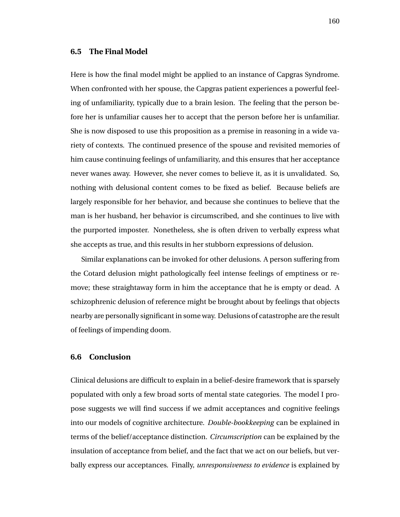### **6.5 The Final Model**

Here is how the final model might be applied to an instance of Capgras Syndrome. When confronted with her spouse, the Capgras patient experiences a powerful feeling of unfamiliarity, typically due to a brain lesion. The feeling that the person before her is unfamiliar causes her to accept that the person before her is unfamiliar. She is now disposed to use this proposition as a premise in reasoning in a wide variety of contexts. The continued presence of the spouse and revisited memories of him cause continuing feelings of unfamiliarity, and this ensures that her acceptance never wanes away. However, she never comes to believe it, as it is unvalidated. So, nothing with delusional content comes to be fixed as belief. Because beliefs are largely responsible for her behavior, and because she continues to believe that the man is her husband, her behavior is circumscribed, and she continues to live with the purported imposter. Nonetheless, she is often driven to verbally express what she accepts as true, and this results in her stubborn expressions of delusion.

Similar explanations can be invoked for other delusions. A person suffering from the Cotard delusion might pathologically feel intense feelings of emptiness or remove; these straightaway form in him the acceptance that he is empty or dead. A schizophrenic delusion of reference might be brought about by feelings that objects nearby are personally significant in some way. Delusions of catastrophe are the result of feelings of impending doom.

### **6.6 Conclusion**

Clinical delusions are difficult to explain in a belief-desire framework that is sparsely populated with only a few broad sorts of mental state categories. The model I propose suggests we will find success if we admit acceptances and cognitive feelings into our models of cognitive architecture. *Double-bookkeeping* can be explained in terms of the belief/acceptance distinction. *Circumscription* can be explained by the insulation of acceptance from belief, and the fact that we act on our beliefs, but verbally express our acceptances. Finally, *unresponsiveness to evidence* is explained by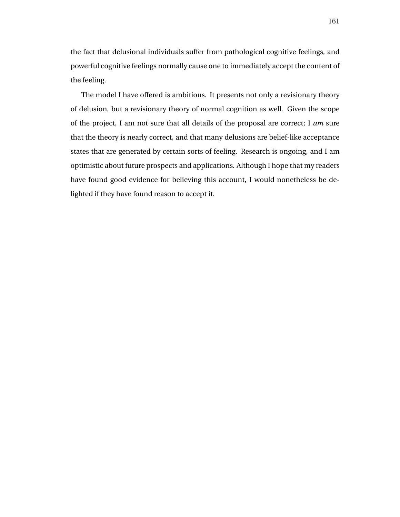the fact that delusional individuals suffer from pathological cognitive feelings, and powerful cognitive feelings normally cause one to immediately accept the content of the feeling.

The model I have offered is ambitious. It presents not only a revisionary theory of delusion, but a revisionary theory of normal cognition as well. Given the scope of the project, I am not sure that all details of the proposal are correct; I *am* sure that the theory is nearly correct, and that many delusions are belief-like acceptance states that are generated by certain sorts of feeling. Research is ongoing, and I am optimistic about future prospects and applications. Although I hope that my readers have found good evidence for believing this account, I would nonetheless be delighted if they have found reason to accept it.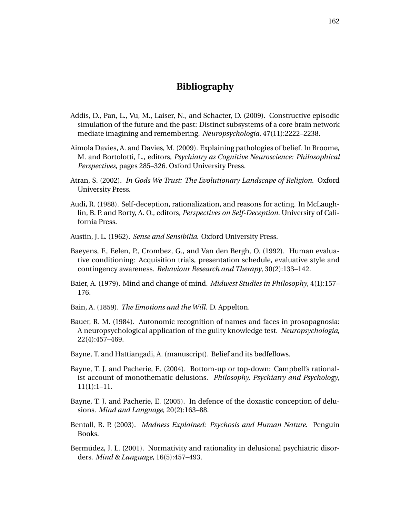# **Bibliography**

- Addis, D., Pan, L., Vu, M., Laiser, N., and Schacter, D. (2009). Constructive episodic simulation of the future and the past: Distinct subsystems of a core brain network mediate imagining and remembering. *Neuropsychologia*, 47(11):2222–2238.
- Aimola Davies, A. and Davies, M. (2009). Explaining pathologies of belief. In Broome, M. and Bortolotti, L., editors, *Psychiatry as Cognitive Neuroscience: Philosophical Perspectives*, pages 285–326. Oxford University Press.
- Atran, S. (2002). *In Gods We Trust: The Evolutionary Landscape of Religion*. Oxford University Press.
- Audi, R. (1988). Self-deception, rationalization, and reasons for acting. In McLaughlin, B. P. and Rorty, A. O., editors, *Perspectives on Self-Deception*. University of California Press.
- Austin, J. L. (1962). *Sense and Sensibilia*. Oxford University Press.
- Baeyens, F., Eelen, P., Crombez, G., and Van den Bergh, O. (1992). Human evaluative conditioning: Acquisition trials, presentation schedule, evaluative style and contingency awareness. *Behaviour Research and Therapy*, 30(2):133–142.
- Baier, A. (1979). Mind and change of mind. *Midwest Studies in Philosophy*, 4(1):157– 176.
- Bain, A. (1859). *The Emotions and the Will*. D. Appelton.
- Bauer, R. M. (1984). Autonomic recognition of names and faces in prosopagnosia: A neuropsychological application of the guilty knowledge test. *Neuropsychologia*, 22(4):457–469.
- Bayne, T. and Hattiangadi, A. (manuscript). Belief and its bedfellows.
- Bayne, T. J. and Pacherie, E. (2004). Bottom-up or top-down: Campbell's rationalist account of monothematic delusions. *Philosophy, Psychiatry and Psychology*, 11(1):1–11.
- Bayne, T. J. and Pacherie, E. (2005). In defence of the doxastic conception of delusions. *Mind and Language*, 20(2):163–88.
- Bentall, R. P. (2003). *Madness Explained: Psychosis and Human Nature*. Penguin Books.
- Bermúdez, J. L. (2001). Normativity and rationality in delusional psychiatric disorders. *Mind & Language*, 16(5):457–493.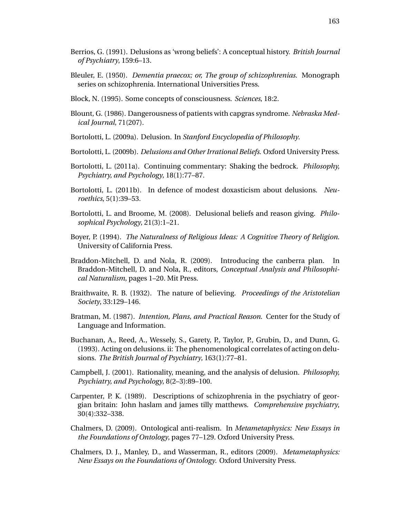- Berrios, G. (1991). Delusions as 'wrong beliefs': A conceptual history. *British Journal of Psychiatry*, 159:6–13.
- Bleuler, E. (1950). *Dementia praecox; or, The group of schizophrenias*. Monograph series on schizophrenia. International Universities Press.
- Block, N. (1995). Some concepts of consciousness. *Sciences*, 18:2.
- Blount, G. (1986). Dangerousness of patients with capgras syndrome. *Nebraska Medical Journal*, 71(207).
- Bortolotti, L. (2009a). Delusion. In *Stanford Encyclopedia of Philosophy*.
- Bortolotti, L. (2009b). *Delusions and Other Irrational Beliefs*. Oxford University Press.
- Bortolotti, L. (2011a). Continuing commentary: Shaking the bedrock. *Philosophy, Psychiatry, and Psychology*, 18(1):77–87.
- Bortolotti, L. (2011b). In defence of modest doxasticism about delusions. *Neuroethics*, 5(1):39–53.
- Bortolotti, L. and Broome, M. (2008). Delusional beliefs and reason giving. *Philosophical Psychology*, 21(3):1–21.
- Boyer, P. (1994). *The Naturalness of Religious Ideas: A Cognitive Theory of Religion*. University of California Press.
- Braddon-Mitchell, D. and Nola, R. (2009). Introducing the canberra plan. In Braddon-Mitchell, D. and Nola, R., editors, *Conceptual Analysis and Philosophical Naturalism*, pages 1–20. Mit Press.
- Braithwaite, R. B. (1932). The nature of believing. *Proceedings of the Aristotelian Society*, 33:129–146.
- Bratman, M. (1987). *Intention, Plans, and Practical Reason*. Center for the Study of Language and Information.
- Buchanan, A., Reed, A., Wessely, S., Garety, P., Taylor, P., Grubin, D., and Dunn, G. (1993). Acting on delusions. ii: The phenomenological correlates of acting on delusions. *The British Journal of Psychiatry*, 163(1):77–81.
- Campbell, J. (2001). Rationality, meaning, and the analysis of delusion. *Philosophy, Psychiatry, and Psychology*, 8(2–3):89–100.
- Carpenter, P. K. (1989). Descriptions of schizophrenia in the psychiatry of georgian britain: John haslam and james tilly matthews. *Comprehensive psychiatry*, 30(4):332–338.
- Chalmers, D. (2009). Ontological anti-realism. In *Metametaphysics: New Essays in the Foundations of Ontology*, pages 77–129. Oxford University Press.
- Chalmers, D. J., Manley, D., and Wasserman, R., editors (2009). *Metametaphysics: New Essays on the Foundations of Ontology*. Oxford University Press.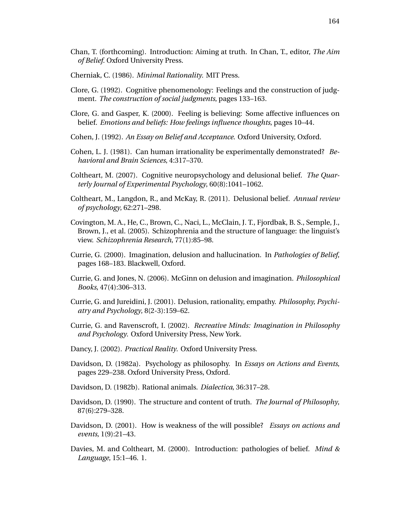- Chan, T. (forthcoming). Introduction: Aiming at truth. In Chan, T., editor, *The Aim of Belief*. Oxford University Press.
- Cherniak, C. (1986). *Minimal Rationality*. MIT Press.
- Clore, G. (1992). Cognitive phenomenology: Feelings and the construction of judgment. *The construction of social judgments*, pages 133–163.
- Clore, G. and Gasper, K. (2000). Feeling is believing: Some affective influences on belief. *Emotions and beliefs: How feelings influence thoughts*, pages 10–44.
- Cohen, J. (1992). *An Essay on Belief and Acceptance*. Oxford University, Oxford.
- Cohen, L. J. (1981). Can human irrationality be experimentally demonstrated? *Behavioral and Brain Sciences*, 4:317–370.
- Coltheart, M. (2007). Cognitive neuropsychology and delusional belief. *The Quarterly Journal of Experimental Psychology*, 60(8):1041–1062.
- Coltheart, M., Langdon, R., and McKay, R. (2011). Delusional belief. *Annual review of psychology*, 62:271–298.
- Covington, M. A., He, C., Brown, C., Naci, L., McClain, J. T., Fjordbak, B. S., Semple, J., Brown, J., et al. (2005). Schizophrenia and the structure of language: the linguist's view. *Schizophrenia Research*, 77(1):85–98.
- Currie, G. (2000). Imagination, delusion and hallucination. In *Pathologies of Belief*, pages 168–183. Blackwell, Oxford.
- Currie, G. and Jones, N. (2006). McGinn on delusion and imagination. *Philosophical Books*, 47(4):306–313.
- Currie, G. and Jureidini, J. (2001). Delusion, rationality, empathy. *Philosophy, Psychiatry and Psychology*, 8(2-3):159–62.
- Currie, G. and Ravenscroft, I. (2002). *Recreative Minds: Imagination in Philosophy and Psychology*. Oxford University Press, New York.
- Dancy, J. (2002). *Practical Reality*. Oxford University Press.
- Davidson, D. (1982a). Psychology as philosophy. In *Essays on Actions and Events*, pages 229–238. Oxford University Press, Oxford.
- Davidson, D. (1982b). Rational animals. *Dialectica*, 36:317–28.
- Davidson, D. (1990). The structure and content of truth. *The Journal of Philosophy*, 87(6):279–328.
- Davidson, D. (2001). How is weakness of the will possible? *Essays on actions and events*, 1(9):21–43.
- Davies, M. and Coltheart, M. (2000). Introduction: pathologies of belief. *Mind & Language*, 15:1–46. 1.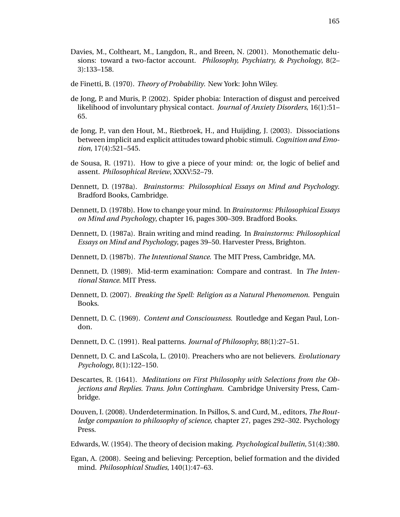- Davies, M., Coltheart, M., Langdon, R., and Breen, N. (2001). Monothematic delusions: toward a two-factor account. *Philosophy, Psychiatry, & Psychology*, 8(2– 3):133–158.
- de Finetti, B. (1970). *Theory of Probability*. New York: John Wiley.
- de Jong, P. and Muris, P. (2002). Spider phobia: Interaction of disgust and perceived likelihood of involuntary physical contact. *Journal of Anxiety Disorders*, 16(1):51– 65.
- de Jong, P., van den Hout, M., Rietbroek, H., and Huijding, J. (2003). Dissociations between implicit and explicit attitudes toward phobic stimuli. *Cognition and Emotion*, 17(4):521–545.
- de Sousa, R. (1971). How to give a piece of your mind: or, the logic of belief and assent. *Philosophical Review*, XXXV:52–79.
- Dennett, D. (1978a). *Brainstorms: Philosophical Essays on Mind and Psychology*. Bradford Books, Cambridge.
- Dennett, D. (1978b). How to change your mind. In *Brainstorms: Philosophical Essays on Mind and Psychology*, chapter 16, pages 300–309. Bradford Books.
- Dennett, D. (1987a). Brain writing and mind reading. In *Brainstorms: Philosophical Essays on Mind and Psychology*, pages 39–50. Harvester Press, Brighton.
- Dennett, D. (1987b). *The Intentional Stance*. The MIT Press, Cambridge, MA.
- Dennett, D. (1989). Mid-term examination: Compare and contrast. In *The Intentional Stance*. MIT Press.
- Dennett, D. (2007). *Breaking the Spell: Religion as a Natural Phenomenon*. Penguin Books.
- Dennett, D. C. (1969). *Content and Consciousness*. Routledge and Kegan Paul, London.
- Dennett, D. C. (1991). Real patterns. *Journal of Philosophy*, 88(1):27–51.
- Dennett, D. C. and LaScola, L. (2010). Preachers who are not believers. *Evolutionary Psychology*, 8(1):122–150.
- Descartes, R. (1641). *Meditations on First Philosophy with Selections from the Objections and Replies. Trans. John Cottingham*. Cambridge University Press, Cambridge.
- Douven, I. (2008). Underdetermination. In Psillos, S. and Curd, M., editors, *The Routledge companion to philosophy of science*, chapter 27, pages 292–302. Psychology Press.
- Edwards, W. (1954). The theory of decision making. *Psychological bulletin*, 51(4):380.
- Egan, A. (2008). Seeing and believing: Perception, belief formation and the divided mind. *Philosophical Studies*, 140(1):47–63.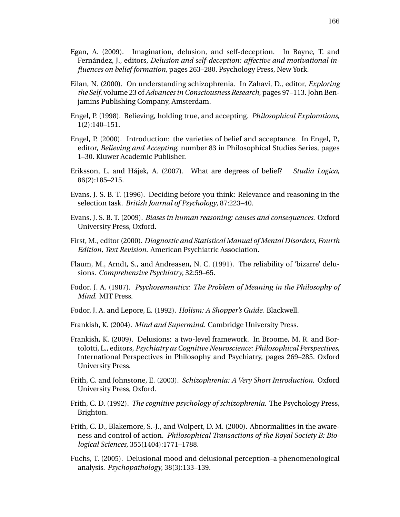- Egan, A. (2009). Imagination, delusion, and self-deception. In Bayne, T. and Fernández, J., editors, *Delusion and self-deception: affective and motivational influences on belief formation*, pages 263–280. Psychology Press, New York.
- Eilan, N. (2000). On understanding schizophrenia. In Zahavi, D., editor, *Exploring the Self*, volume 23 of *Advances in Consciousness Research*, pages 97–113. John Benjamins Publishing Company, Amsterdam.
- Engel, P. (1998). Believing, holding true, and accepting. *Philosophical Explorations*, 1(2):140–151.
- Engel, P. (2000). Introduction: the varieties of belief and acceptance. In Engel, P., editor, *Believing and Accepting*, number 83 in Philosophical Studies Series, pages 1–30. Kluwer Academic Publisher.
- Eriksson, L. and Hajek, A. (2007). What are degrees of belief? ´ *Studia Logica*, 86(2):185–215.
- Evans, J. S. B. T. (1996). Deciding before you think: Relevance and reasoning in the selection task. *British Journal of Psychology*, 87:223–40.
- Evans, J. S. B. T. (2009). *Biases in human reasoning: causes and consequences*. Oxford University Press, Oxford.
- First, M., editor (2000). *Diagnostic and Statistical Manual of Mental Disorders, Fourth Edition, Text Revision*. American Psychiatric Association.
- Flaum, M., Arndt, S., and Andreasen, N. C. (1991). The reliability of 'bizarre' delusions. *Comprehensive Psychiatry*, 32:59–65.
- Fodor, J. A. (1987). *Psychosemantics: The Problem of Meaning in the Philosophy of Mind*. MIT Press.
- Fodor, J. A. and Lepore, E. (1992). *Holism: A Shopper's Guide*. Blackwell.
- Frankish, K. (2004). *Mind and Supermind*. Cambridge University Press.
- Frankish, K. (2009). Delusions: a two-level framework. In Broome, M. R. and Bortolotti, L., editors, *Psychiatry as Cognitive Neuroscience: Philosophical Perspectives*, International Perspectives in Philosophy and Psychiatry, pages 269–285. Oxford University Press.
- Frith, C. and Johnstone, E. (2003). *Schizophrenia: A Very Short Introduction*. Oxford University Press, Oxford.
- Frith, C. D. (1992). *The cognitive psychology of schizophrenia*. The Psychology Press, Brighton.
- Frith, C. D., Blakemore, S.-J., and Wolpert, D. M. (2000). Abnormalities in the awareness and control of action. *Philosophical Transactions of the Royal Society B: Biological Sciences*, 355(1404):1771–1788.
- Fuchs, T. (2005). Delusional mood and delusional perception–a phenomenological analysis. *Psychopathology*, 38(3):133–139.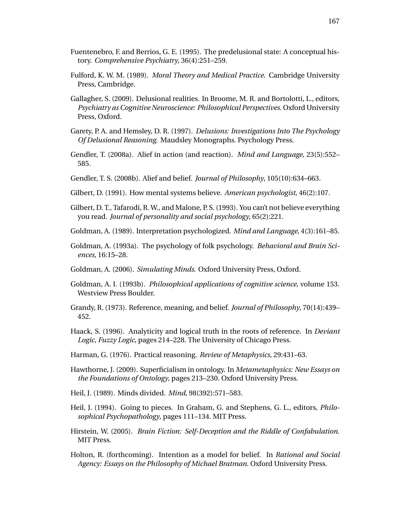- Fuentenebro, F. and Berrios, G. E. (1995). The predelusional state: A conceptual history. *Comprehensive Psychiatry*, 36(4):251–259.
- Fulford, K. W. M. (1989). *Moral Theory and Medical Practice*. Cambridge University Press, Cambridge.
- Gallagher, S. (2009). Delusional realities. In Broome, M. R. and Bortolotti, L., editors, *Psychiatry as Cognitive Neuroscience: Philosophical Perspectives*. Oxford University Press, Oxford.
- Garety, P. A. and Hemsley, D. R. (1997). *Delusions: Investigations Into The Psychology Of Delusional Reasoning*. Maudsley Monographs. Psychology Press.
- Gendler, T. (2008a). Alief in action (and reaction). *Mind and Language*, 23(5):552– 585.
- Gendler, T. S. (2008b). Alief and belief. *Journal of Philosophy*, 105(10):634–663.
- Gilbert, D. (1991). How mental systems believe. *American psychologist*, 46(2):107.
- Gilbert, D. T., Tafarodi, R. W., and Malone, P. S. (1993). You can't not believe everything you read. *Journal of personality and social psychology*, 65(2):221.
- Goldman, A. (1989). Interpretation psychologized. *Mind and Language*, 4(3):161–85.
- Goldman, A. (1993a). The psychology of folk psychology. *Behavioral and Brain Sciences*, 16:15–28.
- Goldman, A. (2006). *Simulating Minds*. Oxford University Press, Oxford.
- Goldman, A. I. (1993b). *Philosophical applications of cognitive science*, volume 153. Westview Press Boulder.
- Grandy, R. (1973). Reference, meaning, and belief. *Journal of Philosophy*, 70(14):439– 452.
- Haack, S. (1996). Analyticity and logical truth in the roots of reference. In *Deviant Logic, Fuzzy Logic*, pages 214–228. The University of Chicago Press.
- Harman, G. (1976). Practical reasoning. *Review of Metaphysics*, 29:431–63.
- Hawthorne, J. (2009). Superficialism in ontology. In *Metametaphysics: New Essays on the Foundations of Ontology*, pages 213–230. Oxford University Press.
- Heil, J. (1989). Minds divided. *Mind*, 98(392):571–583.
- Heil, J. (1994). Going to pieces. In Graham, G. and Stephens, G. L., editors, *Philosophical Psychopathology*, pages 111–134. MIT Press.
- Hirstein, W. (2005). *Brain Fiction: Self-Deception and the Riddle of Confabulation*. MIT Press.
- Holton, R. (forthcoming). Intention as a model for belief. In *Rational and Social Agency: Essays on the Philosophy of Michael Bratman*. Oxford University Press.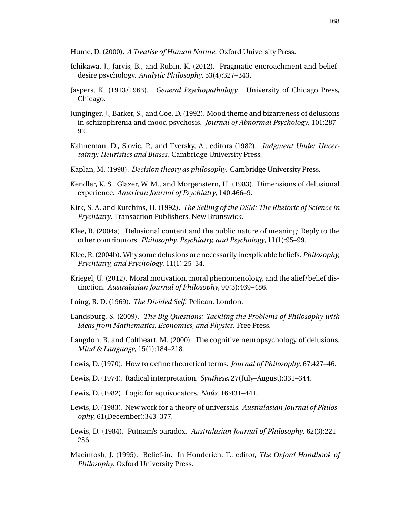Hume, D. (2000). *A Treatise of Human Nature*. Oxford University Press.

- Ichikawa, J., Jarvis, B., and Rubin, K. (2012). Pragmatic encroachment and beliefdesire psychology. *Analytic Philosophy*, 53(4):327–343.
- Jaspers, K. (1913/1963). *General Psychopathology*. University of Chicago Press, Chicago.
- Junginger, J., Barker, S., and Coe, D. (1992). Mood theme and bizarreness of delusions in schizophrenia and mood psychosis. *Journal of Abnormal Psychology*, 101:287– 92.
- Kahneman, D., Slovic, P., and Tversky, A., editors (1982). *Judgment Under Uncertainty: Heuristics and Biases*. Cambridge University Press.
- Kaplan, M. (1998). *Decision theory as philosophy*. Cambridge University Press.
- Kendler, K. S., Glazer, W. M., and Morgenstern, H. (1983). Dimensions of delusional experience. *American Journal of Psychiatry*, 140:466–9.
- Kirk, S. A. and Kutchins, H. (1992). *The Selling of the DSM: The Rhetoric of Science in Psychiatry*. Transaction Publishers, New Brunswick.
- Klee, R. (2004a). Delusional content and the public nature of meaning: Reply to the other contributors. *Philosophy, Psychiatry, and Psychology*, 11(1):95–99.
- Klee, R. (2004b). Why some delusions are necessarily inexplicable beliefs. *Philosophy, Psychiatry, and Psychology*, 11(1):25–34.
- Kriegel, U. (2012). Moral motivation, moral phenomenology, and the alief/belief distinction. *Australasian Journal of Philosophy*, 90(3):469–486.
- Laing, R. D. (1969). *The Divided Self*. Pelican, London.
- Landsburg, S. (2009). *The Big Questions: Tackling the Problems of Philosophy with Ideas from Mathematics, Economics, and Physics*. Free Press.
- Langdon, R. and Coltheart, M. (2000). The cognitive neuropsychology of delusions. *Mind & Language*, 15(1):184–218.
- Lewis, D. (1970). How to define theoretical terms. *Journal of Philosophy*, 67:427–46.
- Lewis, D. (1974). Radical interpretation. *Synthese*, 27(July–August):331–344.
- Lewis, D. (1982). Logic for equivocators. *Nous ˆ* , 16:431–441.
- Lewis, D. (1983). New work for a theory of universals. *Australasian Journal of Philosophy*, 61(December):343–377.
- Lewis, D. (1984). Putnam's paradox. *Australasian Journal of Philosophy*, 62(3):221– 236.
- Macintosh, J. (1995). Belief-in. In Honderich, T., editor, *The Oxford Handbook of Philosophy*. Oxford University Press.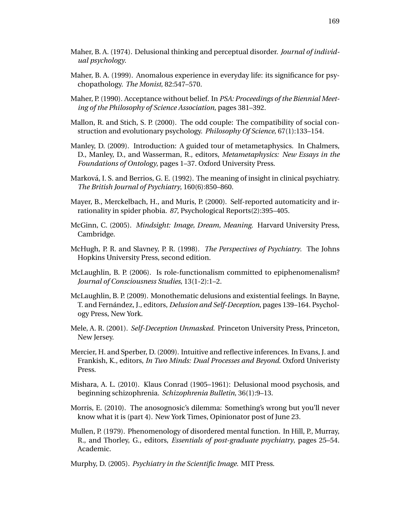169

- Maher, B. A. (1974). Delusional thinking and perceptual disorder. *Journal of individual psychology*.
- Maher, B. A. (1999). Anomalous experience in everyday life: its significance for psychopathology. *The Monist*, 82:547–570.
- Maher, P. (1990). Acceptance without belief. In *PSA: Proceedings of the Biennial Meeting of the Philosophy of Science Association*, pages 381–392.
- Mallon, R. and Stich, S. P. (2000). The odd couple: The compatibility of social construction and evolutionary psychology. *Philosophy Of Science*, 67(1):133–154.
- Manley, D. (2009). Introduction: A guided tour of metametaphysics. In Chalmers, D., Manley, D., and Wasserman, R., editors, *Metametaphysics: New Essays in the Foundations of Ontology*, pages 1–37. Oxford University Press.
- Markova, I. S. and Berrios, G. E. (1992). The meaning of insight in clinical psychiatry. ´ *The British Journal of Psychiatry*, 160(6):850–860.
- Mayer, B., Merckelbach, H., and Muris, P. (2000). Self-reported automaticity and irrationality in spider phobia. *87*, Psychological Reports(2):395–405.
- McGinn, C. (2005). *Mindsight: Image, Dream, Meaning*. Harvard University Press, Cambridge.
- McHugh, P. R. and Slavney, P. R. (1998). *The Perspectives of Psychiatry*. The Johns Hopkins University Press, second edition.
- McLaughlin, B. P. (2006). Is role-functionalism committed to epiphenomenalism? *Journal of Consciousness Studies*, 13(1-2):1–2.
- McLaughlin, B. P. (2009). Monothematic delusions and existential feelings. In Bayne, T. and Fernández, J., editors, *Delusion and Self-Deception*, pages 139-164. Psychology Press, New York.
- Mele, A. R. (2001). *Self-Deception Unmasked*. Princeton University Press, Princeton, New Jersey.
- Mercier, H. and Sperber, D. (2009). Intuitive and reflective inferences. In Evans, J. and Frankish, K., editors, *In Two Minds: Dual Processes and Beyond*. Oxford Univeristy Press.
- Mishara, A. L. (2010). Klaus Conrad (1905–1961): Delusional mood psychosis, and beginning schizophrenia. *Schizophrenia Bulletin*, 36(1):9–13.
- Morris, E. (2010). The anosognosic's dilemma: Something's wrong but you'll never know what it is (part 4). New York Times, Opinionator post of June 23.
- Mullen, P. (1979). Phenomenology of disordered mental function. In Hill, P., Murray, R., and Thorley, G., editors, *Essentials of post-graduate psychiatry*, pages 25–54. Academic.
- Murphy, D. (2005). *Psychiatry in the Scientific Image*. MIT Press.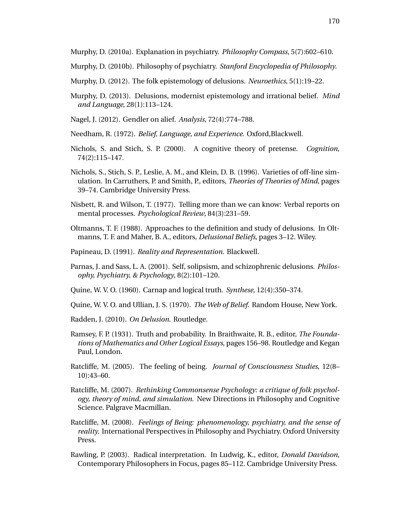Murphy, D. (2010a). Explanation in psychiatry. *Philosophy Compass*, 5(7):602–610.

- Murphy, D. (2010b). Philosophy of psychiatry. *Stanford Encyclopedia of Philosophy*.
- Murphy, D. (2012). The folk epistemology of delusions. *Neuroethics*, 5(1):19–22.
- Murphy, D. (2013). Delusions, modernist epistemology and irrational belief. *Mind and Language*, 28(1):113–124.
- Nagel, J. (2012). Gendler on alief. *Analysis*, 72(4):774–788.
- Needham, R. (1972). *Belief, Language, and Experience*. Oxford,Blackwell.
- Nichols, S. and Stich, S. P. (2000). A cognitive theory of pretense. *Cognition*, 74(2):115–147.
- Nichols, S., Stich, S. P., Leslie, A. M., and Klein, D. B. (1996). Varieties of off-line simulation. In Carruthers, P. and Smith, P., editors, *Theories of Theories of Mind*, pages 39–74. Cambridge University Press.
- Nisbett, R. and Wilson, T. (1977). Telling more than we can know: Verbal reports on mental processes. *Psychological Review*, 84(3):231–59.
- Oltmanns, T. F. (1988). Approaches to the definition and study of delusions. In Oltmanns, T. F. and Maher, B. A., editors, *Delusional Beliefs*, pages 3–12. Wiley.
- Papineau, D. (1991). *Reality and Representation*. Blackwell.
- Parnas, J. and Sass, L. A. (2001). Self, solipsism, and schizophrenic delusions. *Philosophy, Psychiatry, & Psychology*, 8(2):101–120.
- Quine, W. V. O. (1960). Carnap and logical truth. *Synthese*, 12(4):350–374.
- Quine, W. V. O. and Ullian, J. S. (1970). *The Web of Belief*. Random House, New York.
- Radden, J. (2010). *On Delusion*. Routledge.
- Ramsey, F. P. (1931). Truth and probability. In Braithwaite, R. B., editor, *The Foundations of Mathematics and Other Logical Essays*, pages 156–98. Routledge and Kegan Paul, London.
- Ratcliffe, M. (2005). The feeling of being. *Journal of Consciousness Studies*, 12(8– 10):43–60.
- Ratcliffe, M. (2007). *Rethinking Commonsense Psychology: a critique of folk psychology, theory of mind, and simulation*. New Directions in Philosophy and Cognitive Science. Palgrave Macmillan.
- Ratcliffe, M. (2008). *Feelings of Being: phenomenology, psychiatry, and the sense of reality*. International Perspectives in Philosophy and Psychiatry. Oxford University Press.
- Rawling, P. (2003). Radical interpretation. In Ludwig, K., editor, *Donald Davidson*, Contemporary Philosophers in Focus, pages 85–112. Cambridge University Press.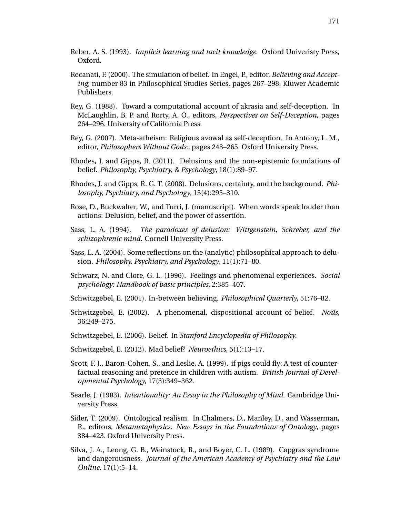- Reber, A. S. (1993). *Implicit learning and tacit knowledge*. Oxford Univeristy Press, Oxford.
- Recanati, F. (2000). The simulation of belief. In Engel, P., editor, *Believing and Accepting*, number 83 in Philosophical Studies Series, pages 267–298. Kluwer Academic Publishers.
- Rey, G. (1988). Toward a computational account of akrasia and self-deception. In McLaughlin, B. P. and Rorty, A. O., editors, *Perspectives on Self-Deception*, pages 264–296. University of California Press.
- Rey, G. (2007). Meta-atheism: Religious avowal as self-deception. In Antony, L. M., editor, *Philosophers Without Gods:*, pages 243–265. Oxford University Press.
- Rhodes, J. and Gipps, R. (2011). Delusions and the non-epistemic foundations of belief. *Philosophy, Psychiatry, & Psychology*, 18(1):89–97.
- Rhodes, J. and Gipps, R. G. T. (2008). Delusions, certainty, and the background. *Philosophy, Psychiatry, and Psychology*, 15(4):295–310.
- Rose, D., Buckwalter, W., and Turri, J. (manuscript). When words speak louder than actions: Delusion, belief, and the power of assertion.
- Sass, L. A. (1994). *The paradoxes of delusion: Wittgenstein, Schreber, and the schizophrenic mind*. Cornell University Press.
- Sass, L. A. (2004). Some reflections on the (analytic) philosophical approach to delusion. *Philosophy, Psychiatry, and Psychology*, 11(1):71–80.
- Schwarz, N. and Clore, G. L. (1996). Feelings and phenomenal experiences. *Social psychology: Handbook of basic principles*, 2:385–407.
- Schwitzgebel, E. (2001). In-between believing. *Philosophical Quarterly*, 51:76–82.
- Schwitzgebel, E. (2002). A phenomenal, dispositional account of belief. *Noûs*, 36:249–275.
- Schwitzgebel, E. (2006). Belief. In *Stanford Encyclopedia of Philosophy*.
- Schwitzgebel, E. (2012). Mad belief? *Neuroethics*, 5(1):13–17.
- Scott, F. J., Baron-Cohen, S., and Leslie, A. (1999). if pigs could fly: A test of counterfactual reasoning and pretence in children with autism. *British Journal of Developmental Psychology*, 17(3):349–362.
- Searle, J. (1983). *Intentionality: An Essay in the Philosophy of Mind*. Cambridge University Press.
- Sider, T. (2009). Ontological realism. In Chalmers, D., Manley, D., and Wasserman, R., editors, *Metametaphysics: New Essays in the Foundations of Ontology*, pages 384–423. Oxford University Press.
- Silva, J. A., Leong, G. B., Weinstock, R., and Boyer, C. L. (1989). Capgras syndrome and dangerousness. *Journal of the American Academy of Psychiatry and the Law Online*, 17(1):5–14.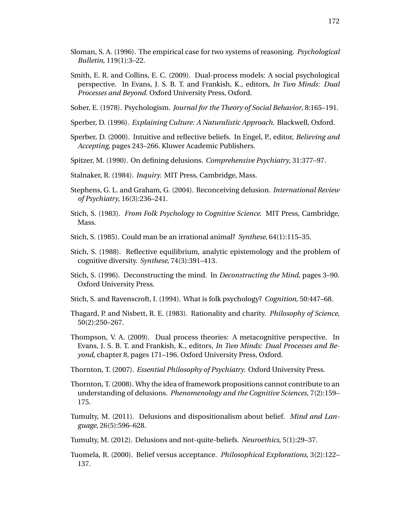- Sloman, S. A. (1996). The empirical case for two systems of reasoning. *Psychological Bulletin*, 119(1):3–22.
- Smith, E. R. and Collins, E. C. (2009). Dual-process models: A social psychological perspective. In Evans, J. S. B. T. and Frankish, K., editors, *In Two Minds: Dual Processes and Beyond*. Oxford University Press, Oxford.
- Sober, E. (1978). Psychologism. *Journal for the Theory of Social Behavior*, 8:165–191.
- Sperber, D. (1996). *Explaining Culture: A Naturalistic Approach*. Blackwell, Oxford.
- Sperber, D. (2000). Intuitive and reflective beliefs. In Engel, P., editor, *Believing and Accepting*, pages 243–266. Kluwer Academic Publishers.
- Spitzer, M. (1990). On defining delusions. *Comprehensive Psychiatry*, 31:377–97.
- Stalnaker, R. (1984). *Inquiry*. MIT Press, Cambridge, Mass.
- Stephens, G. L. and Graham, G. (2004). Reconceiving delusion. *International Review of Psychiatry*, 16(3):236–241.
- Stich, S. (1983). *From Folk Psychology to Cognitive Science*. MIT Press, Cambridge, Mass.
- Stich, S. (1985). Could man be an irrational animal? *Synthese*, 64(1):115–35.
- Stich, S. (1988). Reflective equilibrium, analytic epistemology and the problem of cognitive diversity. *Synthese*, 74(3):391–413.
- Stich, S. (1996). Deconstructing the mind. In *Deconstructing the Mind*, pages 3–90. Oxford University Press.
- Stich, S. and Ravenscroft, I. (1994). What is folk psychology? *Cognition*, 50:447–68.
- Thagard, P. and Nisbett, R. E. (1983). Rationality and charity. *Philosophy of Science*, 50(2):250–267.
- Thompson, V. A. (2009). Dual process theories: A metacognitive perspective. In Evans, J. S. B. T. and Frankish, K., editors, *In Two Minds: Dual Processes and Beyond*, chapter 8, pages 171–196. Oxford University Press, Oxford.
- Thornton, T. (2007). *Essential Philosophy of Psychiatry*. Oxford University Press.
- Thornton, T. (2008). Why the idea of framework propositions cannot contribute to an understanding of delusions. *Phenomenology and the Cognitive Sciences*, 7(2):159– 175.
- Tumulty, M. (2011). Delusions and dispositionalism about belief. *Mind and Language*, 26(5):596–628.
- Tumulty, M. (2012). Delusions and not-quite-beliefs. *Neuroethics*, 5(1):29–37.
- Tuomela, R. (2000). Belief versus acceptance. *Philosophical Explorations*, 3(2):122– 137.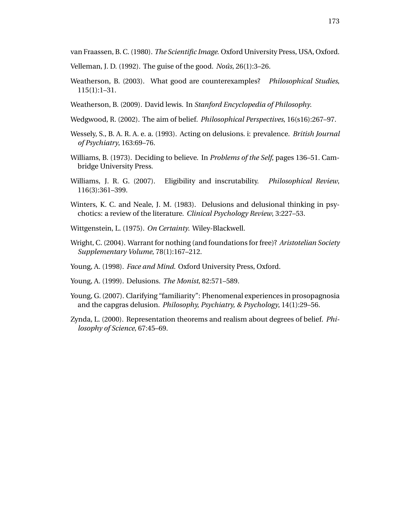van Fraassen, B. C. (1980). *The Scientific Image*. Oxford University Press, USA, Oxford.

- Velleman, J. D. (1992). The guise of the good. *Nous ˆ* , 26(1):3–26.
- Weatherson, B. (2003). What good are counterexamples? *Philosophical Studies*, 115(1):1–31.
- Weatherson, B. (2009). David lewis. In *Stanford Encyclopedia of Philosophy*.
- Wedgwood, R. (2002). The aim of belief. *Philosophical Perspectives*, 16(s16):267–97.
- Wessely, S., B. A. R. A. e. a. (1993). Acting on delusions. i: prevalence. *British Journal of Psychiatry*, 163:69–76.
- Williams, B. (1973). Deciding to believe. In *Problems of the Self*, pages 136–51. Cambridge University Press.
- Williams, J. R. G. (2007). Eligibility and inscrutability. *Philosophical Review*, 116(3):361–399.
- Winters, K. C. and Neale, J. M. (1983). Delusions and delusional thinking in psychotics: a review of the literature. *Clinical Psychology Review*, 3:227–53.
- Wittgenstein, L. (1975). *On Certainty*. Wiley-Blackwell.
- Wright, C. (2004). Warrant for nothing (and foundations for free)? *Aristotelian Society Supplementary Volume*, 78(1):167–212.
- Young, A. (1998). *Face and Mind*. Oxford University Press, Oxford.
- Young, A. (1999). Delusions. *The Monist*, 82:571–589.
- Young, G. (2007). Clarifying "familiarity": Phenomenal experiences in prosopagnosia and the capgras delusion. *Philosophy, Psychiatry, & Psychology*, 14(1):29–56.
- Zynda, L. (2000). Representation theorems and realism about degrees of belief. *Philosophy of Science*, 67:45–69.